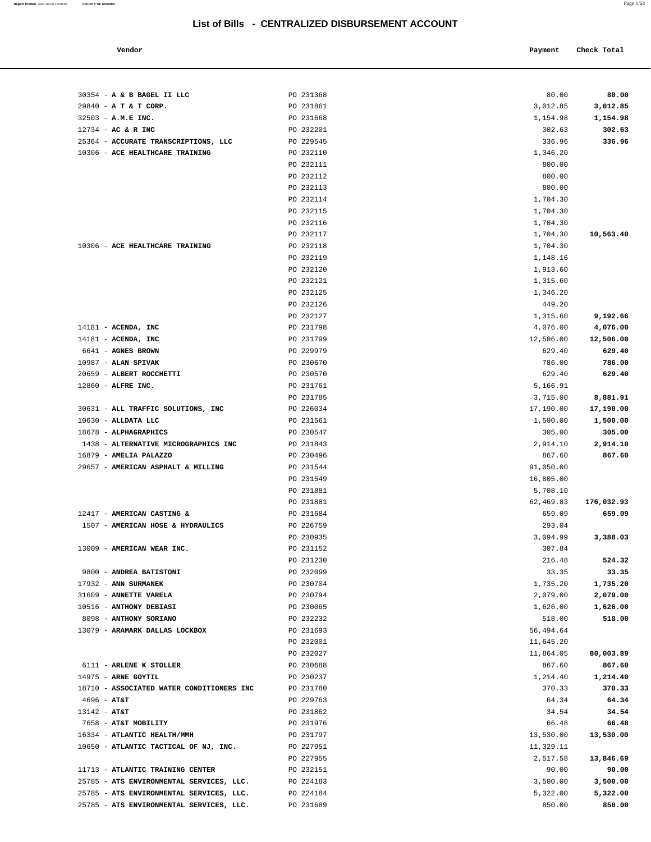| Vendor | Payment Check Total |
|--------|---------------------|
|        |                     |

| 30354 - A & B BAGEL II LLC                | PO 231368 | 80.00     | 80.00      |
|-------------------------------------------|-----------|-----------|------------|
| 29840 - A T & T CORP.                     | PO 231861 | 3,012.85  | 3,012.85   |
| 32503 - A.M.E INC.                        | PO 231668 | 1,154.98  | 1,154.98   |
| $12734$ - AC & R INC                      | PO 232201 | 302.63    | 302.63     |
| 25364 - ACCURATE TRANSCRIPTIONS, LLC      | PO 229545 | 336.96    | 336.96     |
| 10306 - ACE HEALTHCARE TRAINING           | PO 232110 | 1,346.20  |            |
|                                           | PO 232111 | 800.00    |            |
|                                           |           |           |            |
|                                           | PO 232112 | 800.00    |            |
|                                           | PO 232113 | 800.00    |            |
|                                           | PO 232114 | 1,704.30  |            |
|                                           | PO 232115 | 1,704.30  |            |
|                                           | PO 232116 | 1,704.30  |            |
|                                           | PO 232117 | 1,704.30  | 10,563.40  |
| 10306 - ACE HEALTHCARE TRAINING           | PO 232118 | 1,704.30  |            |
|                                           | PO 232119 | 1,148.16  |            |
|                                           | PO 232120 | 1,913.60  |            |
|                                           | PO 232121 | 1,315.60  |            |
|                                           | PO 232125 | 1,346.20  |            |
|                                           | PO 232126 | 449.20    |            |
|                                           | PO 232127 | 1,315.60  | 9,192.66   |
| $14181$ - ACENDA, INC                     | PO 231798 | 4,076.00  | 4,076.00   |
| $14181$ - ACENDA, INC                     | PO 231799 | 12,506.00 | 12,506.00  |
| 6641 - AGNES BROWN                        | PO 229979 | 629.40    | 629.40     |
| $10987$ - ALAN SPIVAK                     | PO 230670 | 786.00    | 786.00     |
| 20659 - ALBERT ROCCHETTI                  | PO 230570 | 629.40    | 629.40     |
| 12860 - ALFRE INC.                        | PO 231761 | 5,166.91  |            |
|                                           | PO 231785 | 3,715.00  | 8,881.91   |
| 30631 - ALL TRAFFIC SOLUTIONS, INC        | PO 226034 | 17,190.00 | 17,190.00  |
| $10630$ - ALLDATA LLC                     | PO 231561 | 1,500.00  | 1,500.00   |
| 18678 - ALPHAGRAPHICS                     | PO 230547 | 305.00    | 305.00     |
| 1438 - ALTERNATIVE MICROGRAPHICS INC      | PO 231843 | 2,914.10  | 2,914.10   |
| 16879 - AMELIA PALAZZO                    |           |           |            |
|                                           | PO 230496 | 867.60    | 867.60     |
| 29657 - AMERICAN ASPHALT & MILLING        | PO 231544 | 91,050.00 |            |
|                                           | PO 231549 | 16,805.00 |            |
|                                           | PO 231881 | 5,708.10  |            |
|                                           | PO 231881 | 62,469.83 | 176,032.93 |
| 12417 - AMERICAN CASTING &                | PO 231684 | 659.09    | 659.09     |
| 1507 - AMERICAN HOSE & HYDRAULICS         | PO 226759 | 293.04    |            |
|                                           | PO 230935 | 3,094.99  | 3,388.03   |
| 13009 - AMERICAN WEAR INC.                | PO 231152 | 307.84    |            |
|                                           | PO 231230 | 216.48    | 524.32     |
| 9800 - ANDREA BATISTONI                   | PO 232099 | 33.35     | 33.35      |
| 17932 - ANN SURMANEK                      | PO 230704 | 1,735.20  | 1,735.20   |
| 31609 - ANNETTE VARELA                    | PO 230794 | 2,079.00  | 2,079.00   |
| 10516 - ANTHONY DEBIASI                   | PO 230065 | 1,626.00  | 1,626.00   |
| 8098 - ANTHONY SORIANO                    | PO 232232 | 518.00    | 518.00     |
| 13079 - ARAMARK DALLAS LOCKBOX            | PO 231693 | 56,494.64 |            |
|                                           | PO 232001 | 11,645.20 |            |
|                                           | PO 232027 | 11,864.05 | 80,003.89  |
| 6111 - ARLENE K STOLLER                   | PO 230688 | 867.60    | 867.60     |
| 14975 - ARNE GOYTIL                       | PO 230237 | 1,214.40  | 1,214.40   |
| 18710 - ASSOCIATED WATER CONDITIONERS INC | PO 231780 | 370.33    | 370.33     |
| $4696 - AT&T$                             | PO 229763 | 64.34     | 64.34      |
| $13142 - AT&T$                            | PO 231862 | 34.54     | 34.54      |
| 7658 - AT&T MOBILITY                      | PO 231976 | 66.48     | 66.48      |
| 16334 - ATLANTIC HEALTH/MMH               | PO 231797 | 13,530.00 | 13,530.00  |
| 10650 - ATLANTIC TACTICAL OF NJ, INC.     | PO 227951 | 11,329.11 |            |
|                                           | PO 227955 | 2,517.58  | 13,846.69  |
| 11713 - ATLANTIC TRAINING CENTER          | PO 232151 | 90.00     | 90.00      |
| 25785 - ATS ENVIRONMENTAL SERVICES, LLC.  | PO 224183 | 3,500.00  | 3,500.00   |
| 25785 - ATS ENVIRONMENTAL SERVICES, LLC.  | PO 224184 | 5,322.00  | 5,322.00   |
| 25785 - ATS ENVIRONMENTAL SERVICES, LLC.  | PO 231689 | 850.00    | 850.00     |
|                                           |           |           |            |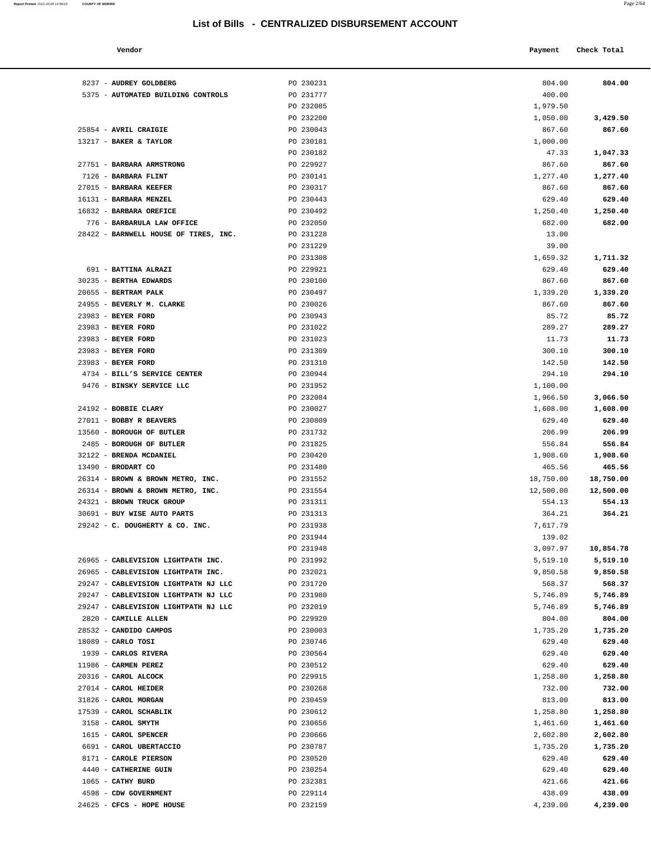#### **Vendor Payment** Check Total **Payment** Check Total **Payment**

**Report Printed** 2021-03-05 14:59:03 **COUNTY OF MORRIS** 

| <br>٠ |  |
|-------|--|
|-------|--|

| 8237 - AUDREY GOLDBERG                              | PO 230231              | 804.00             | 804.00             |
|-----------------------------------------------------|------------------------|--------------------|--------------------|
| 5375 - AUTOMATED BUILDING CONTROLS                  | PO 231777              | 400.00             |                    |
|                                                     | PO 232085              | 1,979.50           |                    |
|                                                     | PO 232200              | 1,050.00           | 3,429.50           |
| 25854 - AVRIL CRAIGIE                               | PO 230043              | 867.60             | 867.60             |
| 13217 - BAKER & TAYLOR                              | PO 230181              | 1,000.00           |                    |
|                                                     | PO 230182              | 47.33              | 1,047.33           |
| 27751 - BARBARA ARMSTRONG                           | PO 229927              | 867.60             | 867.60             |
| 7126 - BARBARA FLINT                                | PO 230141              | 1,277.40           | 1,277.40           |
| 27015 - BARBARA KEEFER                              | PO 230317              | 867.60             | 867.60             |
| 16131 - BARBARA MENZEL                              | PO 230443              | 629.40             | 629.40             |
| 16832 - BARBARA OREFICE                             | PO 230492              | 1,250.40           | 1,250.40           |
| 776 - BARBARULA LAW OFFICE                          | PO 232050              | 682.00             | 682.00             |
| 28422 - BARNWELL HOUSE OF TIRES, INC.               | PO 231228              | 13.00              |                    |
|                                                     | PO 231229              | 39.00              |                    |
|                                                     | PO 231308              | 1,659.32           | 1,711.32           |
| 691 - BATTINA ALRAZI                                | PO 229921              | 629.40             | 629.40             |
| 30235 - BERTHA EDWARDS                              | PO 230100              | 867.60             | 867.60             |
| 20655 - BERTRAM PALK                                | PO 230497              | 1,339.20           | 1,339.20           |
| 24955 - BEVERLY M. CLARKE                           | PO 230026              | 867.60             | 867.60             |
| 23983 - BEYER FORD                                  | PO 230943              | 85.72              | 85.72              |
| 23983 - BEYER FORD                                  | PO 231022              | 289.27             | 289.27             |
| 23983 - BEYER FORD                                  | PO 231023              | 11.73              | 11.73              |
| 23983 - BEYER FORD                                  | PO 231309              | 300.10             | 300.10             |
| 23983 - BEYER FORD                                  | PO 231310              | 142.50             | 142.50             |
| 4734 - BILL'S SERVICE CENTER                        | PO 230944              | 294.10             | 294.10             |
| 9476 - BINSKY SERVICE LLC                           | PO 231952              | 1,100.00           |                    |
|                                                     | PO 232084              | 1,966.50           | 3,066.50           |
| 24192 - BOBBIE CLARY<br>27011 - BOBBY R BEAVERS     | PO 230027              | 1,608.00           | 1,608.00           |
| 13560 - BOROUGH OF BUTLER                           | PO 230809<br>PO 231732 | 629.40<br>206.99   | 629.40<br>206.99   |
|                                                     |                        |                    |                    |
| 2485 - BOROUGH OF BUTLER<br>32122 - BRENDA MCDANIEL | PO 231825<br>PO 230420 | 556.84<br>1,908.60 | 556.84             |
| 13490 - BRODART CO                                  | PO 231480              | 465.56             | 1,908.60<br>465.56 |
| 26314 - BROWN & BROWN METRO, INC.                   | PO 231552              | 18,750.00          | 18,750.00          |
| 26314 - BROWN & BROWN METRO, INC.                   | PO 231554              | 12,500.00          | 12,500.00          |
| 24321 - BROWN TRUCK GROUP                           | PO 231311              | 554.13             | 554.13             |
| 30691 - BUY WISE AUTO PARTS                         | PO 231313              | 364.21             | 364.21             |
| 29242 - C. DOUGHERTY & CO. INC.                     | PO 231938              | 7,617.79           |                    |
|                                                     | PO 231944              | 139.02             |                    |
|                                                     | PO 231948              | 3,097.97           | 10,854.78          |
| 26965 - CABLEVISION LIGHTPATH INC.                  | PO 231992              | 5,519.10           | 5,519.10           |
| 26965 - CABLEVISION LIGHTPATH INC.                  | PO 232021              | 9,850.58           | 9,850.58           |
| 29247 - CABLEVISION LIGHTPATH NJ LLC                | PO 231720              | 568.37             | 568.37             |
| 29247 - CABLEVISION LIGHTPATH NJ LLC                | PO 231980              | 5,746.89           | 5,746.89           |
| 29247 - CABLEVISION LIGHTPATH NJ LLC                | PO 232019              | 5,746.89           | 5,746.89           |
| 2820 - CAMILLE ALLEN                                | PO 229920              | 804.00             | 804.00             |
| 28532 - CANDIDO CAMPOS                              | PO 230003              | 1,735.20           | 1,735.20           |
| 18089 - CARLO TOSI                                  | PO 230746              | 629.40             | 629.40             |
| 1939 - CARLOS RIVERA                                | PO 230564              | 629.40             | 629.40             |
| 11986 - CARMEN PEREZ                                | PO 230512              | 629.40             | 629.40             |
| 20316 - CAROL ALCOCK                                | PO 229915              | 1,258.80           | 1,258.80           |
| 27014 - CAROL HEIDER                                | PO 230268              | 732.00             | 732.00             |
| 31826 - CAROL MORGAN                                | PO 230459              | 813.00             | 813.00             |
| 17539 - CAROL SCHABLIK                              | PO 230612              | 1,258.80           | 1,258.80           |
| 3158 - CAROL SMYTH                                  | PO 230656              | 1,461.60           | 1,461.60           |
| 1615 - CAROL SPENCER                                | PO 230666              | 2,602.80           | 2,602.80           |
| 6691 - CAROL UBERTACCIO                             | PO 230787              | 1,735.20           | 1,735.20           |
| 8171 - CAROLE PIERSON                               | PO 230520              | 629.40             | 629.40             |
| 4440 - CATHERINE GUIN                               | PO 230254              | 629.40             | 629.40             |
| 1065 - CATHY BURD                                   | PO 232381              | 421.66             | 421.66             |
| 4598 - CDW GOVERNMENT<br>24625 - CFCS - HOPE HOUSE  | PO 229114<br>PO 232159 | 438.09<br>4,239.00 | 438.09<br>4,239.00 |
|                                                     |                        |                    |                    |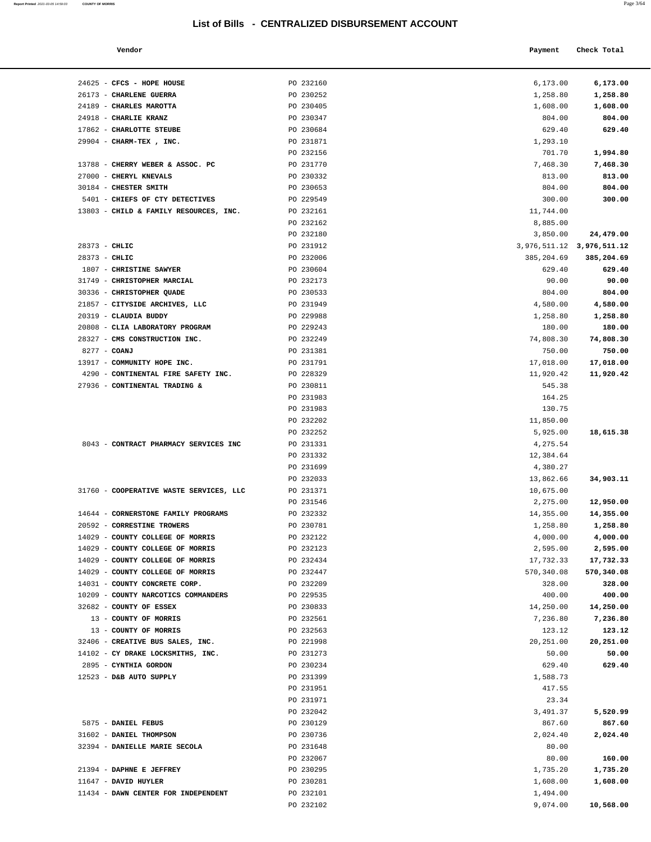| Report Printed 2021-03-05 14:59:03 COUNTY OF MORRIS |  | Page 3/64 |  |
|-----------------------------------------------------|--|-----------|--|
|-----------------------------------------------------|--|-----------|--|

| Vendor            |           | Check Total<br>Payment |  |
|-------------------|-----------|------------------------|--|
|                   |           |                        |  |
| CFCS - HOPE HOUSE | PO 232160 | 6,173.00<br>6,173.00   |  |
| CHARLENE GUERRA   | PO 230252 | 1,258.80<br>1,258.80   |  |
| CHARLES MAROTTA   | PO 230405 | 1,608.00<br>1,608.00   |  |
| CHARLIE KRANZ     | PO 230347 | 804.00<br>804.00       |  |
| CHARLOTTE STEUBE  | PO 230684 | 629.40<br>629.40       |  |
|                   |           |                        |  |

| 24625 - CFCS - HOPE HOUSE               | PO 232160              | 6,173.00                      | 6,173.00   |
|-----------------------------------------|------------------------|-------------------------------|------------|
| 26173 - CHARLENE GUERRA                 | PO 230252              | 1,258.80                      | 1,258.80   |
| 24189 - CHARLES MAROTTA                 | PO 230405              | 1,608.00                      | 1,608.00   |
| 24918 - CHARLIE KRANZ                   | PO 230347              | 804.00                        | 804.00     |
| 17862 - CHARLOTTE STEUBE                | PO 230684              | 629.40                        | 629.40     |
| 29904 - CHARM-TEX, INC.                 | PO 231871              | 1,293.10                      |            |
|                                         | PO 232156              | 701.70                        | 1,994.80   |
| 13788 - CHERRY WEBER & ASSOC. PC        | PO 231770              | 7,468.30                      | 7,468.30   |
| 27000 - CHERYL KNEVALS                  | PO 230332              | 813.00                        | 813.00     |
| 30184 - CHESTER SMITH                   | PO 230653              | 804.00                        | 804.00     |
| 5401 - CHIEFS OF CTY DETECTIVES         | PO 229549              | 300.00                        | 300.00     |
| 13803 - CHILD & FAMILY RESOURCES, INC.  | PO 232161              | 11,744.00                     |            |
|                                         | PO 232162              | 8,885.00                      |            |
|                                         | PO 232180              | 3,850.00                      | 24,479.00  |
| 28373 - CHLIC                           | PO 231912              | 3, 976, 511.12 3, 976, 511.12 |            |
| $28373 - CHLIC$                         | PO 232006              | 385,204.69                    | 385,204.69 |
| 1807 - CHRISTINE SAWYER                 | PO 230604              | 629.40                        | 629.40     |
| 31749 - CHRISTOPHER MARCIAL             | PO 232173              | 90.00                         | 90.00      |
| 30336 - CHRISTOPHER QUADE               | PO 230533              | 804.00                        | 804.00     |
| 21857 - CITYSIDE ARCHIVES, LLC          | PO 231949              | 4,580.00                      | 4,580.00   |
| 20319 - CLAUDIA BUDDY                   | PO 229988              | 1,258.80                      | 1,258.80   |
| 20808 - CLIA LABORATORY PROGRAM         | PO 229243              | 180.00                        | 180.00     |
| 28327 - CMS CONSTRUCTION INC.           | PO 232249              | 74,808.30                     | 74,808.30  |
| 8277 - COANJ                            | PO 231381              | 750.00                        | 750.00     |
| 13917 - COMMUNITY HOPE INC.             | PO 231791              | 17,018.00                     | 17,018.00  |
| 4290 - CONTINENTAL FIRE SAFETY INC.     | PO 228329              | 11,920.42                     | 11,920.42  |
| 27936 - CONTINENTAL TRADING &           | PO 230811              | 545.38                        |            |
|                                         | PO 231983              | 164.25                        |            |
|                                         | PO 231983              | 130.75                        |            |
|                                         | PO 232202              | 11,850.00                     |            |
|                                         | PO 232252              | 5,925.00                      | 18,615.38  |
| 8043 - CONTRACT PHARMACY SERVICES INC   | PO 231331<br>PO 231332 | 4,275.54<br>12,384.64         |            |
|                                         | PO 231699              | 4,380.27                      |            |
|                                         | PO 232033              | 13,862.66                     | 34,903.11  |
| 31760 - COOPERATIVE WASTE SERVICES, LLC | PO 231371              | 10,675.00                     |            |
|                                         | PO 231546              | 2,275.00                      | 12,950.00  |
| 14644 - CORNERSTONE FAMILY PROGRAMS     | PO 232332              | 14,355.00                     | 14,355.00  |
| 20592 - CORRESTINE TROWERS              | PO 230781              | 1,258.80                      | 1,258.80   |
| 14029 - COUNTY COLLEGE OF MORRIS        | PO 232122              | 4,000.00                      | 4,000.00   |
| 14029 - COUNTY COLLEGE OF MORRIS        | PO 232123              | 2,595.00                      | 2,595.00   |
| 14029 - COUNTY COLLEGE OF MORRIS        | PO 232434              | 17,732.33                     | 17,732.33  |
| 14029 - COUNTY COLLEGE OF MORRIS        | PO 232447              | 570,340.08                    | 570,340.08 |
| 14031 - COUNTY CONCRETE CORP.           | PO 232209              | 328.00                        | 328.00     |
| 10209 - COUNTY NARCOTICS COMMANDERS     | PO 229535              | 400.00                        | 400.00     |
| 32682 - COUNTY OF ESSEX                 | PO 230833              | 14,250.00                     | 14,250.00  |
| 13 - COUNTY OF MORRIS                   | PO 232561              | 7,236.80                      | 7,236.80   |
| 13 - COUNTY OF MORRIS                   | PO 232563              | 123.12                        | 123.12     |
| 32406 - CREATIVE BUS SALES, INC.        | PO 221998              | 20,251.00                     | 20,251.00  |
| 14102 - CY DRAKE LOCKSMITHS, INC.       | PO 231273              | 50.00                         | 50.00      |
| 2895 - CYNTHIA GORDON                   | PO 230234              | 629.40                        | 629.40     |
| 12523 - D&B AUTO SUPPLY                 | PO 231399              | 1,588.73                      |            |
|                                         | PO 231951              | 417.55                        |            |
|                                         | PO 231971              | 23.34                         |            |
|                                         | PO 232042              | 3,491.37                      | 5,520.99   |
| 5875 - DANIEL FEBUS                     | PO 230129              | 867.60                        | 867.60     |
| 31602 - DANIEL THOMPSON                 | PO 230736              | 2,024.40                      | 2,024.40   |
| 32394 - DANIELLE MARIE SECOLA           | PO 231648              | 80.00                         |            |
|                                         | PO 232067              | 80.00                         | 160.00     |
| 21394 - DAPHNE E JEFFREY                | PO 230295              | 1,735.20                      | 1,735.20   |
| 11647 - DAVID HUYLER                    | PO 230281              | 1,608.00                      | 1,608.00   |
| 11434 - DAWN CENTER FOR INDEPENDENT     | PO 232101              | 1,494.00                      |            |
|                                         | PO 232102              | 9,074.00                      | 10,568.00  |
|                                         |                        |                               |            |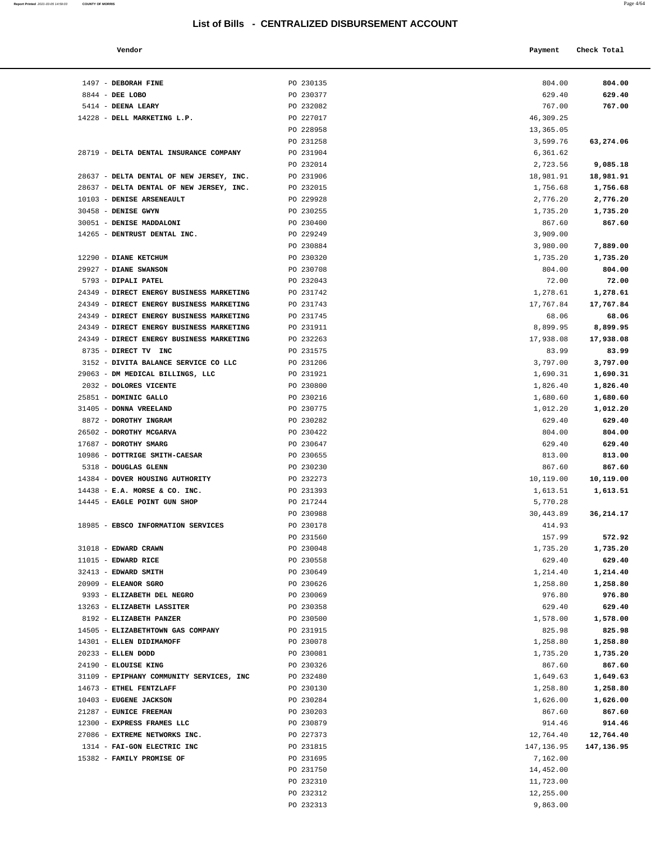**Report Printed**  2021-03-05 14:59:03 **COUNTY OF MORRIS** 

| 1497 - DEBORAH FINE<br>PO 230135<br>804.00                                                                       |                    |
|------------------------------------------------------------------------------------------------------------------|--------------------|
|                                                                                                                  | 804.00             |
| 8844 - DEE LOBO<br>PO 230377<br>629.40                                                                           | 629.40             |
| 5414 - DEENA LEARY<br>PO 232082<br>767.00                                                                        | 767.00             |
| 14228 - DELL MARKETING L.P.<br>PO 227017<br>46,309.25                                                            |                    |
| PO 228958<br>13,365.05                                                                                           |                    |
| PO 231258<br>3,599.76                                                                                            | 63,274.06          |
| 28719 - DELTA DENTAL INSURANCE COMPANY<br>PO 231904<br>6,361.62                                                  |                    |
| PO 232014<br>2,723.56                                                                                            | 9,085.18           |
| 28637 - DELTA DENTAL OF NEW JERSEY, INC.<br>PO 231906<br>18,981.91                                               | 18,981.91          |
| 28637 - DELTA DENTAL OF NEW JERSEY, INC.<br>PO 232015<br>1,756.68                                                | 1,756.68           |
| 10103 - DENISE ARSENEAULT<br>PO 229928<br>2,776.20                                                               | 2,776.20           |
| 30458 - DENISE GWYN<br>PO 230255<br>1,735.20                                                                     | 1,735.20           |
| 30051 - DENISE MADDALONI<br>PO 230400<br>867.60                                                                  | 867.60             |
| 14265 - DENTRUST DENTAL INC.<br>PO 229249<br>3,909.00                                                            |                    |
| PO 230884<br>3,980.00                                                                                            | 7,889.00           |
| 12290 - DIANE KETCHUM<br>PO 230320<br>1,735.20                                                                   | 1,735.20           |
| PO 230708<br>29927 - DIANE SWANSON<br>804.00                                                                     | 804.00             |
| 5793 - DIPALI PATEL<br>PO 232043<br>72.00                                                                        | 72.00              |
| 24349 - DIRECT ENERGY BUSINESS MARKETING<br>PO 231742<br>1,278.61                                                | 1,278.61           |
| 24349 - DIRECT ENERGY BUSINESS MARKETING<br>PO 231743<br>17,767.84                                               | 17,767.84          |
| 24349 - DIRECT ENERGY BUSINESS MARKETING<br>PO 231745<br>68.06                                                   | 68.06              |
| 24349 - DIRECT ENERGY BUSINESS MARKETING<br>PO 231911<br>8,899.95                                                | 8,899.95           |
| 24349 - DIRECT ENERGY BUSINESS MARKETING<br>PO 232263<br>17,938.08<br>8735 - DIRECT TV INC<br>PO 231575<br>83.99 | 17,938.08<br>83.99 |
| PO 231206<br>3,797.00<br>3152 - DIVITA BALANCE SERVICE CO LLC                                                    | 3,797.00           |
| 29063 - DM MEDICAL BILLINGS, LLC<br>PO 231921<br>1,690.31                                                        | 1,690.31           |
| 2032 - DOLORES VICENTE<br>PO 230800<br>1,826.40                                                                  | 1,826.40           |
| 25851 - DOMINIC GALLO<br>PO 230216<br>1,680.60                                                                   | 1,680.60           |
| 31405 - DONNA VREELAND<br>PO 230775<br>1,012.20                                                                  | 1,012.20           |
| 8872 - DOROTHY INGRAM<br>PO 230282<br>629.40                                                                     | 629.40             |
| 26502 - DOROTHY MCGARVA<br>PO 230422<br>804.00                                                                   | 804.00             |
| 17687 - DOROTHY SMARG<br>PO 230647<br>629.40                                                                     | 629.40             |
| 10986 - DOTTRIGE SMITH-CAESAR<br>PO 230655<br>813.00                                                             | 813.00             |
|                                                                                                                  |                    |
| 5318 - DOUGLAS GLENN<br>PO 230230<br>867.60                                                                      | 867.60             |
| 14384 - DOVER HOUSING AUTHORITY<br>PO 232273<br>10,119.00                                                        | 10,119.00          |
| $14438$ - E.A. MORSE & CO. INC.<br>PO 231393<br>1,613.51                                                         | 1,613.51           |
| 14445 - EAGLE POINT GUN SHOP<br>PO 217244<br>5,770.28                                                            |                    |
| PO 230988<br>30,443.89                                                                                           | 36,214.17          |
| 18985 - EBSCO INFORMATION SERVICES<br>PO 230178<br>414.93                                                        |                    |
| 157.99<br>PO 231560                                                                                              | 572.92             |
| 31018 - EDWARD CRAWN<br>PO 230048<br>1,735.20                                                                    | 1,735.20           |
| $11015$ - EDWARD RICE<br>PO 230558<br>629.40                                                                     | 629.40             |
| 32413 - EDWARD SMITH<br>PO 230649<br>1,214.40                                                                    | 1,214.40           |
| 20909 - ELEANOR SGRO<br>PO 230626<br>1,258.80                                                                    | 1,258.80           |
| 9393 - ELIZABETH DEL NEGRO<br>PO 230069<br>976.80                                                                | 976.80             |
| 13263 - ELIZABETH LASSITER<br>PO 230358<br>629.40                                                                | 629.40             |
| 8192 - ELIZABETH PANZER<br>PO 230500<br>1,578.00                                                                 | 1,578.00           |
| 14505 - ELIZABETHTOWN GAS COMPANY<br>PO 231915<br>825.98                                                         | 825.98             |
| 14301 - ELLEN DIDIMAMOFF<br>PO 230078<br>1,258.80                                                                | 1,258.80           |
| 20233 - ELLEN DODD<br>PO 230081<br>1,735.20                                                                      | 1,735.20           |
| 867.60<br>24190 - ELOUISE KING<br>PO 230326                                                                      | 867.60             |
| 31109 - EPIPHANY COMMUNITY SERVICES, INC<br>PO 232480<br>1,649.63                                                | 1,649.63           |
| 14673 - ETHEL FENTZLAFF<br>PO 230130<br>1,258.80                                                                 | 1,258.80           |
| 10403 - EUGENE JACKSON<br>PO 230284<br>1,626.00                                                                  | 1,626.00           |
| 21287 - EUNICE FREEMAN<br>PO 230203<br>867.60                                                                    | 867.60             |
| 12300 - EXPRESS FRAMES LLC<br>PO 230879<br>914.46                                                                | 914.46             |
| 27086 - EXTREME NETWORKS INC.<br>PO 227373<br>12,764.40                                                          | 12,764.40          |
| 1314 - FAI-GON ELECTRIC INC<br>PO 231815<br>147,136.95                                                           | 147,136.95         |
| 15382 - FAMILY PROMISE OF<br>PO 231695<br>7,162.00                                                               |                    |
| PO 231750<br>14,452.00                                                                                           |                    |
| PO 232310<br>11,723.00<br>PO 232312<br>12,255.00                                                                 |                    |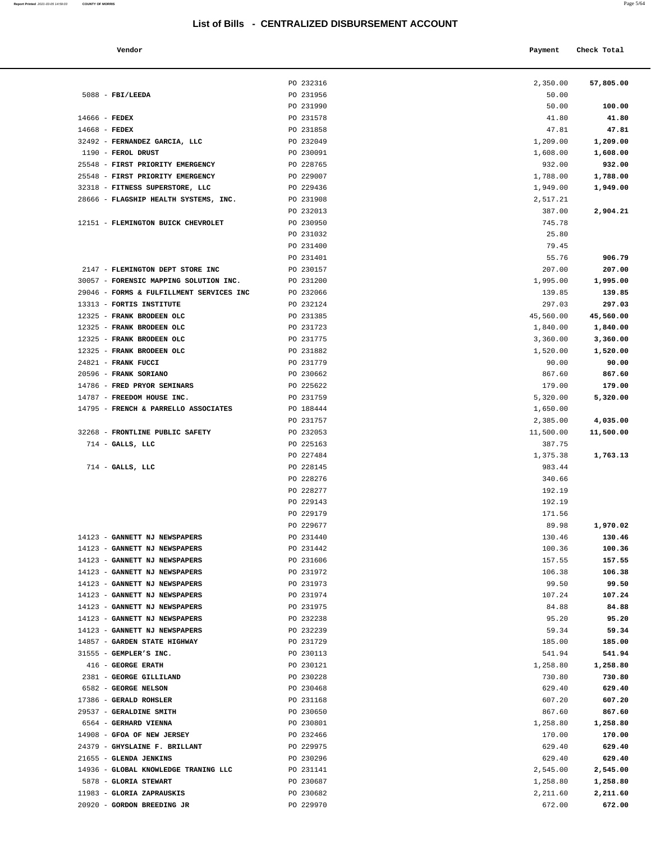| Report Printed 2021-03-05 14:59:03 | <b>COUNTY OF MORRIS</b> | Page 5/64 |
|------------------------------------|-------------------------|-----------|
|                                    |                         |           |

| Vendor                   |           | Payment  | Check Total |
|--------------------------|-----------|----------|-------------|
|                          | PO 232316 | 2,350.00 | 57,805.00   |
| <b>FBI/LEEDA</b>         | PO 231956 | 50.00    |             |
|                          | PO 231990 | 50.00    | 100.00      |
| FEDEX                    | PO 231578 | 41.80    | 41.80       |
| <b>FEDEX</b>             | PO 231858 | 47.81    | 47.81       |
| FERNANDEZ GARCIA, LLC    | PO 232049 | 1,209.00 | 1,209.00    |
| FEROL DRUST              | PO 230091 | 1,608.00 | 1,608.00    |
| FIRST PRIORITY EMERGENCY | PO 228765 | 932.00   | 932.00      |
| FIRST PRIORITY EMERGENCY | PO 229007 | 1,788.00 | 1,788.00    |
|                          |           |          |             |

|               |                                          | PO 232316 | 2,350.00  | 57,805.00 |
|---------------|------------------------------------------|-----------|-----------|-----------|
|               | $5088$ - FBI/LEEDA                       | PO 231956 | 50.00     |           |
|               |                                          | PO 231990 | 50.00     | 100.00    |
| 14666 - FEDEX |                                          | PO 231578 | 41.80     | 41.80     |
| 14668 - FEDEX |                                          | PO 231858 | 47.81     | 47.81     |
|               | 32492 - FERNANDEZ GARCIA, LLC            | PO 232049 | 1,209.00  | 1,209.00  |
|               | 1190 - FEROL DRUST                       | PO 230091 | 1,608.00  | 1,608.00  |
|               | 25548 - FIRST PRIORITY EMERGENCY         | PO 228765 | 932.00    | 932.00    |
|               | 25548 - FIRST PRIORITY EMERGENCY         | PO 229007 | 1,788.00  | 1,788.00  |
|               | 32318 - FITNESS SUPERSTORE, LLC          | PO 229436 | 1,949.00  | 1,949.00  |
|               | 28666 - FLAGSHIP HEALTH SYSTEMS, INC.    | PO 231908 | 2,517.21  |           |
|               |                                          |           |           |           |
|               |                                          | PO 232013 | 387.00    | 2,904.21  |
|               | 12151 - FLEMINGTON BUICK CHEVROLET       | PO 230950 | 745.78    |           |
|               |                                          | PO 231032 | 25.80     |           |
|               |                                          | PO 231400 | 79.45     |           |
|               |                                          | PO 231401 | 55.76     | 906.79    |
|               | 2147 - FLEMINGTON DEPT STORE INC         | PO 230157 | 207.00    | 207.00    |
|               | 30057 - FORENSIC MAPPING SOLUTION INC.   | PO 231200 | 1,995.00  | 1,995.00  |
|               | 29046 - FORMS & FULFILLMENT SERVICES INC | PO 232066 | 139.85    | 139.85    |
|               | 13313 - FORTIS INSTITUTE                 | PO 232124 | 297.03    | 297.03    |
|               | 12325 - FRANK BRODEEN OLC                | PO 231385 | 45,560.00 | 45,560.00 |
|               | 12325 - FRANK BRODEEN OLC                | PO 231723 | 1,840.00  | 1,840.00  |
|               | 12325 - FRANK BRODEEN OLC                | PO 231775 | 3,360.00  | 3,360.00  |
|               | 12325 - FRANK BRODEEN OLC                | PO 231882 | 1,520.00  | 1,520.00  |
|               | 24821 - FRANK FUCCI                      | PO 231779 | 90.00     | 90.00     |
|               | 20596 - FRANK SORIANO                    | PO 230662 | 867.60    | 867.60    |
|               | 14786 - FRED PRYOR SEMINARS              | PO 225622 | 179.00    | 179.00    |
|               | 14787 - FREEDOM HOUSE INC.               | PO 231759 | 5,320.00  | 5,320.00  |
|               | 14795 - FRENCH & PARRELLO ASSOCIATES     | PO 188444 | 1,650.00  |           |
|               |                                          | PO 231757 | 2,385.00  | 4,035.00  |
|               | 32268 - FRONTLINE PUBLIC SAFETY          | PO 232053 | 11,500.00 | 11,500.00 |
|               | $714$ - GALLS, LLC                       | PO 225163 | 387.75    |           |
|               |                                          | PO 227484 | 1,375.38  | 1,763.13  |
|               | $714$ - GALLS, LLC                       | PO 228145 | 983.44    |           |
|               |                                          | PO 228276 | 340.66    |           |
|               |                                          | PO 228277 | 192.19    |           |
|               |                                          | PO 229143 | 192.19    |           |
|               |                                          | PO 229179 | 171.56    |           |
|               |                                          | PO 229677 | 89.98     | 1,970.02  |
|               | 14123 - GANNETT NJ NEWSPAPERS            | PO 231440 | 130.46    | 130.46    |
|               | 14123 - GANNETT NJ NEWSPAPERS            | PO 231442 | 100.36    | 100.36    |
|               | 14123 - GANNETT NJ NEWSPAPERS            | PO 231606 | 157.55    | 157.55    |
|               | 14123 - GANNETT NJ NEWSPAPERS            | PO 231972 | 106.38    | 106.38    |
|               | 14123 - GANNETT NJ NEWSPAPERS            | PO 231973 | 99.50     | 99.50     |
|               | 14123 - GANNETT NJ NEWSPAPERS            | PO 231974 | 107.24    | 107.24    |
|               | 14123 - GANNETT NJ NEWSPAPERS            | PO 231975 | 84.88     | 84.88     |
|               | 14123 - GANNETT NJ NEWSPAPERS            | PO 232238 | 95.20     | 95.20     |
|               | 14123 - GANNETT NJ NEWSPAPERS            | PO 232239 | 59.34     | 59.34     |
|               |                                          |           |           |           |
|               | 14857 - GARDEN STATE HIGHWAY             | PO 231729 | 185.00    | 185.00    |
|               | 31555 - GEMPLER'S INC.                   | PO 230113 | 541.94    | 541.94    |
|               | 416 - GEORGE ERATH                       | PO 230121 | 1,258.80  | 1,258.80  |
|               | 2381 - GEORGE GILLILAND                  | PO 230228 | 730.80    | 730.80    |
|               | 6582 - GEORGE NELSON                     | PO 230468 | 629.40    | 629.40    |
|               | 17386 - GERALD ROHSLER                   | PO 231168 | 607.20    | 607.20    |
|               | 29537 - GERALDINE SMITH                  | PO 230650 | 867.60    | 867.60    |
|               | 6564 - GERHARD VIENNA                    | PO 230801 | 1,258.80  | 1,258.80  |
|               | 14908 - GFOA OF NEW JERSEY               | PO 232466 | 170.00    | 170.00    |
|               | 24379 - GHYSLAINE F. BRILLANT            | PO 229975 | 629.40    | 629.40    |
|               | 21655 - GLENDA JENKINS                   | PO 230296 | 629.40    | 629.40    |
|               | 14936 - GLOBAL KNOWLEDGE TRANING LLC     | PO 231141 | 2,545.00  | 2,545.00  |
|               | 5878 - GLORIA STEWART                    | PO 230687 | 1,258.80  | 1,258.80  |
|               | 11983 - GLORIA ZAPRAUSKIS                | PO 230682 | 2,211.60  | 2,211.60  |

20920 - **GORDON BREEDING JR** PO 229970 672.00 **672.00**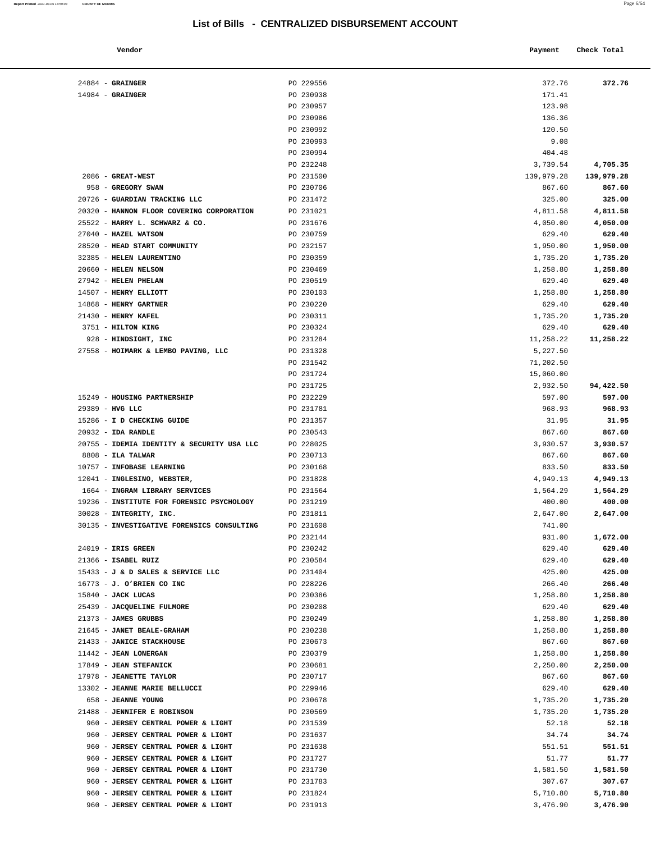#### **Vendor Check Total Payment** Check Total **Payment**

| Report Printed 2021-03-05 14:59:03 COUNTY OF MORRIS<br>the contract of the contract of the contract of the contract of the contract of the contract of the contract of | Page 6/64 |
|------------------------------------------------------------------------------------------------------------------------------------------------------------------------|-----------|
|                                                                                                                                                                        |           |

|                                           | PO 230986 | 136.36     |            |
|-------------------------------------------|-----------|------------|------------|
|                                           | PO 230992 | 120.50     |            |
|                                           | PO 230993 | 9.08       |            |
|                                           | PO 230994 | 404.48     |            |
|                                           | PO 232248 | 3,739.54   | 4,705.35   |
| 2086 - GREAT-WEST                         | PO 231500 | 139,979.28 | 139,979.28 |
| 958 - GREGORY SWAN                        | PO 230706 | 867.60     | 867.60     |
| 0726 - GUARDIAN TRACKING LLC              | PO 231472 | 325.00     | 325.00     |
| 0320 - HANNON FLOOR COVERING CORPORATION  | PO 231021 | 4,811.58   | 4,811.58   |
| 5522 - HARRY L. SCHWARZ & CO.             | PO 231676 | 4,050.00   | 4,050.00   |
| 7040 - HAZEL WATSON                       | PO 230759 | 629.40     | 629.40     |
| 8520 - HEAD START COMMUNITY               | PO 232157 | 1,950.00   | 1,950.00   |
| 2385 - HELEN LAURENTINO                   | PO 230359 |            | 1,735.20   |
|                                           |           | 1,735.20   |            |
| 0660 - HELEN NELSON                       | PO 230469 | 1,258.80   | 1,258.80   |
| 7942 - HELEN PHELAN                       | PO 230519 | 629.40     | 629.40     |
| 4507 - HENRY ELLIOTT                      | PO 230103 | 1,258.80   | 1,258.80   |
| 4868 - HENRY GARTNER                      | PO 230220 | 629.40     | 629.40     |
| 1430 - HENRY KAFEL                        | PO 230311 | 1,735.20   | 1,735.20   |
| 3751 - HILTON KING                        | PO 230324 | 629.40     | 629.40     |
| 928 - HINDSIGHT, INC                      | PO 231284 | 11,258.22  | 11,258.22  |
| 7558 - HOIMARK & LEMBO PAVING, LLC        | PO 231328 | 5,227.50   |            |
|                                           | PO 231542 | 71,202.50  |            |
|                                           | PO 231724 | 15,060.00  |            |
|                                           | PO 231725 | 2,932.50   | 94,422.50  |
| 5249 - HOUSING PARTNERSHIP                | PO 232229 | 597.00     | 597.00     |
| 9389 - HVG LLC                            | PO 231781 | 968.93     | 968.93     |
| 5286 - I D CHECKING GUIDE                 | PO 231357 | 31.95      | 31.95      |
| 0932 - IDA RANDLE                         | PO 230543 | 867.60     | 867.60     |
| 0755 - IDEMIA IDENTITY & SECURITY USA LLC | PO 228025 | 3,930.57   | 3,930.57   |
| 8808 - ILA TALWAR                         | PO 230713 | 867.60     | 867.60     |
|                                           |           |            |            |
| 0757 - INFOBASE LEARNING                  | PO 230168 | 833.50     | 833.50     |
| 2041 - INGLESINO, WEBSTER,                | PO 231828 | 4,949.13   | 4,949.13   |
| 1664 - INGRAM LIBRARY SERVICES            | PO 231564 | 1,564.29   | 1,564.29   |
| 9236 - INSTITUTE FOR FORENSIC PSYCHOLOGY  | PO 231219 | 400.00     | 400.00     |
| 0028 - INTEGRITY, INC.                    | PO 231811 | 2,647.00   | 2,647.00   |
| 0135 - INVESTIGATIVE FORENSICS CONSULTING | PO 231608 | 741.00     |            |
|                                           | PO 232144 | 931.00     | 1,672.00   |
| 4019 - IRIS GREEN                         | PO 230242 | 629.40     | 629.40     |
| 1366 - ISABEL RUIZ                        | PO 230584 | 629.40     | 629.40     |
| 5433 - J & D SALES & SERVICE LLC          | PO 231404 | 425.00     | 425.00     |
| 6773 - J. O'BRIEN CO INC                  | PO 228226 | 266.40     | 266.40     |
| 5840 - JACK LUCAS                         | PO 230386 | 1,258.80   | 1,258.80   |
| 5439 - JACQUELINE FULMORE                 | PO 230208 | 629.40     | 629.40     |
| 1373 - JAMES GRUBBS                       | PO 230249 | 1,258.80   | 1,258.80   |
| 1645 - JANET BEALE-GRAHAM                 | PO 230238 | 1,258.80   | 1,258.80   |
| 1433 - JANICE STACKHOUSE                  | PO 230673 | 867.60     | 867.60     |
| 1442 - JEAN LONERGAN                      | PO 230379 | 1,258.80   | 1,258.80   |
| 7849 - JEAN STEFANICK                     | PO 230681 | 2,250.00   | 2,250.00   |
| 7978 - JEANETTE TAYLOR                    | PO 230717 | 867.60     | 867.60     |
|                                           |           |            |            |
| 3302 - JEANNE MARIE BELLUCCI              | PO 229946 | 629.40     | 629.40     |
| 658 - JEANNE YOUNG                        | PO 230678 | 1,735.20   | 1,735.20   |
| 1488 - JENNIFER E ROBINSON                | PO 230569 | 1,735.20   | 1,735.20   |
| 960 - JERSEY CENTRAL POWER & LIGHT        | PO 231539 | 52.18      | 52.18      |
| 960 - JERSEY CENTRAL POWER & LIGHT        | PO 231637 | 34.74      | 34.74      |
| 960 - JERSEY CENTRAL POWER & LIGHT        | PO 231638 | 551.51     | 551.51     |
| 960 - JERSEY CENTRAL POWER & LIGHT        | PO 231727 | 51.77      | 51.77      |
| 960 - JERSEY CENTRAL POWER & LIGHT        | PO 231730 | 1,581.50   | 1,581.50   |
| 960 - JERSEY CENTRAL POWER & LIGHT        | PO 231783 | 307.67     | 307.67     |
| 960 - JERSEY CENTRAL POWER & LIGHT        | PO 231824 | 5,710.80   | 5,710.80   |
|                                           | PO 231913 | 3,476.90   | 3,476.90   |

| $24884$ - GRAINGER                                                          | PO 229556              | 372.76                | 372.76               |
|-----------------------------------------------------------------------------|------------------------|-----------------------|----------------------|
| $14984$ - GRAINGER                                                          | PO 230938              | 171.41                |                      |
|                                                                             | PO 230957              | 123.98                |                      |
|                                                                             | PO 230986              | 136.36                |                      |
|                                                                             | PO 230992              | 120.50                |                      |
|                                                                             | PO 230993              | 9.08                  |                      |
|                                                                             | PO 230994              | 404.48                |                      |
|                                                                             | PO 232248              | 3,739.54              | 4,705.35             |
| 2086 - GREAT-WEST                                                           | PO 231500              | 139,979.28            | 139,979.28           |
| 958 - GREGORY SWAN                                                          | PO 230706              | 867.60                | 867.60               |
| 20726 - GUARDIAN TRACKING LLC                                               | PO 231472              | 325.00                | 325.00               |
| 20320 - HANNON FLOOR COVERING CORPORATION<br>25522 - HARRY L. SCHWARZ & CO. | PO 231021<br>PO 231676 | 4,811.58<br>4,050.00  | 4,811.58<br>4,050.00 |
| 27040 - HAZEL WATSON                                                        | PO 230759              | 629.40                | 629.40               |
| 28520 - HEAD START COMMUNITY                                                | PO 232157              | 1,950.00              | 1,950.00             |
| 32385 - HELEN LAURENTINO                                                    | PO 230359              | 1,735.20              | 1,735.20             |
| 20660 - HELEN NELSON                                                        | PO 230469              | 1,258.80              | 1,258.80             |
| 27942 - HELEN PHELAN                                                        | PO 230519              | 629.40                | 629.40               |
| 14507 - HENRY ELLIOTT                                                       | PO 230103              | 1,258.80              | 1,258.80             |
| 14868 - HENRY GARTNER                                                       | PO 230220              | 629.40                | 629.40               |
| 21430 - HENRY KAFEL                                                         | PO 230311              | 1,735.20              | 1,735.20             |
| 3751 - HILTON KING                                                          | PO 230324              | 629.40                | 629.40               |
| 928 - HINDSIGHT, INC                                                        | PO 231284              | 11,258.22             | 11,258.22            |
| 27558 - HOIMARK & LEMBO PAVING, LLC                                         | PO 231328              | 5,227.50              |                      |
|                                                                             | PO 231542              | 71,202.50             |                      |
|                                                                             | PO 231724<br>PO 231725 | 15,060.00<br>2,932.50 | 94,422.50            |
| 15249 - HOUSING PARTNERSHIP                                                 | PO 232229              | 597.00                | 597.00               |
| 29389 - HVG LLC                                                             | PO 231781              | 968.93                | 968.93               |
| 15286 - I D CHECKING GUIDE                                                  | PO 231357              | 31.95                 | 31.95                |
| 20932 - IDA RANDLE                                                          | PO 230543              | 867.60                | 867.60               |
| 20755 - IDEMIA IDENTITY & SECURITY USA LLC                                  | PO 228025              | 3,930.57              | 3,930.57             |
| $8808$ - ILA TALWAR                                                         | PO 230713              | 867.60                | 867.60               |
| 10757 - INFOBASE LEARNING                                                   | PO 230168              | 833.50                | 833.50               |
| 12041 - INGLESINO, WEBSTER,                                                 | PO 231828              | 4,949.13              | 4,949.13             |
| 1664 - INGRAM LIBRARY SERVICES                                              | PO 231564              | 1,564.29              | 1,564.29             |
| 19236 - INSTITUTE FOR FORENSIC PSYCHOLOGY                                   | PO 231219              | 400.00                | 400.00               |
| 30028 - INTEGRITY, INC.                                                     | PO 231811              | 2,647.00              | 2,647.00             |
| 30135 - INVESTIGATIVE FORENSICS CONSULTING                                  | PO 231608              | 741.00                |                      |
| 24019 - IRIS GREEN                                                          | PO 232144              | 931.00                | 1,672.00<br>629.40   |
| 21366 - ISABEL RUIZ                                                         | PO 230242<br>PO 230584 | 629.40<br>629.40      | 629.40               |
| 15433 - J & D SALES & SERVICE LLC                                           | PO 231404              | 425.00                | 425.00               |
| 16773 - J. O'BRIEN CO INC                                                   | PO 228226              | 266.40                | 266.40               |
| 15840 - JACK LUCAS                                                          | PO 230386              | 1,258.80              | 1,258.80             |
| 25439 - JACQUELINE FULMORE                                                  | PO 230208              | 629.40                | 629.40               |
| 21373 - JAMES GRUBBS                                                        | PO 230249              | 1,258.80              | 1,258.80             |
| 21645 - JANET BEALE-GRAHAM                                                  | PO 230238              | 1,258.80              | 1,258.80             |
| 21433 - JANICE STACKHOUSE                                                   | PO 230673              | 867.60                | 867.60               |
| 11442 - JEAN LONERGAN                                                       | PO 230379              | 1,258.80              | 1,258.80             |
| 17849 - JEAN STEFANICK                                                      | PO 230681              | 2,250.00              | 2,250.00             |
| 17978 - JEANETTE TAYLOR                                                     | PO 230717              | 867.60                | 867.60               |
| 13302 - JEANNE MARIE BELLUCCI                                               | PO 229946              | 629.40                | 629.40               |
| 658 - JEANNE YOUNG<br>21488 - JENNIFER E ROBINSON                           | PO 230678<br>PO 230569 | 1,735.20<br>1,735.20  | 1,735.20<br>1,735.20 |
| 960 - JERSEY CENTRAL POWER & LIGHT                                          | PO 231539              | 52.18                 | 52.18                |
| 960 - JERSEY CENTRAL POWER & LIGHT                                          | PO 231637              | 34.74                 | 34.74                |
| 960 - JERSEY CENTRAL POWER & LIGHT                                          | PO 231638              | 551.51                | 551.51               |
| 960 - JERSEY CENTRAL POWER & LIGHT                                          | PO 231727              | 51.77                 | 51.77                |
| 960 - JERSEY CENTRAL POWER & LIGHT                                          | PO 231730              | 1,581.50              | 1,581.50             |
| 960 - JERSEY CENTRAL POWER & LIGHT                                          | PO 231783              | 307.67                | 307.67               |
| 960 - JERSEY CENTRAL POWER & LIGHT                                          | PO 231824              | 5,710.80              | 5,710.80             |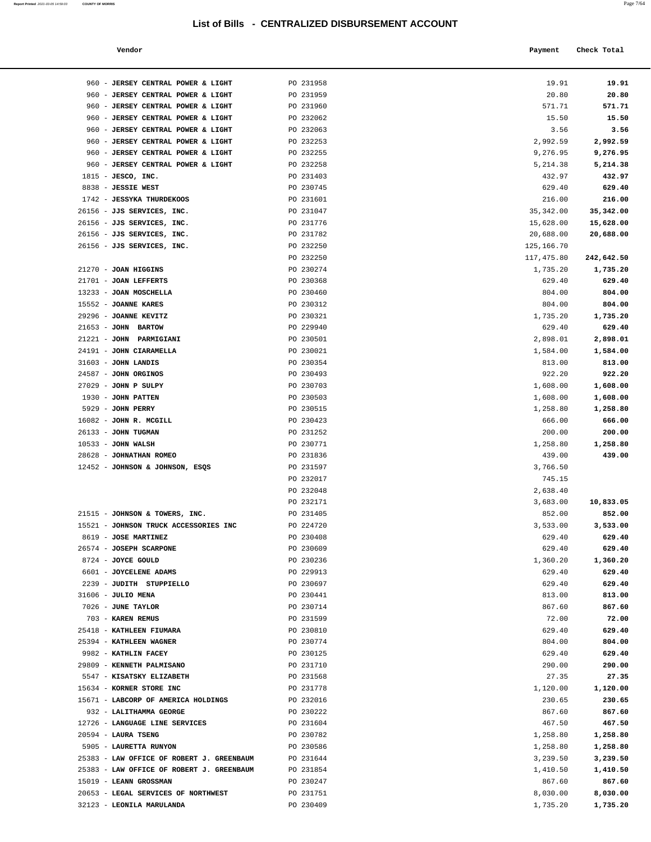| Vendor<br>. | Payment | Check Total |
|-------------|---------|-------------|
|             |         |             |

| 960 - JERSEY CENTRAL POWER & LIGHT                       | PO 231958              | 19.91                   | 19.91                |
|----------------------------------------------------------|------------------------|-------------------------|----------------------|
| 960 - JERSEY CENTRAL POWER & LIGHT                       | PO 231959              | 20.80                   | 20.80                |
| 960 - JERSEY CENTRAL POWER & LIGHT                       | PO 231960              | 571.71                  | 571.71               |
| 960 - JERSEY CENTRAL POWER & LIGHT                       | PO 232062              | 15.50                   | 15.50                |
| 960 - JERSEY CENTRAL POWER & LIGHT                       | PO 232063              | 3.56                    | 3.56                 |
| 960 - JERSEY CENTRAL POWER & LIGHT                       | PO 232253              | 2,992.59                | 2,992.59             |
| 960 - JERSEY CENTRAL POWER & LIGHT                       | PO 232255              | 9,276.95                | 9,276.95             |
| 960 - JERSEY CENTRAL POWER & LIGHT                       | PO 232258              | 5, 214.38               | 5,214.38             |
| $1815$ - JESCO, INC.                                     | PO 231403              | 432.97                  | 432.97               |
| 8838 - JESSIE WEST                                       | PO 230745              | 629.40                  | 629.40               |
| 1742 - JESSYKA THURDEKOOS                                | PO 231601              | 216.00                  | 216.00               |
| 26156 - JJS SERVICES, INC.                               | PO 231047              | 35, 342.00              | 35,342.00            |
| 26156 - JJS SERVICES, INC.                               | PO 231776              | 15,628.00               | 15,628.00            |
| 26156 - JJS SERVICES, INC.<br>26156 - JJS SERVICES, INC. | PO 231782<br>PO 232250 | 20,688.00<br>125,166.70 | 20,688.00            |
|                                                          | PO 232250              | 117,475.80              | 242,642.50           |
| 21270 - JOAN HIGGINS                                     | PO 230274              | 1,735.20                | 1,735.20             |
| 21701 - JOAN LEFFERTS                                    | PO 230368              | 629.40                  | 629.40               |
| 13233 - JOAN MOSCHELLA                                   | PO 230460              | 804.00                  | 804.00               |
| 15552 - JOANNE KARES                                     | PO 230312              | 804.00                  | 804.00               |
| 29296 - JOANNE KEVITZ                                    | PO 230321              | 1,735.20                | 1,735.20             |
| 21653 - JOHN BARTOW                                      | PO 229940              | 629.40                  | 629.40               |
| 21221 - JOHN PARMIGIANI                                  | PO 230501              | 2,898.01                | 2,898.01             |
| 24191 - JOHN CIARAMELLA                                  | PO 230021              | 1,584.00                | 1,584.00             |
| $31603$ - JOHN LANDIS                                    | PO 230354              | 813.00                  | 813.00               |
| 24587 - JOHN ORGINOS                                     | PO 230493              | 922.20                  | 922.20               |
| $27029$ - JOHN P SULPY                                   | PO 230703              | 1,608.00                | 1,608.00             |
| 1930 - JOHN PATTEN<br>5929 - JOHN PERRY                  | PO 230503<br>PO 230515 | 1,608.00<br>1,258.80    | 1,608.00<br>1,258.80 |
| 16082 - JOHN R. MCGILL                                   | PO 230423              | 666.00                  | 666.00               |
| 26133 - JOHN TUGMAN                                      | PO 231252              | 200.00                  | 200.00               |
| $10533 - JOHN WALSH$                                     | PO 230771              | 1,258.80                | 1,258.80             |
| 28628 - JOHNATHAN ROMEO                                  | PO 231836              | 439.00                  | 439.00               |
| 12452 - JOHNSON & JOHNSON, ESQS                          | PO 231597              | 3,766.50                |                      |
|                                                          | PO 232017              | 745.15                  |                      |
|                                                          | PO 232048              | 2,638.40                |                      |
|                                                          | PO 232171              | 3,683.00                | 10,833.05            |
| 21515 - JOHNSON & TOWERS, INC.                           | PO 231405              | 852.00                  | 852.00               |
| 15521 - JOHNSON TRUCK ACCESSORIES INC                    | PO 224720              | 3,533.00                | 3,533.00             |
| 8619 - JOSE MARTINEZ<br>26574 - JOSEPH SCARPONE          | PO 230408<br>PO 230609 | 629.40<br>629.40        | 629.40<br>629.40     |
| 8724 - JOYCE GOULD                                       | PO 230236              | 1,360.20                | 1,360.20             |
| 6601 - JOYCELENE ADAMS                                   | PO 229913              | 629.40                  | 629.40               |
| 2239 - JUDITH STUPPIELLO                                 | PO 230697              | 629.40                  | 629.40               |
| 31606 - JULIO MENA                                       | PO 230441              | 813.00                  | 813.00               |
| 7026 - JUNE TAYLOR                                       | PO 230714              | 867.60                  | 867.60               |
| 703 - KAREN REMUS                                        | PO 231599              | 72.00                   | 72.00                |
| 25418 - KATHLEEN FIUMARA                                 | PO 230810              | 629.40                  | 629.40               |
| 25394 - KATHLEEN WAGNER                                  | PO 230774              | 804.00                  | 804.00               |
| 9982 - KATHLIN FACEY                                     | PO 230125              | 629.40                  | 629.40               |
| 29809 - KENNETH PALMISANO<br>5547 - KISATSKY ELIZABETH   | PO 231710<br>PO 231568 | 290.00<br>27.35         | 290.00<br>27.35      |
| 15634 - KORNER STORE INC                                 | PO 231778              | 1,120.00                | 1,120.00             |
| 15671 - LABCORP OF AMERICA HOLDINGS                      | PO 232016              | 230.65                  | 230.65               |
| 932 - LALITHAMMA GEORGE                                  | PO 230222              | 867.60                  | 867.60               |
| 12726 - LANGUAGE LINE SERVICES                           | PO 231604              | 467.50                  | 467.50               |
| 20594 - LAURA TSENG                                      | PO 230782              | 1,258.80                | 1,258.80             |
| 5905 - LAURETTA RUNYON                                   | PO 230586              | 1,258.80                | 1,258.80             |
| 25383 - LAW OFFICE OF ROBERT J. GREENBAUM                | PO 231644              | 3,239.50                | 3,239.50             |
| 25383 - LAW OFFICE OF ROBERT J. GREENBAUM                | PO 231854              | 1,410.50                | 1,410.50             |
| 15019 - LEANN GROSSMAN                                   | PO 230247              | 867.60                  | 867.60               |
| 20653 - LEGAL SERVICES OF NORTHWEST                      | PO 231751              | 8,030.00                | 8,030.00             |
| 32123 - LEONILA MARULANDA                                | PO 230409              | 1,735.20                | 1,735.20             |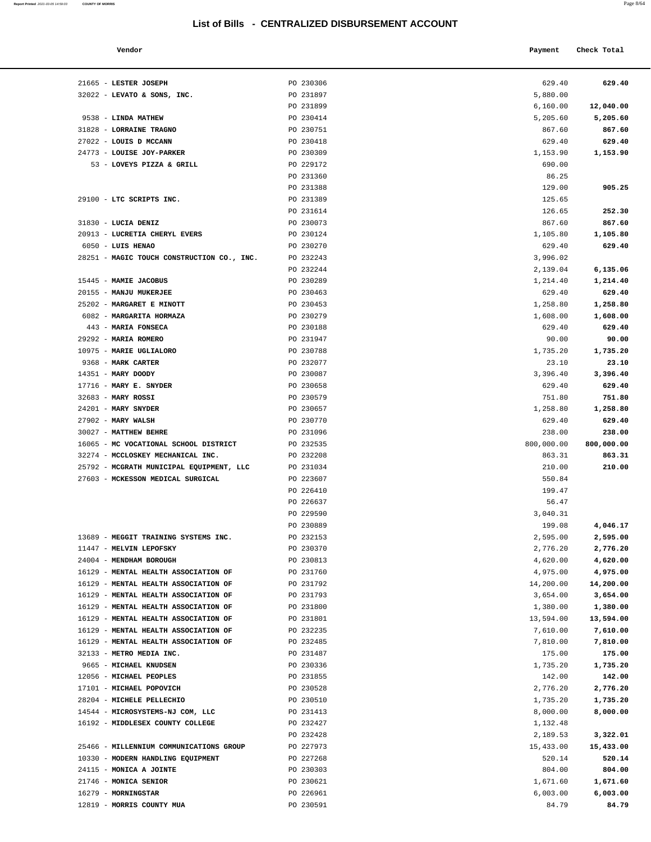#### **Vendor Check Total Payment Check Total**

| Report Printed 2021-03-05 14:59:03 | <b>COUNTY OF MORRIS</b> | Page $8/64$ |
|------------------------------------|-------------------------|-------------|
|                                    |                         |             |

| 629.40<br>5,880.00   | 629.40             |
|----------------------|--------------------|
| 6,160.00             | 12,040.00          |
| 5,205.60             | 5,205.60           |
| 867.60               | 867.60             |
| 629.40               | 629.40             |
| 1,153.90             | 1,153.90           |
| 690.00               |                    |
| 86.25                |                    |
| 129.00               | 905.25             |
| 125.65               |                    |
| 126.65               | 252.30             |
| 867.60               | 867.60             |
| 1,105.80             | 1,105.80           |
| 629.40               | 629.40             |
| 3,996.02             |                    |
| 2,139.04             | 6,135.06           |
| 1,214.40             | 1,214.40           |
| 629.40               | 629.40             |
| 1,258.80             | 1,258.80           |
| 1,608.00             | 1,608.00<br>629.40 |
| 629.40<br>90.00      | 90.00              |
| 1,735.20             | 1,735.20           |
| 23.10                | 23.10              |
| 3,396.40             | 3,396.40           |
| 629.40               | 629.40             |
| 751.80               | 751.80             |
| 1,258.80             | 1,258.80           |
| 629.40               | 629.40             |
| 238.00               | 238.00             |
| 800,000.00           | 800,000.00         |
| 863.31               | 863.31             |
| 210.00               | 210.00             |
| 550.84               |                    |
| 199.47               |                    |
| 56.47                |                    |
| 3,040.31<br>199.08   | 4,046.17           |
| 2,595.00             | 2,595.00           |
| 2,776.20             | 2,776.20           |
| 4,620.00             | 4,620.00           |
| 4,975.00             | 4,975.00           |
| 14,200.00            | 14,200.00          |
| 3,654.00             | 3,654.00           |
| 1,380.00             | 1,380.00           |
| 13,594.00            | 13,594.00          |
| 7,610.00             | 7,610.00           |
| 7,810.00             | 7,810.00           |
| 175.00               | 175.00             |
| 1,735.20             | 1,735.20           |
| 142.00               | 142.00             |
| 2,776.20             | 2,776.20           |
| 1,735.20             | 1,735.20           |
| 8,000.00<br>1,132.48 | 8,000.00           |
| 2,189.53             | 3,322.01           |
| 15,433.00            | 15,433.00          |
| 520.14               | 520.14             |
| 804.00               | 804.00             |
| 1,671.60             | 1,671.60           |
| 6,003.00             | 6,003.00           |
| 84.79                | 84.79              |
|                      |                    |

| 21665 - LESTER JOSEPH                      | PO 230306 | 629.40     | 629.40     |
|--------------------------------------------|-----------|------------|------------|
| $32022$ - LEVATO & SONS, INC.              | PO 231897 | 5,880.00   |            |
|                                            | PO 231899 | 6,160.00   | 12,040.00  |
| 9538 - LINDA MATHEW                        | PO 230414 | 5,205.60   | 5,205.60   |
| 31828 - LORRAINE TRAGNO                    | PO 230751 | 867.60     | 867.60     |
| 27022 - LOUIS D MCCANN                     | PO 230418 | 629.40     | 629.40     |
| 24773 - LOUISE JOY-PARKER                  | PO 230309 | 1,153.90   | 1,153.90   |
| 53 - LOVEYS PIZZA & GRILL                  | PO 229172 | 690.00     |            |
|                                            | PO 231360 | 86.25      |            |
|                                            | PO 231388 | 129.00     | 905.25     |
| 29100 - LTC SCRIPTS INC.                   | PO 231389 | 125.65     |            |
|                                            | PO 231614 | 126.65     | 252.30     |
| 31830 - LUCIA DENIZ                        | PO 230073 | 867.60     | 867.60     |
| 20913 - LUCRETIA CHERYL EVERS              | PO 230124 | 1,105.80   | 1,105.80   |
| 6050 - LUIS HENAO                          | PO 230270 | 629.40     | 629.40     |
| 28251 - MAGIC TOUCH CONSTRUCTION CO., INC. | PO 232243 | 3,996.02   |            |
|                                            | PO 232244 | 2,139.04   | 6,135.06   |
| 15445 - MAMIE JACOBUS                      | PO 230289 | 1,214.40   | 1,214.40   |
| 20155 - MANJU MUKERJEE                     | PO 230463 | 629.40     | 629.40     |
| 25202 - MARGARET E MINOTT                  | PO 230453 |            |            |
|                                            |           | 1,258.80   | 1,258.80   |
| 6082 - MARGARITA HORMAZA                   | PO 230279 | 1,608.00   | 1,608.00   |
| 443 - MARIA FONSECA                        | PO 230188 | 629.40     | 629.40     |
| 29292 - MARIA ROMERO                       | PO 231947 | 90.00      | 90.00      |
| 10975 - MARIE UGLIALORO                    | PO 230788 | 1,735.20   | 1,735.20   |
| 9368 - MARK CARTER                         | PO 232077 | 23.10      | 23.10      |
| 14351 - MARY DOODY                         | PO 230087 | 3,396.40   | 3,396.40   |
| 17716 - MARY E. SNYDER                     | PO 230658 | 629.40     | 629.40     |
| 32683 - MARY ROSSI                         | PO 230579 | 751.80     | 751.80     |
| 24201 - MARY SNYDER                        | PO 230657 | 1,258.80   | 1,258.80   |
| $27902$ - MARY WALSH                       | PO 230770 | 629.40     | 629.40     |
| 30027 - MATTHEW BEHRE                      | PO 231096 | 238.00     | 238.00     |
| 16065 - MC VOCATIONAL SCHOOL DISTRICT      | PO 232535 | 800,000.00 | 800,000.00 |
|                                            |           |            |            |
| 32274 - MCCLOSKEY MECHANICAL INC.          | PO 232208 | 863.31     | 863.31     |
| 25792 - MCGRATH MUNICIPAL EQUIPMENT, LLC   | PO 231034 | 210.00     | 210.00     |
| 27603 - MCKESSON MEDICAL SURGICAL          | PO 223607 | 550.84     |            |
|                                            | PO 226410 | 199.47     |            |
|                                            | PO 226637 | 56.47      |            |
|                                            | PO 229590 | 3,040.31   |            |
|                                            | PO 230889 | 199.08     | 4,046.17   |
| 13689 - MEGGIT TRAINING SYSTEMS INC.       | PO 232153 | 2,595.00   | 2,595.00   |
| 11447 - MELVIN LEPOFSKY                    | PO 230370 | 2,776.20   | 2,776.20   |
| 24004 - MENDHAM BOROUGH                    | PO 230813 | 4,620.00   | 4,620.00   |
| 16129 - MENTAL HEALTH ASSOCIATION OF       | PO 231760 | 4,975.00   | 4,975.00   |
| 16129 - MENTAL HEALTH ASSOCIATION OF       | PO 231792 | 14,200.00  | 14,200.00  |
| 16129 - MENTAL HEALTH ASSOCIATION OF       | PO 231793 | 3,654.00   | 3,654.00   |
| 16129 - MENTAL HEALTH ASSOCIATION OF       | PO 231800 | 1,380.00   | 1,380.00   |
| 16129 - MENTAL HEALTH ASSOCIATION OF       | PO 231801 | 13,594.00  | 13,594.00  |
| 16129 - MENTAL HEALTH ASSOCIATION OF       | PO 232235 | 7,610.00   | 7,610.00   |
| 16129 - MENTAL HEALTH ASSOCIATION OF       | PO 232485 | 7,810.00   | 7,810.00   |
| 32133 - METRO MEDIA INC.                   | PO 231487 | 175.00     | 175.00     |
| 9665 - MICHAEL KNUDSEN                     | PO 230336 | 1,735.20   | 1,735.20   |
| 12056 - MICHAEL PEOPLES                    | PO 231855 | 142.00     | 142.00     |
| 17101 - MICHAEL POPOVICH                   | PO 230528 | 2,776.20   | 2,776.20   |
| 28204 - MICHELE PELLECHIO                  | PO 230510 | 1,735.20   | 1,735.20   |
| 14544 - MICROSYSTEMS-NJ COM, LLC           | PO 231413 | 8,000.00   | 8,000.00   |
| 16192 - MIDDLESEX COUNTY COLLEGE           | PO 232427 | 1,132.48   |            |
|                                            | PO 232428 | 2,189.53   | 3,322.01   |
| 25466 - MILLENNIUM COMMUNICATIONS GROUP    | PO 227973 | 15,433.00  | 15,433.00  |
| 10330 - MODERN HANDLING EQUIPMENT          | PO 227268 | 520.14     | 520.14     |
| 24115 - MONICA A JOINTE                    | PO 230303 | 804.00     | 804.00     |
| 21746 - MONICA SENIOR                      | PO 230621 | 1,671.60   | 1,671.60   |
| 16279 - MORNINGSTAR                        | PO 226961 | 6,003.00   | 6,003.00   |

12819 - **MORRIS COUNTY MUA PO 230591**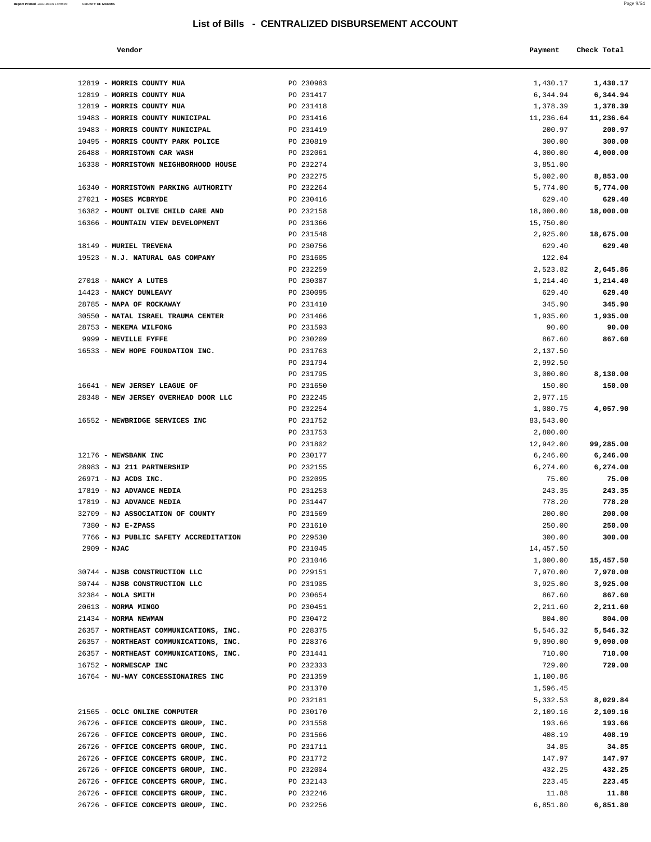12819 - **MORRIS COUNTY MUA PO 230983** 12819 - **MORRIS COUNTY MUA PO 231417** 12819 - **MORRIS COUNTY MUA** PO 231418

**Report Printed** 2021-03-05 14:59:03 COUNTY OF MORRIS

| a. | I |  |
|----|---|--|
|    |   |  |

|                                | List of Bills - CENTRALIZED DISBURSEMENT ACCOUNT |           |             |
|--------------------------------|--------------------------------------------------|-----------|-------------|
| Vendor                         |                                                  | Payment   | Check Total |
|                                |                                                  |           |             |
| MORRIS COUNTY MUA              | PO 230983                                        | 1,430.17  | 1,430.17    |
| <b>MORRIS COUNTY MUA</b>       | PO 231417                                        | 6,344.94  | 6,344.94    |
| <b>MORRIS COUNTY MUA</b>       | PO 231418                                        | 1,378.39  | 1,378.39    |
| MORRIS COUNTY MUNICIPAL        | PO 231416                                        | 11,236.64 | 11,236.64   |
| MORRIS COUNTY MUNICIPAL        | PO 231419                                        | 200.97    | 200.97      |
| MORRIS COUNTY PARK POLICE      | PO 230819                                        | 300.00    | 300.00      |
| <b>MORRISTOWN CAR WASH</b>     | PO 232061                                        | 4,000.00  | 4,000.00    |
| MORRISTOWN NEIGHBORHOOD HOUSE  | PO 232274                                        | 3,851.00  |             |
|                                | PO 232275                                        | 5,002.00  | 8,853.00    |
| MORRISTOWN PARKING AUTHORITY   | PO 232264                                        | 5,774.00  | 5,774.00    |
| <b>MOSES MCBRYDE</b>           | PO 230416                                        | 629.40    | 629.40      |
| MOUNT OLIVE CHILD CARE AND     | PO 232158                                        | 18,000.00 | 18,000.00   |
| MOUNTAIN VIEW DEVELOPMENT      | PO 231366                                        | 15,750.00 |             |
|                                | PO 231548                                        | 2,925.00  | 18,675.00   |
| <b>MURIEL TREVENA</b>          | PO 230756                                        | 629.40    | 629.40      |
| N.J. NATURAL GAS COMPANY       | PO 231605                                        | 122.04    |             |
|                                | PO 232259                                        | 2,523.82  | 2,645.86    |
| <b>NANCY A LUTES</b>           | PO 230387                                        | 1,214.40  | 1,214.40    |
| NANCY DUNLEAVY                 | PO 230095                                        | 629.40    | 629.40      |
| NAPA OF ROCKAWAY               | PO 231410                                        | 345.90    | 345.90      |
| NATAL ISRAEL TRAUMA CENTER     | PO 231466                                        | 1,935.00  | 1,935.00    |
| <b>NEKEMA WILFONG</b>          | PO 231593                                        | 90.00     | 90.00       |
| NEVILLE FYFFE                  | PO 230209                                        | 867.60    | 867.60      |
| NEW HOPE FOUNDATION INC.       | PO 231763                                        | 2,137.50  |             |
|                                | PO 231794                                        | 2,992.50  |             |
|                                | PO 231795                                        | 3,000.00  | 8,130.00    |
| <b>NEW JERSEY LEAGUE OF</b>    | PO 231650                                        | 150.00    | 150.00      |
| NEW JERSEY OVERHEAD DOOR LLC   | PO 232245                                        | 2,977.15  |             |
|                                | PO 232254                                        | 1,080.75  | 4,057.90    |
| NEWBRIDGE SERVICES INC         | PO 231752                                        | 83,543.00 |             |
|                                | PO 231753                                        | 2,800.00  |             |
|                                | PO 231802                                        | 12,942.00 | 99,285.00   |
| <b>NEWSBANK INC</b>            | PO 230177                                        | 6, 246.00 | 6,246.00    |
| <b>NJ 211 PARTNERSHIP</b>      | PO 232155                                        | 6,274.00  | 6,274.00    |
| NJ ACDS INC.                   | PO 232095                                        | 75.00     | 75.00       |
| NJ ADVANCE MEDIA               | PO 231253                                        | 243.35    | 243.35      |
| <b>NJ ADVANCE MEDIA</b>        | PO 231447                                        | 778.20    | 778.20      |
| NJ ASSOCIATION OF COUNTY       | PO 231569                                        | 200.00    | 200.00      |
| NJ E-ZPASS                     | PO 231610                                        | 250.00    | 250.00      |
| NJ PUBLIC SAFETY ACCREDITATION | PO 229530                                        | 300.00    | 300.00      |
|                                |                                                  |           |             |
| NJAC                           | PO 231045                                        | 14,457.50 |             |
|                                | PO 231046                                        | 1,000.00  | 15,457.50   |
| NJSB CONSTRUCTION LLC          | PO 229151                                        | 7,970.00  | 7,970.00    |
| NJSB CONSTRUCTION LLC          | PO 231905                                        | 3,925.00  | 3,925.00    |
| NOLA SMITH                     | PO 230654                                        | 867.60    | 867.60      |
| NORMA MINGO                    | PO 230451                                        | 2,211.60  | 2,211.60    |
| NORMA NEWMAN                   | PO 230472                                        | 804.00    | 804.00      |
| NORTHEAST COMMUNICATIONS, INC. | PO 228375                                        | 5,546.32  | 5,546.32    |
| NORTHEAST COMMUNICATIONS, INC. | PO 228376                                        | 9,090.00  | 9,090.00    |
| NORTHEAST COMMUNICATIONS, INC. | PO 231441                                        | 710.00    | 710.00      |
| <b>NORWESCAP INC</b>           | PO 232333                                        | 729.00    | 729.00      |
| NU-WAY CONCESSIONAIRES INC     | PO 231359                                        | 1,100.86  |             |
|                                | PO 231370                                        | 1,596.45  |             |
|                                | PO 232181                                        | 5,332.53  | 8,029.84    |
|                                |                                                  |           |             |

| 19483 - MORRIS COUNTY MUNICIPAL                          | PO 231416              | 11,236.64          | 11,236.64          |
|----------------------------------------------------------|------------------------|--------------------|--------------------|
| 19483 - MORRIS COUNTY MUNICIPAL                          | PO 231419              | 200.97             | 200.97             |
| 10495 - MORRIS COUNTY PARK POLICE                        | PO 230819              | 300.00             | 300.00             |
| 26488 - MORRISTOWN CAR WASH                              | PO 232061              | 4,000.00           | 4,000.00           |
| 16338 - MORRISTOWN NEIGHBORHOOD HOUSE                    | PO 232274              | 3,851.00           |                    |
|                                                          | PO 232275              | 5,002.00           | 8,853.00           |
| 16340 - MORRISTOWN PARKING AUTHORITY                     | PO 232264              | 5,774.00           | 5,774.00           |
| 27021 - MOSES MCBRYDE                                    | PO 230416              | 629.40             | 629.40             |
| 16382 - MOUNT OLIVE CHILD CARE AND                       | PO 232158              | 18,000.00          | 18,000.00          |
| 16366 - MOUNTAIN VIEW DEVELOPMENT                        | PO 231366              | 15,750.00          |                    |
|                                                          | PO 231548              | 2,925.00           | 18,675.00          |
| 18149 - MURIEL TREVENA                                   | PO 230756              | 629.40             | 629.40             |
| 19523 - N.J. NATURAL GAS COMPANY                         | PO 231605              | 122.04             |                    |
|                                                          | PO 232259              | 2,523.82           | 2,645.86           |
| 27018 - NANCY A LUTES                                    | PO 230387              | 1,214.40           | 1,214.40           |
| 14423 - NANCY DUNLEAVY                                   | PO 230095              | 629.40             | 629.40             |
| 28785 - NAPA OF ROCKAWAY                                 | PO 231410              | 345.90             | 345.90             |
| 30550 - NATAL ISRAEL TRAUMA CENTER                       | PO 231466              | 1,935.00           | 1,935.00<br>90.00  |
| 28753 - NEKEMA WILFONG                                   | PO 231593              | 90.00              | 867.60             |
| 9999 - NEVILLE FYFFE<br>16533 - NEW HOPE FOUNDATION INC. | PO 230209<br>PO 231763 | 867.60<br>2,137.50 |                    |
|                                                          | PO 231794              | 2,992.50           |                    |
|                                                          | PO 231795              | 3,000.00           | 8,130.00           |
| 16641 - NEW JERSEY LEAGUE OF                             | PO 231650              | 150.00             | 150.00             |
| 28348 - NEW JERSEY OVERHEAD DOOR LLC                     | PO 232245              | 2,977.15           |                    |
|                                                          | PO 232254              | 1,080.75           | 4,057.90           |
| 16552 - NEWBRIDGE SERVICES INC                           | PO 231752              | 83,543.00          |                    |
|                                                          | PO 231753              | 2,800.00           |                    |
|                                                          | PO 231802              | 12,942.00          | 99,285.00          |
| 12176 - NEWSBANK INC                                     | PO 230177              | 6,246.00           | 6,246.00           |
| 28983 - NJ 211 PARTNERSHIP                               | PO 232155              | 6,274.00           | 6,274.00           |
| 26971 - NJ ACDS INC.                                     | PO 232095              | 75.00              | 75.00              |
| 17819 - NJ ADVANCE MEDIA                                 | PO 231253              | 243.35             | 243.35             |
| 17819 - NJ ADVANCE MEDIA                                 | PO 231447              | 778.20             | 778.20             |
| 32709 - NJ ASSOCIATION OF COUNTY                         | PO 231569              | 200.00             | 200.00             |
| $7380 - NJ E-ZPASS$                                      | PO 231610              | 250.00             | 250.00             |
| 7766 - NJ PUBLIC SAFETY ACCREDITATION                    | PO 229530              | 300.00             | 300.00             |
| $2909 - NJAC$                                            | PO 231045              | 14,457.50          |                    |
|                                                          | PO 231046              | 1,000.00           | 15,457.50          |
| 30744 - NJSB CONSTRUCTION LLC                            | PO 229151              | 7,970.00           | 7,970.00           |
| 30744 - NJSB CONSTRUCTION LLC                            | PO 231905              | 3,925.00           | 3,925.00           |
| 32384 - NOLA SMITH<br>20613 - NORMA MINGO                | PO 230654<br>PO 230451 | 867.60             | 867.60<br>2,211.60 |
| 21434 - NORMA NEWMAN                                     | PO 230472              | 2,211.60<br>804.00 | 804.00             |
| 26357 - NORTHEAST COMMUNICATIONS, INC.                   | PO 228375              | 5,546.32           | 5,546.32           |
| 26357 - NORTHEAST COMMUNICATIONS, INC.                   | PO 228376              | 9,090.00           | 9,090.00           |
| 26357 - NORTHEAST COMMUNICATIONS, INC.                   | PO 231441              | 710.00             | 710.00             |
| 16752 - NORWESCAP INC                                    | PO 232333              | 729.00             | 729.00             |
| 16764 - NU-WAY CONCESSIONAIRES INC                       | PO 231359              | 1,100.86           |                    |
|                                                          | PO 231370              | 1,596.45           |                    |
|                                                          | PO 232181              | 5,332.53           | 8,029.84           |
| 21565 - OCLC ONLINE COMPUTER                             | PO 230170              | 2,109.16           | 2,109.16           |
| 26726 - OFFICE CONCEPTS GROUP, INC.                      | PO 231558              | 193.66             | 193.66             |
| 26726 - OFFICE CONCEPTS GROUP, INC.                      | PO 231566              | 408.19             | 408.19             |
| 26726 - OFFICE CONCEPTS GROUP, INC.                      | PO 231711              | 34.85              | 34.85              |
| 26726 - OFFICE CONCEPTS GROUP, INC.                      | PO 231772              | 147.97             | 147.97             |
| 26726 - OFFICE CONCEPTS GROUP, INC.                      | PO 232004              | 432.25             | 432.25             |
| 26726 - OFFICE CONCEPTS GROUP, INC.                      | PO 232143              | 223.45             | 223.45             |
| 26726 - OFFICE CONCEPTS GROUP, INC.                      | PO 232246              | 11.88              | 11.88              |
| 26726 - OFFICE CONCEPTS GROUP, INC.                      | PO 232256              | 6,851.80           | 6,851.80           |
|                                                          |                        |                    |                    |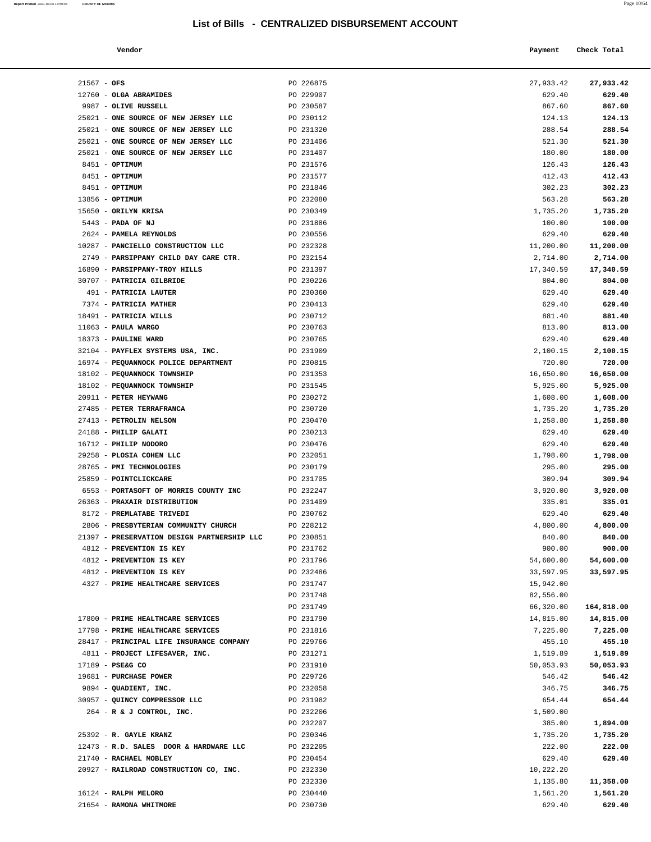| Report Printed 2021-03-05 14:59:03 COUNTY OF MORRIS |  |  | Page 10/64 |
|-----------------------------------------------------|--|--|------------|
|                                                     |  |  |            |

|                                       | List of Bills - CENTRALIZED DISBURSEMENT ACCOUNT |           |             |
|---------------------------------------|--------------------------------------------------|-----------|-------------|
| Vendor                                |                                                  | Payment   | Check Total |
| $21567 - OFS$                         | PO 226875                                        | 27,933.42 | 27,933.42   |
| 12760 - OLGA ABRAMIDES                | PO 229907                                        | 629.40    | 629.40      |
| 9987 - OLIVE RUSSELL                  | PO 230587                                        | 867.60    | 867.60      |
| 25021 - ONE SOURCE OF NEW JERSEY LLC  | PO 230112                                        | 124.13    | 124.13      |
| 25021 - ONE SOURCE OF NEW JERSEY LLC  | PO 231320                                        | 288.54    | 288.54      |
| 25021 - ONE SOURCE OF NEW JERSEY LLC  | PO 231406                                        | 521.30    | 521.30      |
| 25021 - ONE SOURCE OF NEW JERSEY LLC  | PO 231407                                        | 180.00    | 180.00      |
| 8451 - OPTIMUM                        | PO 231576                                        | 126.43    | 126.43      |
| 8451 - OPTIMUM                        | PO 231577                                        | 412.43    | 412.43      |
| 8451 - OPTIMUM                        | PO 231846                                        | 302.23    | 302.23      |
| 13856 - OPTIMUM                       | PO 232080                                        | 563.28    | 563.28      |
| 15650 - ORILYN KRISA                  | PO 230349                                        | 1,735.20  | 1,735.20    |
| 5443 - PADA OF NJ                     | PO 231886                                        | 100.00    | 100.00      |
| 2624 - PAMELA REYNOLDS                | PO 230556                                        | 629.40    | 629.40      |
| 10287 - PANCIELLO CONSTRUCTION LLC    | PO 232328                                        | 11,200.00 | 11,200.00   |
| 2749 - PARSIPPANY CHILD DAY CARE CTR. | PO 232154                                        | 2,714.00  | 2,714.00    |
| 16890 - PARSIPPANY-TROY HILLS         | PO 231397                                        | 17,340.59 | 17,340.59   |
| 30707 - PATRICIA GILBRIDE             | PO 230226                                        | 804.00    | 804.00      |
| 491 - PATRICIA LAUTER                 | PO 230360                                        | 629.40    | 629.40      |
| 7374 - PATRICIA MATHER                | PO 230413                                        | 629.40    | 629.40      |
| 18491 - PATRICIA WILLS                | PO 230712                                        | 881.40    | 881.40      |
| 11063 - PAULA WARGO                   | PO 230763                                        | 813.00    | 813.00      |
| 18373 - PAULINE WARD                  | PO 230765                                        | 629.40    | 629.40      |
| 32104 - PAYFLEX SYSTEMS USA, INC.     | PO 231909                                        | 2,100.15  | 2,100.15    |
| 16974 - PEQUANNOCK POLICE DEPARTMENT  | PO 230815                                        | 720.00    | 720.00      |
| $10100$ provinces pointers            | $P^{\alpha}$ $P^{\alpha}$                        | 17.7500   | 12.778.88   |

| 12760 - OLGA ABRAMIDES                      | PO 229907 | 629.40    | 629.40     |
|---------------------------------------------|-----------|-----------|------------|
| 9987 - OLIVE RUSSELL                        | PO 230587 | 867.60    | 867.60     |
| 25021 - ONE SOURCE OF NEW JERSEY LLC        | PO 230112 | 124.13    | 124.13     |
| 25021 - ONE SOURCE OF NEW JERSEY LLC        | PO 231320 | 288.54    | 288.54     |
|                                             |           |           |            |
| 25021 - ONE SOURCE OF NEW JERSEY LLC        | PO 231406 | 521.30    | 521.30     |
| 25021 - ONE SOURCE OF NEW JERSEY LLC        | PO 231407 | 180.00    | 180.00     |
| 8451 - OPTIMUM                              | PO 231576 | 126.43    | 126.43     |
| 8451 - OPTIMUM                              | PO 231577 | 412.43    | 412.43     |
| 8451 - OPTIMUM                              | PO 231846 | 302.23    | 302.23     |
| 13856 - OPTIMUM                             | PO 232080 | 563.28    | 563.28     |
| 15650 - ORILYN KRISA                        | PO 230349 | 1,735.20  | 1,735.20   |
| 5443 - PADA OF NJ                           | PO 231886 | 100.00    | 100.00     |
| 2624 - PAMELA REYNOLDS                      | PO 230556 | 629.40    | 629.40     |
| 10287 - PANCIELLO CONSTRUCTION LLC          | PO 232328 | 11,200.00 | 11,200.00  |
| 2749 - PARSIPPANY CHILD DAY CARE CTR.       | PO 232154 | 2,714.00  | 2,714.00   |
| 16890 - PARSIPPANY-TROY HILLS               | PO 231397 | 17,340.59 | 17,340.59  |
| 30707 - PATRICIA GILBRIDE                   | PO 230226 | 804.00    | 804.00     |
| 491 - PATRICIA LAUTER                       | PO 230360 | 629.40    | 629.40     |
| 7374 - PATRICIA MATHER                      | PO 230413 | 629.40    | 629.40     |
| 18491 - PATRICIA WILLS                      | PO 230712 | 881.40    | 881.40     |
| $11063$ - PAULA WARGO                       | PO 230763 | 813.00    | 813.00     |
| 18373 - PAULINE WARD                        | PO 230765 | 629.40    | 629.40     |
| 32104 - PAYFLEX SYSTEMS USA, INC.           | PO 231909 | 2,100.15  | 2,100.15   |
|                                             | PO 230815 |           |            |
| 16974 - PEQUANNOCK POLICE DEPARTMENT        |           | 720.00    | 720.00     |
| 18102 - PEQUANNOCK TOWNSHIP                 | PO 231353 | 16,650.00 | 16,650.00  |
| 18102 - PEQUANNOCK TOWNSHIP                 | PO 231545 | 5,925.00  | 5,925.00   |
| 20911 - PETER HEYWANG                       | PO 230272 | 1,608.00  | 1,608.00   |
| 27485 - PETER TERRAFRANCA                   | PO 230720 | 1,735.20  | 1,735.20   |
| 27413 - PETROLIN NELSON                     | PO 230470 | 1,258.80  | 1,258.80   |
| 24188 - PHILIP GALATI                       | PO 230213 | 629.40    | 629.40     |
| 16712 - PHILIP NODORO                       | PO 230476 | 629.40    | 629.40     |
| 29258 - PLOSIA COHEN LLC                    | PO 232051 | 1,798.00  | 1,798.00   |
| 28765 - PMI TECHNOLOGIES                    | PO 230179 | 295.00    | 295.00     |
| 25859 - POINTCLICKCARE                      | PO 231705 | 309.94    | 309.94     |
| 6553 - PORTASOFT OF MORRIS COUNTY INC       | PO 232247 | 3,920.00  | 3,920.00   |
| 26363 - PRAXAIR DISTRIBUTION                | PO 231409 | 335.01    | 335.01     |
| 8172 - PREMLATABE TRIVEDI                   | PO 230762 | 629.40    | 629.40     |
| 2806 - PRESBYTERIAN COMMUNITY CHURCH        | PO 228212 | 4,800.00  | 4,800.00   |
| 21397 - PRESERVATION DESIGN PARTNERSHIP LLC | PO 230851 | 840.00    | 840.00     |
| 4812 - PREVENTION IS KEY                    | PO 231762 | 900.00    | 900.00     |
| 4812 - PREVENTION IS KEY                    | PO 231796 | 54,600.00 | 54,600.00  |
| 4812 - PREVENTION IS KEY                    | PO 232486 | 33,597.95 | 33,597.95  |
| 4327 - PRIME HEALTHCARE SERVICES            | PO 231747 | 15,942.00 |            |
|                                             | PO 231748 | 82,556.00 |            |
|                                             | PO 231749 | 66,320.00 | 164,818.00 |
| 17800 - PRIME HEALTHCARE SERVICES           | PO 231790 | 14,815.00 | 14,815.00  |
| 17798 - PRIME HEALTHCARE SERVICES           | PO 231816 | 7,225.00  | 7,225.00   |
| 28417 - PRINCIPAL LIFE INSURANCE COMPANY    | PO 229766 |           | 455.10     |
|                                             | PO 231271 | 455.10    |            |
| 4811 - PROJECT LIFESAVER, INC.              |           | 1,519.89  | 1,519.89   |
| 17189 - PSE&G CO                            | PO 231910 | 50,053.93 | 50,053.93  |
| 19681 - PURCHASE POWER                      | PO 229726 | 546.42    | 546.42     |
| 9894 - QUADIENT, INC.                       | PO 232058 | 346.75    | 346.75     |
| 30957 - QUINCY COMPRESSOR LLC               | PO 231982 | 654.44    | 654.44     |
| 264 - R & J CONTROL, INC.                   | PO 232206 | 1,509.00  |            |
|                                             | PO 232207 | 385.00    | 1,894.00   |
| 25392 - R. GAYLE KRANZ                      | PO 230346 | 1,735.20  | 1,735.20   |
| 12473 - R.D. SALES DOOR & HARDWARE LLC      | PO 232205 | 222.00    | 222.00     |
| 21740 - RACHAEL MOBLEY                      | PO 230454 | 629.40    | 629.40     |
| 20927 - RAILROAD CONSTRUCTION CO, INC.      | PO 232330 | 10,222.20 |            |
|                                             | PO 232330 | 1,135.80  | 11,358.00  |
| 16124 - RALPH MELORO                        | PO 230440 | 1,561.20  | 1,561.20   |
| 21654 - RAMONA WHITMORE                     | PO 230730 | 629.40    | 629.40     |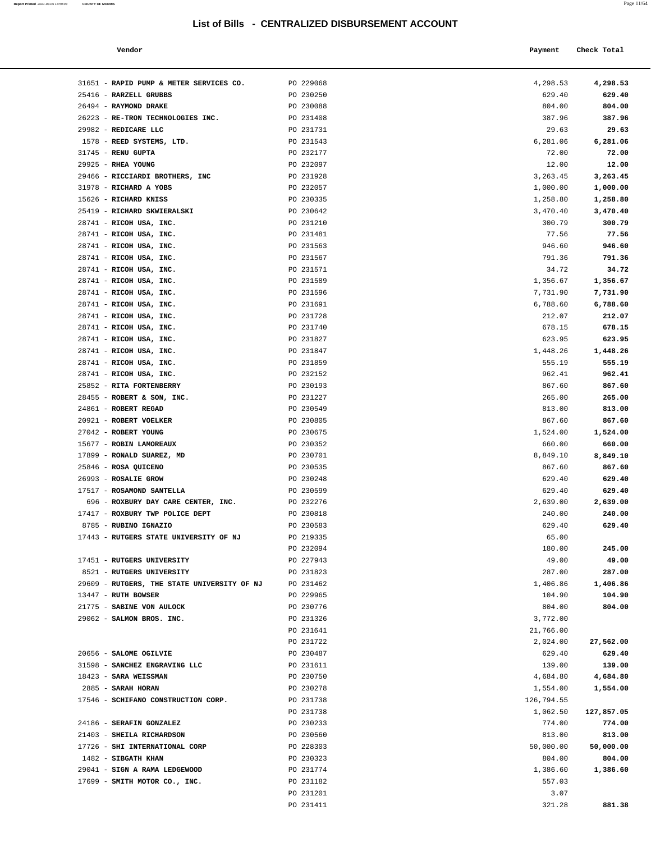| Vendor | Payment | Check Total |
|--------|---------|-------------|
|        |         |             |

| 31651 - RAPID PUMP & METER SERVICES CO.            | PO 229068              | 4,298.53           | 4,298.53         |
|----------------------------------------------------|------------------------|--------------------|------------------|
| 25416 - RARZELL GRUBBS                             | PO 230250              | 629.40             | 629.40           |
| 26494 - RAYMOND DRAKE                              | PO 230088              | 804.00             | 804.00           |
| 26223 - RE-TRON TECHNOLOGIES INC.                  | PO 231408              | 387.96             | 387.96           |
| 29982 - REDICARE LLC                               | PO 231731              | 29.63              | 29.63            |
| 1578 - REED SYSTEMS, LTD.                          | PO 231543              | 6,281.06           | 6,281.06         |
| 31745 - RENU GUPTA                                 | PO 232177              | 72.00              | 72.00            |
| 29925 - RHEA YOUNG                                 | PO 232097              | 12.00              | 12.00            |
| 29466 - RICCIARDI BROTHERS, INC                    | PO 231928              | 3,263.45           | 3,263.45         |
| 31978 - RICHARD A YOBS                             | PO 232057              | 1,000.00           | 1,000.00         |
| 15626 - RICHARD KNISS                              | PO 230335              | 1,258.80           | 1,258.80         |
| 25419 - RICHARD SKWIERALSKI                        | PO 230642              | 3,470.40           | 3,470.40         |
| 28741 - RICOH USA, INC.                            | PO 231210              | 300.79             | 300.79           |
| 28741 - RICOH USA, INC.                            | PO 231481              | 77.56              | 77.56            |
| 28741 - RICOH USA, INC.                            | PO 231563              | 946.60             | 946.60           |
| 28741 - RICOH USA, INC.                            | PO 231567              | 791.36             | 791.36           |
| 28741 - RICOH USA, INC.                            | PO 231571              | 34.72              | 34.72            |
| 28741 - RICOH USA, INC.                            | PO 231589              | 1,356.67           | 1,356.67         |
| 28741 - RICOH USA, INC.                            | PO 231596              | 7,731.90           | 7,731.90         |
| 28741 - RICOH USA, INC.                            | PO 231691              | 6,788.60           | 6,788.60         |
| 28741 - RICOH USA, INC.                            | PO 231728              | 212.07             | 212.07           |
| 28741 - RICOH USA, INC.                            | PO 231740              | 678.15             | 678.15<br>623.95 |
| 28741 - RICOH USA, INC.<br>28741 - RICOH USA, INC. | PO 231827<br>PO 231847 | 623.95<br>1,448.26 | 1,448.26         |
| 28741 - RICOH USA, INC.                            | PO 231859              | 555.19             | 555.19           |
| 28741 - RICOH USA, INC.                            | PO 232152              | 962.41             | 962.41           |
| 25852 - RITA FORTENBERRY                           | PO 230193              | 867.60             | 867.60           |
| 28455 - ROBERT & SON, INC.                         | PO 231227              | 265.00             | 265.00           |
| 24861 - ROBERT REGAD                               | PO 230549              | 813.00             | 813.00           |
| 20921 - ROBERT VOELKER                             | PO 230805              | 867.60             | 867.60           |
| 27042 - ROBERT YOUNG                               | PO 230675              | 1,524.00           | 1,524.00         |
| 15677 - ROBIN LAMOREAUX                            | PO 230352              | 660.00             | 660.00           |
| 17899 - RONALD SUAREZ, MD                          | PO 230701              | 8,849.10           | 8,849.10         |
| 25846 - ROSA QUICENO                               | PO 230535              | 867.60             | 867.60           |
| 26993 - ROSALIE GROW                               | PO 230248              | 629.40             | 629.40           |
| 17517 - ROSAMOND SANTELLA                          | PO 230599              | 629.40             | 629.40           |
| 696 - ROXBURY DAY CARE CENTER, INC.                | PO 232276              | 2,639.00           | 2,639.00         |
| 17417 - ROXBURY TWP POLICE DEPT                    | PO 230818              | 240.00             | 240.00           |
| 8785 - RUBINO IGNAZIO                              | PO 230583              | 629.40             | 629.40           |
| 17443 - RUTGERS STATE UNIVERSITY OF NJ             | PO 219335              | 65.00              |                  |
|                                                    | PO 232094              | 180.00             | 245.00           |
| 17451 - RUTGERS UNIVERSITY                         | PO 227943              | 49.00              | 49.00            |
| 8521 - RUTGERS UNIVERSITY                          | PO 231823              | 287.00             | 287.00           |
| 29609 - RUTGERS, THE STATE UNIVERSITY OF NJ        | PO 231462              | 1,406.86           | 1,406.86         |
| 13447 - RUTH BOWSER<br>21775 - SABINE VON AULOCK   | PO 229965<br>PO 230776 | 104.90<br>804.00   | 104.90<br>804.00 |
| 29062 - SALMON BROS. INC.                          | PO 231326              | 3,772.00           |                  |
|                                                    | PO 231641              | 21,766.00          |                  |
|                                                    | PO 231722              | 2,024.00           | 27,562.00        |
| 20656 - SALOME OGILVIE                             | PO 230487              | 629.40             | 629.40           |
| 31598 - SANCHEZ ENGRAVING LLC                      | PO 231611              | 139.00             | 139.00           |
| 18423 - SARA WEISSMAN                              | PO 230750              | 4,684.80           | 4,684.80         |
| 2885 - SARAH HORAN                                 | PO 230278              | 1,554.00           | 1,554.00         |
| 17546 - SCHIFANO CONSTRUCTION CORP.                | PO 231738              | 126,794.55         |                  |
|                                                    | PO 231738              | 1,062.50           | 127,857.05       |
| 24186 - SERAFIN GONZALEZ                           | PO 230233              | 774.00             | 774.00           |
| 21403 - SHEILA RICHARDSON                          | PO 230560              | 813.00             | 813.00           |
| 17726 - SHI INTERNATIONAL CORP                     | PO 228303              | 50,000.00          | 50,000.00        |
| 1482 - SIBGATH KHAN                                | PO 230323              | 804.00             | 804.00           |
| 29041 - SIGN A RAMA LEDGEWOOD                      | PO 231774              | 1,386.60           | 1,386.60         |
| 17699 - SMITH MOTOR CO., INC.                      | PO 231182              | 557.03             |                  |
|                                                    | PO 231201              | 3.07               |                  |
|                                                    | PO 231411              | 321.28             | 881.38           |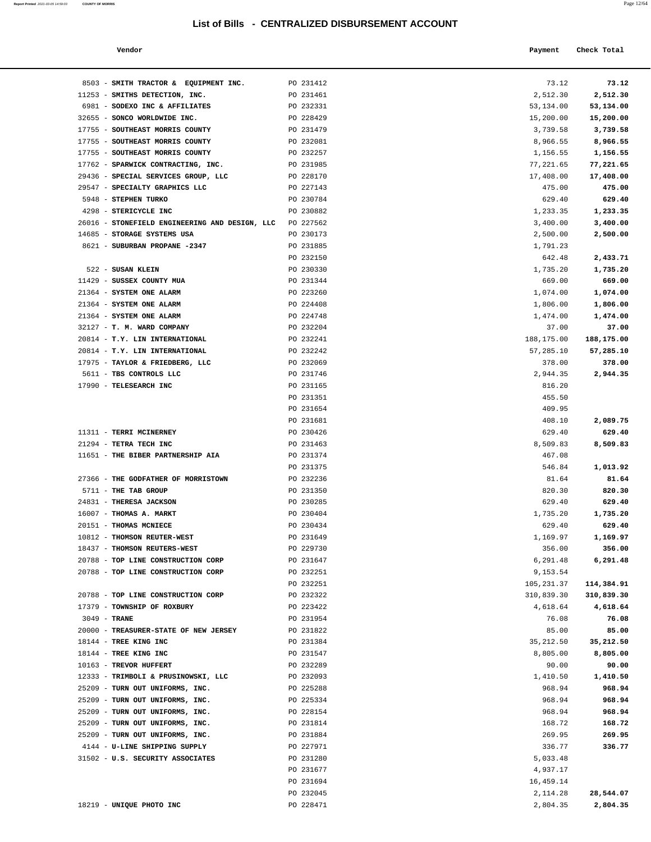**Report Printed**  $2021 - 03 - 05$  14:59:03 **COUNTY OF MORRIS** 

| Vendor | Payment Check Total |
|--------|---------------------|
|        |                     |

| 8503 - SMITH TRACTOR & EQUIPMENT INC.                            | PO 231412              | 73.12              | 73.12              |
|------------------------------------------------------------------|------------------------|--------------------|--------------------|
| 11253 - SMITHS DETECTION, INC.                                   | PO 231461              | 2,512.30           | 2,512.30           |
| 6981 - SODEXO INC & AFFILIATES                                   | PO 232331              | 53,134.00          | 53,134.00          |
| 32655 - SONCO WORLDWIDE INC.                                     | PO 228429              | 15,200.00          | 15,200.00          |
| 17755 - SOUTHEAST MORRIS COUNTY                                  | PO 231479              | 3,739.58           | 3,739.58           |
| 17755 - SOUTHEAST MORRIS COUNTY                                  | PO 232081              | 8,966.55           | 8,966.55           |
| 17755 - SOUTHEAST MORRIS COUNTY                                  | PO 232257              | 1,156.55           | 1,156.55           |
| 17762 - SPARWICK CONTRACTING, INC.                               | PO 231985              | 77,221.65          | 77,221.65          |
| 29436 - SPECIAL SERVICES GROUP, LLC                              | PO 228170              | 17,408.00          | 17,408.00          |
| 29547 - SPECIALTY GRAPHICS LLC                                   | PO 227143              | 475.00             | 475.00             |
| 5948 - STEPHEN TURKO                                             | PO 230784              | 629.40             | 629.40             |
| 4298 - STERICYCLE INC                                            | PO 230882              | 1,233.35           | 1,233.35           |
| 26016 - STONEFIELD ENGINEERING AND DESIGN, LLC                   | PO 227562              | 3,400.00           | 3,400.00           |
| 14685 - STORAGE SYSTEMS USA                                      | PO 230173              | 2,500.00           | 2,500.00           |
| 8621 - SUBURBAN PROPANE -2347                                    | PO 231885              | 1,791.23           |                    |
|                                                                  | PO 232150              | 642.48             | 2,433.71           |
| 522 - SUSAN KLEIN                                                | PO 230330              | 1,735.20           | 1,735.20           |
| 11429 - SUSSEX COUNTY MUA<br>21364 - SYSTEM ONE ALARM            | PO 231344<br>PO 223260 | 669.00<br>1,074.00 | 669.00<br>1,074.00 |
| 21364 - SYSTEM ONE ALARM                                         | PO 224408              | 1,806.00           | 1,806.00           |
| 21364 - SYSTEM ONE ALARM                                         | PO 224748              | 1,474.00           | 1,474.00           |
| 32127 - T. M. WARD COMPANY                                       | PO 232204              | 37.00              | 37.00              |
| 20814 - T.Y. LIN INTERNATIONAL                                   | PO 232241              | 188,175.00         | 188,175.00         |
| 20814 - T.Y. LIN INTERNATIONAL                                   | PO 232242              | 57,285.10          | 57,285.10          |
| 17975 - TAYLOR & FRIEDBERG, LLC                                  | PO 232069              | 378.00             | 378.00             |
| 5611 - TBS CONTROLS LLC                                          | PO 231746              | 2,944.35           | 2,944.35           |
| 17990 - TELESEARCH INC                                           | PO 231165              | 816.20             |                    |
|                                                                  | PO 231351              | 455.50             |                    |
|                                                                  | PO 231654              | 409.95             |                    |
|                                                                  | PO 231681              | 408.10             | 2,089.75           |
| 11311 - TERRI MCINERNEY                                          | PO 230426              | 629.40             | 629.40             |
| 21294 - TETRA TECH INC                                           | PO 231463              | 8,509.83           | 8,509.83           |
| 11651 - THE BIBER PARTNERSHIP AIA                                | PO 231374              | 467.08             |                    |
|                                                                  | PO 231375              | 546.84             | 1,013.92           |
| 27366 - THE GODFATHER OF MORRISTOWN                              | PO 232236              | 81.64              | 81.64              |
| 5711 - THE TAB GROUP                                             | PO 231350              | 820.30             | 820.30             |
| 24831 - THERESA JACKSON                                          | PO 230285              | 629.40             | 629.40             |
| 16007 - THOMAS A. MARKT                                          | PO 230404<br>PO 230434 | 1,735.20<br>629.40 | 1,735.20<br>629.40 |
| 20151 - THOMAS MCNIECE<br>10812 - THOMSON REUTER-WEST            | PO 231649              | 1,169.97           | 1,169.97           |
| 18437 - THOMSON REUTERS-WEST                                     | PO 229730              | 356.00             | 356.00             |
| 20788 - TOP LINE CONSTRUCTION CORP                               | PO 231647              | 6,291.48           | 6,291.48           |
| 20788 - TOP LINE CONSTRUCTION CORP                               | PO 232251              | 9,153.54           |                    |
|                                                                  | PO 232251              | 105,231.37         | 114,384.91         |
| 20788 - TOP LINE CONSTRUCTION CORP                               | PO 232322              | 310,839.30         | 310,839.30         |
| 17379 - TOWNSHIP OF ROXBURY                                      | PO 223422              | 4,618.64           | 4,618.64           |
| 3049 - TRANE                                                     | PO 231954              | 76.08              | 76.08              |
| 20000 - TREASURER-STATE OF NEW JERSEY                            | PO 231822              | 85.00              | 85.00              |
| 18144 - TREE KING INC                                            | PO 231384              | 35, 212.50         | 35,212.50          |
| 18144 - TREE KING INC                                            | PO 231547              | 8,805.00           | 8,805.00           |
| 10163 - TREVOR HUFFERT                                           | PO 232289              | 90.00              | 90.00              |
| 12333 - TRIMBOLI & PRUSINOWSKI, LLC                              | PO 232093              | 1,410.50           | 1,410.50           |
| 25209 - TURN OUT UNIFORMS, INC.                                  | PO 225288              | 968.94             | 968.94             |
| 25209 - TURN OUT UNIFORMS, INC.                                  | PO 225334              | 968.94             | 968.94             |
| 25209 - TURN OUT UNIFORMS, INC.                                  | PO 228154              | 968.94             | 968.94             |
| 25209 - TURN OUT UNIFORMS, INC.                                  | PO 231814              | 168.72             | 168.72             |
| 25209 - TURN OUT UNIFORMS, INC.<br>4144 - U-LINE SHIPPING SUPPLY | PO 231884<br>PO 227971 | 269.95<br>336.77   | 269.95<br>336.77   |
| 31502 - U.S. SECURITY ASSOCIATES                                 | PO 231280              | 5,033.48           |                    |
|                                                                  | PO 231677              | 4,937.17           |                    |
|                                                                  | PO 231694              | 16,459.14          |                    |
|                                                                  | PO 232045              | 2,114.28           | 28,544.07          |
| 18219 - UNIQUE PHOTO INC                                         | PO 228471              | 2,804.35           | 2,804.35           |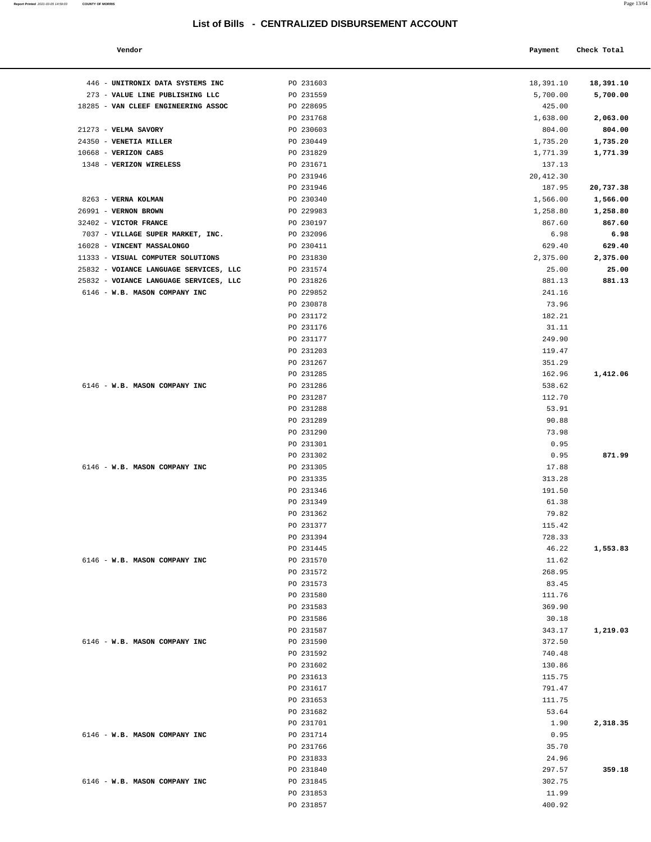|                                | List of Bills - CENTRALIZED DISBURSEMENT ACCOUNT |            |             |
|--------------------------------|--------------------------------------------------|------------|-------------|
| Vendor                         |                                                  | Payment    | Check Total |
| UNITRONIX DATA SYSTEMS INC     | PO 231603                                        | 18,391.10  | 18,391.10   |
| VALUE LINE PUBLISHING LLC      | PO 231559                                        | 5,700.00   | 5,700.00    |
| VAN CLEEF ENGINEERING ASSOC    | PO 228695                                        | 425.00     |             |
|                                | PO 231768                                        | 1,638.00   | 2,063.00    |
| VELMA SAVORY                   | PO 230603                                        | 804.00     | 804.00      |
| VENETIA MILLER                 | PO 230449                                        | 1,735.20   | 1,735.20    |
| VERIZON CABS                   | PO 231829                                        | 1,771.39   | 1,771.39    |
| <b>VERIZON WIRELESS</b>        | PO 231671                                        | 137.13     |             |
|                                | PO 231946                                        | 20, 412.30 |             |
|                                | PO 231946                                        | 187.95     | 20,737.38   |
| VERNA KOLMAN                   | PO 230340                                        | 1,566.00   | 1,566.00    |
| <b>VERNON BROWN</b>            | PO 229983                                        | 1,258.80   | 1,258.80    |
| <b>VICTOR FRANCE</b>           | PO 230197                                        | 867.60     | 867.60      |
| VILLAGE SUPER MARKET, INC.     | PO 232096                                        | 6.98       | 6.98        |
| VINCENT MASSALONGO             | PO 230411                                        | 629.40     | 629.40      |
| VISUAL COMPUTER SOLUTIONS      | PO 231830                                        | 2,375.00   | 2,375.00    |
| VOIANCE LANGUAGE SERVICES, LLC | PO 231574                                        | 25.00      | 25.00       |
| VOIANCE LANGUAGE SERVICES, LLC | PO 231826                                        | 881.13     | 881.13      |
| W.B. MASON COMPANY INC         | PO 229852                                        | 241.16     |             |
|                                | PO 230878                                        | 73.96      |             |
|                                | PO 231172                                        | 182.21     |             |
|                                | PO 231176                                        | 31.11      |             |

| 446 - UNITRONIX DATA SYSTEMS INC       | PO 231603              | 18,391.10        | 18,391.10 |
|----------------------------------------|------------------------|------------------|-----------|
| 273 - VALUE LINE PUBLISHING LLC        | PO 231559              | 5,700.00         | 5,700.00  |
| 18285 - VAN CLEEF ENGINEERING ASSOC    | PO 228695              | 425.00           |           |
|                                        | PO 231768              | 1,638.00         | 2,063.00  |
| 21273 - VELMA SAVORY                   | PO 230603              | 804.00           | 804.00    |
| 24350 - VENETIA MILLER                 | PO 230449              | 1,735.20         | 1,735.20  |
| 10668 - VERIZON CABS                   | PO 231829              | 1,771.39         | 1,771.39  |
| 1348 - VERIZON WIRELESS                | PO 231671              | 137.13           |           |
|                                        | PO 231946              | 20, 412.30       |           |
|                                        | PO 231946              | 187.95           | 20,737.38 |
| 8263 - VERNA KOLMAN                    | PO 230340              | 1,566.00         | 1,566.00  |
| 26991 - VERNON BROWN                   | PO 229983              | 1,258.80         | 1,258.80  |
| 32402 - VICTOR FRANCE                  | PO 230197              | 867.60           | 867.60    |
| 7037 - VILLAGE SUPER MARKET, INC.      | PO 232096              | 6.98             | 6.98      |
| 16028 - VINCENT MASSALONGO             | PO 230411              | 629.40           | 629.40    |
| 11333 - VISUAL COMPUTER SOLUTIONS      | PO 231830              | 2,375.00         | 2,375.00  |
| 25832 - VOIANCE LANGUAGE SERVICES, LLC | PO 231574              | 25.00            | 25.00     |
| 25832 - VOIANCE LANGUAGE SERVICES, LLC | PO 231826              | 881.13           | 881.13    |
| 6146 - W.B. MASON COMPANY INC          | PO 229852              | 241.16           |           |
|                                        | PO 230878              | 73.96            |           |
|                                        | PO 231172              | 182.21           |           |
|                                        | PO 231176              | 31.11            |           |
|                                        | PO 231177              | 249.90           |           |
|                                        | PO 231203              | 119.47           |           |
|                                        | PO 231267              | 351.29           |           |
|                                        | PO 231285              | 162.96           | 1,412.06  |
| 6146 - W.B. MASON COMPANY INC          | PO 231286              | 538.62           |           |
|                                        | PO 231287              | 112.70           |           |
|                                        | PO 231288              | 53.91            |           |
|                                        | PO 231289              | 90.88            |           |
|                                        | PO 231290              | 73.98            |           |
|                                        | PO 231301              | 0.95             |           |
|                                        | PO 231302              | 0.95             | 871.99    |
| 6146 - W.B. MASON COMPANY INC          | PO 231305              | 17.88            |           |
|                                        | PO 231335              | 313.28           |           |
|                                        | PO 231346              | 191.50           |           |
|                                        | PO 231349              | 61.38            |           |
|                                        | PO 231362              | 79.82            |           |
|                                        | PO 231377              | 115.42           |           |
|                                        | PO 231394              | 728.33           |           |
|                                        | PO 231445              | 46.22            | 1,553.83  |
| 6146 - W.B. MASON COMPANY INC          | PO 231570              | 11.62            |           |
|                                        | PO 231572              | 268.95           |           |
|                                        | PO 231573              | 83.45            |           |
|                                        | PO 231580              | 111.76           |           |
|                                        | PO 231583              | 369.90           |           |
|                                        | PO 231586              | 30.18            |           |
|                                        | PO 231587              | 343.17           | 1,219.03  |
| 6146 - W.B. MASON COMPANY INC          | PO 231590              | 372.50           |           |
|                                        | PO 231592              | 740.48           |           |
|                                        | PO 231602<br>PO 231613 | 130.86<br>115.75 |           |
|                                        | PO 231617              | 791.47           |           |
|                                        | PO 231653              | 111.75           |           |
|                                        | PO 231682              | 53.64            |           |
|                                        |                        |                  |           |
| 6146 - W.B. MASON COMPANY INC          | PO 231701              | 1.90             | 2,318.35  |
|                                        | PO 231714              | 0.95<br>35.70    |           |
|                                        | PO 231766<br>PO 231833 | 24.96            |           |
|                                        | PO 231840              | 297.57           | 359.18    |
| 6146 - W.B. MASON COMPANY INC          | PO 231845              | 302.75           |           |
|                                        | PO 231853              | 11.99            |           |
|                                        |                        |                  |           |

PO 231857 400.92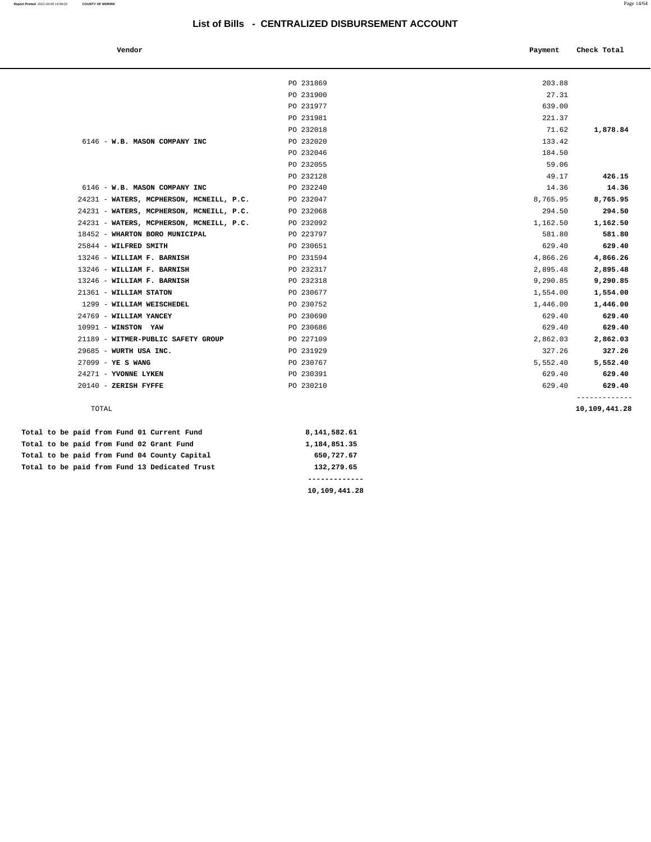| Vendor                                   |           | Payment  | Check Total                    |
|------------------------------------------|-----------|----------|--------------------------------|
|                                          |           |          |                                |
|                                          | PO 231869 | 203.88   |                                |
|                                          | PO 231900 | 27.31    |                                |
|                                          | PO 231977 | 639.00   |                                |
|                                          | PO 231981 | 221.37   |                                |
|                                          | PO 232018 | 71.62    | 1,878.84                       |
| 6146 - W.B. MASON COMPANY INC            | PO 232020 | 133.42   |                                |
|                                          | PO 232046 | 184.50   |                                |
|                                          | PO 232055 | 59.06    |                                |
|                                          | PO 232128 | 49.17    | 426.15                         |
| 6146 - W.B. MASON COMPANY INC            | PO 232240 | 14.36    | 14.36                          |
| 24231 - WATERS, MCPHERSON, MCNEILL, P.C. | PO 232047 | 8,765.95 | 8,765.95                       |
| 24231 - WATERS, MCPHERSON, MCNEILL, P.C. | PO 232068 | 294.50   | 294.50                         |
| 24231 - WATERS, MCPHERSON, MCNEILL, P.C. | PO 232092 | 1,162.50 | 1,162.50                       |
| 18452 - WHARTON BORO MUNICIPAL           | PO 223797 | 581.80   | 581.80                         |
| 25844 - WILFRED SMITH                    | PO 230651 | 629.40   | 629.40                         |
| 13246 - WILLIAM F. BARNISH               | PO 231594 | 4,866.26 | 4,866.26                       |
| 13246 - WILLIAM F. BARNISH               | PO 232317 | 2,895.48 | 2,895.48                       |
| 13246 - WILLIAM F. BARNISH               | PO 232318 | 9,290.85 | 9,290.85                       |
| 21361 - WILLIAM STATON                   | PO 230677 | 1,554.00 | 1,554.00                       |
| 1299 - WILLIAM WEISCHEDEL                | PO 230752 | 1,446.00 | 1,446.00                       |
| 24769 - WILLIAM YANCEY                   | PO 230690 | 629.40   | 629.40                         |
| 10991 - WINSTON YAW                      | PO 230686 | 629.40   | 629.40                         |
| 21189 - WITMER-PUBLIC SAFETY GROUP       | PO 227109 | 2,862.03 | 2,862.03                       |
| 29685 - WURTH USA INC.                   | PO 231929 | 327.26   | 327.26                         |
| $27099 - YE S WANG$                      | PO 230767 | 5,552.40 | 5,552.40                       |
| 24271 - YVONNE LYKEN                     | PO 230391 | 629.40   | 629.40                         |
| $20140$ - ZERISH FYFFE                   | PO 230210 | 629.40   | 629.40                         |
| TOTAL                                    |           |          | -------------<br>10,109,441.28 |

|  |  |  |  | Total to be paid from Fund 01 Current Fund    | 8,141,582.61  |
|--|--|--|--|-----------------------------------------------|---------------|
|  |  |  |  | Total to be paid from Fund 02 Grant Fund      | 1,184,851.35  |
|  |  |  |  | Total to be paid from Fund 04 County Capital  | 650,727.67    |
|  |  |  |  | Total to be paid from Fund 13 Dedicated Trust | 132,279.65    |
|  |  |  |  |                                               |               |
|  |  |  |  |                                               | 10,109,441.28 |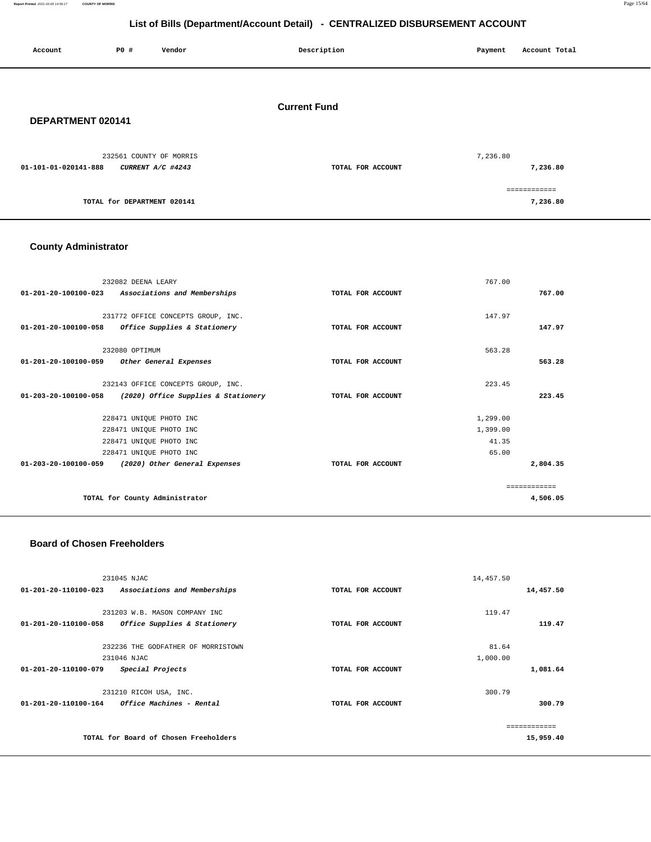#### **Report Printed** 2021-03-05 14:59:17 **COUNTY OF MORRIS** Page 15/64

**223.45**

**2,804.35**

============ **4,506.05**

1,299.00 1,399.00 41.35 65.00

# **List of Bills (Department/Account Detail) - CENTRALIZED DISBURSEMENT ACCOUNT**

| Account                     | P0 #<br>Vendor                                     | Description         | Payment<br>Account Total |
|-----------------------------|----------------------------------------------------|---------------------|--------------------------|
|                             |                                                    |                     |                          |
| DEPARTMENT 020141           |                                                    | <b>Current Fund</b> |                          |
|                             |                                                    |                     |                          |
|                             | 232561 COUNTY OF MORRIS                            |                     | 7,236.80                 |
| 01-101-01-020141-888        | CURRENT A/C #4243                                  | TOTAL FOR ACCOUNT   | 7,236.80                 |
|                             | TOTAL for DEPARTMENT 020141                        |                     | ============<br>7,236.80 |
|                             |                                                    |                     |                          |
|                             |                                                    |                     |                          |
| <b>County Administrator</b> |                                                    |                     |                          |
|                             |                                                    |                     |                          |
| 01-201-20-100100-023        | 232082 DEENA LEARY<br>Associations and Memberships |                     | 767.00<br>767.00         |
|                             |                                                    | TOTAL FOR ACCOUNT   |                          |
|                             | 231772 OFFICE CONCEPTS GROUP, INC.                 |                     | 147.97                   |
| 01-201-20-100100-058        | Office Supplies & Stationery                       | TOTAL FOR ACCOUNT   | 147.97                   |
|                             | 232080 OPTIMUM                                     |                     | 563.28                   |
| 01-201-20-100100-059        | Other General Expenses                             | TOTAL FOR ACCOUNT   | 563.28                   |
|                             | 232143 OFFICE CONCEPTS GROUP, INC.                 |                     | 223.45                   |

### **Board of Chosen Freeholders**

|                      | 231045 NJAC                            |                   | 14,457.50 |           |
|----------------------|----------------------------------------|-------------------|-----------|-----------|
| 01-201-20-110100-023 | Associations and Memberships           | TOTAL FOR ACCOUNT |           | 14,457.50 |
|                      |                                        |                   |           |           |
|                      | 231203 W.B. MASON COMPANY INC          |                   | 119.47    |           |
| 01-201-20-110100-058 | Office Supplies & Stationery           | TOTAL FOR ACCOUNT |           | 119.47    |
|                      |                                        |                   |           |           |
|                      | 232236 THE GODFATHER OF MORRISTOWN     |                   | 81.64     |           |
|                      | 231046 NJAC                            |                   | 1,000.00  |           |
| 01-201-20-110100-079 | Special Projects                       | TOTAL FOR ACCOUNT |           | 1,081.64  |
|                      |                                        |                   |           |           |
|                      | 231210 RICOH USA, INC.                 |                   | 300.79    |           |
| 01-201-20-110100-164 | <i><b>Office Machines - Rental</b></i> | TOTAL FOR ACCOUNT |           | 300.79    |
|                      |                                        |                   |           |           |
|                      |                                        |                   |           |           |
|                      | TOTAL for Board of Chosen Freeholders  |                   |           | 15,959.40 |
|                      |                                        |                   |           |           |

**01-203-20-100100-058 (2020) Office Supplies & Stationery TOTAL FOR ACCOUNT** 

**01-203-20-100100-059 (2020) Other General Expenses TOTAL FOR ACCOUNT** 

 228471 UNIQUE PHOTO INC 228471 UNIQUE PHOTO INC 228471 UNIQUE PHOTO INC 228471 UNIQUE PHOTO INC

**TOTAL for County Administrator**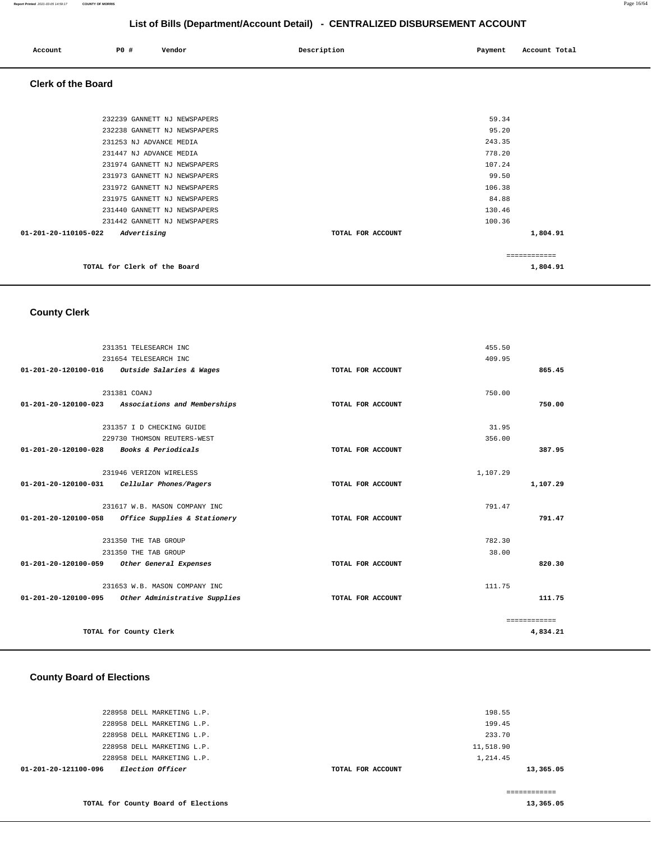| Account<br>. | P0 # | Vendor | Description | Payment | Account Total<br>.<br>. |
|--------------|------|--------|-------------|---------|-------------------------|
|              |      |        |             |         |                         |

## **Clerk of the Board**

| 232239 GANNETT NJ NEWSPAPERS                  |                   | 59.34        |
|-----------------------------------------------|-------------------|--------------|
| 232238 GANNETT NJ NEWSPAPERS                  |                   | 95.20        |
| 231253 NJ ADVANCE MEDIA                       |                   | 243.35       |
| 231447 NJ ADVANCE MEDIA                       |                   | 778.20       |
| 231974 GANNETT NJ NEWSPAPERS                  |                   | 107.24       |
| 231973 GANNETT NJ NEWSPAPERS                  |                   | 99.50        |
| 231972 GANNETT NJ NEWSPAPERS                  |                   | 106.38       |
| 231975 GANNETT NJ NEWSPAPERS                  |                   | 84.88        |
| 231440 GANNETT NJ NEWSPAPERS                  |                   | 130.46       |
| 231442 GANNETT NJ NEWSPAPERS                  |                   | 100.36       |
| $01 - 201 - 20 - 110105 - 022$<br>Advertising | TOTAL FOR ACCOUNT | 1,804.91     |
|                                               |                   | ============ |
| TOTAL for Clerk of the Board                  |                   | 1,804.91     |
|                                               |                   |              |

# **County Clerk**

|                                          | 231351 TELESEARCH INC                              |                   | 455.50   |              |
|------------------------------------------|----------------------------------------------------|-------------------|----------|--------------|
|                                          | 231654 TELESEARCH INC                              |                   | 409.95   |              |
|                                          | 01-201-20-120100-016 Outside Salaries & Wages      | TOTAL FOR ACCOUNT |          | 865.45       |
|                                          |                                                    |                   |          |              |
|                                          | 231381 COANJ                                       |                   | 750.00   |              |
|                                          | 01-201-20-120100-023 Associations and Memberships  | TOTAL FOR ACCOUNT |          | 750.00       |
|                                          | 231357 I D CHECKING GUIDE                          |                   | 31.95    |              |
|                                          | 229730 THOMSON REUTERS-WEST                        |                   | 356.00   |              |
| 01-201-20-120100-028 Books & Periodicals |                                                    | TOTAL FOR ACCOUNT |          | 387.95       |
|                                          |                                                    |                   |          |              |
|                                          | 231946 VERIZON WIRELESS                            |                   | 1,107.29 |              |
|                                          | 01-201-20-120100-031 Cellular Phones/Pagers        | TOTAL FOR ACCOUNT |          | 1,107.29     |
|                                          | 231617 W.B. MASON COMPANY INC                      |                   | 791.47   |              |
| 01-201-20-120100-058                     | Office Supplies & Stationery                       | TOTAL FOR ACCOUNT |          | 791.47       |
|                                          | 231350 THE TAB GROUP                               |                   | 782.30   |              |
|                                          | 231350 THE TAB GROUP                               |                   | 38.00    |              |
|                                          | 01-201-20-120100-059 Other General Expenses        | TOTAL FOR ACCOUNT |          | 820.30       |
|                                          | 231653 W.B. MASON COMPANY INC                      |                   | 111.75   |              |
|                                          | 01-201-20-120100-095 Other Administrative Supplies | TOTAL FOR ACCOUNT |          | 111.75       |
|                                          |                                                    |                   |          | ============ |
|                                          | TOTAL for County Clerk                             |                   |          | 4,834.21     |
|                                          |                                                    |                   |          |              |

# **County Board of Elections**

| <i>Election Officer</i><br>01-201-20-121100-096 | TOTAL FOR ACCOUNT | 13,365.05 |
|-------------------------------------------------|-------------------|-----------|
| 228958 DELL MARKETING L.P.                      |                   | 1,214.45  |
| 228958 DELL MARKETING L.P.                      |                   | 11,518.90 |
| 228958 DELL MARKETING L.P.                      |                   | 233.70    |
| 228958 DELL MARKETING L.P.                      |                   | 199.45    |
| 228958 DELL MARKETING L.P.                      |                   | 198.55    |
|                                                 |                   |           |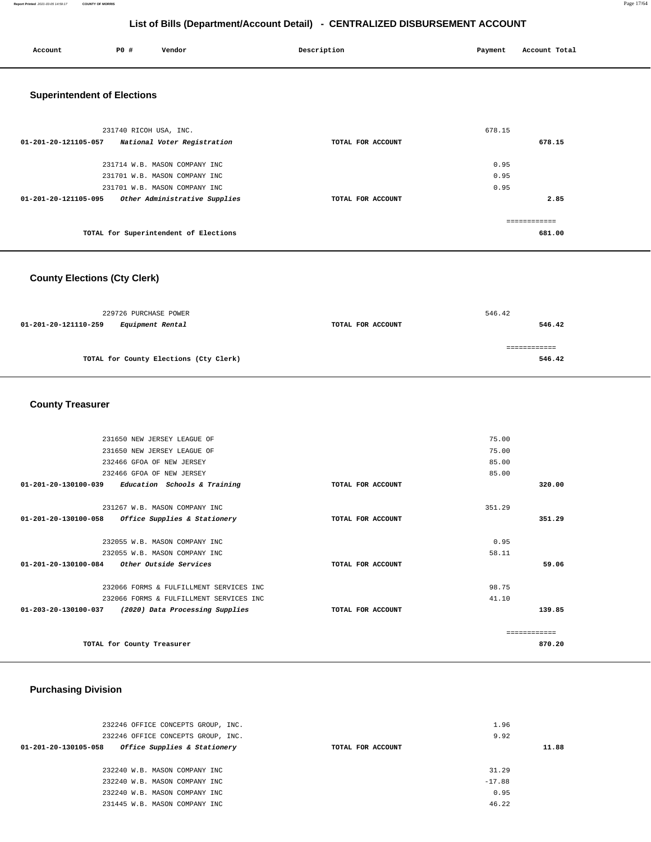| Account                                          | P0 #                   | Vendor                                | Description       | Payment | Account Total |
|--------------------------------------------------|------------------------|---------------------------------------|-------------------|---------|---------------|
| <b>Superintendent of Elections</b>               |                        |                                       |                   |         |               |
|                                                  | 231740 RICOH USA, INC. |                                       |                   | 678.15  |               |
| 01-201-20-121105-057 National Voter Registration |                        |                                       | TOTAL FOR ACCOUNT |         | 678.15        |
|                                                  |                        | 231714 W.B. MASON COMPANY INC         |                   | 0.95    |               |
|                                                  |                        | 231701 W.B. MASON COMPANY INC         |                   | 0.95    |               |
|                                                  |                        | 231701 W.B. MASON COMPANY INC         |                   | 0.95    |               |
| 01-201-20-121105-095                             |                        | Other Administrative Supplies         | TOTAL FOR ACCOUNT |         | 2.85          |
|                                                  |                        |                                       |                   |         | ------------  |
|                                                  |                        | TOTAL for Superintendent of Elections |                   |         | 681.00        |
|                                                  |                        |                                       |                   |         |               |

# **County Elections (Cty Clerk)**

|                      | 229726 PURCHASE POWER                  | 546.42            |        |  |
|----------------------|----------------------------------------|-------------------|--------|--|
| 01-201-20-121110-259 | <i>Equipment Rental</i>                | TOTAL FOR ACCOUNT | 546.42 |  |
|                      |                                        |                   | =====  |  |
|                      | TOTAL for County Elections (Cty Clerk) |                   | 546.42 |  |
|                      |                                        |                   |        |  |

# **County Treasurer**

| 231650 NEW JERSEY LEAGUE OF                             |                   | 75.00         |
|---------------------------------------------------------|-------------------|---------------|
| 231650 NEW JERSEY LEAGUE OF                             |                   | 75.00         |
| 232466 GFOA OF NEW JERSEY                               |                   | 85.00         |
| 232466 GFOA OF NEW JERSEY                               |                   | 85.00         |
| 01-201-20-130100-039<br>Education Schools & Training    | TOTAL FOR ACCOUNT | 320.00        |
| 231267 W.B. MASON COMPANY INC                           |                   | 351.29        |
| 01-201-20-130100-058<br>Office Supplies & Stationery    | TOTAL FOR ACCOUNT | 351.29        |
| 232055 W.B. MASON COMPANY INC                           |                   | 0.95          |
| 232055 W.B. MASON COMPANY INC                           |                   | 58.11         |
| 01-201-20-130100-084<br><i>Other Outside Services</i>   | TOTAL FOR ACCOUNT | 59.06         |
| 232066 FORMS & FULFILLMENT SERVICES INC                 |                   | 98.75         |
| 232066 FORMS & FULFILLMENT SERVICES INC                 |                   | 41.10         |
| 01-203-20-130100-037<br>(2020) Data Processing Supplies | TOTAL FOR ACCOUNT | 139.85        |
|                                                         |                   | ------------- |
| TOTAL for County Treasurer                              |                   | 870.20        |
|                                                         |                   |               |

# **Purchasing Division**

| 232246 OFFICE CONCEPTS GROUP, INC.                   |                   | 1.96     |       |
|------------------------------------------------------|-------------------|----------|-------|
| 232246 OFFICE CONCEPTS GROUP, INC.                   |                   | 9.92     |       |
| Office Supplies & Stationery<br>01-201-20-130105-058 | TOTAL FOR ACCOUNT |          | 11.88 |
|                                                      |                   |          |       |
| 232240 W.B. MASON COMPANY INC                        |                   | 31.29    |       |
| 232240 W.B. MASON COMPANY INC                        |                   | $-17.88$ |       |
| 232240 W.B. MASON COMPANY INC                        |                   | 0.95     |       |
| 231445 W.B. MASON COMPANY INC                        |                   | 46.22    |       |
|                                                      |                   |          |       |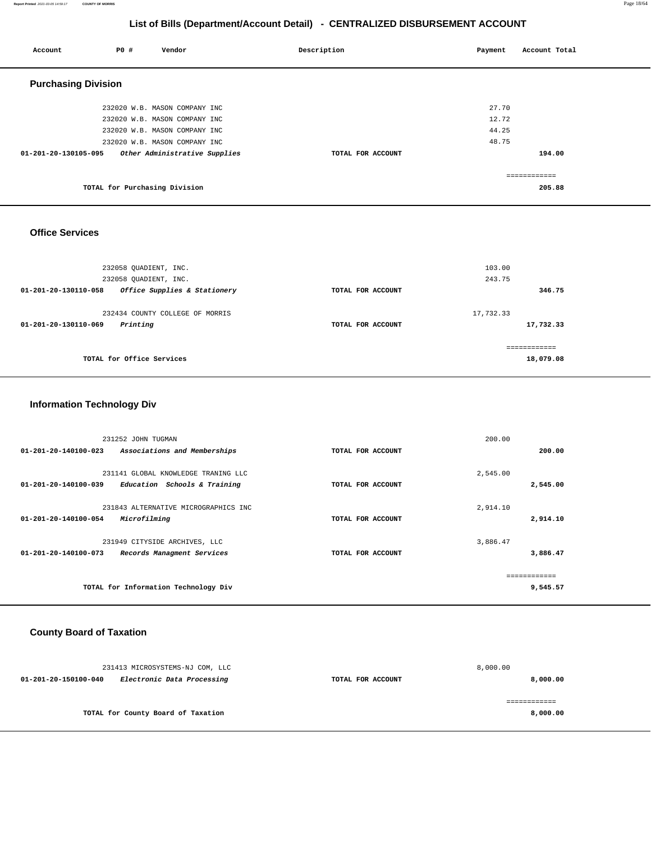#### **Report Printed** 2021-03-05 14:59:17 **COUNTY OF MORRIS** Page 18/64

============ **18,079.08**

# **List of Bills (Department/Account Detail) - CENTRALIZED DISBURSEMENT ACCOUNT**

| Account                        | P0 #                          | Vendor                          | Description       | Payment   | Account Total |  |  |  |
|--------------------------------|-------------------------------|---------------------------------|-------------------|-----------|---------------|--|--|--|
| <b>Purchasing Division</b>     |                               |                                 |                   |           |               |  |  |  |
|                                |                               | 232020 W.B. MASON COMPANY INC   |                   | 27.70     |               |  |  |  |
|                                |                               | 232020 W.B. MASON COMPANY INC   |                   | 12.72     |               |  |  |  |
|                                |                               | 232020 W.B. MASON COMPANY INC   |                   | 44.25     |               |  |  |  |
|                                |                               | 232020 W.B. MASON COMPANY INC   |                   | 48.75     |               |  |  |  |
| 01-201-20-130105-095           |                               | Other Administrative Supplies   | TOTAL FOR ACCOUNT |           | 194.00        |  |  |  |
|                                |                               |                                 |                   |           | ============  |  |  |  |
|                                | TOTAL for Purchasing Division |                                 |                   |           | 205.88        |  |  |  |
|                                |                               |                                 |                   |           |               |  |  |  |
|                                |                               |                                 |                   |           |               |  |  |  |
| <b>Office Services</b>         |                               |                                 |                   |           |               |  |  |  |
|                                |                               |                                 |                   |           |               |  |  |  |
|                                |                               |                                 |                   |           |               |  |  |  |
|                                | 232058 QUADIENT, INC.         |                                 |                   | 103.00    |               |  |  |  |
|                                | 232058 QUADIENT, INC.         |                                 |                   | 243.75    |               |  |  |  |
| $01 - 201 - 20 - 130110 - 058$ |                               | Office Supplies & Stationery    | TOTAL FOR ACCOUNT |           | 346.75        |  |  |  |
|                                |                               | 232434 COUNTY COLLEGE OF MORRIS |                   | 17,732.33 |               |  |  |  |
| 01-201-20-130110-069           | Printing                      |                                 | TOTAL FOR ACCOUNT |           | 17,732.33     |  |  |  |

# **Information Technology Div**

| 231252 JOHN TUGMAN             |                                      |                   | 200.00   |          |
|--------------------------------|--------------------------------------|-------------------|----------|----------|
| 01-201-20-140100-023           | Associations and Memberships         | TOTAL FOR ACCOUNT |          | 200.00   |
|                                |                                      |                   |          |          |
|                                | 231141 GLOBAL KNOWLEDGE TRANING LLC  |                   | 2,545.00 |          |
| 01-201-20-140100-039           | Education Schools & Training         | TOTAL FOR ACCOUNT |          | 2,545.00 |
|                                |                                      |                   |          |          |
|                                | 231843 ALTERNATIVE MICROGRAPHICS INC |                   | 2,914.10 |          |
| $01 - 201 - 20 - 140100 - 054$ | Microfilming                         | TOTAL FOR ACCOUNT |          | 2,914.10 |
|                                |                                      |                   |          |          |
|                                | 231949 CITYSIDE ARCHIVES, LLC        |                   | 3,886.47 |          |
| $01 - 201 - 20 - 140100 - 073$ | Records Managment Services           | TOTAL FOR ACCOUNT |          | 3,886.47 |
|                                |                                      |                   |          |          |
|                                |                                      |                   |          |          |
|                                | TOTAL for Information Technology Div |                   |          | 9,545.57 |
|                                |                                      |                   |          |          |

# **County Board of Taxation**

| 231413 MICROSYSTEMS-NJ COM, LLC                    |                                    |                   | 8,000.00 |
|----------------------------------------------------|------------------------------------|-------------------|----------|
| Electronic Data Processing<br>01-201-20-150100-040 |                                    | TOTAL FOR ACCOUNT | 8,000.00 |
|                                                    |                                    |                   |          |
|                                                    |                                    |                   |          |
|                                                    | TOTAL for County Board of Taxation |                   | 8,000.00 |
|                                                    |                                    |                   |          |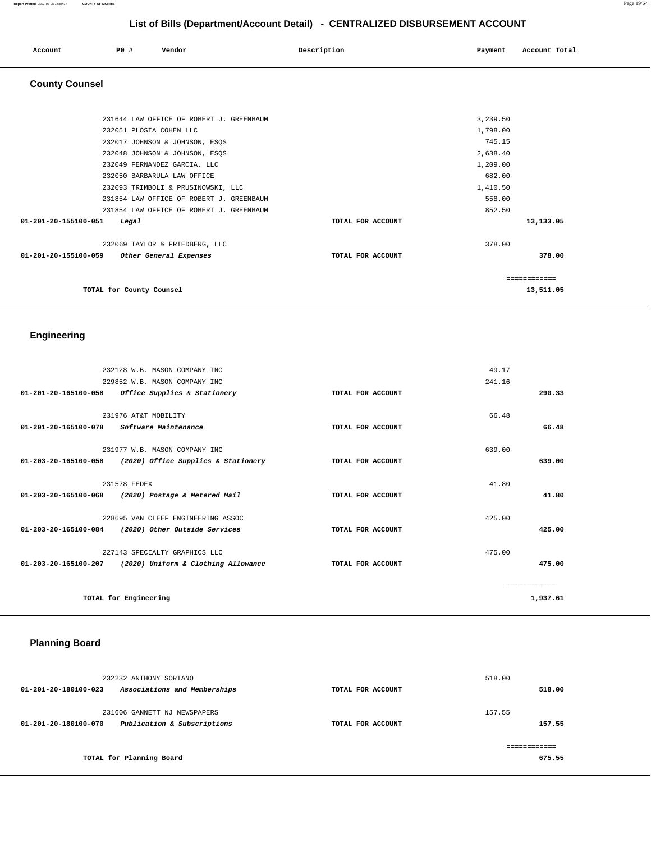#### **Report Printed** 2021-03-05 14:59:17 **COUNTY OF MORRIS** Page 19/64

# **List of Bills (Department/Account Detail) - CENTRALIZED DISBURSEMENT ACCOUNT**

| Account | P0 # | Vendor | Description | Payment | Account Total |
|---------|------|--------|-------------|---------|---------------|
|         |      |        |             |         |               |

# **County Counsel**

| 231644 LAW OFFICE OF ROBERT J. GREENBAUM       |                   | 3,239.50     |
|------------------------------------------------|-------------------|--------------|
| 232051 PLOSIA COHEN LLC                        |                   | 1,798.00     |
| 232017 JOHNSON & JOHNSON, ESQS                 |                   | 745.15       |
| 232048 JOHNSON & JOHNSON, ESQS                 |                   | 2,638.40     |
| 232049 FERNANDEZ GARCIA, LLC                   |                   | 1,209.00     |
| 232050 BARBARULA LAW OFFICE                    |                   | 682.00       |
| 232093 TRIMBOLI & PRUSINOWSKI, LLC             |                   | 1,410.50     |
| 231854 LAW OFFICE OF ROBERT J. GREENBAUM       |                   | 558.00       |
| 231854 LAW OFFICE OF ROBERT J. GREENBAUM       |                   | 852.50       |
| $01 - 201 - 20 - 155100 - 051$<br>Legal        | TOTAL FOR ACCOUNT | 13,133.05    |
| 232069 TAYLOR & FRIEDBERG, LLC                 |                   | 378.00       |
| 01-201-20-155100-059<br>Other General Expenses | TOTAL FOR ACCOUNT | 378.00       |
|                                                |                   | ============ |
| TOTAL for County Counsel                       |                   | 13,511.05    |
|                                                |                   |              |

# **Engineering**

|                                                    | 232128 W.B. MASON COMPANY INC       |                   | 49.17        |
|----------------------------------------------------|-------------------------------------|-------------------|--------------|
|                                                    | 229852 W.B. MASON COMPANY INC       |                   | 241.16       |
| 01-201-20-165100-058                               | Office Supplies & Stationery        | TOTAL FOR ACCOUNT | 290.33       |
|                                                    |                                     |                   |              |
|                                                    | 231976 AT&T MOBILITY                |                   | 66.48        |
| 01-201-20-165100-078                               | Software Maintenance                | TOTAL FOR ACCOUNT | 66.48        |
|                                                    |                                     |                   |              |
|                                                    | 231977 W.B. MASON COMPANY INC       |                   | 639.00       |
| 01-203-20-165100-058                               | (2020) Office Supplies & Stationery | TOTAL FOR ACCOUNT | 639.00       |
|                                                    |                                     |                   |              |
| 231578 FEDEX                                       |                                     |                   | 41.80        |
| 01-203-20-165100-068 (2020) Postage & Metered Mail |                                     | TOTAL FOR ACCOUNT | 41.80        |
|                                                    |                                     |                   |              |
|                                                    | 228695 VAN CLEEF ENGINEERING ASSOC  |                   | 425.00       |
| 01-203-20-165100-084 (2020) Other Outside Services |                                     | TOTAL FOR ACCOUNT | 425.00       |
|                                                    |                                     |                   |              |
|                                                    | 227143 SPECIALTY GRAPHICS LLC       |                   | 475.00       |
| 01-203-20-165100-207                               | (2020) Uniform & Clothing Allowance | TOTAL FOR ACCOUNT | 475.00       |
|                                                    |                                     |                   |              |
|                                                    |                                     |                   | ------------ |
| TOTAL for Engineering                              |                                     |                   | 1,937.61     |

# **Planning Board**

| 232232 ANTHONY SORIANO                                                              |                   | 518.00           |
|-------------------------------------------------------------------------------------|-------------------|------------------|
| Associations and Memberships<br>01-201-20-180100-023                                | TOTAL FOR ACCOUNT | 518.00           |
| 231606 GANNETT NJ NEWSPAPERS<br>Publication & Subscriptions<br>01-201-20-180100-070 | TOTAL FOR ACCOUNT | 157.55<br>157.55 |
| TOTAL for Planning Board                                                            |                   | 675.55           |
|                                                                                     |                   |                  |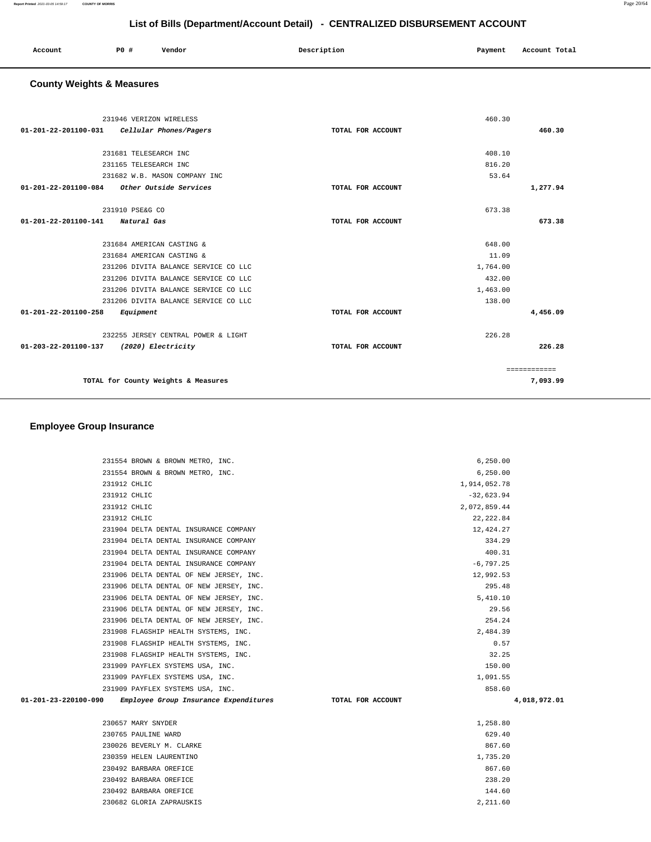| P <sub>0</sub><br>Account | Vendor | Description | Payment<br>Account Total |  |
|---------------------------|--------|-------------|--------------------------|--|
|                           |        |             |                          |  |

# **County Weights & Measures**

| 231946 VERIZON WIRELESS                        |                   | 460.30   |              |
|------------------------------------------------|-------------------|----------|--------------|
| Cellular Phones/Pagers<br>01-201-22-201100-031 | TOTAL FOR ACCOUNT |          | 460.30       |
|                                                |                   |          |              |
| 231681 TELESEARCH INC                          |                   | 408.10   |              |
| 231165 TELESEARCH INC                          |                   | 816.20   |              |
| 231682 W.B. MASON COMPANY INC                  |                   | 53.64    |              |
| 01-201-22-201100-084<br>Other Outside Services | TOTAL FOR ACCOUNT |          | 1,277.94     |
|                                                |                   |          |              |
| 231910 PSE&G CO                                |                   | 673.38   |              |
| 01-201-22-201100-141<br>Natural Gas            | TOTAL FOR ACCOUNT |          | 673.38       |
|                                                |                   |          |              |
| 231684 AMERICAN CASTING &                      |                   | 648.00   |              |
| 231684 AMERICAN CASTING &                      |                   | 11.09    |              |
| 231206 DIVITA BALANCE SERVICE CO LLC           |                   | 1,764.00 |              |
| 231206 DIVITA BALANCE SERVICE CO LLC           |                   | 432.00   |              |
| 231206 DIVITA BALANCE SERVICE CO LLC           |                   | 1,463.00 |              |
| 231206 DIVITA BALANCE SERVICE CO LLC           |                   | 138.00   |              |
| 01-201-22-201100-258<br>Equipment              | TOTAL FOR ACCOUNT |          | 4,456.09     |
| 232255 JERSEY CENTRAL POWER & LIGHT            |                   | 226.28   |              |
| 01-203-22-201100-137<br>(2020) Electricity     | TOTAL FOR ACCOUNT |          | 226.28       |
|                                                |                   |          | ============ |
| TOTAL for County Weights & Measures            |                   |          | 7,093.99     |
|                                                |                   |          |              |

|                      | 231554 BROWN & BROWN METRO, INC.        |                   | 6, 250.00    |              |
|----------------------|-----------------------------------------|-------------------|--------------|--------------|
|                      | 231554 BROWN & BROWN METRO, INC.        |                   | 6, 250.00    |              |
| 231912 CHLIC         |                                         |                   | 1,914,052.78 |              |
| 231912 CHLIC         |                                         |                   | $-32,623.94$ |              |
| 231912 CHLIC         |                                         |                   | 2,072,859.44 |              |
| 231912 CHLIC         |                                         |                   | 22, 222.84   |              |
|                      | 231904 DELTA DENTAL INSURANCE COMPANY   |                   | 12,424.27    |              |
|                      | 231904 DELTA DENTAL INSURANCE COMPANY   |                   | 334.29       |              |
|                      | 231904 DELTA DENTAL INSURANCE COMPANY   |                   | 400.31       |              |
|                      | 231904 DELTA DENTAL INSURANCE COMPANY   |                   | $-6,797.25$  |              |
|                      | 231906 DELTA DENTAL OF NEW JERSEY, INC. |                   | 12,992.53    |              |
|                      | 231906 DELTA DENTAL OF NEW JERSEY, INC. |                   | 295.48       |              |
|                      | 231906 DELTA DENTAL OF NEW JERSEY, INC. |                   | 5,410.10     |              |
|                      | 231906 DELTA DENTAL OF NEW JERSEY, INC. |                   | 29.56        |              |
|                      | 231906 DELTA DENTAL OF NEW JERSEY, INC. |                   | 254.24       |              |
|                      | 231908 FLAGSHIP HEALTH SYSTEMS, INC.    |                   | 2,484.39     |              |
|                      | 231908 FLAGSHIP HEALTH SYSTEMS, INC.    |                   | 0.57         |              |
|                      | 231908 FLAGSHIP HEALTH SYSTEMS, INC.    |                   | 32.25        |              |
|                      | 231909 PAYFLEX SYSTEMS USA, INC.        |                   | 150.00       |              |
|                      | 231909 PAYFLEX SYSTEMS USA, INC.        |                   | 1,091.55     |              |
|                      | 231909 PAYFLEX SYSTEMS USA, INC.        |                   | 858.60       |              |
| 01-201-23-220100-090 | Employee Group Insurance Expenditures   | TOTAL FOR ACCOUNT |              | 4,018,972.01 |
|                      | 230657 MARY SNYDER                      |                   | 1,258.80     |              |
|                      | 230765 PAULINE WARD                     |                   | 629.40       |              |
|                      | 230026 BEVERLY M. CLARKE                |                   | 867.60       |              |
|                      | 230359 HELEN LAURENTINO                 |                   | 1,735.20     |              |
|                      | 230492 BARBARA OREFICE                  |                   | 867.60       |              |
|                      | 230492 BARBARA OREFICE                  |                   | 238.20       |              |
|                      | 230492 BARBARA OREFICE                  |                   | 144.60       |              |
|                      | 230682 GLORIA ZAPRAUSKIS                |                   | 2,211.60     |              |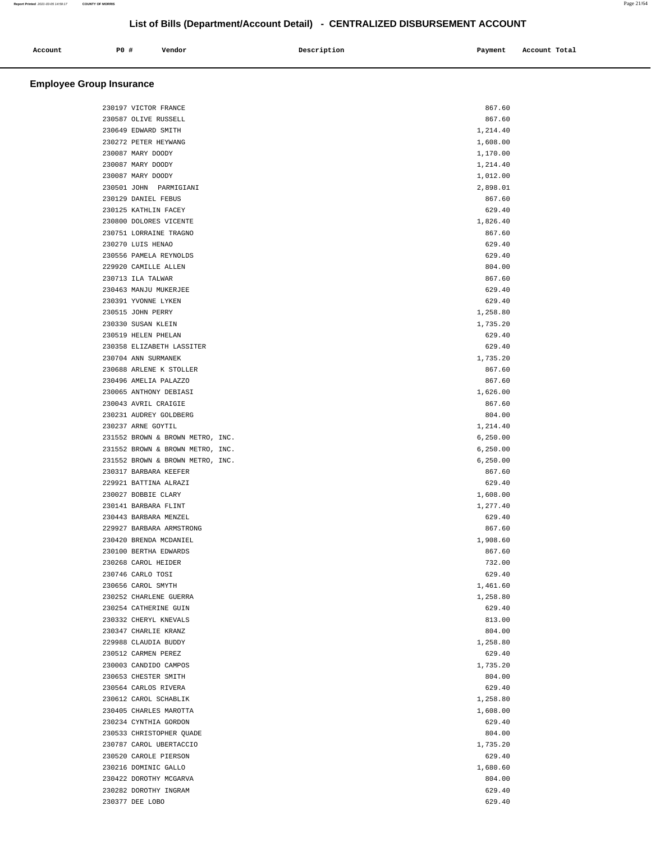| Account<br>. | P0 # | Vendor | Description<br>$\sim$ $\sim$ | Payment | Account Total<br>.<br>. |
|--------------|------|--------|------------------------------|---------|-------------------------|
|              |      |        |                              |         |                         |

| 230197 VICTOR FRANCE             | 867.60    |  |
|----------------------------------|-----------|--|
| 230587 OLIVE RUSSELL             | 867.60    |  |
| 230649 EDWARD SMITH              | 1,214.40  |  |
| 230272 PETER HEYWANG             | 1,608.00  |  |
| 230087 MARY DOODY                | 1,170.00  |  |
| 230087 MARY DOODY                | 1,214.40  |  |
| 230087 MARY DOODY                | 1,012.00  |  |
|                                  |           |  |
| 230501 JOHN PARMIGIANI           | 2,898.01  |  |
| 230129 DANIEL FEBUS              | 867.60    |  |
| 230125 KATHLIN FACEY             | 629.40    |  |
| 230800 DOLORES VICENTE           | 1,826.40  |  |
| 230751 LORRAINE TRAGNO           | 867.60    |  |
| 230270 LUIS HENAO                | 629.40    |  |
| 230556 PAMELA REYNOLDS           | 629.40    |  |
| 229920 CAMILLE ALLEN             | 804.00    |  |
| 230713 ILA TALWAR                | 867.60    |  |
| 230463 MANJU MUKERJEE            | 629.40    |  |
| 230391 YVONNE LYKEN              | 629.40    |  |
| 230515 JOHN PERRY                | 1,258.80  |  |
| 230330 SUSAN KLEIN               | 1,735.20  |  |
| 230519 HELEN PHELAN              | 629.40    |  |
| 230358 ELIZABETH LASSITER        | 629.40    |  |
| 230704 ANN SURMANEK              | 1,735.20  |  |
| 230688 ARLENE K STOLLER          | 867.60    |  |
| 230496 AMELIA PALAZZO            | 867.60    |  |
| 230065 ANTHONY DEBIASI           | 1,626.00  |  |
| 230043 AVRIL CRAIGIE             | 867.60    |  |
| 230231 AUDREY GOLDBERG           | 804.00    |  |
| 230237 ARNE GOYTIL               | 1,214.40  |  |
| 231552 BROWN & BROWN METRO, INC. | 6, 250.00 |  |
| 231552 BROWN & BROWN METRO, INC. | 6, 250.00 |  |
| 231552 BROWN & BROWN METRO, INC. | 6, 250.00 |  |
| 230317 BARBARA KEEFER            | 867.60    |  |
| 229921 BATTINA ALRAZI            | 629.40    |  |
| 230027 BOBBIE CLARY              | 1,608.00  |  |
| 230141 BARBARA FLINT             | 1,277.40  |  |
| 230443 BARBARA MENZEL            | 629.40    |  |
| 229927 BARBARA ARMSTRONG         | 867.60    |  |
| 230420 BRENDA MCDANIEL           | 1,908.60  |  |
| 230100 BERTHA EDWARDS            | 867.60    |  |
| 230268 CAROL HEIDER              | 732.00    |  |
| 230746 CARLO TOSI                | 629.40    |  |
| 230656 CAROL SMYTH               | 1,461.60  |  |
| 230252 CHARLENE GUERRA           | 1,258.80  |  |
| 230254 CATHERINE GUIN            | 629.40    |  |
| 230332 CHERYL KNEVALS            | 813.00    |  |
| 230347 CHARLIE KRANZ             | 804.00    |  |
| 229988 CLAUDIA BUDDY             | 1,258.80  |  |
| 230512 CARMEN PEREZ              | 629.40    |  |
| 230003 CANDIDO CAMPOS            | 1,735.20  |  |
| 230653 CHESTER SMITH             | 804.00    |  |
| 230564 CARLOS RIVERA             | 629.40    |  |
| 230612 CAROL SCHABLIK            | 1,258.80  |  |
| 230405 CHARLES MAROTTA           | 1,608.00  |  |
| 230234 CYNTHIA GORDON            | 629.40    |  |
| 230533 CHRISTOPHER QUADE         | 804.00    |  |
| 230787 CAROL UBERTACCIO          | 1,735.20  |  |
| 230520 CAROLE PIERSON            | 629.40    |  |
| 230216 DOMINIC GALLO             | 1,680.60  |  |
| 230422 DOROTHY MCGARVA           | 804.00    |  |
| 230282 DOROTHY INGRAM            | 629.40    |  |
| 230377 DEE LOBO                  | 629.40    |  |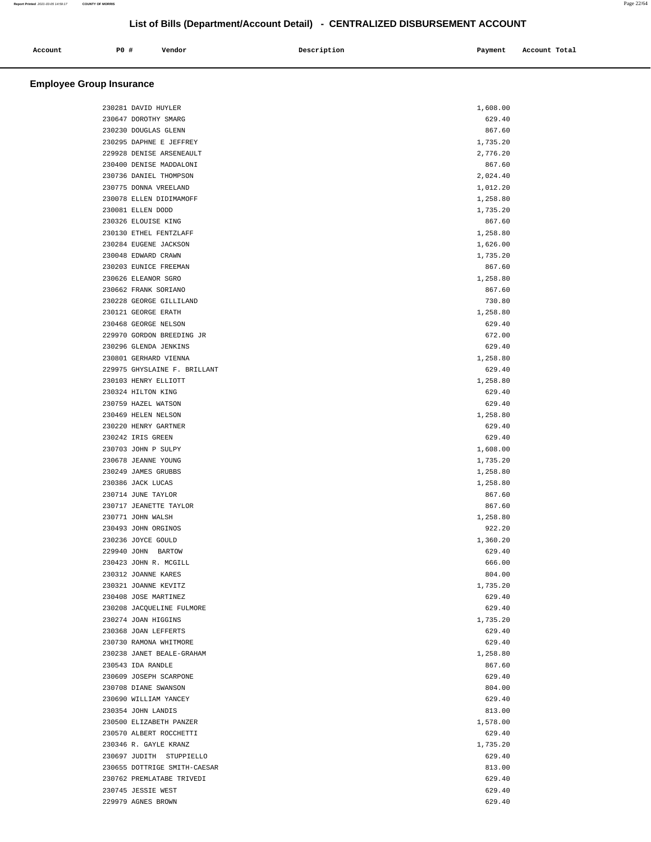| Account |      | Vendor | Description | Payment | Account Total |
|---------|------|--------|-------------|---------|---------------|
| .       | P0 # |        |             |         |               |
|         |      |        |             |         |               |

| 230281 DAVID HUYLER          | 1,608.00 |  |
|------------------------------|----------|--|
| 230647 DOROTHY SMARG         | 629.40   |  |
|                              |          |  |
| 230230 DOUGLAS GLENN         | 867.60   |  |
| 230295 DAPHNE E JEFFREY      | 1,735.20 |  |
| 229928 DENISE ARSENEAULT     | 2,776.20 |  |
| 230400 DENISE MADDALONI      | 867.60   |  |
| 230736 DANIEL THOMPSON       | 2,024.40 |  |
| 230775 DONNA VREELAND        | 1,012.20 |  |
| 230078 ELLEN DIDIMAMOFF      | 1,258.80 |  |
| 230081 ELLEN DODD            | 1,735.20 |  |
| 230326 ELOUISE KING          | 867.60   |  |
| 230130 ETHEL FENTZLAFF       | 1,258.80 |  |
| 230284 EUGENE JACKSON        | 1,626.00 |  |
| 230048 EDWARD CRAWN          | 1,735.20 |  |
| 230203 EUNICE FREEMAN        | 867.60   |  |
| 230626 ELEANOR SGRO          | 1,258.80 |  |
| 230662 FRANK SORIANO         | 867.60   |  |
| 230228 GEORGE GILLILAND      | 730.80   |  |
| 230121 GEORGE ERATH          | 1,258.80 |  |
| 230468 GEORGE NELSON         | 629.40   |  |
| 229970 GORDON BREEDING JR    | 672.00   |  |
|                              | 629.40   |  |
| 230296 GLENDA JENKINS        |          |  |
| 230801 GERHARD VIENNA        | 1,258.80 |  |
| 229975 GHYSLAINE F. BRILLANT | 629.40   |  |
| 230103 HENRY ELLIOTT         | 1,258.80 |  |
| 230324 HILTON KING           | 629.40   |  |
| 230759 HAZEL WATSON          | 629.40   |  |
| 230469 HELEN NELSON          | 1,258.80 |  |
| 230220 HENRY GARTNER         | 629.40   |  |
| 230242 IRIS GREEN            | 629.40   |  |
| 230703 JOHN P SULPY          | 1,608.00 |  |
| 230678 JEANNE YOUNG          | 1,735.20 |  |
| 230249 JAMES GRUBBS          | 1,258.80 |  |
| 230386 JACK LUCAS            | 1,258.80 |  |
| 230714 JUNE TAYLOR           | 867.60   |  |
| 230717 JEANETTE TAYLOR       | 867.60   |  |
| 230771 JOHN WALSH            | 1,258.80 |  |
| 230493 JOHN ORGINOS          | 922.20   |  |
| 230236 JOYCE GOULD           | 1,360.20 |  |
| 229940 JOHN BARTOW           | 629.40   |  |
| 230423 JOHN R. MCGILL        | 666.00   |  |
| 230312 JOANNE KARES          | 804.00   |  |
| 230321 JOANNE KEVITZ         | 1,735.20 |  |
| 230408 JOSE MARTINEZ         | 629.40   |  |
| 230208 JACQUELINE FULMORE    | 629.40   |  |
| 230274 JOAN HIGGINS          | 1,735.20 |  |
| 230368 JOAN LEFFERTS         | 629.40   |  |
| 230730 RAMONA WHITMORE       | 629.40   |  |
| 230238 JANET BEALE-GRAHAM    |          |  |
|                              | 1,258.80 |  |
| 230543 IDA RANDLE            | 867.60   |  |
| 230609 JOSEPH SCARPONE       | 629.40   |  |
| 230708 DIANE SWANSON         | 804.00   |  |
| 230690 WILLIAM YANCEY        | 629.40   |  |
| 230354 JOHN LANDIS           | 813.00   |  |
| 230500 ELIZABETH PANZER      | 1,578.00 |  |
| 230570 ALBERT ROCCHETTI      | 629.40   |  |
| 230346 R. GAYLE KRANZ        | 1,735.20 |  |
| 230697 JUDITH STUPPIELLO     | 629.40   |  |
| 230655 DOTTRIGE SMITH-CAESAR | 813.00   |  |
| 230762 PREMLATABE TRIVEDI    | 629.40   |  |
| 230745 JESSIE WEST           | 629.40   |  |
| 229979 AGNES BROWN           | 629.40   |  |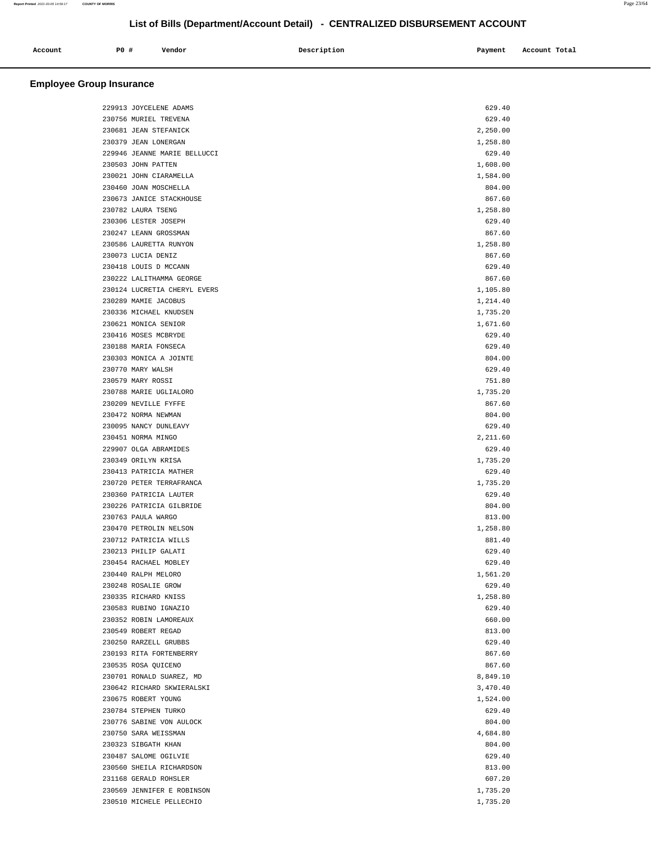| Account | PO# | Vendor | Description<br>$\sim$ $\sim$ | Payment<br>$\sim$ $\sim$ | Account Total |
|---------|-----|--------|------------------------------|--------------------------|---------------|
|         |     |        |                              |                          |               |

| 229913 JOYCELENE ADAMS   |                              | 629.40   |
|--------------------------|------------------------------|----------|
| 230756 MURIEL TREVENA    |                              | 629.40   |
| 230681 JEAN STEFANICK    |                              | 2,250.00 |
| 230379 JEAN LONERGAN     |                              | 1,258.80 |
|                          | 229946 JEANNE MARIE BELLUCCI | 629.40   |
| 230503 JOHN PATTEN       |                              | 1,608.00 |
| 230021 JOHN CIARAMELLA   |                              | 1,584.00 |
| 230460 JOAN MOSCHELLA    |                              | 804.00   |
| 230673 JANICE STACKHOUSE |                              | 867.60   |
| 230782 LAURA TSENG       |                              | 1,258.80 |
| 230306 LESTER JOSEPH     |                              | 629.40   |
| 230247 LEANN GROSSMAN    |                              | 867.60   |
| 230586 LAURETTA RUNYON   |                              | 1,258.80 |
| 230073 LUCIA DENIZ       |                              | 867.60   |
| 230418 LOUIS D MCCANN    |                              | 629.40   |
| 230222 LALITHAMMA GEORGE |                              | 867.60   |
|                          | 230124 LUCRETIA CHERYL EVERS | 1,105.80 |
| 230289 MAMIE JACOBUS     |                              | 1,214.40 |
| 230336 MICHAEL KNUDSEN   |                              | 1,735.20 |
| 230621 MONICA SENIOR     |                              | 1,671.60 |
| 230416 MOSES MCBRYDE     |                              | 629.40   |
| 230188 MARIA FONSECA     |                              | 629.40   |
| 230303 MONICA A JOINTE   |                              | 804.00   |
| 230770 MARY WALSH        |                              | 629.40   |
| 230579 MARY ROSSI        |                              | 751.80   |
| 230788 MARIE UGLIALORO   |                              | 1,735.20 |
| 230209 NEVILLE FYFFE     |                              | 867.60   |
| 230472 NORMA NEWMAN      |                              | 804.00   |
| 230095 NANCY DUNLEAVY    |                              | 629.40   |
| 230451 NORMA MINGO       |                              | 2,211.60 |
| 229907 OLGA ABRAMIDES    |                              | 629.40   |
| 230349 ORILYN KRISA      |                              | 1,735.20 |
| 230413 PATRICIA MATHER   |                              | 629.40   |
| 230720 PETER TERRAFRANCA |                              | 1,735.20 |
| 230360 PATRICIA LAUTER   |                              | 629.40   |
| 230226 PATRICIA GILBRIDE |                              | 804.00   |
| 230763 PAULA WARGO       |                              | 813.00   |
| 230470 PETROLIN NELSON   |                              | 1,258.80 |
| 230712 PATRICIA WILLS    |                              | 881.40   |
| 230213 PHILIP GALATI     |                              | 629.40   |
| 230454 RACHAEL MOBLEY    |                              | 629.40   |
| 230440 RALPH MELORO      |                              | 1,561.20 |
| 230248 ROSALIE GROW      |                              | 629.40   |
| 230335 RICHARD KNISS     |                              | 1,258.80 |
| 230583 RUBINO IGNAZIO    |                              | 629.40   |
| 230352 ROBIN LAMOREAUX   |                              | 660.00   |
| 230549 ROBERT REGAD      |                              | 813.00   |
| 230250 RARZELL GRUBBS    |                              | 629.40   |
| 230193 RITA FORTENBERRY  |                              | 867.60   |
| 230535 ROSA QUICENO      |                              | 867.60   |
| 230701 RONALD SUAREZ, MD |                              | 8,849.10 |
|                          | 230642 RICHARD SKWIERALSKI   | 3,470.40 |
| 230675 ROBERT YOUNG      |                              | 1,524.00 |
| 230784 STEPHEN TURKO     |                              | 629.40   |
| 230776 SABINE VON AULOCK |                              | 804.00   |
| 230750 SARA WEISSMAN     |                              | 4,684.80 |
| 230323 SIBGATH KHAN      |                              | 804.00   |
| 230487 SALOME OGILVIE    |                              | 629.40   |
| 230560 SHEILA RICHARDSON |                              | 813.00   |
| 231168 GERALD ROHSLER    |                              | 607.20   |
|                          | 230569 JENNIFER E ROBINSON   | 1,735.20 |
| 230510 MICHELE PELLECHIO |                              | 1,735.20 |
|                          |                              |          |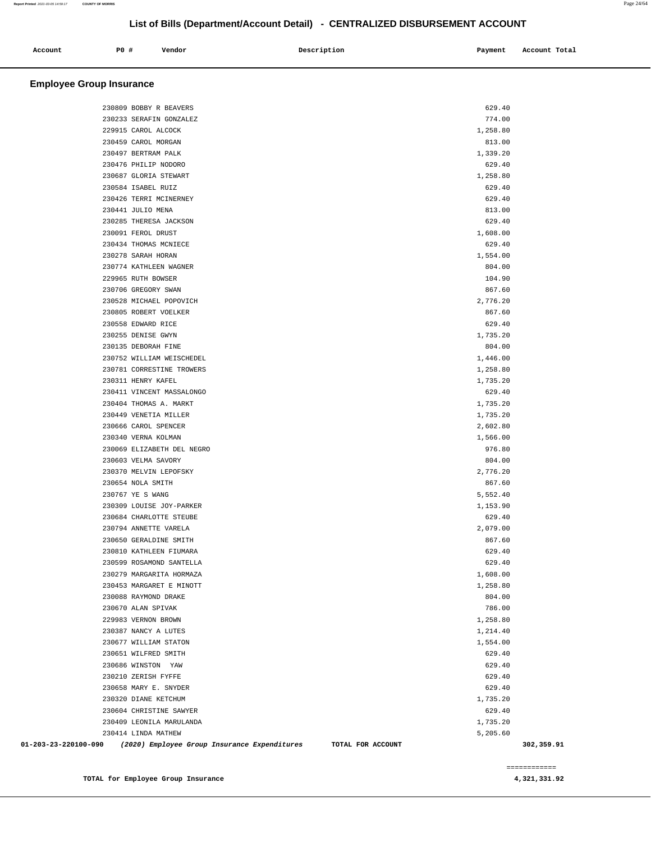| Account | PO# | Vendor | Description | Payment | Account Total |
|---------|-----|--------|-------------|---------|---------------|
|         |     |        |             |         |               |

# **Employee Group Insurance**

|                      | 230809 BOBBY R BEAVERS                                            | 629.40   |            |
|----------------------|-------------------------------------------------------------------|----------|------------|
|                      | 230233 SERAFIN GONZALEZ                                           | 774.00   |            |
|                      | 229915 CAROL ALCOCK                                               | 1,258.80 |            |
|                      | 230459 CAROL MORGAN                                               | 813.00   |            |
|                      | 230497 BERTRAM PALK                                               | 1,339.20 |            |
|                      | 230476 PHILIP NODORO                                              | 629.40   |            |
|                      | 230687 GLORIA STEWART                                             | 1,258.80 |            |
|                      | 230584 ISABEL RUIZ                                                | 629.40   |            |
|                      | 230426 TERRI MCINERNEY                                            | 629.40   |            |
|                      | 230441 JULIO MENA                                                 | 813.00   |            |
|                      | 230285 THERESA JACKSON                                            | 629.40   |            |
|                      | 230091 FEROL DRUST                                                | 1,608.00 |            |
|                      | 230434 THOMAS MCNIECE                                             | 629.40   |            |
|                      | 230278 SARAH HORAN                                                | 1,554.00 |            |
|                      | 230774 KATHLEEN WAGNER                                            | 804.00   |            |
|                      | 229965 RUTH BOWSER                                                | 104.90   |            |
|                      | 230706 GREGORY SWAN                                               | 867.60   |            |
|                      | 230528 MICHAEL POPOVICH                                           | 2,776.20 |            |
|                      | 230805 ROBERT VOELKER                                             | 867.60   |            |
|                      | 230558 EDWARD RICE                                                | 629.40   |            |
|                      | 230255 DENISE GWYN                                                | 1,735.20 |            |
|                      | 230135 DEBORAH FINE                                               | 804.00   |            |
|                      | 230752 WILLIAM WEISCHEDEL                                         | 1,446.00 |            |
|                      | 230781 CORRESTINE TROWERS                                         | 1,258.80 |            |
|                      | 230311 HENRY KAFEL                                                | 1,735.20 |            |
|                      | 230411 VINCENT MASSALONGO                                         | 629.40   |            |
|                      | 230404 THOMAS A. MARKT                                            | 1,735.20 |            |
|                      | 230449 VENETIA MILLER                                             | 1,735.20 |            |
|                      | 230666 CAROL SPENCER                                              | 2,602.80 |            |
|                      | 230340 VERNA KOLMAN                                               | 1,566.00 |            |
|                      | 230069 ELIZABETH DEL NEGRO                                        | 976.80   |            |
|                      | 230603 VELMA SAVORY                                               | 804.00   |            |
|                      | 230370 MELVIN LEPOFSKY                                            | 2,776.20 |            |
|                      | 230654 NOLA SMITH                                                 | 867.60   |            |
|                      | 230767 YE S WANG                                                  | 5,552.40 |            |
|                      | 230309 LOUISE JOY-PARKER                                          | 1,153.90 |            |
|                      | 230684 CHARLOTTE STEUBE                                           | 629.40   |            |
|                      | 230794 ANNETTE VARELA                                             | 2,079.00 |            |
|                      | 230650 GERALDINE SMITH                                            | 867.60   |            |
|                      | 230810 KATHLEEN FIUMARA                                           | 629.40   |            |
|                      | 230599 ROSAMOND SANTELLA                                          | 629.40   |            |
|                      | 230279 MARGARITA HORMAZA                                          | 1,608.00 |            |
|                      | 230453 MARGARET E MINOTT                                          | 1,258.80 |            |
|                      | 230088 RAYMOND DRAKE                                              | 804.00   |            |
|                      | 230670 ALAN SPIVAK                                                | 786.00   |            |
|                      | 229983 VERNON BROWN                                               | 1,258.80 |            |
|                      | 230387 NANCY A LUTES                                              | 1,214.40 |            |
|                      | 230677 WILLIAM STATON                                             | 1,554.00 |            |
|                      | 230651 WILFRED SMITH                                              | 629.40   |            |
|                      | 230686 WINSTON YAW                                                | 629.40   |            |
|                      | 230210 ZERISH FYFFE                                               | 629.40   |            |
|                      | 230658 MARY E. SNYDER                                             | 629.40   |            |
|                      | 230320 DIANE KETCHUM                                              | 1,735.20 |            |
|                      | 230604 CHRISTINE SAWYER                                           | 629.40   |            |
|                      | 230409 LEONILA MARULANDA                                          | 1,735.20 |            |
|                      | 230414 LINDA MATHEW                                               | 5,205.60 |            |
| 01-203-23-220100-090 | (2020) Employee Group Insurance Expenditures<br>TOTAL FOR ACCOUNT |          | 302,359.91 |

============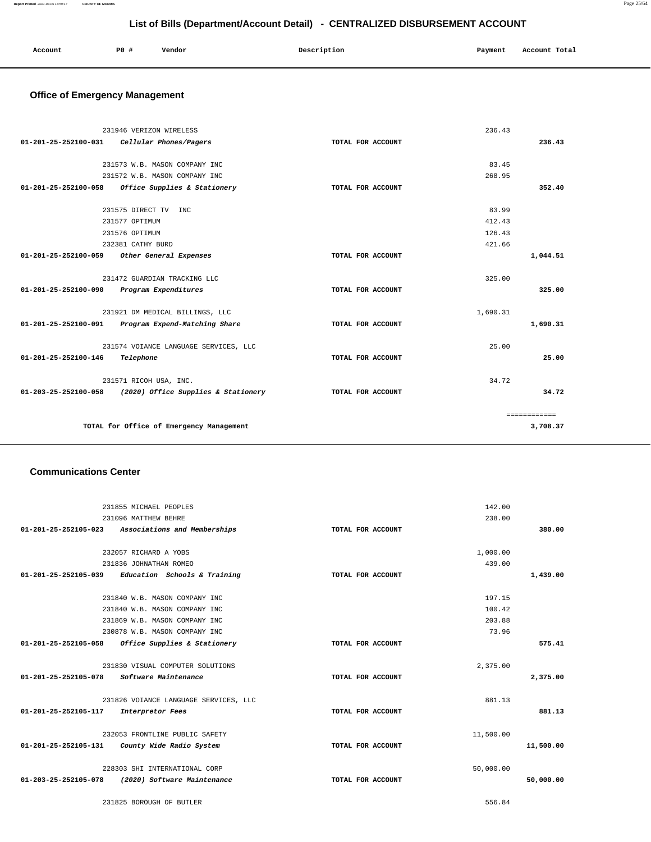| Account<br>. | PO#<br>$\sim$ | Vendor | Description | Payment | Account Total<br>.<br>. |
|--------------|---------------|--------|-------------|---------|-------------------------|
|              |               |        |             |         |                         |

# **Office of Emergency Management**

|                      | 231946 VERIZON WIRELESS                  |                   | 236.43   |              |
|----------------------|------------------------------------------|-------------------|----------|--------------|
| 01-201-25-252100-031 | Cellular Phones/Pagers                   | TOTAL FOR ACCOUNT |          | 236.43       |
|                      |                                          |                   |          |              |
|                      | 231573 W.B. MASON COMPANY INC            |                   | 83.45    |              |
|                      | 231572 W.B. MASON COMPANY INC            |                   | 268.95   |              |
| 01-201-25-252100-058 | Office Supplies & Stationery             | TOTAL FOR ACCOUNT |          | 352.40       |
|                      | 231575 DIRECT TV INC                     |                   | 83.99    |              |
|                      | 231577 OPTIMUM                           |                   | 412.43   |              |
|                      | 231576 OPTIMUM                           |                   | 126.43   |              |
|                      | 232381 CATHY BURD                        |                   | 421.66   |              |
| 01-201-25-252100-059 | Other General Expenses                   | TOTAL FOR ACCOUNT |          | 1,044.51     |
|                      |                                          |                   |          |              |
|                      | 231472 GUARDIAN TRACKING LLC             |                   | 325.00   |              |
| 01-201-25-252100-090 | Program Expenditures                     | TOTAL FOR ACCOUNT |          | 325.00       |
|                      | 231921 DM MEDICAL BILLINGS, LLC          |                   | 1,690.31 |              |
| 01-201-25-252100-091 | Program Expend-Matching Share            | TOTAL FOR ACCOUNT |          | 1,690.31     |
|                      | 231574 VOIANCE LANGUAGE SERVICES, LLC    |                   | 25.00    |              |
| 01-201-25-252100-146 | Telephone                                | TOTAL FOR ACCOUNT |          | 25.00        |
|                      | 231571 RICOH USA, INC.                   |                   | 34.72    |              |
| 01-203-25-252100-058 | (2020) Office Supplies & Stationery      | TOTAL FOR ACCOUNT |          | 34.72        |
|                      |                                          |                   |          | ============ |
|                      | TOTAL for Office of Emergency Management |                   |          | 3,708.37     |
|                      |                                          |                   |          |              |

### **Communications Center**

|                      | 231855 MICHAEL PEOPLES                            |                   | 142.00    |           |
|----------------------|---------------------------------------------------|-------------------|-----------|-----------|
|                      | 231096 MATTHEW BEHRE                              |                   | 238.00    |           |
|                      | 01-201-25-252105-023 Associations and Memberships | TOTAL FOR ACCOUNT |           | 380.00    |
|                      | 232057 RICHARD A YOBS                             |                   | 1,000.00  |           |
|                      | 231836 JOHNATHAN ROMEO                            |                   | 439.00    |           |
| 01-201-25-252105-039 | Education Schools & Training                      | TOTAL FOR ACCOUNT |           | 1,439.00  |
|                      |                                                   |                   |           |           |
|                      | 231840 W.B. MASON COMPANY INC                     |                   | 197.15    |           |
|                      | 231840 W.B. MASON COMPANY INC                     |                   | 100.42    |           |
|                      | 231869 W.B. MASON COMPANY INC                     |                   | 203.88    |           |
|                      | 230878 W.B. MASON COMPANY INC                     |                   | 73.96     |           |
| 01-201-25-252105-058 | Office Supplies & Stationery                      | TOTAL FOR ACCOUNT |           | 575.41    |
|                      | 231830 VISUAL COMPUTER SOLUTIONS                  |                   | 2,375.00  |           |
| 01-201-25-252105-078 | Software Maintenance                              | TOTAL FOR ACCOUNT |           | 2,375.00  |
|                      | 231826 VOIANCE LANGUAGE SERVICES, LLC             |                   | 881.13    |           |
| 01-201-25-252105-117 | Interpretor Fees                                  | TOTAL FOR ACCOUNT |           | 881.13    |
|                      | 232053 FRONTLINE PUBLIC SAFETY                    |                   | 11,500.00 |           |
| 01-201-25-252105-131 | County Wide Radio System                          | TOTAL FOR ACCOUNT |           | 11,500.00 |
|                      | 228303 SHI INTERNATIONAL CORP                     |                   | 50,000.00 |           |
| 01-203-25-252105-078 | (2020) Software Maintenance                       | TOTAL FOR ACCOUNT |           | 50,000.00 |
|                      | 231825 BOROUGH OF BUTLER                          |                   | 556.84    |           |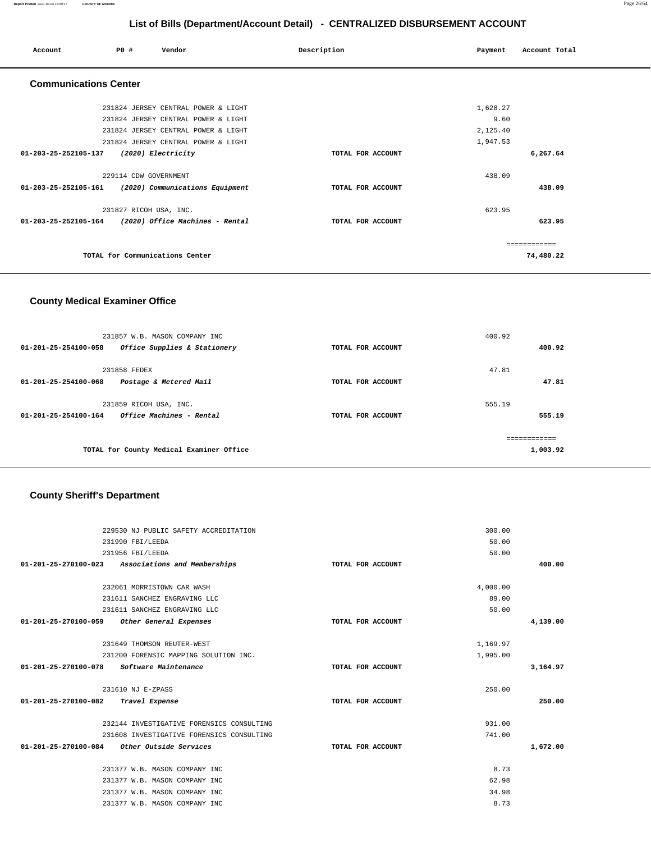| Account                        | PO#                             | Vendor                              | Description       | Payment  | Account Total |
|--------------------------------|---------------------------------|-------------------------------------|-------------------|----------|---------------|
| <b>Communications Center</b>   |                                 |                                     |                   |          |               |
|                                |                                 | 231824 JERSEY CENTRAL POWER & LIGHT |                   | 1,628.27 |               |
|                                |                                 | 231824 JERSEY CENTRAL POWER & LIGHT |                   | 9.60     |               |
|                                |                                 | 231824 JERSEY CENTRAL POWER & LIGHT |                   | 2,125.40 |               |
|                                |                                 | 231824 JERSEY CENTRAL POWER & LIGHT |                   | 1,947.53 |               |
| 01-203-25-252105-137           | (2020) Electricity              |                                     | TOTAL FOR ACCOUNT |          | 6,267.64      |
|                                | 229114 CDW GOVERNMENT           |                                     |                   | 438.09   |               |
| 01-203-25-252105-161           |                                 | (2020) Communications Equipment     | TOTAL FOR ACCOUNT |          | 438.09        |
|                                | 231827 RICOH USA, INC.          |                                     |                   | 623.95   |               |
| $01 - 203 - 25 - 252105 - 164$ |                                 | (2020) Office Machines - Rental     | TOTAL FOR ACCOUNT |          | 623.95        |
|                                |                                 |                                     |                   |          | ----------    |
|                                | TOTAL for Communications Center |                                     |                   |          | 74,480.22     |

# **County Medical Examiner Office**

| 231857 W.B. MASON COMPANY INC                                            |                   | 400.92       |          |
|--------------------------------------------------------------------------|-------------------|--------------|----------|
| $01 - 201 - 25 - 254100 - 058$<br>Office Supplies & Stationery           | TOTAL FOR ACCOUNT |              | 400.92   |
| 231858 FEDEX                                                             |                   | 47.81        |          |
| 01-201-25-254100-068<br>Postage & Metered Mail                           | TOTAL FOR ACCOUNT |              | 47.81    |
| 231859 RICOH USA, INC.                                                   |                   | 555.19       |          |
| <i><b>Office Machines - Rental</b></i><br>$01 - 201 - 25 - 254100 - 164$ | TOTAL FOR ACCOUNT |              | 555.19   |
|                                                                          |                   | ------------ |          |
| TOTAL for County Medical Examiner Office                                 |                   |              | 1,003.92 |

# **County Sheriff's Department**

| 229530 NJ PUBLIC SAFETY ACCREDITATION                |                   | 300.00   |
|------------------------------------------------------|-------------------|----------|
| 231990 FBI/LEEDA                                     |                   | 50.00    |
| 231956 FBI/LEEDA                                     |                   | 50.00    |
| 01-201-25-270100-023<br>Associations and Memberships | TOTAL FOR ACCOUNT | 400.00   |
|                                                      |                   |          |
| 232061 MORRISTOWN CAR WASH                           | 4,000.00          |          |
| 231611 SANCHEZ ENGRAVING LLC                         |                   | 89.00    |
| 231611 SANCHEZ ENGRAVING LLC                         |                   | 50.00    |
| 01-201-25-270100-059<br>Other General Expenses       | TOTAL FOR ACCOUNT | 4,139.00 |
|                                                      |                   |          |
| 231649 THOMSON REUTER-WEST                           | 1,169.97          |          |
| 231200 FORENSIC MAPPING SOLUTION INC.                | 1,995.00          |          |
| 01-201-25-270100-078<br>Software Maintenance         | TOTAL FOR ACCOUNT | 3,164.97 |
|                                                      |                   |          |
| 231610 NJ E-ZPASS                                    |                   | 250.00   |
| 01-201-25-270100-082<br>Travel Expense               | TOTAL FOR ACCOUNT | 250.00   |
|                                                      |                   |          |
| 232144 INVESTIGATIVE FORENSICS CONSULTING            |                   | 931.00   |
| 231608 INVESTIGATIVE FORENSICS CONSULTING            |                   | 741.00   |
| 01-201-25-270100-084<br>Other Outside Services       | TOTAL FOR ACCOUNT | 1,672.00 |
|                                                      |                   |          |
| 231377 W.B. MASON COMPANY INC                        |                   | 8.73     |
| 231377 W.B. MASON COMPANY INC                        |                   | 62.98    |
| 231377 W.B. MASON COMPANY INC                        |                   | 34.98    |
| 231377 W.B. MASON COMPANY INC                        |                   | 8.73     |
|                                                      |                   |          |

**Report Printed** 2021-03-05 14:59:17 **COUNTY OF MORRIS** Page 26/64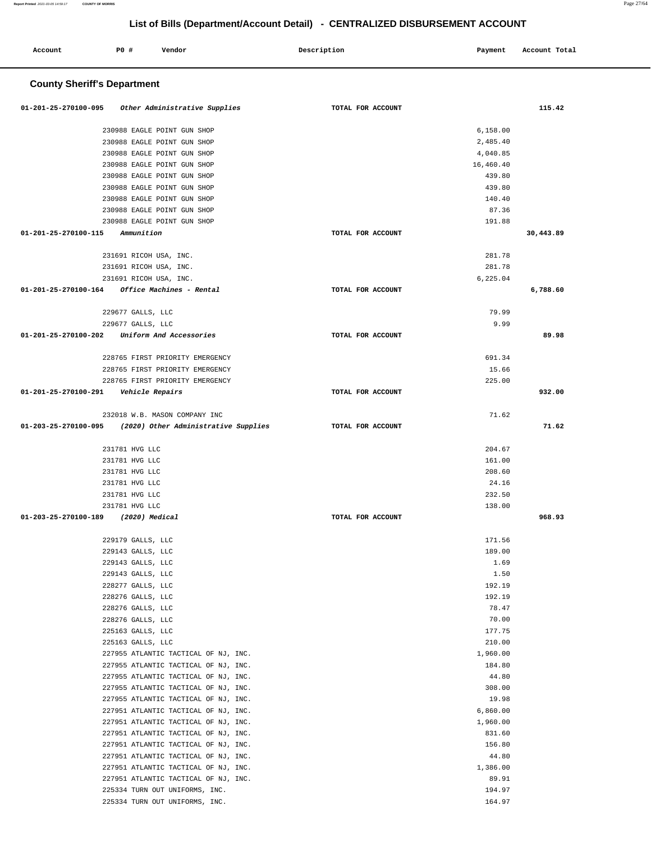| Account                                 | P0 #                                   | Vendor                                        | Description       | Payment          | Account Total |
|-----------------------------------------|----------------------------------------|-----------------------------------------------|-------------------|------------------|---------------|
| <b>County Sheriff's Department</b>      |                                        |                                               |                   |                  |               |
| 01-201-25-270100-095                    |                                        | Other Administrative Supplies                 | TOTAL FOR ACCOUNT |                  | 115.42        |
|                                         |                                        | 230988 EAGLE POINT GUN SHOP                   |                   | 6,158.00         |               |
|                                         |                                        | 230988 EAGLE POINT GUN SHOP                   |                   | 2,485.40         |               |
|                                         |                                        | 230988 EAGLE POINT GUN SHOP                   |                   | 4,040.85         |               |
|                                         |                                        | 230988 EAGLE POINT GUN SHOP                   |                   | 16,460.40        |               |
|                                         |                                        | 230988 EAGLE POINT GUN SHOP                   |                   | 439.80           |               |
|                                         |                                        | 230988 EAGLE POINT GUN SHOP                   |                   | 439.80           |               |
|                                         |                                        | 230988 EAGLE POINT GUN SHOP                   |                   | 140.40           |               |
|                                         |                                        | 230988 EAGLE POINT GUN SHOP                   |                   | 87.36            |               |
|                                         |                                        | 230988 EAGLE POINT GUN SHOP                   |                   | 191.88           |               |
| 01-201-25-270100-115                    | Ammunition                             |                                               | TOTAL FOR ACCOUNT |                  | 30,443.89     |
|                                         |                                        | 231691 RICOH USA, INC.                        |                   | 281.78           |               |
|                                         |                                        | 231691 RICOH USA, INC.                        |                   | 281.78           |               |
|                                         |                                        | 231691 RICOH USA, INC.                        |                   | 6,225.04         |               |
|                                         |                                        | 01-201-25-270100-164 Office Machines - Rental | TOTAL FOR ACCOUNT |                  | 6,788.60      |
|                                         | 229677 GALLS, LLC                      |                                               |                   | 79.99            |               |
|                                         | 229677 GALLS, LLC                      |                                               |                   | 9.99             |               |
| 01-201-25-270100-202                    |                                        | Uniform And Accessories                       | TOTAL FOR ACCOUNT |                  | 89.98         |
|                                         |                                        | 228765 FIRST PRIORITY EMERGENCY               |                   | 691.34           |               |
|                                         |                                        | 228765 FIRST PRIORITY EMERGENCY               |                   | 15.66            |               |
|                                         |                                        | 228765 FIRST PRIORITY EMERGENCY               |                   | 225.00           |               |
| 01-201-25-270100-291    Vehicle Repairs |                                        |                                               | TOTAL FOR ACCOUNT |                  | 932.00        |
|                                         |                                        | 232018 W.B. MASON COMPANY INC                 |                   | 71.62            |               |
| 01-203-25-270100-095                    |                                        | (2020) Other Administrative Supplies          | TOTAL FOR ACCOUNT |                  | 71.62         |
|                                         | 231781 HVG LLC                         |                                               |                   | 204.67           |               |
|                                         | 231781 HVG LLC                         |                                               |                   | 161.00           |               |
|                                         | 231781 HVG LLC                         |                                               |                   | 208.60           |               |
|                                         | 231781 HVG LLC                         |                                               |                   | 24.16            |               |
|                                         | 231781 HVG LLC                         |                                               |                   | 232.50           |               |
|                                         | 231781 HVG LLC                         |                                               |                   | 138.00           |               |
| 01-203-25-270100-189                    |                                        | (2020) Medical                                | TOTAL FOR ACCOUNT |                  | 968.93        |
|                                         | 229179 GALLS, LLC                      |                                               |                   | 171.56           |               |
|                                         | 229143 GALLS, LLC                      |                                               |                   | 189.00           |               |
|                                         | 229143 GALLS, LLC                      |                                               |                   | 1.69             |               |
|                                         | 229143 GALLS, LLC                      |                                               |                   | 1.50             |               |
|                                         | 228277 GALLS, LLC                      |                                               |                   | 192.19           |               |
|                                         | 228276 GALLS, LLC                      |                                               |                   | 192.19           |               |
|                                         | 228276 GALLS, LLC                      |                                               |                   | 78.47            |               |
|                                         | 228276 GALLS, LLC                      |                                               |                   | 70.00            |               |
|                                         | 225163 GALLS, LLC<br>225163 GALLS, LLC |                                               |                   | 177.75<br>210.00 |               |
|                                         |                                        | 227955 ATLANTIC TACTICAL OF NJ, INC.          |                   | 1,960.00         |               |
|                                         |                                        | 227955 ATLANTIC TACTICAL OF NJ, INC.          |                   | 184.80           |               |
|                                         |                                        | 227955 ATLANTIC TACTICAL OF NJ, INC.          |                   | 44.80            |               |
|                                         |                                        | 227955 ATLANTIC TACTICAL OF NJ, INC.          |                   | 308.00           |               |
|                                         |                                        | 227955 ATLANTIC TACTICAL OF NJ, INC.          |                   | 19.98            |               |
|                                         |                                        | 227951 ATLANTIC TACTICAL OF NJ, INC.          |                   | 6,860.00         |               |
|                                         |                                        | 227951 ATLANTIC TACTICAL OF NJ, INC.          |                   | 1,960.00         |               |
|                                         |                                        | 227951 ATLANTIC TACTICAL OF NJ, INC.          |                   | 831.60           |               |
|                                         |                                        | 227951 ATLANTIC TACTICAL OF NJ, INC.          |                   | 156.80           |               |

44.80 1,386.00 89.91 194.97 164.97

227951 ATLANTIC TACTICAL OF NJ, INC. 227951 ATLANTIC TACTICAL OF NJ, INC. 227951 ATLANTIC TACTICAL OF NJ, INC. 225334 TURN OUT UNIFORMS, INC. 225334 TURN OUT UNIFORMS, INC.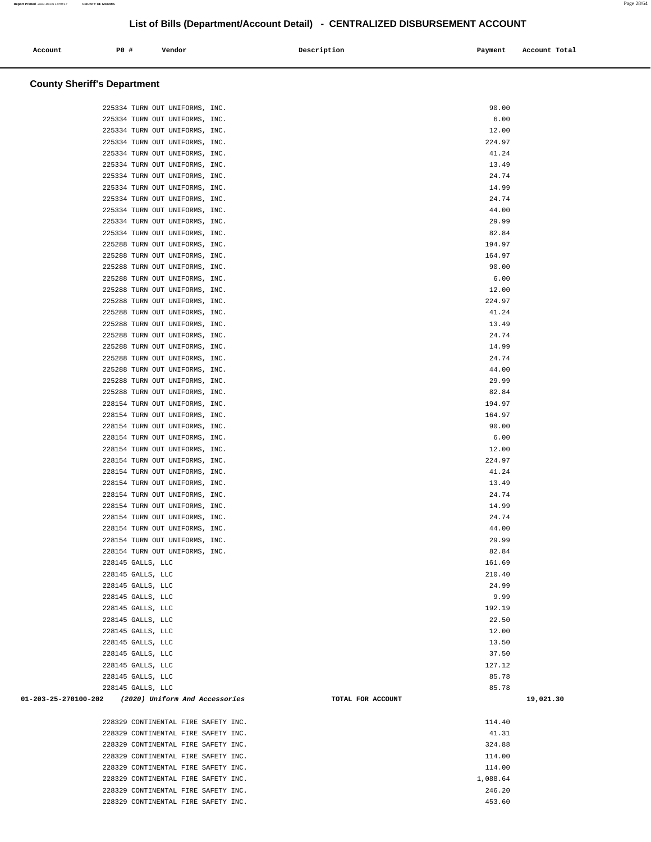| Account | <b>PO #</b> | Vendor | Description | Payment | Account Total |
|---------|-------------|--------|-------------|---------|---------------|
|         |             |        |             |         |               |

# **County Sheriff's Department**

| 225334 TURN OUT UNIFORMS, INC.                      | 90.00             |           |
|-----------------------------------------------------|-------------------|-----------|
| 225334 TURN OUT UNIFORMS, INC.                      | 6.00              |           |
| 225334 TURN OUT UNIFORMS, INC.                      | 12.00             |           |
| 225334 TURN OUT UNIFORMS, INC.                      | 224.97            |           |
| 225334 TURN OUT UNIFORMS, INC.                      | 41.24             |           |
| 225334 TURN OUT UNIFORMS, INC.                      | 13.49             |           |
| 225334 TURN OUT UNIFORMS, INC.                      | 24.74             |           |
| 225334 TURN OUT UNIFORMS, INC.                      | 14.99             |           |
| 225334 TURN OUT UNIFORMS, INC.                      | 24.74             |           |
| 225334 TURN OUT UNIFORMS, INC.                      | 44.00             |           |
| 225334 TURN OUT UNIFORMS, INC.                      | 29.99             |           |
| 225334 TURN OUT UNIFORMS, INC.                      | 82.84             |           |
| 225288 TURN OUT UNIFORMS, INC.                      | 194.97            |           |
| 225288 TURN OUT UNIFORMS, INC.                      | 164.97            |           |
| 225288 TURN OUT UNIFORMS, INC.                      | 90.00             |           |
| 225288 TURN OUT UNIFORMS, INC.                      | 6.00              |           |
| 225288 TURN OUT UNIFORMS, INC.                      | 12.00             |           |
| 225288 TURN OUT UNIFORMS, INC.                      | 224.97            |           |
| 225288 TURN OUT UNIFORMS, INC.                      | 41.24             |           |
| 225288 TURN OUT UNIFORMS, INC.                      | 13.49             |           |
| 225288 TURN OUT UNIFORMS, INC.                      | 24.74             |           |
| 225288 TURN OUT UNIFORMS, INC.                      | 14.99             |           |
| 225288 TURN OUT UNIFORMS, INC.                      | 24.74             |           |
| 225288 TURN OUT UNIFORMS, INC.                      | 44.00             |           |
| 225288 TURN OUT UNIFORMS, INC.                      | 29.99             |           |
| 225288 TURN OUT UNIFORMS, INC.                      | 82.84             |           |
| 228154 TURN OUT UNIFORMS, INC.                      | 194.97            |           |
| 228154 TURN OUT UNIFORMS, INC.                      | 164.97            |           |
| 228154 TURN OUT UNIFORMS, INC.                      | 90.00             |           |
| 228154 TURN OUT UNIFORMS, INC.                      | 6.00              |           |
| 228154 TURN OUT UNIFORMS, INC.                      | 12.00             |           |
| 228154 TURN OUT UNIFORMS, INC.                      | 224.97            |           |
| 228154 TURN OUT UNIFORMS, INC.                      | 41.24             |           |
| 228154 TURN OUT UNIFORMS, INC.                      | 13.49             |           |
| 228154 TURN OUT UNIFORMS, INC.                      | 24.74             |           |
| 228154 TURN OUT UNIFORMS, INC.                      | 14.99             |           |
| 228154 TURN OUT UNIFORMS, INC.                      | 24.74             |           |
| 228154 TURN OUT UNIFORMS, INC.                      | 44.00             |           |
| 228154 TURN OUT UNIFORMS, INC.                      | 29.99             |           |
| 228154 TURN OUT UNIFORMS, INC.                      | 82.84             |           |
| 228145 GALLS, LLC                                   | 161.69            |           |
| 228145 GALLS, LLC                                   | 210.40            |           |
| 228145 GALLS, LLC                                   | 24.99             |           |
| 228145 GALLS, LLC                                   | 9.99              |           |
| 228145 GALLS, LLC                                   | 192.19            |           |
| 228145 GALLS, LLC                                   | 22.50             |           |
| 228145 GALLS, LLC                                   | 12.00             |           |
| 228145 GALLS, LLC                                   | 13.50             |           |
| 228145 GALLS, LLC                                   | 37.50<br>127.12   |           |
| 228145 GALLS, LLC<br>228145 GALLS, LLC              | 85.78             |           |
| 228145 GALLS, LLC                                   | 85.78             |           |
| 01-203-25-270100-202 (2020) Uniform And Accessories | TOTAL FOR ACCOUNT | 19,021.30 |
|                                                     |                   |           |
| 228329 CONTINENTAL FIRE SAFETY INC.                 | 114.40            |           |
| 228329 CONTINENTAL FIRE SAFETY INC.                 | 41.31             |           |
| 228329 CONTINENTAL FIRE SAFETY INC.                 | 324.88            |           |
| 228329 CONTINENTAL FIRE SAFETY INC.                 | 114.00            |           |
| 228329 CONTINENTAL FIRE SAFETY INC.                 | 114.00            |           |
| 228329 CONTINENTAL FIRE SAFETY INC.                 | 1,088.64          |           |
| 228329 CONTINENTAL FIRE SAFETY INC.                 | 246.20            |           |
| 228329 CONTINENTAL FIRE SAFETY INC.                 | 453.60            |           |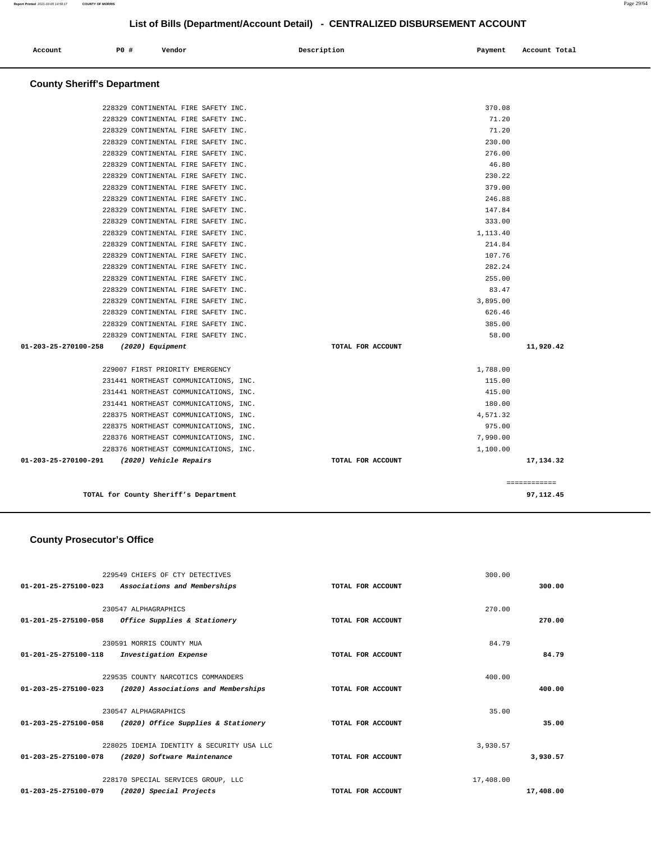| Account                            | PO# | Vendor | Description | Payment | Account Total |
|------------------------------------|-----|--------|-------------|---------|---------------|
| <b>County Sheriff's Department</b> |     |        |             |         |               |

| TOTAL for County Sheriff's Department       |                   |          | 97.112.45    |
|---------------------------------------------|-------------------|----------|--------------|
|                                             |                   |          | ============ |
| 01-203-25-270100-291 (2020) Vehicle Repairs | TOTAL FOR ACCOUNT |          | 17,134.32    |
| 228376 NORTHEAST COMMUNICATIONS, INC.       |                   | 1,100.00 |              |
| 228376 NORTHEAST COMMUNICATIONS, INC.       |                   | 7,990.00 |              |
| 228375 NORTHEAST COMMUNICATIONS, INC.       |                   | 975.00   |              |
| 228375 NORTHEAST COMMUNICATIONS, INC.       |                   | 4,571.32 |              |
| 231441 NORTHEAST COMMUNICATIONS, INC.       |                   | 180.00   |              |
| 231441 NORTHEAST COMMUNICATIONS, INC.       |                   | 415.00   |              |
| 231441 NORTHEAST COMMUNICATIONS, INC.       |                   | 115.00   |              |
| 229007 FIRST PRIORITY EMERGENCY             |                   | 1,788.00 |              |
| 01-203-25-270100-258<br>(2020) Equipment    | TOTAL FOR ACCOUNT |          | 11,920.42    |
| 228329 CONTINENTAL FIRE SAFETY INC.         |                   | 58.00    |              |
| 228329 CONTINENTAL FIRE SAFETY INC.         |                   | 385.00   |              |
| 228329 CONTINENTAL FIRE SAFETY INC.         |                   | 626.46   |              |
| 228329 CONTINENTAL FIRE SAFETY INC.         |                   | 3,895.00 |              |
| 228329 CONTINENTAL FIRE SAFETY INC.         |                   | 83.47    |              |
| 228329 CONTINENTAL FIRE SAFETY INC.         |                   | 255.00   |              |
| 228329 CONTINENTAL FIRE SAFETY INC.         |                   | 282.24   |              |
| 228329 CONTINENTAL FIRE SAFETY INC.         |                   | 107.76   |              |
| 228329 CONTINENTAL FIRE SAFETY INC.         |                   | 214.84   |              |
| 228329 CONTINENTAL FIRE SAFETY INC.         |                   | 1,113.40 |              |
| 228329 CONTINENTAL FIRE SAFETY INC.         |                   | 333.00   |              |
| 228329 CONTINENTAL FIRE SAFETY INC.         |                   | 147.84   |              |
| 228329 CONTINENTAL FIRE SAFETY INC.         |                   | 246.88   |              |
| 228329 CONTINENTAL FIRE SAFETY INC.         |                   | 379.00   |              |
| 228329 CONTINENTAL FIRE SAFETY INC.         |                   | 230.22   |              |
| 228329 CONTINENTAL FIRE SAFETY INC.         |                   | 46.80    |              |
| 228329 CONTINENTAL FIRE SAFETY INC.         |                   | 276.00   |              |
| 228329 CONTINENTAL FIRE SAFETY INC.         |                   | 230.00   |              |
| 228329 CONTINENTAL FIRE SAFETY INC.         |                   | 71.20    |              |
| 228329 CONTINENTAL FIRE SAFETY INC.         |                   | 71.20    |              |
| 228329 CONTINENTAL FIRE SAFETY INC.         |                   | 370.08   |              |

 **County Prosecutor's Office**

|                                | 229549 CHIEFS OF CTY DETECTIVES                                           |                   | 300.00    |           |
|--------------------------------|---------------------------------------------------------------------------|-------------------|-----------|-----------|
| 01-201-25-275100-023           | Associations and Memberships                                              | TOTAL FOR ACCOUNT |           | 300.00    |
|                                | 230547 ALPHAGRAPHICS                                                      |                   | 270.00    |           |
| $01 - 201 - 25 - 275100 - 058$ | Office Supplies & Stationery                                              | TOTAL FOR ACCOUNT |           | 270.00    |
|                                | 230591 MORRIS COUNTY MUA                                                  |                   | 84.79     |           |
| $01 - 201 - 25 - 275100 - 118$ | Investigation Expense                                                     | TOTAL FOR ACCOUNT |           | 84.79     |
|                                |                                                                           |                   |           |           |
| 01-203-25-275100-023           | 229535 COUNTY NARCOTICS COMMANDERS<br>(2020) Associations and Memberships | TOTAL FOR ACCOUNT | 400.00    | 400.00    |
|                                |                                                                           |                   |           |           |
|                                | 230547 ALPHAGRAPHICS                                                      |                   | 35.00     |           |
| $01 - 203 - 25 - 275100 - 058$ | (2020) Office Supplies & Stationery                                       | TOTAL FOR ACCOUNT |           | 35.00     |
|                                | 228025 IDEMIA IDENTITY & SECURITY USA LLC                                 |                   | 3,930.57  |           |
| 01-203-25-275100-078           | (2020) Software Maintenance                                               | TOTAL FOR ACCOUNT |           | 3,930.57  |
|                                |                                                                           |                   |           |           |
|                                | 228170 SPECIAL SERVICES GROUP, LLC                                        |                   | 17,408.00 |           |
| 01-203-25-275100-079           | (2020) Special Projects                                                   | TOTAL FOR ACCOUNT |           | 17,408.00 |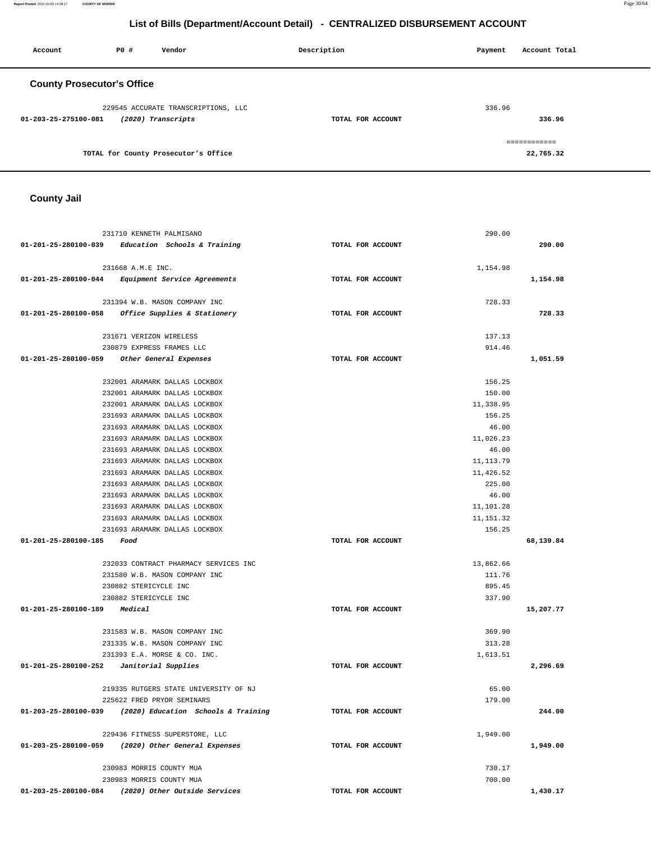**Report Printed** 2021-03-05 14:59:17 **COUNTY OF MORRIS** Page 30/64

# **List of Bills (Department/Account Detail) - CENTRALIZED DISBURSEMENT ACCOUNT**

| Account              | PO#                               | Vendor                               | Description       | Payment | Account Total |
|----------------------|-----------------------------------|--------------------------------------|-------------------|---------|---------------|
|                      | <b>County Prosecutor's Office</b> |                                      |                   |         |               |
|                      |                                   | 229545 ACCURATE TRANSCRIPTIONS, LLC  |                   | 336.96  |               |
| 01-203-25-275100-081 |                                   | (2020) Transcripts                   | TOTAL FOR ACCOUNT |         | 336.96        |
|                      |                                   |                                      |                   |         | ============  |
|                      |                                   | TOTAL for County Prosecutor's Office |                   |         | 22,765.32     |

 **County Jail** 

| 231710 KENNETH PALMISANO                                    |                   | 290.00     |           |
|-------------------------------------------------------------|-------------------|------------|-----------|
| $01-201-25-280100-039$ Education Schools & Training         | TOTAL FOR ACCOUNT |            | 290.00    |
|                                                             |                   |            |           |
| 231668 A.M.E INC.                                           |                   | 1,154.98   |           |
| 01-201-25-280100-044 Equipment Service Agreements           | TOTAL FOR ACCOUNT |            | 1,154.98  |
|                                                             |                   |            |           |
| 231394 W.B. MASON COMPANY INC                               |                   | 728.33     |           |
| 01-201-25-280100-058 Office Supplies & Stationery           | TOTAL FOR ACCOUNT |            | 728.33    |
|                                                             |                   |            |           |
| 231671 VERIZON WIRELESS                                     |                   | 137.13     |           |
| 230879 EXPRESS FRAMES LLC                                   |                   | 914.46     |           |
| 01-201-25-280100-059 Other General Expenses                 | TOTAL FOR ACCOUNT |            | 1,051.59  |
| 232001 ARAMARK DALLAS LOCKBOX                               |                   | 156.25     |           |
| 232001 ARAMARK DALLAS LOCKBOX                               |                   | 150.00     |           |
| 232001 ARAMARK DALLAS LOCKBOX                               |                   | 11,338.95  |           |
| 231693 ARAMARK DALLAS LOCKBOX                               |                   | 156.25     |           |
| 231693 ARAMARK DALLAS LOCKBOX                               |                   | 46.00      |           |
| 231693 ARAMARK DALLAS LOCKBOX                               |                   | 11,026.23  |           |
| 231693 ARAMARK DALLAS LOCKBOX                               |                   | 46.00      |           |
| 231693 ARAMARK DALLAS LOCKBOX                               |                   | 11, 113.79 |           |
| 231693 ARAMARK DALLAS LOCKBOX                               |                   | 11,426.52  |           |
| 231693 ARAMARK DALLAS LOCKBOX                               |                   | 225.00     |           |
| 231693 ARAMARK DALLAS LOCKBOX                               |                   | 46.00      |           |
| 231693 ARAMARK DALLAS LOCKBOX                               |                   | 11,101.28  |           |
| 231693 ARAMARK DALLAS LOCKBOX                               |                   | 11,151.32  |           |
| 231693 ARAMARK DALLAS LOCKBOX                               |                   | 156.25     |           |
| 01-201-25-280100-185 Food                                   | TOTAL FOR ACCOUNT |            | 68,139.84 |
|                                                             |                   |            |           |
| 232033 CONTRACT PHARMACY SERVICES INC                       |                   | 13,862.66  |           |
| 231580 W.B. MASON COMPANY INC                               |                   | 111.76     |           |
| 230882 STERICYCLE INC                                       |                   | 895.45     |           |
| 230882 STERICYCLE INC                                       |                   | 337.90     |           |
| 01-201-25-280100-189<br>Medical                             | TOTAL FOR ACCOUNT |            | 15,207.77 |
|                                                             |                   |            |           |
| 231583 W.B. MASON COMPANY INC                               |                   | 369.90     |           |
| 231335 W.B. MASON COMPANY INC                               |                   | 313.28     |           |
| 231393 E.A. MORSE & CO. INC.                                |                   | 1,613.51   |           |
| 01-201-25-280100-252<br>Janitorial Supplies                 | TOTAL FOR ACCOUNT |            | 2,296.69  |
| 219335 RUTGERS STATE UNIVERSITY OF NJ                       |                   | 65.00      |           |
| 225622 FRED PRYOR SEMINARS                                  |                   | 179.00     |           |
| 01-203-25-280100-039<br>(2020) Education Schools & Training | TOTAL FOR ACCOUNT |            | 244.00    |
|                                                             |                   |            |           |
| 229436 FITNESS SUPERSTORE, LLC                              |                   | 1,949.00   |           |
| (2020) Other General Expenses<br>01-203-25-280100-059       | TOTAL FOR ACCOUNT |            | 1,949.00  |
|                                                             |                   |            |           |
| 230983 MORRIS COUNTY MUA                                    |                   | 730.17     |           |
| 230983 MORRIS COUNTY MUA                                    |                   |            |           |
|                                                             |                   | 700.00     |           |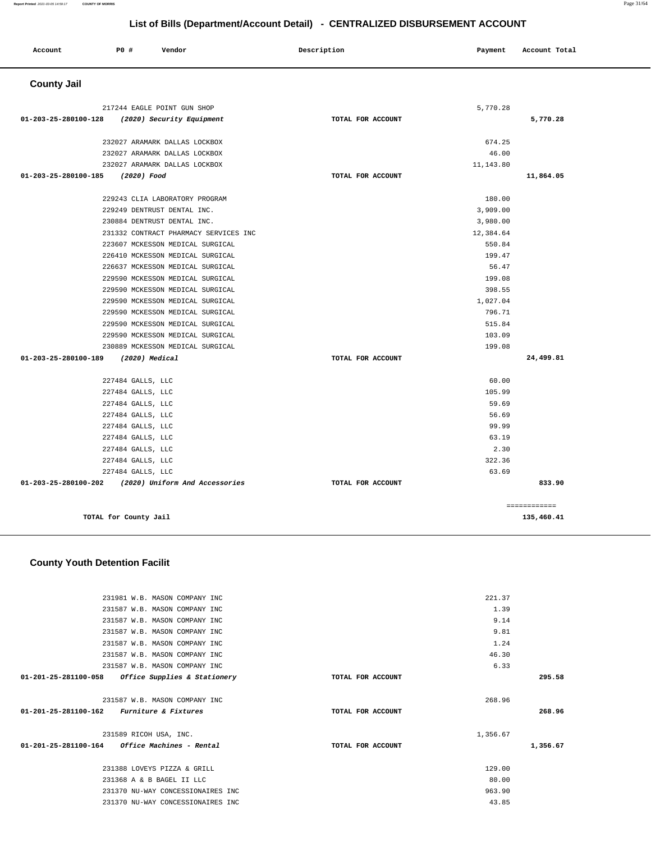#### **01-201-25-281100-058 Office Supplies & Stationery TOTAL FOR ACCOUNT 295.58** 231587 W.B. MASON COMPANY INC **01-201-25-281100-162 Furniture & Fixtures TOTAL FOR ACCOUNT**  268.96 **268.96** 231589 RICOH USA, INC. **01-201-25-281100-164 Office Machines - Rental TOTAL FOR ACCOUNT**  1,356.67 **1,356.67** 231388 LOVEYS PIZZA & GRILL 129.00 231368 A & B BAGEL II LLC 80.00 231370 NU-WAY CONCESSIONAIRES INC 963.90 231370 NU-WAY CONCESSIONAIRES INC 43.85

221.37 1.39 9.14 9.81 1.24 46.30 6.33

# **County Youth Detention Facilit**

| Account              | P0 #<br>Vendor                        | Description       | Payment   | Account Total |
|----------------------|---------------------------------------|-------------------|-----------|---------------|
| <b>County Jail</b>   |                                       |                   |           |               |
|                      | 217244 EAGLE POINT GUN SHOP           |                   | 5,770.28  |               |
| 01-203-25-280100-128 | (2020) Security Equipment             | TOTAL FOR ACCOUNT |           | 5,770.28      |
|                      | 232027 ARAMARK DALLAS LOCKBOX         |                   | 674.25    |               |
|                      | 232027 ARAMARK DALLAS LOCKBOX         |                   | 46.00     |               |
|                      | 232027 ARAMARK DALLAS LOCKBOX         |                   | 11,143.80 |               |
| 01-203-25-280100-185 | (2020) Food                           | TOTAL FOR ACCOUNT |           | 11,864.05     |
|                      | 229243 CLIA LABORATORY PROGRAM        |                   | 180.00    |               |
|                      | 229249 DENTRUST DENTAL INC.           |                   | 3,909.00  |               |
|                      | 230884 DENTRUST DENTAL INC.           |                   | 3,980.00  |               |
|                      | 231332 CONTRACT PHARMACY SERVICES INC |                   | 12,384.64 |               |
|                      | 223607 MCKESSON MEDICAL SURGICAL      |                   | 550.84    |               |
|                      | 226410 MCKESSON MEDICAL SURGICAL      |                   | 199.47    |               |
|                      | 226637 MCKESSON MEDICAL SURGICAL      |                   | 56.47     |               |
|                      | 229590 MCKESSON MEDICAL SURGICAL      |                   | 199.08    |               |
|                      | 229590 MCKESSON MEDICAL SURGICAL      |                   | 398.55    |               |
|                      | 229590 MCKESSON MEDICAL SURGICAL      |                   | 1,027.04  |               |
|                      | 229590 MCKESSON MEDICAL SURGICAL      |                   | 796.71    |               |
|                      | 229590 MCKESSON MEDICAL SURGICAL      |                   | 515.84    |               |
|                      | 229590 MCKESSON MEDICAL SURGICAL      |                   | 103.09    |               |
|                      | 230889 MCKESSON MEDICAL SURGICAL      |                   | 199.08    |               |
| 01-203-25-280100-189 | $(2020)$ Medical                      | TOTAL FOR ACCOUNT |           | 24,499.81     |
|                      | 227484 GALLS, LLC                     |                   | 60.00     |               |
|                      | 227484 GALLS, LLC                     |                   | 105.99    |               |
|                      | 227484 GALLS, LLC                     |                   | 59.69     |               |
|                      | 227484 GALLS, LLC                     |                   | 56.69     |               |
|                      | 227484 GALLS, LLC                     |                   | 99.99     |               |
|                      | 227484 GALLS, LLC                     |                   | 63.19     |               |
|                      | 227484 GALLS, LLC                     |                   | 2.30      |               |
|                      | 227484 GALLS, LLC                     |                   | 322.36    |               |
|                      | 227484 GALLS, LLC                     |                   | 63.69     |               |
| 01-203-25-280100-202 | (2020) Uniform And Accessories        | TOTAL FOR ACCOUNT |           | 833.90        |
|                      |                                       |                   |           | ============  |
|                      | TOTAL for County Jail                 |                   |           | 135,460.41    |

 231981 W.B. MASON COMPANY INC 231587 W.B. MASON COMPANY INC 231587 W.B. MASON COMPANY INC 231587 W.B. MASON COMPANY INC 231587 W.B. MASON COMPANY INC 231587 W.B. MASON COMPANY INC 231587 W.B. MASON COMPANY INC

**Report Printed** 2021-03-05 14:59:17 **COUNTY OF MORRIS** Page 31/64

### **List of Bills (Department/Account Detail) - CENTRALIZED DISBURSEMENT ACCOUNT**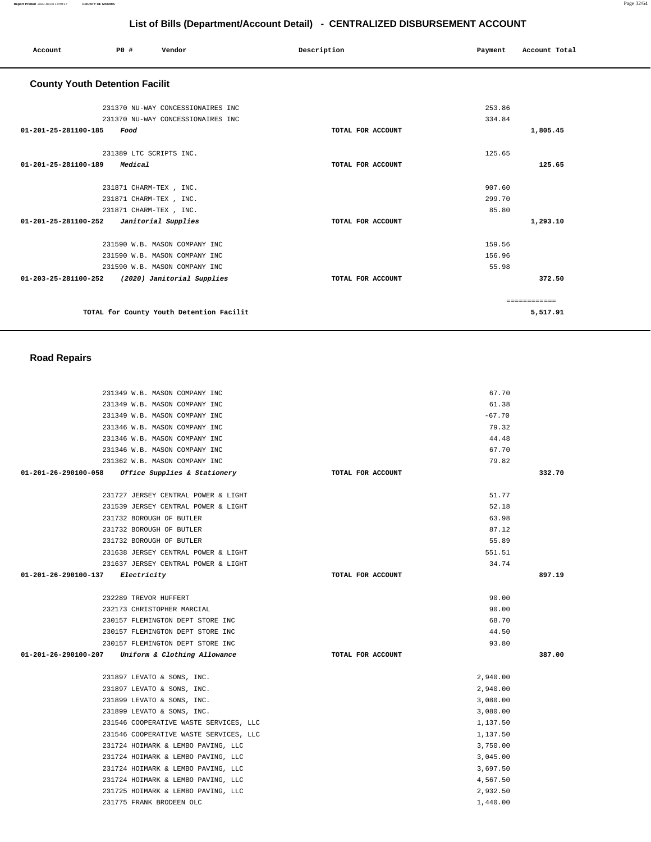============ **5,517.91**

# **List of Bills (Department/Account Detail) - CENTRALIZED DISBURSEMENT ACCOUNT**

|                                       |                         |                                   | List of Bills (Department/Account Detail) - CENTRALIZED DISBURSEMENT ACCOUNT |         |               |
|---------------------------------------|-------------------------|-----------------------------------|------------------------------------------------------------------------------|---------|---------------|
| Account                               | P0 #                    | Vendor                            | Description                                                                  | Payment | Account Total |
| <b>County Youth Detention Facilit</b> |                         |                                   |                                                                              |         |               |
|                                       |                         | 231370 NU-WAY CONCESSIONAIRES INC |                                                                              | 253.86  |               |
|                                       |                         | 231370 NU-WAY CONCESSIONAIRES INC |                                                                              | 334.84  |               |
| 01-201-25-281100-185                  | Food                    |                                   | TOTAL FOR ACCOUNT                                                            |         | 1,805.45      |
|                                       | 231389 LTC SCRIPTS INC. |                                   |                                                                              | 125.65  |               |
| 01-201-25-281100-189                  | Medical                 |                                   | TOTAL FOR ACCOUNT                                                            |         | 125.65        |
|                                       | 231871 CHARM-TEX, INC.  |                                   |                                                                              | 907.60  |               |
|                                       | 231871 CHARM-TEX, INC.  |                                   |                                                                              | 299.70  |               |
|                                       | 231871 CHARM-TEX, INC.  |                                   |                                                                              | 85.80   |               |
| 01-201-25-281100-252                  |                         | Janitorial Supplies               | TOTAL FOR ACCOUNT                                                            |         | 1,293.10      |
|                                       |                         | 231590 W.B. MASON COMPANY INC     |                                                                              | 159.56  |               |
|                                       |                         | 231590 W.B. MASON COMPANY INC     |                                                                              | 156.96  |               |
|                                       |                         | 231590 W.B. MASON COMPANY INC     |                                                                              | 55.98   |               |
| 01-203-25-281100-252                  |                         | (2020) Janitorial Supplies        | TOTAL FOR ACCOUNT                                                            |         | 372.50        |

**TOTAL for County Youth Detention Facilit** 

# **Road Repairs**

| 231349 W.B. MASON COMPANY INC                     |                   | 67.70    |        |
|---------------------------------------------------|-------------------|----------|--------|
| 231349 W.B. MASON COMPANY INC                     |                   | 61.38    |        |
| 231349 W.B. MASON COMPANY INC                     |                   | $-67.70$ |        |
| 231346 W.B. MASON COMPANY INC                     |                   | 79.32    |        |
| 231346 W.B. MASON COMPANY INC                     |                   | 44.48    |        |
| 231346 W.B. MASON COMPANY INC                     |                   | 67.70    |        |
| 231362 W.B. MASON COMPANY INC                     |                   | 79.82    |        |
| 01-201-26-290100-058 Office Supplies & Stationery | TOTAL FOR ACCOUNT |          | 332.70 |
| 231727 JERSEY CENTRAL POWER & LIGHT               |                   | 51.77    |        |
| 231539 JERSEY CENTRAL POWER & LIGHT               |                   | 52.18    |        |
| 231732 BOROUGH OF BUTLER                          |                   | 63.98    |        |
| 231732 BOROUGH OF BUTLER                          |                   | 87.12    |        |
| 231732 BOROUGH OF BUTLER                          |                   | 55.89    |        |
| 231638 JERSEY CENTRAL POWER & LIGHT               |                   | 551.51   |        |
| 231637 JERSEY CENTRAL POWER & LIGHT               |                   | 34.74    |        |
| 01-201-26-290100-137 Electricity                  | TOTAL FOR ACCOUNT |          | 897.19 |
| 232289 TREVOR HUFFERT                             |                   | 90.00    |        |
| 232173 CHRISTOPHER MARCIAL                        |                   | 90.00    |        |
| 230157 FLEMINGTON DEPT STORE INC                  |                   | 68.70    |        |
| 230157 FLEMINGTON DEPT STORE INC                  |                   | 44.50    |        |
| 230157 FLEMINGTON DEPT STORE INC                  |                   | 93.80    |        |
| 01-201-26-290100-207 Uniform & Clothing Allowance | TOTAL FOR ACCOUNT |          | 387.00 |
| 231897 LEVATO & SONS, INC.                        |                   | 2,940.00 |        |
| 231897 LEVATO & SONS, INC.                        |                   | 2,940.00 |        |
| 231899 LEVATO & SONS, INC.                        |                   | 3,080.00 |        |
| 231899 LEVATO & SONS, INC.                        |                   | 3,080.00 |        |
| 231546 COOPERATIVE WASTE SERVICES, LLC            |                   | 1,137.50 |        |
| 231546 COOPERATIVE WASTE SERVICES, LLC            |                   | 1,137.50 |        |
| 231724 HOIMARK & LEMBO PAVING, LLC                |                   | 3,750.00 |        |
| 231724 HOIMARK & LEMBO PAVING, LLC                |                   | 3,045.00 |        |
| 231724 HOIMARK & LEMBO PAVING, LLC                |                   | 3,697.50 |        |
| 231724 HOIMARK & LEMBO PAVING, LLC                |                   | 4,567.50 |        |
| 231725 HOIMARK & LEMBO PAVING, LLC                |                   | 2,932.50 |        |
| 231775 FRANK BRODEEN OLC                          |                   | 1,440.00 |        |
|                                                   |                   |          |        |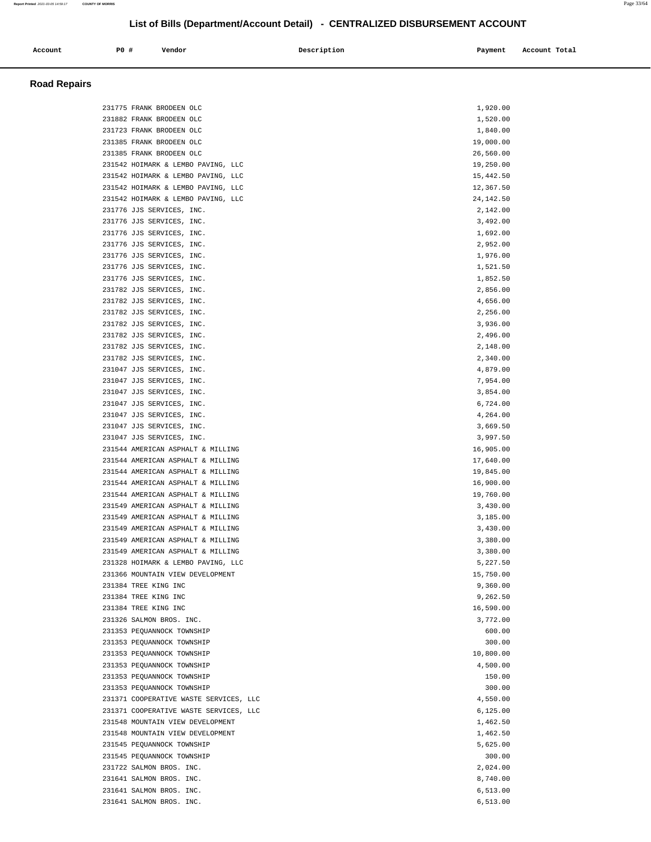| Account | P0 # | Vendor<br>. | Description | Payment | Account Total |
|---------|------|-------------|-------------|---------|---------------|
|         |      |             |             |         |               |

# **Road Repairs**

| 231775 FRANK BRODEEN OLC               | 1,920.00  |
|----------------------------------------|-----------|
|                                        |           |
| 231882 FRANK BRODEEN OLC               | 1,520.00  |
| 231723 FRANK BRODEEN OLC               | 1,840.00  |
| 231385 FRANK BRODEEN OLC               | 19,000.00 |
| 231385 FRANK BRODEEN OLC               | 26,560.00 |
| 231542 HOIMARK & LEMBO PAVING, LLC     | 19,250.00 |
| 231542 HOIMARK & LEMBO PAVING, LLC     | 15,442.50 |
|                                        |           |
| 231542 HOIMARK & LEMBO PAVING, LLC     | 12,367.50 |
| 231542 HOIMARK & LEMBO PAVING, LLC     | 24,142.50 |
| 231776 JJS SERVICES, INC.              | 2,142.00  |
| 231776 JJS SERVICES, INC.              | 3,492.00  |
| 231776 JJS SERVICES, INC.              | 1,692.00  |
| 231776 JJS SERVICES, INC.              | 2,952.00  |
|                                        |           |
| 231776 JJS SERVICES, INC.              | 1,976.00  |
| 231776 JJS SERVICES, INC.              | 1,521.50  |
| 231776 JJS SERVICES, INC.              | 1,852.50  |
| 231782 JJS SERVICES, INC.              | 2,856.00  |
| 231782 JJS SERVICES, INC.              | 4,656.00  |
| 231782 JJS SERVICES, INC.              | 2,256.00  |
| 231782 JJS SERVICES, INC.              | 3,936.00  |
|                                        |           |
| 231782 JJS SERVICES, INC.              | 2,496.00  |
| 231782 JJS SERVICES, INC.              | 2,148.00  |
| 231782 JJS SERVICES, INC.              | 2,340.00  |
| 231047 JJS SERVICES, INC.              | 4,879.00  |
| 231047 JJS SERVICES, INC.              | 7,954.00  |
| 231047 JJS SERVICES, INC.              | 3,854.00  |
|                                        |           |
| 231047 JJS SERVICES, INC.              | 6,724.00  |
| 231047 JJS SERVICES, INC.              | 4,264.00  |
| 231047 JJS SERVICES, INC.              | 3,669.50  |
| 231047 JJS SERVICES, INC.              | 3,997.50  |
| 231544 AMERICAN ASPHALT & MILLING      | 16,905.00 |
| 231544 AMERICAN ASPHALT & MILLING      | 17,640.00 |
| 231544 AMERICAN ASPHALT & MILLING      | 19,845.00 |
|                                        |           |
| 231544 AMERICAN ASPHALT & MILLING      | 16,900.00 |
| 231544 AMERICAN ASPHALT & MILLING      | 19,760.00 |
| 231549 AMERICAN ASPHALT & MILLING      | 3,430.00  |
| 231549 AMERICAN ASPHALT & MILLING      | 3,185.00  |
| 231549 AMERICAN ASPHALT & MILLING      | 3,430.00  |
| 231549 AMERICAN ASPHALT & MILLING      | 3,380.00  |
| 231549 AMERICAN ASPHALT & MILLING      | 3,380.00  |
|                                        |           |
| 231328 HOIMARK & LEMBO PAVING, LLC     | 5,227.50  |
| 231366 MOUNTAIN VIEW DEVELOPMENT       | 15,750.00 |
| 231384 TREE KING INC                   | 9,360.00  |
| 231384 TREE KING INC                   | 9,262.50  |
| 231384 TREE KING INC                   | 16,590.00 |
| 231326 SALMON BROS. INC.               | 3,772.00  |
| 231353 PEQUANNOCK TOWNSHIP             | 600.00    |
|                                        |           |
| 231353 PEQUANNOCK TOWNSHIP             | 300.00    |
| 231353 PEQUANNOCK TOWNSHIP             | 10,800.00 |
| 231353 PEQUANNOCK TOWNSHIP             | 4,500.00  |
| 231353 PEQUANNOCK TOWNSHIP             | 150.00    |
| 231353 PEOUANNOCK TOWNSHIP             | 300.00    |
| 231371 COOPERATIVE WASTE SERVICES, LLC | 4,550.00  |
|                                        | 6, 125.00 |
| 231371 COOPERATIVE WASTE SERVICES, LLC |           |
| 231548 MOUNTAIN VIEW DEVELOPMENT       | 1,462.50  |
| 231548 MOUNTAIN VIEW DEVELOPMENT       | 1,462.50  |
| 231545 PEQUANNOCK TOWNSHIP             | 5,625.00  |
| 231545 PEQUANNOCK TOWNSHIP             | 300.00    |
| 231722 SALMON BROS. INC.               | 2,024.00  |
| 231641 SALMON BROS. INC.               | 8,740.00  |
|                                        |           |
| 231641 SALMON BROS. INC.               | 6, 513.00 |
| 231641 SALMON BROS. INC.               | 6,513.00  |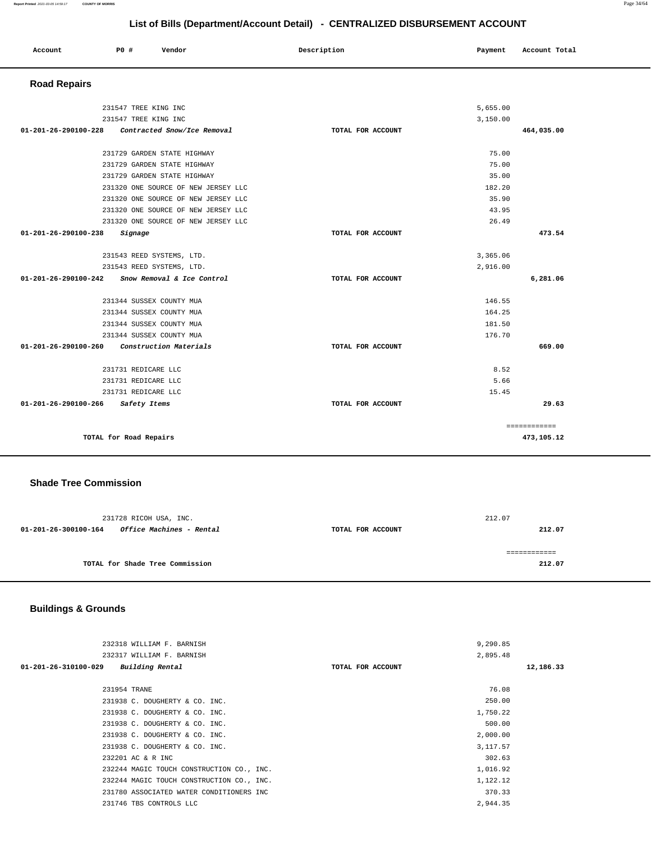| Account | P <sub>0</sub> | Vendor | Description | Payment | Account Total |
|---------|----------------|--------|-------------|---------|---------------|
|         |                |        |             |         |               |

 **Road Repairs** 

| 231547 TREE KING INC                                         |                   | 5,655.00                   |       |
|--------------------------------------------------------------|-------------------|----------------------------|-------|
| 231547 TREE KING INC                                         |                   | 3,150.00                   |       |
| 01-201-26-290100-228 Contracted Snow/Ice Removal             | TOTAL FOR ACCOUNT | 464,035.00                 |       |
| 231729 GARDEN STATE HIGHWAY                                  |                   | 75.00                      |       |
| 231729 GARDEN STATE HIGHWAY                                  |                   | 75.00                      |       |
| 231729 GARDEN STATE HIGHWAY                                  |                   | 35.00                      |       |
| 231320 ONE SOURCE OF NEW JERSEY LLC                          |                   | 182.20                     |       |
| 231320 ONE SOURCE OF NEW JERSEY LLC                          |                   | 35.90                      |       |
| 231320 ONE SOURCE OF NEW JERSEY LLC                          |                   | 43.95                      |       |
| 231320 ONE SOURCE OF NEW JERSEY LLC                          |                   | 26.49                      |       |
| $01 - 201 - 26 - 290100 - 238$<br>Signage                    | TOTAL FOR ACCOUNT | 473.54                     |       |
|                                                              |                   |                            |       |
| 231543 REED SYSTEMS, LTD.                                    |                   | 3,365.06                   |       |
| 231543 REED SYSTEMS, LTD.                                    |                   | 2,916.00                   |       |
|                                                              |                   |                            |       |
| $01 - 201 - 26 - 290100 - 242$<br>Snow Removal & Ice Control | TOTAL FOR ACCOUNT | 6,281.06                   |       |
|                                                              |                   | 146.55                     |       |
| 231344 SUSSEX COUNTY MUA                                     |                   | 164.25                     |       |
| 231344 SUSSEX COUNTY MUA<br>231344 SUSSEX COUNTY MUA         |                   | 181.50                     |       |
| 231344 SUSSEX COUNTY MUA                                     |                   | 176.70                     |       |
| Construction Materials<br>01-201-26-290100-260               | TOTAL FOR ACCOUNT | 669.00                     |       |
|                                                              |                   |                            |       |
| 231731 REDICARE LLC<br>231731 REDICARE LLC                   |                   | 8.52<br>5.66               |       |
| 231731 REDICARE LLC                                          |                   | 15.45                      |       |
| 01-201-26-290100-266 Safety Items                            | TOTAL FOR ACCOUNT |                            | 29.63 |
|                                                              |                   |                            |       |
| TOTAL for Road Repairs                                       |                   | ============<br>473,105.12 |       |

## **Shade Tree Commission**

| 212.07<br>TOTAL FOR ACCOUNT |
|-----------------------------|
| 212.07                      |
|                             |

# **Buildings & Grounds**

| 232318 WILLIAM F. BARNISH                 |                   | 9,290.85  |           |
|-------------------------------------------|-------------------|-----------|-----------|
| 232317 WILLIAM F. BARNISH                 |                   | 2,895.48  |           |
| Building Rental<br>01-201-26-310100-029   | TOTAL FOR ACCOUNT |           | 12,186.33 |
|                                           |                   |           |           |
| 231954 TRANE                              |                   | 76.08     |           |
| 231938 C. DOUGHERTY & CO. INC.            |                   | 250.00    |           |
| 231938 C. DOUGHERTY & CO. INC.            |                   | 1,750.22  |           |
| 231938 C. DOUGHERTY & CO. INC.            |                   | 500.00    |           |
| 231938 C. DOUGHERTY & CO. INC.            |                   | 2,000.00  |           |
| 231938 C. DOUGHERTY & CO. INC.            |                   | 3, 117.57 |           |
| 232201 AC & R INC                         |                   | 302.63    |           |
| 232244 MAGIC TOUCH CONSTRUCTION CO., INC. |                   | 1,016.92  |           |
| 232244 MAGIC TOUCH CONSTRUCTION CO., INC. |                   | 1,122.12  |           |
| 231780 ASSOCIATED WATER CONDITIONERS INC  |                   | 370.33    |           |
| 231746 TBS CONTROLS LLC                   |                   | 2,944.35  |           |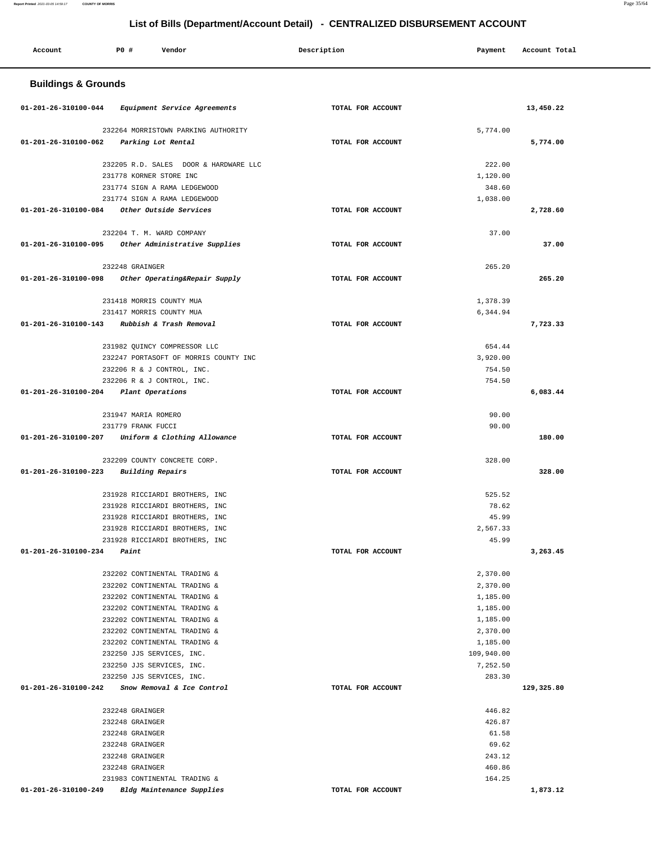#### **Report Printed** 2021-03-05 14:59:17 **COUNTY OF MORRIS** Page 35/64

-

# **List of Bills (Department/Account Detail) - CENTRALIZED DISBURSEMENT ACCOUNT**

| Account                        | <b>PO #</b>                                                                                                    | Vendor                                                                                                                                                                                                                       | Description       | Payment                                                                                                              | Account Total |
|--------------------------------|----------------------------------------------------------------------------------------------------------------|------------------------------------------------------------------------------------------------------------------------------------------------------------------------------------------------------------------------------|-------------------|----------------------------------------------------------------------------------------------------------------------|---------------|
| <b>Buildings &amp; Grounds</b> |                                                                                                                |                                                                                                                                                                                                                              |                   |                                                                                                                      |               |
| 01-201-26-310100-044           |                                                                                                                | Equipment Service Agreements                                                                                                                                                                                                 | TOTAL FOR ACCOUNT |                                                                                                                      | 13,450.22     |
| 01-201-26-310100-062           | Parking Lot Rental                                                                                             | 232264 MORRISTOWN PARKING AUTHORITY                                                                                                                                                                                          | TOTAL FOR ACCOUNT | 5,774.00                                                                                                             | 5,774.00      |
|                                | 231778 KORNER STORE INC                                                                                        | 232205 R.D. SALES DOOR & HARDWARE LLC<br>231774 SIGN A RAMA LEDGEWOOD                                                                                                                                                        |                   | 222.00<br>1,120.00<br>348.60                                                                                         |               |
| 01-201-26-310100-084           |                                                                                                                | 231774 SIGN A RAMA LEDGEWOOD<br>Other Outside Services                                                                                                                                                                       | TOTAL FOR ACCOUNT | 1,038.00                                                                                                             | 2,728.60      |
| 01-201-26-310100-095           | 232204 T. M. WARD COMPANY                                                                                      | Other Administrative Supplies                                                                                                                                                                                                | TOTAL FOR ACCOUNT | 37.00                                                                                                                | 37.00         |
| 01-201-26-310100-098           | 232248 GRAINGER                                                                                                | Other Operating&Repair Supply                                                                                                                                                                                                | TOTAL FOR ACCOUNT | 265.20                                                                                                               | 265.20        |
|                                | 231418 MORRIS COUNTY MUA<br>231417 MORRIS COUNTY MUA                                                           |                                                                                                                                                                                                                              |                   | 1,378.39<br>6,344.94                                                                                                 |               |
| 01-201-26-310100-143           |                                                                                                                | Rubbish & Trash Removal                                                                                                                                                                                                      | TOTAL FOR ACCOUNT |                                                                                                                      | 7,723.33      |
|                                | 232206 R & J CONTROL, INC.<br>232206 R & J CONTROL, INC.                                                       | 231982 QUINCY COMPRESSOR LLC<br>232247 PORTASOFT OF MORRIS COUNTY INC                                                                                                                                                        |                   | 654.44<br>3,920.00<br>754.50<br>754.50                                                                               |               |
| 01-201-26-310100-204           | Plant Operations                                                                                               |                                                                                                                                                                                                                              | TOTAL FOR ACCOUNT |                                                                                                                      | 6,083.44      |
| 01-201-26-310100-207           | 231947 MARIA ROMERO<br>231779 FRANK FUCCI                                                                      | Uniform & Clothing Allowance                                                                                                                                                                                                 | TOTAL FOR ACCOUNT | 90.00<br>90.00                                                                                                       | 180.00        |
| 01-201-26-310100-223           | <b>Building Repairs</b>                                                                                        | 232209 COUNTY CONCRETE CORP.                                                                                                                                                                                                 | TOTAL FOR ACCOUNT | 328.00                                                                                                               | 328.00        |
|                                |                                                                                                                | 231928 RICCIARDI BROTHERS, INC<br>231928 RICCIARDI BROTHERS, INC<br>231928 RICCIARDI BROTHERS, INC<br>231928 RICCIARDI BROTHERS, INC<br>231928 RICCIARDI BROTHERS, INC                                                       |                   | 525.52<br>78.62<br>45.99<br>2,567.33<br>45.99                                                                        |               |
| 01-201-26-310100-234           | Paint                                                                                                          |                                                                                                                                                                                                                              | TOTAL FOR ACCOUNT |                                                                                                                      | 3,263.45      |
|                                | 232250 JJS SERVICES, INC.<br>232250 JJS SERVICES, INC.<br>232250 JJS SERVICES, INC.                            | 232202 CONTINENTAL TRADING &<br>232202 CONTINENTAL TRADING &<br>232202 CONTINENTAL TRADING &<br>232202 CONTINENTAL TRADING &<br>232202 CONTINENTAL TRADING &<br>232202 CONTINENTAL TRADING &<br>232202 CONTINENTAL TRADING & |                   | 2,370.00<br>2,370.00<br>1,185.00<br>1,185.00<br>1,185.00<br>2,370.00<br>1,185.00<br>109,940.00<br>7,252.50<br>283.30 |               |
| 01-201-26-310100-242           |                                                                                                                | Snow Removal & Ice Control                                                                                                                                                                                                   | TOTAL FOR ACCOUNT |                                                                                                                      | 129,325.80    |
| 01-201-26-310100-249           | 232248 GRAINGER<br>232248 GRAINGER<br>232248 GRAINGER<br>232248 GRAINGER<br>232248 GRAINGER<br>232248 GRAINGER | 231983 CONTINENTAL TRADING &<br>Bldg Maintenance Supplies                                                                                                                                                                    | TOTAL FOR ACCOUNT | 446.82<br>426.87<br>61.58<br>69.62<br>243.12<br>460.86<br>164.25                                                     | 1,873.12      |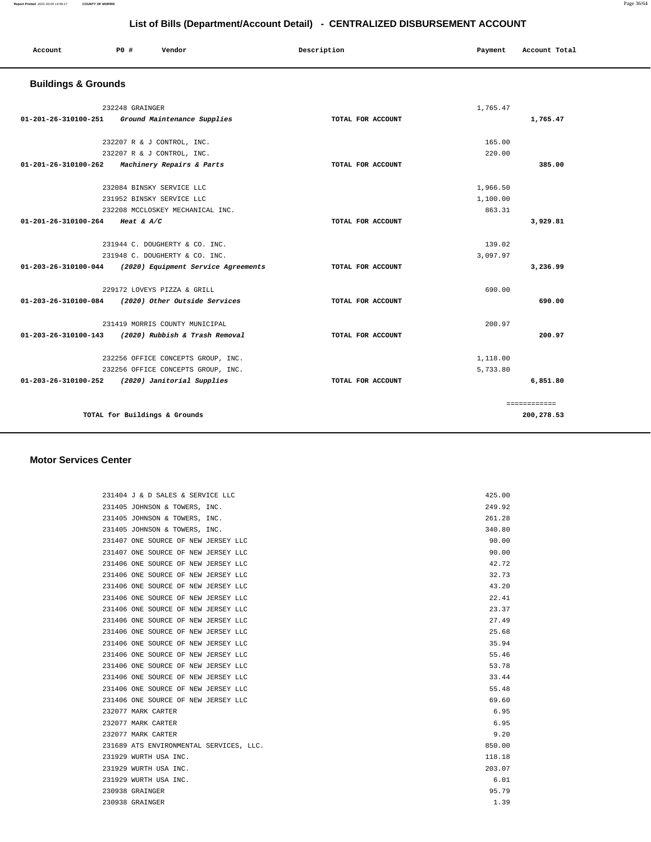| Account | PO# | Vendor | Description | Payment | Account Total |
|---------|-----|--------|-------------|---------|---------------|
|         |     |        |             |         |               |

# **Buildings & Grounds**

| 232248 GRAINGER                                          |                   | 1,765.47 |              |
|----------------------------------------------------------|-------------------|----------|--------------|
| 01-201-26-310100-251 Ground Maintenance Supplies         | TOTAL FOR ACCOUNT |          | 1,765.47     |
|                                                          |                   |          |              |
| 232207 R & J CONTROL, INC.                               |                   | 165.00   |              |
| 232207 R & J CONTROL, INC.                               |                   | 220.00   |              |
| 01-201-26-310100-262<br>Machinery Repairs & Parts        | TOTAL FOR ACCOUNT |          | 385.00       |
| 232084 BINSKY SERVICE LLC                                |                   | 1,966.50 |              |
| 231952 BINSKY SERVICE LLC                                |                   | 1,100.00 |              |
| 232208 MCCLOSKEY MECHANICAL INC.                         |                   | 863.31   |              |
| 01-201-26-310100-264 Heat & A/C                          | TOTAL FOR ACCOUNT |          | 3,929.81     |
| 231944 C. DOUGHERTY & CO. INC.                           |                   | 139.02   |              |
| 231948 C. DOUGHERTY & CO. INC.                           |                   | 3,097.97 |              |
| 01-203-26-310100-044 (2020) Equipment Service Agreements | TOTAL FOR ACCOUNT |          | 3,236.99     |
|                                                          |                   |          |              |
| 229172 LOVEYS PIZZA & GRILL                              |                   | 690.00   |              |
| 01-203-26-310100-084 (2020) Other Outside Services       | TOTAL FOR ACCOUNT |          | 690.00       |
| 231419 MORRIS COUNTY MUNICIPAL                           |                   | 200.97   |              |
| 01-203-26-310100-143 (2020) Rubbish & Trash Removal      | TOTAL FOR ACCOUNT |          | 200.97       |
| 232256 OFFICE CONCEPTS GROUP, INC.                       |                   | 1,118.00 |              |
| 232256 OFFICE CONCEPTS GROUP, INC.                       |                   | 5,733.80 |              |
| 01-203-26-310100-252 (2020) Janitorial Supplies          | TOTAL FOR ACCOUNT |          | 6,851.80     |
|                                                          |                   |          |              |
|                                                          |                   |          | ============ |
| TOTAL for Buildings & Grounds                            |                   |          | 200,278.53   |
|                                                          |                   |          |              |

### **Motor Services Center**

| 231404 J & D SALES & SERVICE LLC        | 425.00 |
|-----------------------------------------|--------|
| 231405 JOHNSON & TOWERS, INC.           | 249.92 |
| 231405 JOHNSON & TOWERS, INC.           | 261.28 |
| 231405 JOHNSON & TOWERS, INC.           | 340.80 |
| 231407 ONE SOURCE OF NEW JERSEY LLC     | 90.00  |
| 231407 ONE SOURCE OF NEW JERSEY LLC     | 90.00  |
| 231406 ONE SOURCE OF NEW JERSEY LLC     | 42.72  |
| 231406 ONE SOURCE OF NEW JERSEY LLC     | 32.73  |
| 231406 ONE SOURCE OF NEW JERSEY LLC     | 43.20  |
| 231406 ONE SOURCE OF NEW JERSEY LLC     | 22.41  |
| 231406 ONE SOURCE OF NEW JERSEY LLC     | 23.37  |
| 231406 ONE SOURCE OF NEW JERSEY LLC     | 27.49  |
| 231406 ONE SOURCE OF NEW JERSEY LLC     | 25.68  |
| 231406 ONE SOURCE OF NEW JERSEY LLC     | 35.94  |
| 231406 ONE SOURCE OF NEW JERSEY LLC     | 55.46  |
| 231406 ONE SOURCE OF NEW JERSEY LLC     | 53.78  |
| 231406 ONE SOURCE OF NEW JERSEY LLC     | 33.44  |
| 231406 ONE SOURCE OF NEW JERSEY LLC     | 55.48  |
| 231406 ONE SOURCE OF NEW JERSEY LLC     | 69.60  |
| 232077 MARK CARTER                      | 6.95   |
| 232077 MARK CARTER                      | 6.95   |
| 232077 MARK CARTER                      | 9.20   |
| 231689 ATS ENVIRONMENTAL SERVICES, LLC. | 850.00 |
| 231929 WURTH USA INC.                   | 118.18 |
| 231929 WURTH USA INC.                   | 203.07 |
| 231929 WURTH USA INC.                   | 6.01   |
| 230938 GRAINGER                         | 95.79  |
| 230938 GRAINGER                         | 1.39   |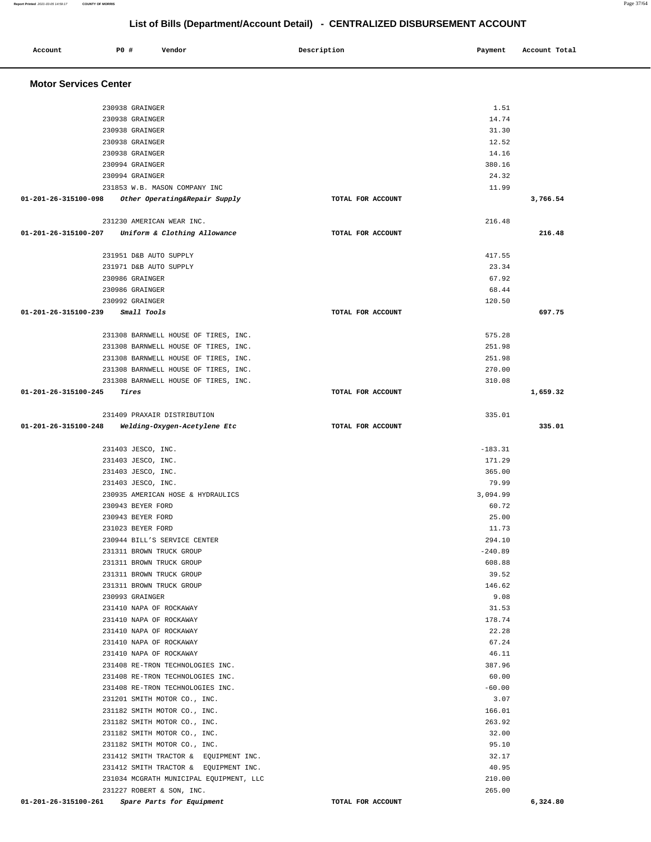| Account                      | <b>PO #</b>                              | Vendor                                                               | Description       | Payment          | Account Total |
|------------------------------|------------------------------------------|----------------------------------------------------------------------|-------------------|------------------|---------------|
| <b>Motor Services Center</b> |                                          |                                                                      |                   |                  |               |
|                              |                                          |                                                                      |                   |                  |               |
|                              | 230938 GRAINGER                          |                                                                      |                   | 1.51             |               |
|                              | 230938 GRAINGER                          |                                                                      |                   | 14.74            |               |
|                              | 230938 GRAINGER                          |                                                                      |                   | 31.30            |               |
|                              | 230938 GRAINGER                          |                                                                      |                   | 12.52            |               |
|                              | 230938 GRAINGER                          |                                                                      |                   | 14.16            |               |
|                              | 230994 GRAINGER<br>230994 GRAINGER       |                                                                      |                   | 380.16<br>24.32  |               |
|                              |                                          | 231853 W.B. MASON COMPANY INC                                        |                   | 11.99            |               |
| 01-201-26-315100-098         |                                          | Other Operating&Repair Supply                                        | TOTAL FOR ACCOUNT |                  | 3,766.54      |
|                              |                                          | 231230 AMERICAN WEAR INC.                                            |                   | 216.48           |               |
| 01-201-26-315100-207         |                                          | Uniform & Clothing Allowance                                         | TOTAL FOR ACCOUNT |                  | 216.48        |
|                              |                                          |                                                                      |                   |                  |               |
|                              |                                          | 231951 D&B AUTO SUPPLY                                               |                   | 417.55           |               |
|                              | 230986 GRAINGER                          | 231971 D&B AUTO SUPPLY                                               |                   | 23.34<br>67.92   |               |
|                              | 230986 GRAINGER                          |                                                                      |                   | 68.44            |               |
|                              | 230992 GRAINGER                          |                                                                      |                   | 120.50           |               |
| 01-201-26-315100-239         | Small Tools                              |                                                                      | TOTAL FOR ACCOUNT |                  | 697.75        |
|                              |                                          |                                                                      |                   |                  |               |
|                              |                                          | 231308 BARNWELL HOUSE OF TIRES, INC.                                 |                   | 575.28           |               |
|                              |                                          | 231308 BARNWELL HOUSE OF TIRES, INC.                                 |                   | 251.98           |               |
|                              |                                          | 231308 BARNWELL HOUSE OF TIRES, INC.                                 |                   | 251.98           |               |
|                              |                                          | 231308 BARNWELL HOUSE OF TIRES, INC.                                 |                   | 270.00           |               |
|                              |                                          | 231308 BARNWELL HOUSE OF TIRES, INC.                                 |                   | 310.08           |               |
| 01-201-26-315100-245         | Tires                                    |                                                                      | TOTAL FOR ACCOUNT |                  | 1,659.32      |
|                              |                                          | 231409 PRAXAIR DISTRIBUTION                                          |                   | 335.01           |               |
| 01-201-26-315100-248         |                                          | Welding-Oxygen-Acetylene Etc                                         | TOTAL FOR ACCOUNT |                  | 335.01        |
|                              |                                          |                                                                      |                   |                  |               |
|                              | 231403 JESCO, INC.                       |                                                                      |                   | $-183.31$        |               |
|                              | 231403 JESCO, INC.<br>231403 JESCO, INC. |                                                                      |                   | 171.29<br>365.00 |               |
|                              | 231403 JESCO, INC.                       |                                                                      |                   | 79.99            |               |
|                              |                                          | 230935 AMERICAN HOSE & HYDRAULICS                                    |                   | 3,094.99         |               |
|                              | 230943 BEYER FORD                        |                                                                      |                   | 60.72            |               |
|                              | 230943 BEYER FORD                        |                                                                      |                   | 25.00            |               |
|                              | 231023 BEYER FORD                        |                                                                      |                   | 11.73            |               |
|                              |                                          | 230944 BILL'S SERVICE CENTER                                         |                   | 294.10           |               |
|                              |                                          | 231311 BROWN TRUCK GROUP                                             |                   | $-240.89$        |               |
|                              |                                          | 231311 BROWN TRUCK GROUP                                             |                   | 608.88           |               |
|                              |                                          | 231311 BROWN TRUCK GROUP                                             |                   | 39.52            |               |
|                              |                                          | 231311 BROWN TRUCK GROUP                                             |                   | 146.62           |               |
|                              | 230993 GRAINGER                          |                                                                      |                   | 9.08             |               |
|                              |                                          | 231410 NAPA OF ROCKAWAY<br>231410 NAPA OF ROCKAWAY                   |                   | 31.53<br>178.74  |               |
|                              |                                          | 231410 NAPA OF ROCKAWAY                                              |                   | 22.28            |               |
|                              |                                          | 231410 NAPA OF ROCKAWAY                                              |                   | 67.24            |               |
|                              |                                          | 231410 NAPA OF ROCKAWAY                                              |                   | 46.11            |               |
|                              |                                          | 231408 RE-TRON TECHNOLOGIES INC.                                     |                   | 387.96           |               |
|                              |                                          | 231408 RE-TRON TECHNOLOGIES INC.                                     |                   | 60.00            |               |
|                              |                                          | 231408 RE-TRON TECHNOLOGIES INC.                                     |                   | $-60.00$         |               |
|                              |                                          | 231201 SMITH MOTOR CO., INC.                                         |                   | 3.07             |               |
|                              |                                          | 231182 SMITH MOTOR CO., INC.                                         |                   | 166.01           |               |
|                              |                                          | 231182 SMITH MOTOR CO., INC.                                         |                   | 263.92           |               |
|                              |                                          | 231182 SMITH MOTOR CO., INC.                                         |                   | 32.00            |               |
|                              |                                          | 231182 SMITH MOTOR CO., INC.                                         |                   | 95.10            |               |
|                              |                                          | 231412 SMITH TRACTOR & EQUIPMENT INC.                                |                   | 32.17            |               |
|                              |                                          | 231412 SMITH TRACTOR & EQUIPMENT INC.                                |                   | 40.95            |               |
|                              |                                          | 231034 MCGRATH MUNICIPAL EQUIPMENT, LLC<br>231227 ROBERT & SON, INC. |                   | 210.00<br>265.00 |               |
| 01-201-26-315100-261         |                                          | Spare Parts for Equipment                                            | TOTAL FOR ACCOUNT |                  | 6,324.80      |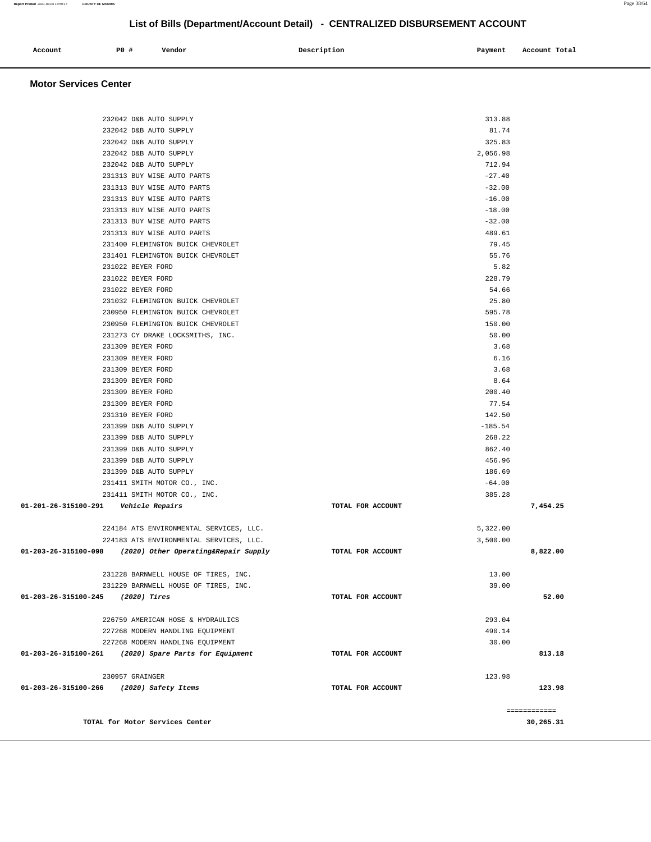|                                         | TOTAL for Motor Services Center                                        |                   |                | ============<br>30,265.31 |
|-----------------------------------------|------------------------------------------------------------------------|-------------------|----------------|---------------------------|
|                                         |                                                                        |                   |                |                           |
| 01-203-26-315100-266                    | (2020) Safety Items                                                    | TOTAL FOR ACCOUNT |                | 123.98                    |
|                                         | 230957 GRAINGER                                                        |                   | 123.98         |                           |
| 01-203-26-315100-261                    | (2020) Spare Parts for Equipment                                       | TOTAL FOR ACCOUNT |                | 813.18                    |
|                                         | 227268 MODERN HANDLING EQUIPMENT                                       |                   | 30.00          |                           |
|                                         | 227268 MODERN HANDLING EQUIPMENT                                       |                   | 490.14         |                           |
|                                         | 226759 AMERICAN HOSE & HYDRAULICS                                      |                   | 293.04         |                           |
|                                         |                                                                        |                   |                |                           |
| 01-203-26-315100-245                    | (2020) Tires                                                           | TOTAL FOR ACCOUNT |                | 52.00                     |
|                                         | 231229 BARNWELL HOUSE OF TIRES, INC.                                   |                   | 39.00          |                           |
|                                         | 231228 BARNWELL HOUSE OF TIRES, INC.                                   |                   | 13.00          |                           |
|                                         |                                                                        |                   |                |                           |
|                                         | 01-203-26-315100-098 (2020) Other Operating&Repair Supply              | TOTAL FOR ACCOUNT |                | 8,822.00                  |
|                                         | 224183 ATS ENVIRONMENTAL SERVICES, LLC.                                |                   | 3,500.00       |                           |
|                                         | 224184 ATS ENVIRONMENTAL SERVICES, LLC.                                |                   | 5,322.00       |                           |
|                                         |                                                                        |                   |                |                           |
| 01-201-26-315100-291    Vehicle Repairs |                                                                        | TOTAL FOR ACCOUNT |                | 7,454.25                  |
|                                         | 231411 SMITH MOTOR CO., INC.                                           |                   | 385.28         |                           |
|                                         | 231411 SMITH MOTOR CO., INC.                                           |                   | $-64.00$       |                           |
|                                         | 231399 D&B AUTO SUPPLY                                                 |                   | 186.69         |                           |
|                                         | 231399 D&B AUTO SUPPLY                                                 |                   | 456.96         |                           |
|                                         | 231399 D&B AUTO SUPPLY                                                 |                   | 862.40         |                           |
|                                         | 231399 D&B AUTO SUPPLY                                                 |                   | 268.22         |                           |
|                                         | 231399 D&B AUTO SUPPLY                                                 |                   | $-185.54$      |                           |
|                                         | 231310 BEYER FORD                                                      |                   | 142.50         |                           |
|                                         | 231309 BEYER FORD                                                      |                   | 77.54          |                           |
|                                         | 231309 BEYER FORD                                                      |                   | 200.40         |                           |
|                                         | 231309 BEYER FORD                                                      |                   | 8.64           |                           |
|                                         | 231309 BEYER FORD                                                      |                   | 3.68           |                           |
|                                         | 231309 BEYER FORD                                                      |                   | 6.16           |                           |
|                                         | 231309 BEYER FORD                                                      |                   | 3.68           |                           |
|                                         | 231273 CY DRAKE LOCKSMITHS, INC.                                       |                   | 50.00          |                           |
|                                         | 230950 FLEMINGTON BUICK CHEVROLET                                      |                   | 150.00         |                           |
|                                         | 231032 FLEMINGTON BUICK CHEVROLET<br>230950 FLEMINGTON BUICK CHEVROLET |                   | 595.78         |                           |
|                                         | 231022 BEYER FORD                                                      |                   | 54.66<br>25.80 |                           |
|                                         | 231022 BEYER FORD                                                      |                   | 228.79         |                           |
|                                         | 231022 BEYER FORD                                                      |                   | 5.82           |                           |
|                                         | 231401 FLEMINGTON BUICK CHEVROLET                                      |                   | 55.76          |                           |
|                                         | 231400 FLEMINGTON BUICK CHEVROLET                                      |                   | 79.45          |                           |
|                                         | 231313 BUY WISE AUTO PARTS                                             |                   | 489.61         |                           |
|                                         | 231313 BUY WISE AUTO PARTS                                             |                   | $-32.00$       |                           |
|                                         | 231313 BUY WISE AUTO PARTS                                             |                   | $-18.00$       |                           |
|                                         | 231313 BUY WISE AUTO PARTS                                             |                   | $-16.00$       |                           |
|                                         | 231313 BUY WISE AUTO PARTS                                             |                   | $-32.00$       |                           |
|                                         | 231313 BUY WISE AUTO PARTS                                             |                   | $-27.40$       |                           |
|                                         | 232042 D&B AUTO SUPPLY                                                 |                   | 712.94         |                           |
|                                         | 232042 D&B AUTO SUPPLY                                                 |                   | 2,056.98       |                           |
|                                         | 232042 D&B AUTO SUPPLY                                                 |                   | 325.83         |                           |
|                                         | 232042 D&B AUTO SUPPLY                                                 |                   | 81.74          |                           |
|                                         | 232042 D&B AUTO SUPPLY                                                 |                   | 313.88         |                           |
|                                         |                                                                        |                   |                |                           |

 **Account P0 # Vendor Description Payment Account Total**

 **Motor Services Center**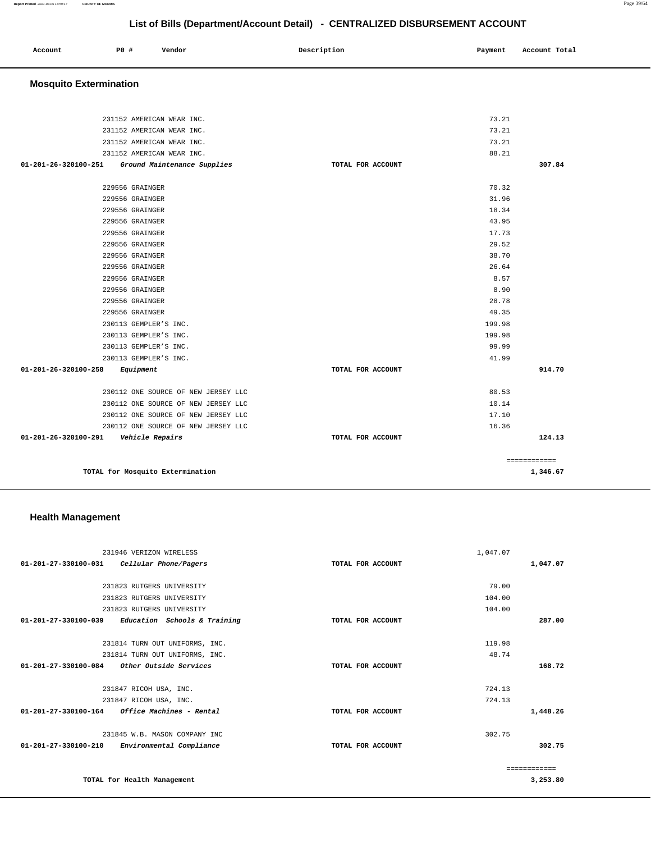| Account | P0 # | Vendor | Description | Payment | Account Total |
|---------|------|--------|-------------|---------|---------------|
|         |      |        |             |         |               |

# **Mosquito Extermination**

| 231152 AMERICAN WEAR INC.                           |                   | 73.21  |              |
|-----------------------------------------------------|-------------------|--------|--------------|
| 231152 AMERICAN WEAR INC.                           |                   | 73.21  |              |
| 231152 AMERICAN WEAR INC.                           |                   | 73.21  |              |
| 231152 AMERICAN WEAR INC.                           |                   | 88.21  |              |
| 01-201-26-320100-251<br>Ground Maintenance Supplies | TOTAL FOR ACCOUNT |        | 307.84       |
|                                                     |                   |        |              |
| 229556 GRAINGER                                     |                   | 70.32  |              |
| 229556 GRAINGER                                     |                   | 31.96  |              |
| 229556 GRAINGER                                     |                   | 18.34  |              |
| 229556 GRAINGER                                     |                   | 43.95  |              |
| 229556 GRAINGER                                     |                   | 17.73  |              |
| 229556 GRAINGER                                     |                   | 29.52  |              |
| 229556 GRAINGER                                     |                   | 38.70  |              |
| 229556 GRAINGER                                     |                   | 26.64  |              |
| 229556 GRAINGER                                     |                   | 8.57   |              |
| 229556 GRAINGER                                     |                   | 8.90   |              |
| 229556 GRAINGER                                     |                   | 28.78  |              |
| 229556 GRAINGER                                     |                   | 49.35  |              |
| 230113 GEMPLER'S INC.                               |                   | 199.98 |              |
| 230113 GEMPLER'S INC.                               |                   | 199.98 |              |
| 230113 GEMPLER'S INC.                               |                   | 99.99  |              |
| 230113 GEMPLER'S INC.                               |                   | 41.99  |              |
| $01 - 201 - 26 - 320100 - 258$<br>Equipment         | TOTAL FOR ACCOUNT |        | 914.70       |
|                                                     |                   |        |              |
| 230112 ONE SOURCE OF NEW JERSEY LLC                 |                   | 80.53  |              |
| 230112 ONE SOURCE OF NEW JERSEY LLC                 |                   | 10.14  |              |
| 230112 ONE SOURCE OF NEW JERSEY LLC                 |                   | 17.10  |              |
| 230112 ONE SOURCE OF NEW JERSEY LLC                 |                   | 16.36  |              |
| 01-201-26-320100-291<br>Vehicle Repairs             | TOTAL FOR ACCOUNT |        | 124.13       |
|                                                     |                   |        | ============ |
| TOTAL for Mosquito Extermination                    |                   |        | 1,346.67     |

# **Health Management**

| 231946 VERIZON WIRELESS                              | 1,047.07          |              |
|------------------------------------------------------|-------------------|--------------|
| 01-201-27-330100-031<br>Cellular Phone/Pagers        | TOTAL FOR ACCOUNT | 1,047.07     |
|                                                      |                   |              |
| 231823 RUTGERS UNIVERSITY                            | 79.00             |              |
| 231823 RUTGERS UNIVERSITY                            | 104.00            |              |
| 231823 RUTGERS UNIVERSITY                            | 104.00            |              |
| Education Schools & Training<br>01-201-27-330100-039 | TOTAL FOR ACCOUNT | 287.00       |
|                                                      |                   |              |
| 231814 TURN OUT UNIFORMS, INC.                       | 119.98            |              |
| 231814 TURN OUT UNIFORMS, INC.                       | 48.74             |              |
| 01-201-27-330100-084<br>Other Outside Services       | TOTAL FOR ACCOUNT | 168.72       |
|                                                      |                   |              |
| 231847 RICOH USA, INC.                               | 724.13            |              |
| 231847 RICOH USA, INC.                               | 724.13            |              |
| Office Machines - Rental<br>01-201-27-330100-164     | TOTAL FOR ACCOUNT | 1,448.26     |
|                                                      |                   |              |
| 231845 W.B. MASON COMPANY INC                        | 302.75            |              |
| 01-201-27-330100-210<br>Environmental Compliance     | TOTAL FOR ACCOUNT | 302.75       |
|                                                      |                   |              |
|                                                      |                   | ------------ |
| TOTAL for Health Management                          |                   | 3,253.80     |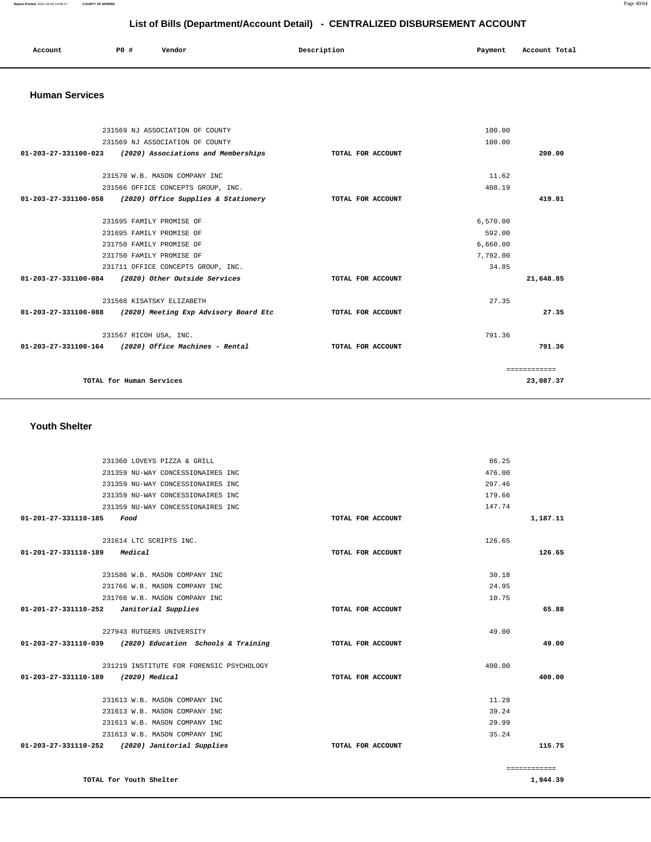#### **Report Printed** 2021-03-05 14:59:17 **COUNTY OF MORRIS** Page 40/64

# **List of Bills (Department/Account Detail) - CENTRALIZED DISBURSEMENT ACCOUNT**

| Account | P <sub>0</sub> | Vendor | Description | Pavment | Account Total |
|---------|----------------|--------|-------------|---------|---------------|
|         |                |        |             |         |               |

#### **Human Services**

| 231569 NJ ASSOCIATION OF COUNTY                                               | 100.00                                                   |                   |          |              |
|-------------------------------------------------------------------------------|----------------------------------------------------------|-------------------|----------|--------------|
|                                                                               | 231569 NJ ASSOCIATION OF COUNTY                          |                   | 100.00   |              |
| 01-203-27-331100-023 (2020) Associations and Memberships<br>TOTAL FOR ACCOUNT |                                                          |                   |          | 200.00       |
|                                                                               |                                                          |                   |          |              |
|                                                                               | 231570 W.B. MASON COMPANY INC                            |                   | 11.62    |              |
|                                                                               | 231566 OFFICE CONCEPTS GROUP, INC.                       |                   | 408.19   |              |
|                                                                               | 01-203-27-331100-058 (2020) Office Supplies & Stationery | TOTAL FOR ACCOUNT |          | 419.81       |
|                                                                               |                                                          |                   |          |              |
|                                                                               | 231695 FAMILY PROMISE OF                                 |                   | 6.570.00 |              |
|                                                                               | 231695 FAMILY PROMISE OF                                 |                   | 592.00   |              |
|                                                                               | 231750 FAMILY PROMISE OF                                 |                   | 6,660.00 |              |
|                                                                               | 231750 FAMILY PROMISE OF                                 |                   | 7,792.00 |              |
|                                                                               | 231711 OFFICE CONCEPTS GROUP, INC.                       |                   | 34.85    |              |
|                                                                               | 01-203-27-331100-084 (2020) Other Outside Services       | TOTAL FOR ACCOUNT |          | 21,648.85    |
|                                                                               | 231568 KISATSKY ELIZABETH                                |                   | 27.35    |              |
| 01-203-27-331100-088                                                          | (2020) Meeting Exp Advisory Board Etc                    | TOTAL FOR ACCOUNT |          | 27.35        |
|                                                                               | 231567 RICOH USA, INC.                                   |                   | 791.36   |              |
|                                                                               | $01-203-27-331100-164$ (2020) Office Machines - Rental   | TOTAL FOR ACCOUNT |          | 791.36       |
|                                                                               |                                                          |                   |          | ============ |
|                                                                               | TOTAL for Human Services                                 |                   |          | 23,087.37    |

### **Youth Shelter**

| 49.00<br>49.00<br>400.00<br>400.00<br>11.28 | TOTAL FOR ACCOUNT<br>TOTAL FOR ACCOUNT | 227943 RUTGERS UNIVERSITY<br>$01 - 203 - 27 - 331110 - 039$ (2020) Education Schools & Training<br>231219 INSTITUTE FOR FORENSIC PSYCHOLOGY<br>01-203-27-331110-189 (2020) Medical<br>231613 W.B. MASON COMPANY INC |
|---------------------------------------------|----------------------------------------|---------------------------------------------------------------------------------------------------------------------------------------------------------------------------------------------------------------------|
|                                             |                                        |                                                                                                                                                                                                                     |
|                                             |                                        |                                                                                                                                                                                                                     |
|                                             |                                        |                                                                                                                                                                                                                     |
|                                             |                                        |                                                                                                                                                                                                                     |
|                                             |                                        |                                                                                                                                                                                                                     |
|                                             |                                        |                                                                                                                                                                                                                     |
| 65.88                                       | TOTAL FOR ACCOUNT                      | 01-201-27-331110-252    Janitorial Supplies                                                                                                                                                                         |
| 10.75                                       |                                        | 231766 W.B. MASON COMPANY INC                                                                                                                                                                                       |
| 24.95                                       |                                        | 231766 W.B. MASON COMPANY INC                                                                                                                                                                                       |
| 30.18                                       |                                        | 231586 W.B. MASON COMPANY INC                                                                                                                                                                                       |
| 126.65                                      | TOTAL FOR ACCOUNT                      | 01-201-27-331110-189 Medical                                                                                                                                                                                        |
| 126.65                                      |                                        | 231614 LTC SCRIPTS INC.                                                                                                                                                                                             |
|                                             |                                        |                                                                                                                                                                                                                     |
| 1,187.11                                    | TOTAL FOR ACCOUNT                      | 231359 NU-WAY CONCESSIONAIRES INC<br>01-201-27-331110-185<br>Food                                                                                                                                                   |
| 147.74                                      |                                        | 231359 NU-WAY CONCESSIONAIRES INC                                                                                                                                                                                   |
| 179.66                                      |                                        | 231359 NU-WAY CONCESSIONAIRES INC                                                                                                                                                                                   |
| 297.46                                      |                                        |                                                                                                                                                                                                                     |
|                                             |                                        |                                                                                                                                                                                                                     |
| 86.25<br>476.00                             |                                        | 231360 LOVEYS PIZZA & GRILL<br>231359 NU-WAY CONCESSIONAIRES INC                                                                                                                                                    |

**TOTAL for Youth Shelter** 

============

**1,944.39**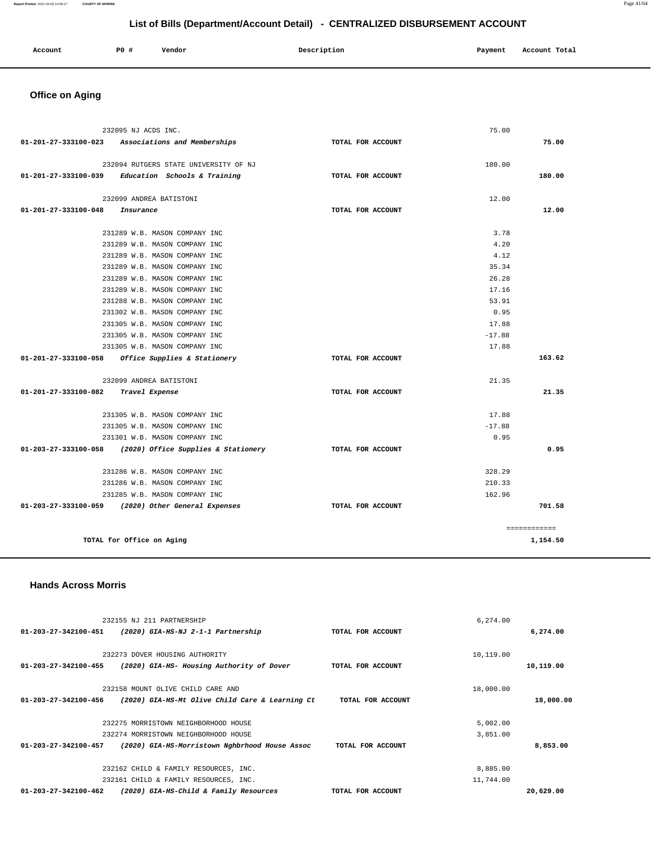| Account | P0 # | Vendor | Description | Payment | Account Total |
|---------|------|--------|-------------|---------|---------------|
|         |      |        |             |         |               |

# **Office on Aging**

| 232095 NJ ACDS INC.                                      |                                       |                   | 75.00    |              |
|----------------------------------------------------------|---------------------------------------|-------------------|----------|--------------|
| 01-201-27-333100-023 Associations and Memberships        |                                       | TOTAL FOR ACCOUNT |          | 75.00        |
|                                                          |                                       |                   |          |              |
|                                                          | 232094 RUTGERS STATE UNIVERSITY OF NJ |                   | 180.00   |              |
| $01-201-27-333100-039$ Education Schools & Training      |                                       | TOTAL FOR ACCOUNT |          | 180.00       |
|                                                          |                                       |                   |          |              |
|                                                          | 232099 ANDREA BATISTONI               |                   | 12.00    |              |
| $01 - 201 - 27 - 333100 - 048$<br>Insurance              |                                       | TOTAL FOR ACCOUNT |          | 12.00        |
|                                                          | 231289 W.B. MASON COMPANY INC         |                   | 3.78     |              |
|                                                          | 231289 W.B. MASON COMPANY INC         |                   | 4.20     |              |
|                                                          | 231289 W.B. MASON COMPANY INC         |                   | 4.12     |              |
|                                                          | 231289 W.B. MASON COMPANY INC         |                   | 35.34    |              |
|                                                          | 231289 W.B. MASON COMPANY INC         |                   | 26.28    |              |
|                                                          | 231289 W.B. MASON COMPANY INC         |                   | 17.16    |              |
|                                                          | 231288 W.B. MASON COMPANY INC         |                   | 53.91    |              |
|                                                          | 231302 W.B. MASON COMPANY INC         |                   | 0.95     |              |
|                                                          | 231305 W.B. MASON COMPANY INC         |                   | 17.88    |              |
|                                                          | 231305 W.B. MASON COMPANY INC         |                   | $-17.88$ |              |
|                                                          | 231305 W.B. MASON COMPANY INC         |                   | 17.88    |              |
| 01-201-27-333100-058 Office Supplies & Stationery        |                                       | TOTAL FOR ACCOUNT |          | 163.62       |
|                                                          |                                       |                   |          |              |
|                                                          | 232099 ANDREA BATISTONI               |                   | 21.35    |              |
| 01-201-27-333100-082                                     | Travel Expense                        | TOTAL FOR ACCOUNT |          | 21.35        |
|                                                          | 231305 W.B. MASON COMPANY INC         |                   | 17.88    |              |
|                                                          | 231305 W.B. MASON COMPANY INC         |                   | $-17.88$ |              |
|                                                          | 231301 W.B. MASON COMPANY INC         |                   | 0.95     |              |
| 01-203-27-333100-058 (2020) Office Supplies & Stationery |                                       | TOTAL FOR ACCOUNT |          | 0.95         |
|                                                          |                                       |                   |          |              |
|                                                          | 231286 W.B. MASON COMPANY INC         |                   | 328.29   |              |
|                                                          | 231286 W.B. MASON COMPANY INC         |                   | 210.33   |              |
|                                                          | 231285 W.B. MASON COMPANY INC         |                   | 162.96   |              |
| 01-203-27-333100-059 (2020) Other General Expenses       |                                       | TOTAL FOR ACCOUNT |          | 701.58       |
|                                                          |                                       |                   |          | ============ |
| TOTAL for Office on Aging                                |                                       |                   |          | 1,154.50     |
|                                                          |                                       |                   |          |              |

## **Hands Across Morris**

| 232155 NJ 211 PARTNERSHIP                                               |                   | 6.274.00  |           |
|-------------------------------------------------------------------------|-------------------|-----------|-----------|
| 01-203-27-342100-451<br>(2020) GIA-HS-NJ 2-1-1 Partnership              | TOTAL FOR ACCOUNT |           | 6,274.00  |
|                                                                         |                   |           |           |
| 232273 DOVER HOUSING AUTHORITY                                          |                   | 10,119.00 |           |
| (2020) GIA-HS- Housing Authority of Dover<br>01-203-27-342100-455       | TOTAL FOR ACCOUNT |           | 10,119.00 |
|                                                                         |                   |           |           |
| 232158 MOUNT OLIVE CHILD CARE AND                                       |                   | 18,000.00 |           |
| (2020) GIA-HS-Mt Olive Child Care & Learning Ct<br>01-203-27-342100-456 | TOTAL FOR ACCOUNT |           | 18,000.00 |
|                                                                         |                   |           |           |
| 232275 MORRISTOWN NEIGHBORHOOD HOUSE                                    |                   | 5,002.00  |           |
| 232274 MORRISTOWN NEIGHBORHOOD HOUSE                                    |                   | 3,851.00  |           |
| 01-203-27-342100-457<br>(2020) GIA-HS-Morristown Nghbrhood House Assoc  | TOTAL FOR ACCOUNT |           | 8,853.00  |
|                                                                         |                   |           |           |
| 232162 CHILD & FAMILY RESOURCES, INC.                                   |                   | 8,885.00  |           |
| 232161 CHILD & FAMILY RESOURCES, INC.                                   |                   | 11,744.00 |           |
| 01-203-27-342100-462<br>(2020) GIA-HS-Child & Family Resources          | TOTAL FOR ACCOUNT |           | 20,629.00 |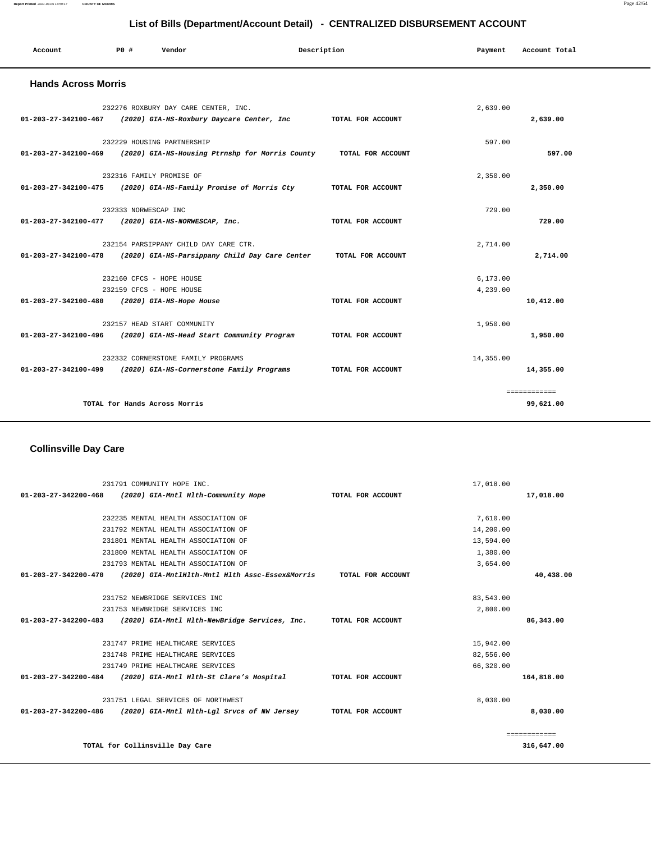| Account                                       | PO#                  | Vendor                                                                                 | Description       | Payment   | Account Total |  |
|-----------------------------------------------|----------------------|----------------------------------------------------------------------------------------|-------------------|-----------|---------------|--|
| <b>Hands Across Morris</b>                    |                      |                                                                                        |                   |           |               |  |
|                                               |                      | 232276 ROXBURY DAY CARE CENTER, INC.                                                   |                   | 2,639.00  |               |  |
|                                               |                      | $01-203-27-342100-467$ (2020) GIA-HS-Roxbury Daycare Center, Inc                       | TOTAL FOR ACCOUNT |           | 2,639.00      |  |
|                                               |                      | 232229 HOUSING PARTNERSHIP                                                             |                   | 597.00    |               |  |
|                                               |                      | 01-203-27-342100-469 (2020) GIA-HS-Housing Ptrnshp for Morris County TOTAL FOR ACCOUNT |                   |           | 597.00        |  |
|                                               |                      | 232316 FAMILY PROMISE OF                                                               |                   | 2,350.00  |               |  |
|                                               |                      | 01-203-27-342100-475 (2020) GIA-HS-Family Promise of Morris Cty                        | TOTAL FOR ACCOUNT |           | 2,350.00      |  |
|                                               | 232333 NORWESCAP INC |                                                                                        |                   | 729.00    |               |  |
|                                               |                      | 01-203-27-342100-477 (2020) GIA-HS-NORWESCAP, Inc.                                     | TOTAL FOR ACCOUNT |           | 729.00        |  |
|                                               |                      | 232154 PARSIPPANY CHILD DAY CARE CTR.                                                  |                   | 2,714.00  |               |  |
|                                               |                      | 01-203-27-342100-478 (2020) GIA-HS-Parsippany Child Day Care Center TOTAL FOR ACCOUNT  |                   |           | 2,714.00      |  |
|                                               |                      | 232160 CFCS - HOPE HOUSE                                                               |                   | 6,173.00  |               |  |
|                                               |                      | 232159 CFCS - HOPE HOUSE                                                               |                   | 4,239.00  |               |  |
| 01-203-27-342100-480 (2020) GIA-HS-Hope House |                      |                                                                                        | TOTAL FOR ACCOUNT |           | 10,412.00     |  |
|                                               |                      | 232157 HEAD START COMMUNITY                                                            |                   | 1,950.00  |               |  |
|                                               |                      | 01-203-27-342100-496 (2020) GIA-HS-Head Start Community Program                        | TOTAL FOR ACCOUNT |           | 1,950.00      |  |
|                                               |                      | 232332 CORNERSTONE FAMILY PROGRAMS                                                     |                   | 14,355.00 |               |  |
|                                               |                      | 01-203-27-342100-499 (2020) GIA-HS-Cornerstone Family Programs                         | TOTAL FOR ACCOUNT |           | 14,355.00     |  |
|                                               |                      |                                                                                        |                   |           | ============  |  |
|                                               |                      | TOTAL for Hands Across Morris                                                          |                   |           | 99,621.00     |  |
|                                               |                      |                                                                                        |                   |           |               |  |

# **Collinsville Day Care**

|                      | 231791 COMMUNITY HOPE INC.                      |                   | 17,018.00 |              |
|----------------------|-------------------------------------------------|-------------------|-----------|--------------|
| 01-203-27-342200-468 | (2020) GIA-Mntl Hlth-Community Hope             | TOTAL FOR ACCOUNT |           | 17,018.00    |
|                      |                                                 |                   |           |              |
|                      | 232235 MENTAL HEALTH ASSOCIATION OF             |                   | 7,610.00  |              |
|                      | 231792 MENTAL HEALTH ASSOCIATION OF             |                   | 14,200.00 |              |
|                      | 231801 MENTAL HEALTH ASSOCIATION OF             |                   | 13,594.00 |              |
|                      | 231800 MENTAL HEALTH ASSOCIATION OF             |                   | 1,380.00  |              |
|                      | 231793 MENTAL HEALTH ASSOCIATION OF             |                   | 3,654.00  |              |
| 01-203-27-342200-470 | (2020) GIA-MntlHlth-Mntl Hlth Assc-Essex&Morris | TOTAL FOR ACCOUNT |           | 40,438.00    |
|                      |                                                 |                   |           |              |
|                      | 231752 NEWBRIDGE SERVICES INC                   |                   | 83,543.00 |              |
|                      | 231753 NEWBRIDGE SERVICES INC                   |                   | 2,800.00  |              |
| 01-203-27-342200-483 | (2020) GIA-Mntl Hlth-NewBridge Services, Inc.   | TOTAL FOR ACCOUNT |           | 86,343.00    |
|                      |                                                 |                   |           |              |
|                      | 231747 PRIME HEALTHCARE SERVICES                |                   | 15,942.00 |              |
|                      | 231748 PRIME HEALTHCARE SERVICES                |                   | 82,556.00 |              |
|                      | 231749 PRIME HEALTHCARE SERVICES                |                   | 66,320.00 |              |
| 01-203-27-342200-484 | (2020) GIA-Mntl Hlth-St Clare's Hospital        | TOTAL FOR ACCOUNT |           | 164,818.00   |
|                      | 231751 LEGAL SERVICES OF NORTHWEST              |                   | 8,030.00  |              |
| 01-203-27-342200-486 | (2020) GIA-Mntl Hlth-Lgl Srvcs of NW Jersey     | TOTAL FOR ACCOUNT |           | 8,030.00     |
|                      |                                                 |                   |           | ============ |
|                      | TOTAL for Collinsville Day Care                 |                   |           | 316,647.00   |

**Report Printed** 2021-03-05 14:59:17 **COUNTY OF MORRIS** Page 42/64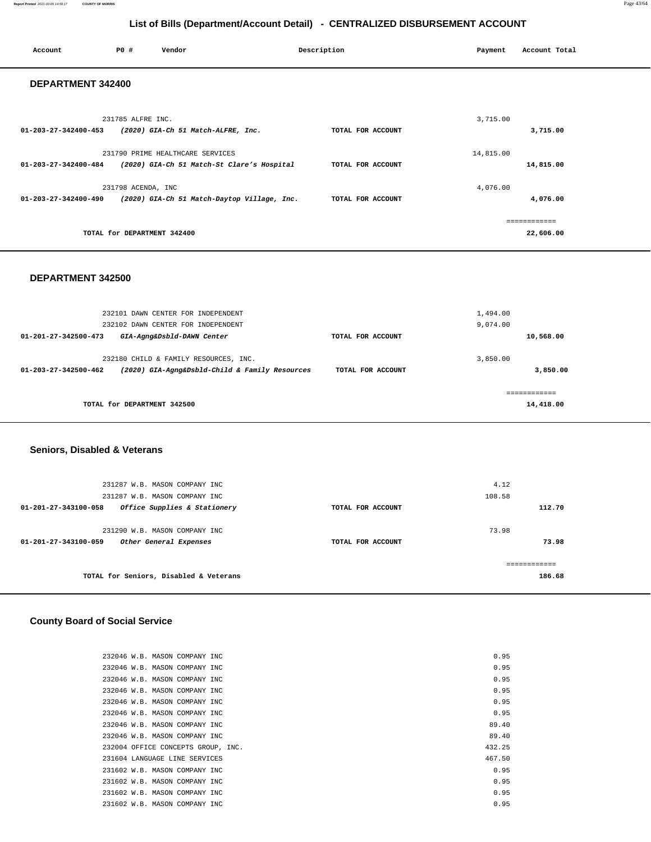| Account              | P0 #                        | Vendor                                                                         | Description       | Payment   | Account Total             |  |
|----------------------|-----------------------------|--------------------------------------------------------------------------------|-------------------|-----------|---------------------------|--|
| DEPARTMENT 342400    |                             |                                                                                |                   |           |                           |  |
| 01-203-27-342400-453 | 231785 ALFRE INC.           | (2020) GIA-Ch 51 Match-ALFRE, Inc.                                             | TOTAL FOR ACCOUNT | 3,715.00  | 3,715.00                  |  |
| 01-203-27-342400-484 |                             | 231790 PRIME HEALTHCARE SERVICES<br>(2020) GIA-Ch 51 Match-St Clare's Hospital | TOTAL FOR ACCOUNT | 14,815.00 | 14,815.00                 |  |
| 01-203-27-342400-490 | 231798 ACENDA, INC          | (2020) GIA-Ch 51 Match-Daytop Village, Inc.                                    | TOTAL FOR ACCOUNT | 4,076.00  | 4,076.00                  |  |
|                      | TOTAL for DEPARTMENT 342400 |                                                                                |                   |           | ============<br>22,606.00 |  |

#### **DEPARTMENT 342500**

|                                | 232101 DAWN CENTER FOR INDEPENDENT             |                   | 1,494.00 |           |
|--------------------------------|------------------------------------------------|-------------------|----------|-----------|
|                                | 232102 DAWN CENTER FOR INDEPENDENT             |                   | 9,074.00 |           |
| $01 - 201 - 27 - 342500 - 473$ | GIA-Agng&Dsbld-DAWN Center                     | TOTAL FOR ACCOUNT |          | 10,568.00 |
|                                |                                                |                   |          |           |
|                                | 232180 CHILD & FAMILY RESOURCES, INC.          |                   | 3,850,00 |           |
| $01 - 203 - 27 - 342500 - 462$ | (2020) GIA-Agng&Dsbld-Child & Family Resources | TOTAL FOR ACCOUNT |          | 3,850,00  |
|                                |                                                |                   |          |           |
|                                |                                                |                   |          |           |
| TOTAL for DEPARTMENT 342500    |                                                |                   |          | 14,418.00 |
|                                |                                                |                   |          |           |

### **Seniors, Disabled & Veterans**

| 231287 W.B. MASON COMPANY INC                                  |                   | 4.12   |
|----------------------------------------------------------------|-------------------|--------|
| 231287 W.B. MASON COMPANY INC                                  |                   | 108.58 |
| Office Supplies & Stationery<br>$01 - 201 - 27 - 343100 - 058$ | TOTAL FOR ACCOUNT | 112.70 |
|                                                                |                   |        |
| 231290 W.B. MASON COMPANY INC                                  |                   | 73.98  |
| $01 - 201 - 27 - 343100 - 059$<br>Other General Expenses       | TOTAL FOR ACCOUNT | 73.98  |
|                                                                |                   |        |
|                                                                |                   |        |
| TOTAL for Seniors, Disabled & Veterans                         |                   | 186.68 |
|                                                                |                   |        |

# **County Board of Social Service**

| 232046 W.B. MASON COMPANY INC.     | 0.95   |
|------------------------------------|--------|
| 232046 W.B. MASON COMPANY INC      | 0.95   |
| 232046 W.B. MASON COMPANY INC      | 0.95   |
| 232046 W.B. MASON COMPANY INC      | 0.95   |
| 232046 W.B. MASON COMPANY INC      | 0.95   |
| 232046 W.B. MASON COMPANY INC      | 0.95   |
| 232046 W.B. MASON COMPANY INC      | 89.40  |
| 232046 W.B. MASON COMPANY INC      | 89.40  |
| 232004 OFFICE CONCEPTS GROUP, INC. | 432.25 |
| 231604 LANGUAGE LINE SERVICES      | 467.50 |
| 231602 W.B. MASON COMPANY INC      | 0.95   |
| 231602 W.B. MASON COMPANY INC      | 0.95   |
| 231602 W.B. MASON COMPANY INC      | 0.95   |
| 231602 W.B. MASON COMPANY INC      | 0.95   |
|                                    |        |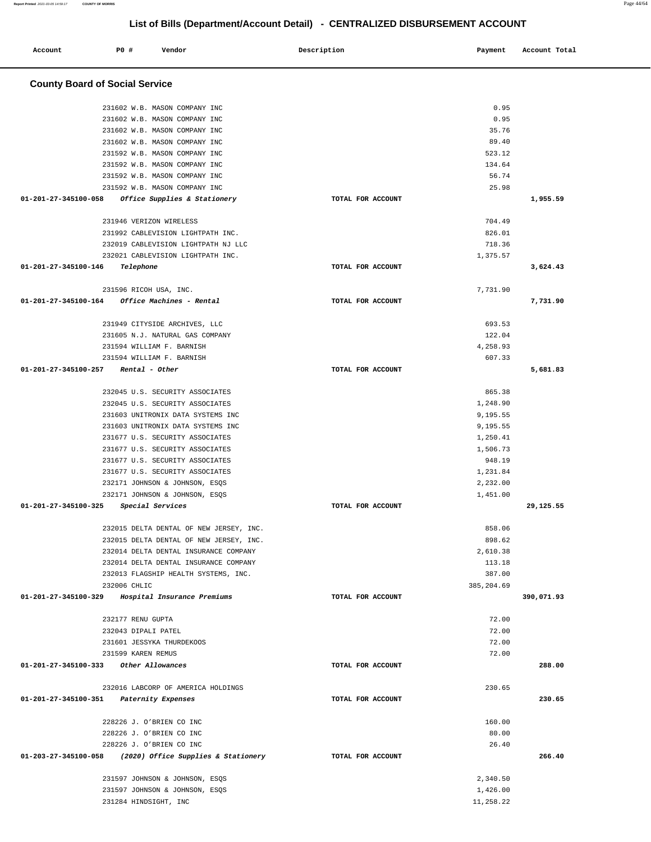| Account                               | P0 # |              | Vendor                                                                 | Description       | Payment              | Account Total |
|---------------------------------------|------|--------------|------------------------------------------------------------------------|-------------------|----------------------|---------------|
|                                       |      |              |                                                                        |                   |                      |               |
| <b>County Board of Social Service</b> |      |              |                                                                        |                   |                      |               |
|                                       |      |              |                                                                        |                   |                      |               |
|                                       |      |              | 231602 W.B. MASON COMPANY INC                                          |                   | 0.95                 |               |
|                                       |      |              | 231602 W.B. MASON COMPANY INC                                          |                   | 0.95                 |               |
|                                       |      |              | 231602 W.B. MASON COMPANY INC                                          |                   | 35.76                |               |
|                                       |      |              | 231602 W.B. MASON COMPANY INC                                          |                   | 89.40                |               |
|                                       |      |              | 231592 W.B. MASON COMPANY INC                                          |                   | 523.12               |               |
|                                       |      |              | 231592 W.B. MASON COMPANY INC                                          |                   | 134.64               |               |
|                                       |      |              | 231592 W.B. MASON COMPANY INC<br>231592 W.B. MASON COMPANY INC         |                   | 56.74<br>25.98       |               |
| 01-201-27-345100-058                  |      |              | Office Supplies & Stationery                                           | TOTAL FOR ACCOUNT |                      | 1,955.59      |
|                                       |      |              |                                                                        |                   |                      |               |
|                                       |      |              | 231946 VERIZON WIRELESS                                                |                   | 704.49               |               |
|                                       |      |              | 231992 CABLEVISION LIGHTPATH INC.                                      |                   | 826.01               |               |
|                                       |      |              | 232019 CABLEVISION LIGHTPATH NJ LLC                                    |                   | 718.36               |               |
| 01-201-27-345100-146                  |      |              | 232021 CABLEVISION LIGHTPATH INC.                                      |                   | 1,375.57             |               |
|                                       |      | Telephone    |                                                                        | TOTAL FOR ACCOUNT |                      | 3,624.43      |
|                                       |      |              | 231596 RICOH USA, INC.                                                 |                   | 7,731.90             |               |
| $01 - 201 - 27 - 345100 - 164$        |      |              | Office Machines - Rental                                               | TOTAL FOR ACCOUNT |                      | 7,731.90      |
|                                       |      |              |                                                                        |                   |                      |               |
|                                       |      |              | 231949 CITYSIDE ARCHIVES, LLC<br>231605 N.J. NATURAL GAS COMPANY       |                   | 693.53<br>122.04     |               |
|                                       |      |              | 231594 WILLIAM F. BARNISH                                              |                   | 4,258.93             |               |
|                                       |      |              | 231594 WILLIAM F. BARNISH                                              |                   | 607.33               |               |
| 01-201-27-345100-257                  |      |              | Rental - Other                                                         | TOTAL FOR ACCOUNT |                      | 5,681.83      |
|                                       |      |              |                                                                        |                   |                      |               |
|                                       |      |              | 232045 U.S. SECURITY ASSOCIATES                                        |                   | 865.38               |               |
|                                       |      |              | 232045 U.S. SECURITY ASSOCIATES                                        |                   | 1,248.90             |               |
|                                       |      |              | 231603 UNITRONIX DATA SYSTEMS INC<br>231603 UNITRONIX DATA SYSTEMS INC |                   | 9,195.55<br>9,195.55 |               |
|                                       |      |              | 231677 U.S. SECURITY ASSOCIATES                                        |                   | 1,250.41             |               |
|                                       |      |              | 231677 U.S. SECURITY ASSOCIATES                                        |                   | 1,506.73             |               |
|                                       |      |              | 231677 U.S. SECURITY ASSOCIATES                                        |                   | 948.19               |               |
|                                       |      |              | 231677 U.S. SECURITY ASSOCIATES                                        |                   | 1,231.84             |               |
|                                       |      |              | 232171 JOHNSON & JOHNSON, ESQS                                         |                   | 2,232.00             |               |
|                                       |      |              | 232171 JOHNSON & JOHNSON, ESQS                                         |                   | 1,451.00             |               |
| 01-201-27-345100-325                  |      |              | Special Services                                                       | TOTAL FOR ACCOUNT |                      | 29,125.55     |
|                                       |      |              | 232015 DELTA DENTAL OF NEW JERSEY, INC.                                |                   | 858.06               |               |
|                                       |      |              | 232015 DELTA DENTAL OF NEW JERSEY, INC.                                |                   | 898.62               |               |
|                                       |      |              | 232014 DELTA DENTAL INSURANCE COMPANY                                  |                   | 2,610.38             |               |
|                                       |      |              | 232014 DELTA DENTAL INSURANCE COMPANY                                  |                   | 113.18               |               |
|                                       |      |              | 232013 FLAGSHIP HEALTH SYSTEMS, INC.                                   |                   | 387.00               |               |
|                                       |      | 232006 CHLIC |                                                                        |                   | 385,204.69           |               |
| 01-201-27-345100-329                  |      |              | Hospital Insurance Premiums                                            | TOTAL FOR ACCOUNT |                      | 390,071.93    |
|                                       |      |              | 232177 RENU GUPTA                                                      |                   | 72.00                |               |
|                                       |      |              | 232043 DIPALI PATEL                                                    |                   | 72.00                |               |
|                                       |      |              | 231601 JESSYKA THURDEKOOS                                              |                   | 72.00                |               |
|                                       |      |              | 231599 KAREN REMUS                                                     |                   | 72.00                |               |
| 01-201-27-345100-333                  |      |              | Other Allowances                                                       | TOTAL FOR ACCOUNT |                      | 288.00        |
|                                       |      |              | 232016 LABCORP OF AMERICA HOLDINGS                                     |                   | 230.65               |               |
| 01-201-27-345100-351                  |      |              | Paternity Expenses                                                     | TOTAL FOR ACCOUNT |                      | 230.65        |
|                                       |      |              |                                                                        |                   |                      |               |
|                                       |      |              | 228226 J. O'BRIEN CO INC                                               |                   | 160.00               |               |
|                                       |      |              | 228226 J. O'BRIEN CO INC                                               |                   | 80.00                |               |
|                                       |      |              | 228226 J. O'BRIEN CO INC                                               |                   | 26.40                |               |
| 01-203-27-345100-058                  |      |              | (2020) Office Supplies & Stationery                                    | TOTAL FOR ACCOUNT |                      | 266.40        |
|                                       |      |              | 231597 JOHNSON & JOHNSON, ESQS                                         |                   | 2,340.50             |               |
|                                       |      |              | 231597 JOHNSON & JOHNSON, ESQS                                         |                   | 1,426.00             |               |
|                                       |      |              | 231284 HINDSIGHT, INC                                                  |                   | 11,258.22            |               |

**Report Printed** 2021-03-05 14:59:17 **COUNTY OF MORRIS** Page 44/64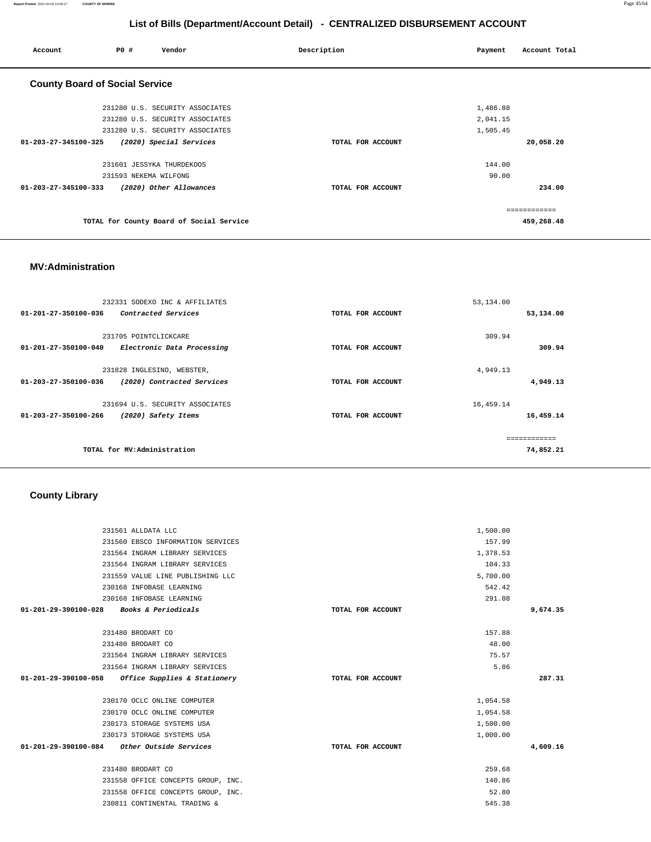#### **Report Printed** 2021-03-05 14:59:17 **COUNTY OF MORRIS** Page 45/64

# **List of Bills (Department/Account Detail) - CENTRALIZED DISBURSEMENT ACCOUNT**

| Account                               | <b>PO #</b>           | Vendor                                   | Description       | Payment  | Account Total |
|---------------------------------------|-----------------------|------------------------------------------|-------------------|----------|---------------|
| <b>County Board of Social Service</b> |                       |                                          |                   |          |               |
|                                       |                       | 231280 U.S. SECURITY ASSOCIATES          |                   | 1,486.88 |               |
|                                       |                       | 231280 U.S. SECURITY ASSOCIATES          |                   | 2,041.15 |               |
|                                       |                       | 231280 U.S. SECURITY ASSOCIATES          |                   | 1,505.45 |               |
| $01 - 203 - 27 - 345100 - 325$        |                       | (2020) Special Services                  | TOTAL FOR ACCOUNT |          | 20,058.20     |
|                                       |                       | 231601 JESSYKA THURDEKOOS                |                   | 144.00   |               |
|                                       | 231593 NEKEMA WILFONG |                                          |                   | 90.00    |               |
| $01 - 203 - 27 - 345100 - 333$        |                       | (2020) Other Allowances                  | TOTAL FOR ACCOUNT |          | 234.00        |
|                                       |                       |                                          |                   |          | ============  |
|                                       |                       | TOTAL for County Board of Social Service |                   |          | 459,268.48    |

### **MV:Administration**

|              | 53,134.00 |                   | 232331 SODEXO INC & AFFILIATES  |                      |
|--------------|-----------|-------------------|---------------------------------|----------------------|
| 53,134.00    |           | TOTAL FOR ACCOUNT | Contracted Services             | 01-201-27-350100-036 |
|              |           |                   |                                 |                      |
|              | 309.94    |                   | 231705 POINTCLICKCARE           |                      |
| 309.94       |           | TOTAL FOR ACCOUNT | Electronic Data Processing      | 01-201-27-350100-040 |
|              |           |                   |                                 |                      |
|              | 4,949.13  |                   | 231828 INGLESINO, WEBSTER,      |                      |
| 4,949.13     |           | TOTAL FOR ACCOUNT | (2020) Contracted Services      | 01-203-27-350100-036 |
|              |           |                   |                                 |                      |
|              | 16,459.14 |                   | 231694 U.S. SECURITY ASSOCIATES |                      |
| 16,459.14    |           | TOTAL FOR ACCOUNT | (2020) Safety Items             | 01-203-27-350100-266 |
| ------------ |           |                   |                                 |                      |
| 74,852.21    |           |                   | TOTAL for MV:Administration     |                      |
|              |           |                   |                                 |                      |

# **County Library**

| 231561 ALLDATA LLC                                  |                   | 1,500.00 |          |
|-----------------------------------------------------|-------------------|----------|----------|
| 231560 EBSCO INFORMATION SERVICES                   |                   | 157.99   |          |
| 231564 INGRAM LIBRARY SERVICES                      |                   | 1,378.53 |          |
| 231564 INGRAM LIBRARY SERVICES                      |                   | 104.33   |          |
| 231559 VALUE LINE PUBLISHING LLC                    |                   | 5,700.00 |          |
| 230168 INFOBASE LEARNING                            |                   | 542.42   |          |
| 230168 INFOBASE LEARNING                            |                   | 291.08   |          |
| 01-201-29-390100-028 Books & Periodicals            | TOTAL FOR ACCOUNT |          | 9,674.35 |
| 231480 BRODART CO                                   |                   | 157.88   |          |
| 231480 BRODART CO                                   |                   | 48.00    |          |
| 231564 INGRAM LIBRARY SERVICES                      |                   | 75.57    |          |
| 231564 INGRAM LIBRARY SERVICES                      |                   | 5.86     |          |
| $01-201-29-390100-058$ Office Supplies & Stationery | TOTAL FOR ACCOUNT |          | 287.31   |
| 230170 OCLC ONLINE COMPUTER                         |                   | 1,054.58 |          |
| 230170 OCLC ONLINE COMPUTER                         |                   | 1,054.58 |          |
| 230173 STORAGE SYSTEMS USA                          |                   | 1,500.00 |          |
| 230173 STORAGE SYSTEMS USA                          |                   | 1,000.00 |          |
| 01-201-29-390100-084 Other Outside Services         | TOTAL FOR ACCOUNT |          | 4,609.16 |
| 231480 BRODART CO                                   |                   | 259.68   |          |
| 231558 OFFICE CONCEPTS GROUP, INC.                  |                   | 140.86   |          |
| 231558 OFFICE CONCEPTS GROUP, INC.                  |                   | 52.80    |          |
| 230811 CONTINENTAL TRADING &                        |                   | 545.38   |          |
|                                                     |                   |          |          |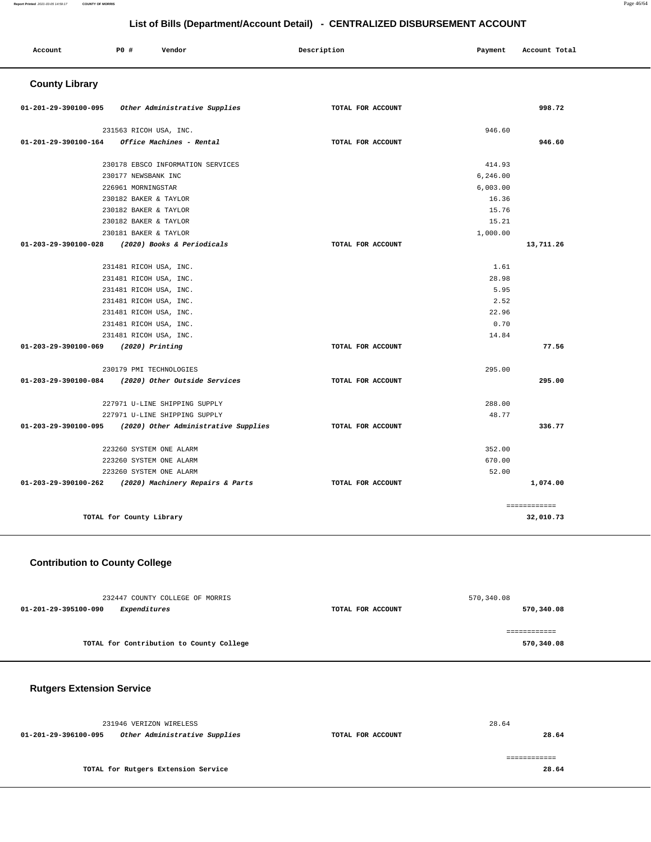#### **Report Printed** 2021-03-05 14:59:17 **COUNTY OF MORRIS** Page 46/64

# **List of Bills (Department/Account Detail) - CENTRALIZED DISBURSEMENT ACCOUNT**

| Account               | P0 #                     | Vendor                                                | Description       | Payment  | Account Total |
|-----------------------|--------------------------|-------------------------------------------------------|-------------------|----------|---------------|
| <b>County Library</b> |                          |                                                       |                   |          |               |
| 01-201-29-390100-095  |                          | Other Administrative Supplies                         | TOTAL FOR ACCOUNT |          | 998.72        |
|                       | 231563 RICOH USA, INC.   |                                                       |                   | 946.60   |               |
| 01-201-29-390100-164  |                          | Office Machines - Rental                              | TOTAL FOR ACCOUNT |          | 946.60        |
|                       |                          | 230178 EBSCO INFORMATION SERVICES                     |                   | 414.93   |               |
|                       | 230177 NEWSBANK INC      |                                                       |                   | 6,246.00 |               |
|                       | 226961 MORNINGSTAR       |                                                       |                   | 6,003.00 |               |
|                       | 230182 BAKER & TAYLOR    |                                                       |                   | 16.36    |               |
|                       | 230182 BAKER & TAYLOR    |                                                       |                   | 15.76    |               |
|                       | 230182 BAKER & TAYLOR    |                                                       |                   | 15.21    |               |
|                       | 230181 BAKER & TAYLOR    |                                                       |                   | 1,000.00 |               |
| 01-203-29-390100-028  |                          | (2020) Books & Periodicals                            | TOTAL FOR ACCOUNT |          | 13,711.26     |
|                       | 231481 RICOH USA, INC.   |                                                       |                   | 1.61     |               |
|                       | 231481 RICOH USA, INC.   |                                                       |                   | 28.98    |               |
|                       | 231481 RICOH USA, INC.   |                                                       |                   | 5.95     |               |
|                       | 231481 RICOH USA, INC.   |                                                       |                   | 2.52     |               |
|                       | 231481 RICOH USA, INC.   |                                                       |                   | 22.96    |               |
|                       | 231481 RICOH USA, INC.   |                                                       |                   | 0.70     |               |
|                       | 231481 RICOH USA, INC.   |                                                       |                   | 14.84    |               |
| 01-203-29-390100-069  | (2020) Printing          |                                                       | TOTAL FOR ACCOUNT |          | 77.56         |
|                       | 230179 PMI TECHNOLOGIES  |                                                       |                   | 295.00   |               |
| 01-203-29-390100-084  |                          | (2020) Other Outside Services                         | TOTAL FOR ACCOUNT |          | 295.00        |
|                       |                          | 227971 U-LINE SHIPPING SUPPLY                         |                   | 288.00   |               |
|                       |                          | 227971 U-LINE SHIPPING SUPPLY                         |                   | 48.77    |               |
| 01-203-29-390100-095  |                          | (2020) Other Administrative Supplies                  | TOTAL FOR ACCOUNT |          | 336.77        |
|                       | 223260 SYSTEM ONE ALARM  |                                                       |                   | 352.00   |               |
|                       | 223260 SYSTEM ONE ALARM  |                                                       |                   | 670.00   |               |
|                       | 223260 SYSTEM ONE ALARM  |                                                       |                   | 52.00    |               |
|                       |                          | 01-203-29-390100-262 (2020) Machinery Repairs & Parts | TOTAL FOR ACCOUNT |          | 1,074.00      |
|                       |                          |                                                       |                   |          | ============  |
|                       | TOTAL for County Library |                                                       |                   |          | 32,010.73     |

# **Contribution to County College**

| 232447 COUNTY COLLEGE OF MORRIS          |                   | 570,340.08   |
|------------------------------------------|-------------------|--------------|
| 01-201-29-395100-090<br>Expenditures     | TOTAL FOR ACCOUNT | 570,340.08   |
|                                          |                   |              |
|                                          |                   | ============ |
| TOTAL for Contribution to County College |                   | 570,340.08   |
|                                          |                   |              |

# **Rutgers Extension Service**

|                      | 231946 VERIZON WIRELESS             |                   | 28.64 |
|----------------------|-------------------------------------|-------------------|-------|
| 01-201-29-396100-095 | Other Administrative Supplies       | TOTAL FOR ACCOUNT | 28.64 |
|                      |                                     |                   |       |
|                      | TOTAL for Rutgers Extension Service |                   | 28.64 |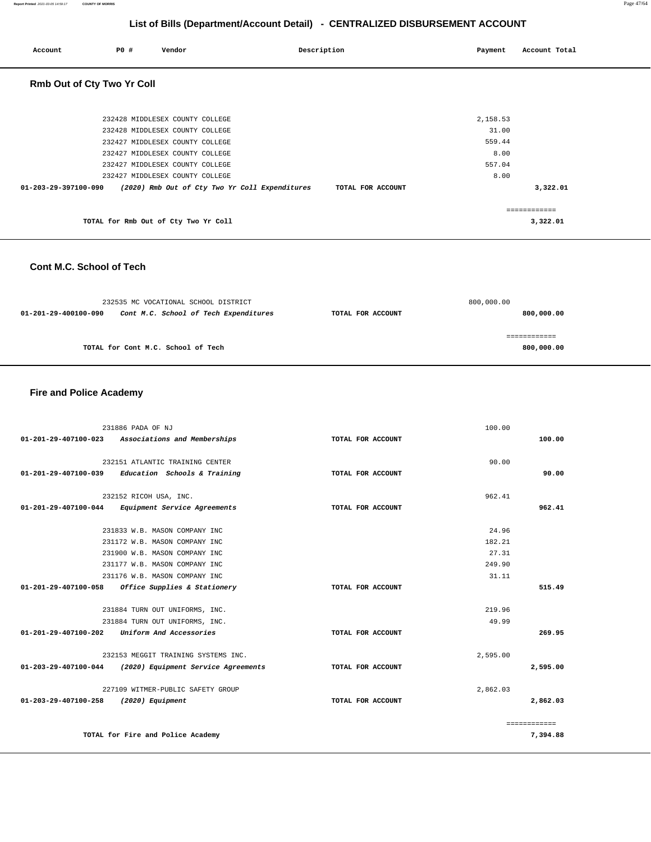| Account              | P0 #                              | Vendor                               | Description                                    |                   | Payment  | Account Total |  |
|----------------------|-----------------------------------|--------------------------------------|------------------------------------------------|-------------------|----------|---------------|--|
|                      | <b>Rmb Out of Cty Two Yr Coll</b> |                                      |                                                |                   |          |               |  |
|                      |                                   | 232428 MIDDLESEX COUNTY COLLEGE      |                                                |                   | 2,158.53 |               |  |
|                      |                                   | 232428 MIDDLESEX COUNTY COLLEGE      |                                                |                   | 31.00    |               |  |
|                      |                                   | 232427 MIDDLESEX COUNTY COLLEGE      |                                                |                   | 559.44   |               |  |
|                      |                                   | 232427 MIDDLESEX COUNTY COLLEGE      |                                                |                   | 8.00     |               |  |
|                      |                                   | 232427 MIDDLESEX COUNTY COLLEGE      |                                                |                   | 557.04   |               |  |
|                      |                                   | 232427 MIDDLESEX COUNTY COLLEGE      |                                                |                   | 8.00     |               |  |
| 01-203-29-397100-090 |                                   |                                      | (2020) Rmb Out of Cty Two Yr Coll Expenditures | TOTAL FOR ACCOUNT |          | 3,322.01      |  |
|                      |                                   |                                      |                                                |                   |          |               |  |
|                      |                                   |                                      |                                                |                   |          | ============  |  |
|                      |                                   | TOTAL for Rmb Out of Cty Two Yr Coll |                                                |                   |          | 3,322.01      |  |

### **Cont M.C. School of Tech**

|                      | 232535 MC VOCATIONAL SCHOOL DISTRICT  |                   | 800,000.00 |
|----------------------|---------------------------------------|-------------------|------------|
| 01-201-29-400100-090 | Cont M.C. School of Tech Expenditures | TOTAL FOR ACCOUNT | 800,000.00 |
|                      |                                       |                   |            |
|                      |                                       |                   |            |
|                      | TOTAL for Cont M.C. School of Tech    |                   | 800,000.00 |

# **Fire and Police Academy**

|                                       | 231886 PADA OF NJ                                          |                   | 100.00   |              |
|---------------------------------------|------------------------------------------------------------|-------------------|----------|--------------|
|                                       | 01-201-29-407100-023 Associations and Memberships          | TOTAL FOR ACCOUNT |          | 100.00       |
|                                       |                                                            |                   |          |              |
|                                       | 232151 ATLANTIC TRAINING CENTER                            |                   | 90.00    |              |
|                                       | $01-201-29-407100-039$ Education Schools & Training        | TOTAL FOR ACCOUNT |          | 90.00        |
|                                       | 232152 RICOH USA, INC.                                     |                   | 962.41   |              |
|                                       | 01-201-29-407100-044 Equipment Service Agreements          | TOTAL FOR ACCOUNT |          | 962.41       |
|                                       | 231833 W.B. MASON COMPANY INC                              |                   | 24.96    |              |
|                                       | 231172 W.B. MASON COMPANY INC                              |                   | 182.21   |              |
|                                       | 231900 W.B. MASON COMPANY INC                              |                   | 27.31    |              |
|                                       | 231177 W.B. MASON COMPANY INC                              |                   | 249.90   |              |
|                                       | 231176 W.B. MASON COMPANY INC                              |                   | 31.11    |              |
|                                       | 01-201-29-407100-058 Office Supplies & Stationery          | TOTAL FOR ACCOUNT |          | 515.49       |
|                                       |                                                            |                   |          |              |
|                                       | 231884 TURN OUT UNIFORMS, INC.                             |                   | 219.96   |              |
|                                       | 231884 TURN OUT UNIFORMS, INC.                             |                   | 49.99    |              |
| $01 - 201 - 29 - 407100 - 202$        | Uniform And Accessories                                    | TOTAL FOR ACCOUNT |          | 269.95       |
|                                       | 232153 MEGGIT TRAINING SYSTEMS INC.                        |                   | 2.595.00 |              |
|                                       | $01-203-29-407100-044$ (2020) Equipment Service Agreements | TOTAL FOR ACCOUNT |          | 2,595.00     |
|                                       | 227109 WITMER-PUBLIC SAFETY GROUP                          |                   | 2,862.03 |              |
| 01-203-29-407100-258 (2020) Equipment |                                                            | TOTAL FOR ACCOUNT |          | 2,862.03     |
|                                       |                                                            |                   |          | ============ |
|                                       | TOTAL for Fire and Police Academy                          |                   |          | 7,394.88     |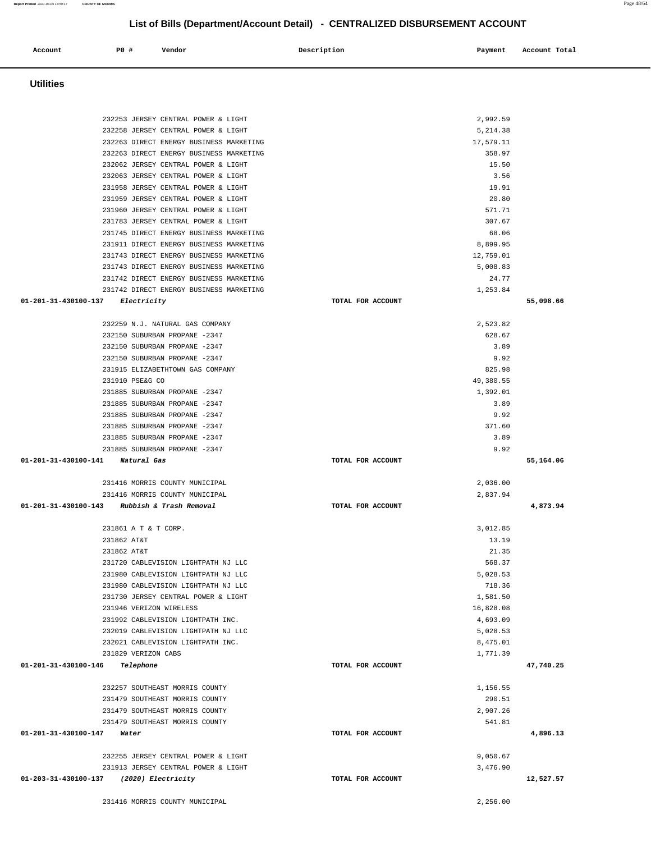| 232253 JERSEY CENTRAL POWER & LIGHT                                            | 2,992.59             |           |
|--------------------------------------------------------------------------------|----------------------|-----------|
| 232258 JERSEY CENTRAL POWER & LIGHT                                            | 5,214.38             |           |
| 232263 DIRECT ENERGY BUSINESS MARKETING                                        | 17,579.11            |           |
| 232263 DIRECT ENERGY BUSINESS MARKETING                                        | 358.97               |           |
| 232062 JERSEY CENTRAL POWER & LIGHT                                            | 15.50                |           |
| 232063 JERSEY CENTRAL POWER & LIGHT                                            | 3.56                 |           |
| 231958 JERSEY CENTRAL POWER & LIGHT                                            | 19.91                |           |
| 231959 JERSEY CENTRAL POWER & LIGHT                                            | 20.80                |           |
| 231960 JERSEY CENTRAL POWER & LIGHT                                            | 571.71               |           |
| 231783 JERSEY CENTRAL POWER & LIGHT<br>231745 DIRECT ENERGY BUSINESS MARKETING | 307.67<br>68.06      |           |
| 231911 DIRECT ENERGY BUSINESS MARKETING                                        | 8,899.95             |           |
| 231743 DIRECT ENERGY BUSINESS MARKETING                                        | 12,759.01            |           |
| 231743 DIRECT ENERGY BUSINESS MARKETING                                        | 5,008.83             |           |
| 231742 DIRECT ENERGY BUSINESS MARKETING                                        | 24.77                |           |
| 231742 DIRECT ENERGY BUSINESS MARKETING                                        | 1,253.84             |           |
| 01-201-31-430100-137 Electricity                                               | TOTAL FOR ACCOUNT    | 55,098.66 |
|                                                                                |                      |           |
| 232259 N.J. NATURAL GAS COMPANY                                                | 2,523.82             |           |
| 232150 SUBURBAN PROPANE -2347                                                  | 628.67               |           |
| 232150 SUBURBAN PROPANE -2347                                                  | 3.89                 |           |
| 232150 SUBURBAN PROPANE -2347                                                  | 9.92                 |           |
| 231915 ELIZABETHTOWN GAS COMPANY                                               | 825.98               |           |
| 231910 PSE&G CO                                                                | 49,380.55            |           |
| 231885 SUBURBAN PROPANE -2347                                                  | 1,392.01             |           |
| 231885 SUBURBAN PROPANE -2347                                                  | 3.89                 |           |
| 231885 SUBURBAN PROPANE -2347                                                  | 9.92                 |           |
| 231885 SUBURBAN PROPANE -2347                                                  | 371.60               |           |
| 231885 SUBURBAN PROPANE -2347                                                  | 3.89                 |           |
| 231885 SUBURBAN PROPANE -2347                                                  | 9.92                 |           |
|                                                                                |                      |           |
| 01-201-31-430100-141 Natural Gas                                               | TOTAL FOR ACCOUNT    | 55,164.06 |
| 231416 MORRIS COUNTY MUNICIPAL                                                 | 2,036.00             |           |
| 231416 MORRIS COUNTY MUNICIPAL                                                 | 2,837.94             |           |
| 01-201-31-430100-143 Rubbish & Trash Removal                                   | TOTAL FOR ACCOUNT    | 4,873.94  |
|                                                                                |                      |           |
| 231861 A T & T CORP.                                                           | 3,012.85             |           |
| 231862 AT&T                                                                    | 13.19                |           |
| 231862 AT&T                                                                    | 21.35                |           |
| 231720 CABLEVISION LIGHTPATH NJ LLC                                            | 568.37               |           |
| 231980 CABLEVISION LIGHTPATH NJ LLC                                            | 5,028.53             |           |
| 231980 CABLEVISION LIGHTPATH NJ LLC                                            | 718.36               |           |
| 231730 JERSEY CENTRAL POWER & LIGHT                                            | 1,581.50             |           |
| 231946 VERIZON WIRELESS                                                        | 16,828.08            |           |
| 231992 CABLEVISION LIGHTPATH INC.                                              | 4,693.09             |           |
| 232019 CABLEVISION LIGHTPATH NJ LLC                                            | 5,028.53             |           |
| 232021 CABLEVISION LIGHTPATH INC.                                              | 8,475.01<br>1,771.39 |           |
| 231829 VERIZON CABS<br>01-201-31-430100-146<br>Telephone                       | TOTAL FOR ACCOUNT    | 47,740.25 |
|                                                                                |                      |           |
| 232257 SOUTHEAST MORRIS COUNTY                                                 | 1,156.55             |           |
| 231479 SOUTHEAST MORRIS COUNTY                                                 | 290.51               |           |
| 231479 SOUTHEAST MORRIS COUNTY                                                 | 2,907.26             |           |
| 231479 SOUTHEAST MORRIS COUNTY                                                 | 541.81               |           |
| 01-201-31-430100-147<br>Water                                                  | TOTAL FOR ACCOUNT    | 4,896.13  |
|                                                                                |                      |           |
| 232255 JERSEY CENTRAL POWER & LIGHT                                            | 9,050.67             |           |
| 231913 JERSEY CENTRAL POWER & LIGHT                                            | 3,476.90             |           |
| 01-203-31-430100-137 (2020) Electricity                                        | TOTAL FOR ACCOUNT    | 12,527.57 |
| 231416 MORRIS COUNTY MUNICIPAL                                                 | 2,256.00             |           |

 **Utilities** 

**Account** P0 # Vendor Payment Account Total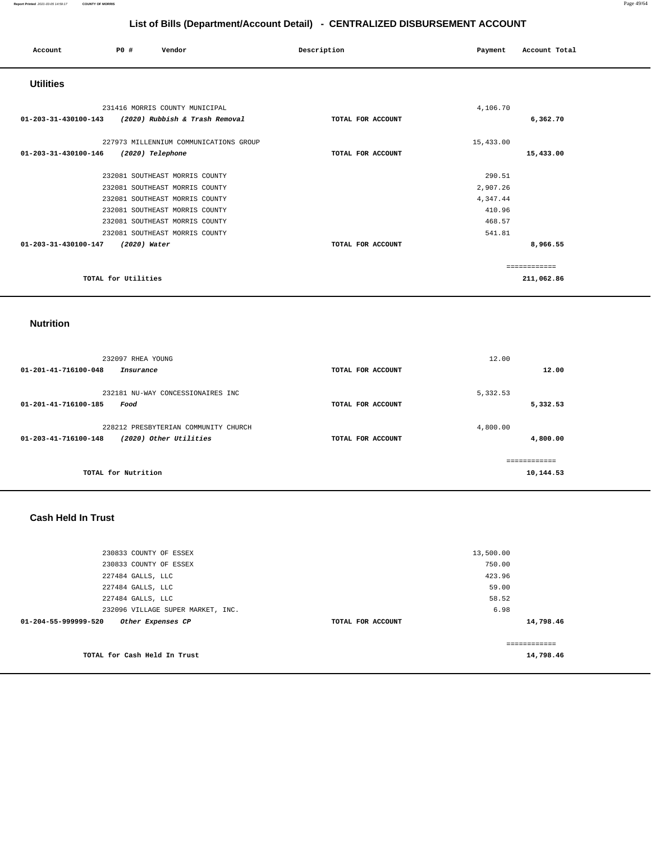| Account              | PO#                 | Vendor                                 | Description       | Payment   | Account Total |
|----------------------|---------------------|----------------------------------------|-------------------|-----------|---------------|
| <b>Utilities</b>     |                     |                                        |                   |           |               |
|                      |                     | 231416 MORRIS COUNTY MUNICIPAL         |                   | 4,106.70  |               |
| 01-203-31-430100-143 |                     | (2020) Rubbish & Trash Removal         | TOTAL FOR ACCOUNT |           | 6,362.70      |
|                      |                     | 227973 MILLENNIUM COMMUNICATIONS GROUP |                   | 15,433.00 |               |
| 01-203-31-430100-146 | (2020) Telephone    |                                        | TOTAL FOR ACCOUNT |           | 15,433.00     |
|                      |                     | 232081 SOUTHEAST MORRIS COUNTY         |                   | 290.51    |               |
|                      |                     | 232081 SOUTHEAST MORRIS COUNTY         |                   | 2,907.26  |               |
|                      |                     | 232081 SOUTHEAST MORRIS COUNTY         |                   | 4,347.44  |               |
|                      |                     | 232081 SOUTHEAST MORRIS COUNTY         |                   | 410.96    |               |
|                      |                     | 232081 SOUTHEAST MORRIS COUNTY         |                   | 468.57    |               |
|                      |                     | 232081 SOUTHEAST MORRIS COUNTY         |                   | 541.81    |               |
| 01-203-31-430100-147 | (2020) Water        |                                        | TOTAL FOR ACCOUNT |           | 8,966.55      |
|                      |                     |                                        |                   |           | ============  |
|                      | TOTAL for Utilities |                                        |                   |           | 211,062.86    |

### **Nutrition**

| 232097 RHEA YOUNG<br>01-201-41-716100-048<br>Insurance                                 | TOTAL FOR ACCOUNT | 12.00<br>12.00            |
|----------------------------------------------------------------------------------------|-------------------|---------------------------|
| 232181 NU-WAY CONCESSIONAIRES INC<br>01-201-41-716100-185<br>Food                      | TOTAL FOR ACCOUNT | 5,332.53<br>5,332.53      |
| 228212 PRESBYTERIAN COMMUNITY CHURCH<br>(2020) Other Utilities<br>01-203-41-716100-148 | TOTAL FOR ACCOUNT | 4,800.00<br>4,800.00      |
| TOTAL for Nutrition                                                                    |                   | ============<br>10,144.53 |

# **Cash Held In Trust**

| TOTAL for Cash Held In Trust              |                   | 14,798.46     |  |
|-------------------------------------------|-------------------|---------------|--|
|                                           |                   | ------------- |  |
| 01-204-55-999999-520<br>Other Expenses CP | TOTAL FOR ACCOUNT | 14,798.46     |  |
| 232096 VILLAGE SUPER MARKET, INC.         |                   | 6.98          |  |
| 227484 GALLS, LLC                         |                   | 58.52         |  |
| 227484 GALLS, LLC                         |                   | 59.00         |  |
| 227484 GALLS, LLC                         |                   | 423.96        |  |
| 230833 COUNTY OF ESSEX                    |                   | 750.00        |  |
| 230833 COUNTY OF ESSEX                    |                   | 13,500.00     |  |
|                                           |                   |               |  |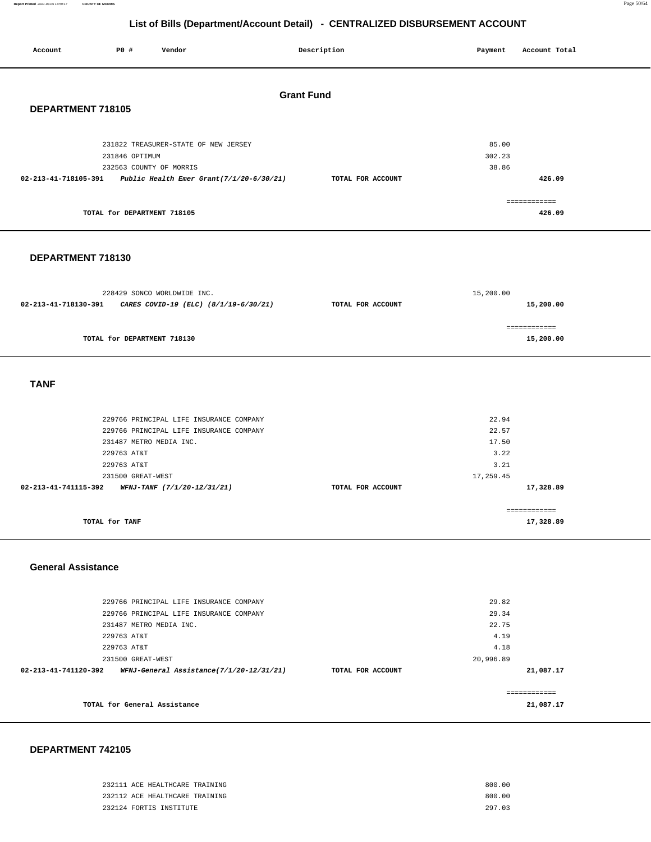**Report Printed** 2021-03-05 14:59:17 **COUNTY OF MORRIS** Page 50/64

**21,087.17**

============ **21,087.17**

# **List of Bills (Department/Account Detail) - CENTRALIZED DISBURSEMENT ACCOUNT**

| List of Dins (Department/Account Detail)<br><b>PERTITALIZED DIODOROLINERT ACCOUNT</b> |                                  |                                                               |                   |                   |                   |               |  |
|---------------------------------------------------------------------------------------|----------------------------------|---------------------------------------------------------------|-------------------|-------------------|-------------------|---------------|--|
| Account                                                                               | P0 #                             | Vendor                                                        |                   | Description       | Payment           | Account Total |  |
|                                                                                       |                                  |                                                               |                   |                   |                   |               |  |
|                                                                                       |                                  |                                                               |                   |                   |                   |               |  |
|                                                                                       |                                  |                                                               | <b>Grant Fund</b> |                   |                   |               |  |
| DEPARTMENT 718105                                                                     |                                  |                                                               |                   |                   |                   |               |  |
|                                                                                       |                                  |                                                               |                   |                   |                   |               |  |
|                                                                                       |                                  | 231822 TREASURER-STATE OF NEW JERSEY                          |                   |                   | 85.00             |               |  |
|                                                                                       | 231846 OPTIMUM                   |                                                               |                   |                   | 302.23            |               |  |
|                                                                                       | 232563 COUNTY OF MORRIS          |                                                               |                   |                   | 38.86             |               |  |
|                                                                                       |                                  | 02-213-41-718105-391 Public Health Emer Grant(7/1/20-6/30/21) |                   | TOTAL FOR ACCOUNT |                   | 426.09        |  |
|                                                                                       |                                  |                                                               |                   |                   |                   | ============  |  |
|                                                                                       | TOTAL for DEPARTMENT 718105      |                                                               |                   |                   |                   | 426.09        |  |
|                                                                                       |                                  |                                                               |                   |                   |                   |               |  |
|                                                                                       |                                  |                                                               |                   |                   |                   |               |  |
| DEPARTMENT 718130                                                                     |                                  |                                                               |                   |                   |                   |               |  |
|                                                                                       |                                  |                                                               |                   |                   |                   |               |  |
|                                                                                       |                                  | 228429 SONCO WORLDWIDE INC.                                   |                   |                   | 15,200.00         |               |  |
|                                                                                       |                                  | 02-213-41-718130-391 CARES COVID-19 (ELC) (8/1/19-6/30/21)    |                   | TOTAL FOR ACCOUNT |                   | 15,200.00     |  |
|                                                                                       |                                  |                                                               |                   |                   |                   |               |  |
|                                                                                       |                                  |                                                               |                   |                   |                   | ============  |  |
|                                                                                       | TOTAL for DEPARTMENT 718130      |                                                               |                   |                   |                   | 15,200.00     |  |
|                                                                                       |                                  |                                                               |                   |                   |                   |               |  |
|                                                                                       |                                  |                                                               |                   |                   |                   |               |  |
| <b>TANF</b>                                                                           |                                  |                                                               |                   |                   |                   |               |  |
|                                                                                       |                                  |                                                               |                   |                   |                   |               |  |
|                                                                                       |                                  |                                                               |                   |                   |                   |               |  |
|                                                                                       |                                  | 229766 PRINCIPAL LIFE INSURANCE COMPANY                       |                   |                   | 22.94             |               |  |
|                                                                                       |                                  | 229766 PRINCIPAL LIFE INSURANCE COMPANY                       |                   |                   | 22.57             |               |  |
|                                                                                       | 231487 METRO MEDIA INC.          |                                                               |                   |                   | 17.50             |               |  |
|                                                                                       | 229763 AT&T                      |                                                               |                   |                   | 3.22              |               |  |
|                                                                                       | 229763 AT&T<br>231500 GREAT-WEST |                                                               |                   |                   | 3.21<br>17,259.45 |               |  |
| 02-213-41-741115-392                                                                  |                                  | WFNJ-TANF (7/1/20-12/31/21)                                   |                   | TOTAL FOR ACCOUNT |                   | 17,328.89     |  |
|                                                                                       |                                  |                                                               |                   |                   |                   |               |  |
|                                                                                       |                                  |                                                               |                   |                   |                   | ============  |  |
|                                                                                       | TOTAL for TANF                   |                                                               |                   |                   |                   | 17,328.89     |  |
|                                                                                       |                                  |                                                               |                   |                   |                   |               |  |
|                                                                                       |                                  |                                                               |                   |                   |                   |               |  |
| <b>General Assistance</b>                                                             |                                  |                                                               |                   |                   |                   |               |  |
|                                                                                       |                                  |                                                               |                   |                   |                   |               |  |
|                                                                                       |                                  |                                                               |                   |                   |                   |               |  |
|                                                                                       |                                  | 229766 PRINCIPAL LIFE INSURANCE COMPANY                       |                   |                   | 29.82             |               |  |
|                                                                                       |                                  | 229766 PRINCIPAL LIFE INSURANCE COMPANY                       |                   |                   | 29.34             |               |  |
|                                                                                       | 231487 METRO MEDIA INC.          |                                                               |                   |                   | 22.75             |               |  |
|                                                                                       | 229763 AT&T<br>229763 AT&T       |                                                               |                   |                   | 4.19<br>4.18      |               |  |
|                                                                                       | 231500 GREAT-WEST                |                                                               |                   |                   | 20,996.89         |               |  |
|                                                                                       |                                  |                                                               |                   |                   |                   |               |  |

**TOTAL for General Assistance** 

**02-213-41-741120-392 WFNJ-General Assistance(7/1/20-12/31/21) TOTAL FOR ACCOUNT** 

| 232111 ACE HEALTHCARE TRAINING | 800.00 |
|--------------------------------|--------|
| 232112 ACE HEALTHCARE TRAINING | 800.00 |
| 232124 FORTIS INSTITUTE        | 297 03 |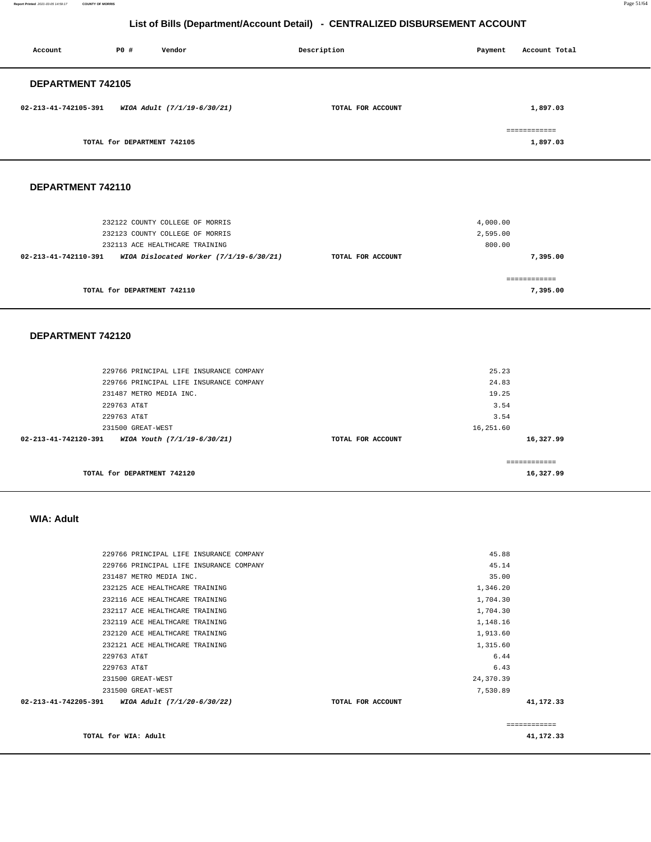**Report Printed** 2021-03-05 14:59:17 **COUNTY OF MORRIS** Page 51/64

# **List of Bills (Department/Account Detail) - CENTRALIZED DISBURSEMENT ACCOUNT**

| Account              | PO#                         | Vendor                      | Description       | Payment | Account Total            |
|----------------------|-----------------------------|-----------------------------|-------------------|---------|--------------------------|
| DEPARTMENT 742105    |                             |                             |                   |         |                          |
| 02-213-41-742105-391 |                             | WIOA Adult (7/1/19-6/30/21) | TOTAL FOR ACCOUNT |         | 1,897.03                 |
|                      | TOTAL for DEPARTMENT 742105 |                             |                   |         | ============<br>1,897.03 |

# **DEPARTMENT 742110**

| 232122 COUNTY COLLEGE OF MORRIS<br>232123 COUNTY COLLEGE OF MORRIS |                   | 4,000.00<br>2,595.00 |
|--------------------------------------------------------------------|-------------------|----------------------|
| 232113 ACE HEALTHCARE TRAINING                                     |                   | 800.00               |
| WIOA Dislocated Worker $(7/1/19-6/30/21)$<br>02-213-41-742110-391  | TOTAL FOR ACCOUNT | 7,395.00             |
|                                                                    |                   | ===========          |
| TOTAL for DEPARTMENT 742110                                        |                   | 7,395.00             |

### **DEPARTMENT 742120**

| 229766 PRINCIPAL LIFE INSURANCE COMPANY<br>231487 METRO MEDIA INC. |                   | 24.83<br>19.25 |           |
|--------------------------------------------------------------------|-------------------|----------------|-----------|
| 229763 AT&T                                                        |                   | 3.54           |           |
| 229763 AT&T                                                        |                   | 3.54           |           |
| 231500 GREAT-WEST                                                  |                   | 16,251.60      |           |
| 02-213-41-742120-391<br>WIOA Youth (7/1/19-6/30/21)                | TOTAL FOR ACCOUNT |                | 16,327.99 |
|                                                                    |                   |                |           |
| TOTAL for DEPARTMENT 742120                                        |                   |                | 16,327.99 |

#### **WIA: Adult**

| TOTAL for WIA: Adult                                |                   | 41,172.33   |
|-----------------------------------------------------|-------------------|-------------|
|                                                     |                   | ----------- |
| 02-213-41-742205-391<br>WIOA Adult (7/1/20-6/30/22) | TOTAL FOR ACCOUNT | 41,172.33   |
| 231500 GREAT-WEST                                   | 7,530.89          |             |
| 231500 GREAT-WEST                                   | 24,370.39         |             |
| 229763 AT&T                                         | 6.43              |             |
| 229763 AT&T                                         | 6.44              |             |
| 232121 ACE HEALTHCARE TRAINING                      | 1,315.60          |             |
| 232120 ACE HEALTHCARE TRAINING                      | 1,913.60          |             |
| 232119 ACE HEALTHCARE TRAINING                      | 1,148.16          |             |
| 232117 ACE HEALTHCARE TRAINING                      | 1,704.30          |             |
| 232116 ACE HEALTHCARE TRAINING                      | 1,704.30          |             |
| 232125 ACE HEALTHCARE TRAINING                      | 1,346.20          |             |
| 231487 METRO MEDIA INC.                             | 35.00             |             |
| 229766 PRINCIPAL LIFE INSURANCE COMPANY             | 45.14             |             |
| 229766 PRINCIPAL LIFE INSURANCE COMPANY             | 45.88             |             |
|                                                     |                   |             |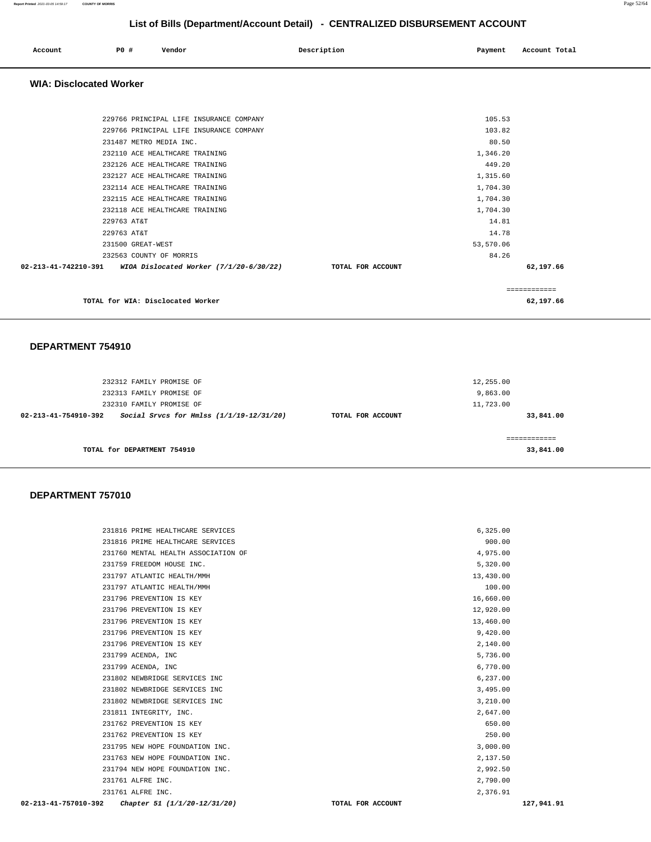| Account | <b>PO #</b> | Vendor | Description | Payment | Account Total |
|---------|-------------|--------|-------------|---------|---------------|
|         |             |        |             |         |               |

 **WIA: Disclocated Worker** 

| TOTAL for WIA: Disclocated Worker                                 |                   |           | 62,197.66    |
|-------------------------------------------------------------------|-------------------|-----------|--------------|
|                                                                   |                   |           | ============ |
| 02-213-41-742210-391<br>WIOA Dislocated Worker $(7/1/20-6/30/22)$ | TOTAL FOR ACCOUNT |           | 62,197.66    |
| 232563 COUNTY OF MORRIS                                           |                   | 84.26     |              |
| 231500 GREAT-WEST                                                 |                   | 53,570.06 |              |
| 229763 AT&T                                                       |                   | 14.78     |              |
| 229763 AT&T                                                       |                   | 14.81     |              |
| 232118 ACE HEALTHCARE TRAINING                                    |                   | 1,704.30  |              |
| 232115 ACE HEALTHCARE TRAINING                                    |                   | 1,704.30  |              |
| 232114 ACE HEALTHCARE TRAINING                                    |                   | 1,704.30  |              |
| 232127 ACE HEALTHCARE TRAINING                                    |                   | 1,315.60  |              |
| 232126 ACE HEALTHCARE TRAINING                                    |                   | 449.20    |              |
| 232110 ACE HEALTHCARE TRAINING                                    |                   | 1,346.20  |              |
| 231487 METRO MEDIA INC.                                           |                   | 80.50     |              |
| 229766 PRINCIPAL LIFE INSURANCE COMPANY                           |                   | 103.82    |              |
| 229766 PRINCIPAL LIFE INSURANCE COMPANY                           |                   | 105.53    |              |
|                                                                   |                   |           |              |

### **DEPARTMENT 754910**

| 232312 FAMILY PROMISE OF<br>232313 FAMILY PROMISE OF<br>232310 FAMILY PROMISE OF |                   | 12,255.00<br>9,863.00<br>11,723.00 |
|----------------------------------------------------------------------------------|-------------------|------------------------------------|
| Social Srvcs for Hmlss (1/1/19-12/31/20)<br>02-213-41-754910-392                 | TOTAL FOR ACCOUNT | 33,841.00                          |
| TOTAL for DEPARTMENT 754910                                                      |                   | 33,841.00                          |

| 231816 PRIME HEALTHCARE SERVICES    | 6.325.00  |
|-------------------------------------|-----------|
| 231816 PRIME HEALTHCARE SERVICES    | 900.00    |
| 231760 MENTAL HEALTH ASSOCIATION OF | 4,975.00  |
| 231759 FREEDOM HOUSE INC.           | 5,320.00  |
| 231797 ATLANTIC HEALTH/MMH          | 13,430.00 |
| 231797 ATLANTIC HEALTH/MMH          | 100.00    |
| 231796 PREVENTION IS KEY            | 16,660.00 |
| 231796 PREVENTION IS KEY            | 12,920.00 |
| 231796 PREVENTION IS KEY            | 13,460.00 |
| 231796 PREVENTION IS KEY            | 9,420.00  |
| 231796 PREVENTION IS KEY            | 2,140.00  |
| 231799 ACENDA, INC                  | 5,736.00  |
| 231799 ACENDA, INC                  | 6,770.00  |
| 231802 NEWBRIDGE SERVICES INC       | 6,237.00  |
| 231802 NEWBRIDGE SERVICES INC       | 3,495.00  |
| 231802 NEWBRIDGE SERVICES INC       | 3,210.00  |
| 231811 INTEGRITY, INC.              | 2,647.00  |
| 231762 PREVENTION IS KEY            | 650.00    |
| 231762 PREVENTION IS KEY            | 250.00    |
| 231795 NEW HOPE FOUNDATION INC.     | 3,000.00  |
| 231763 NEW HOPE FOUNDATION INC.     | 2,137.50  |
| 231794 NEW HOPE FOUNDATION INC.     | 2,992.50  |
| 231761 ALFRE INC.                   | 2,790.00  |
| 231761 ALFRE INC.                   | 2,376.91  |
|                                     |           |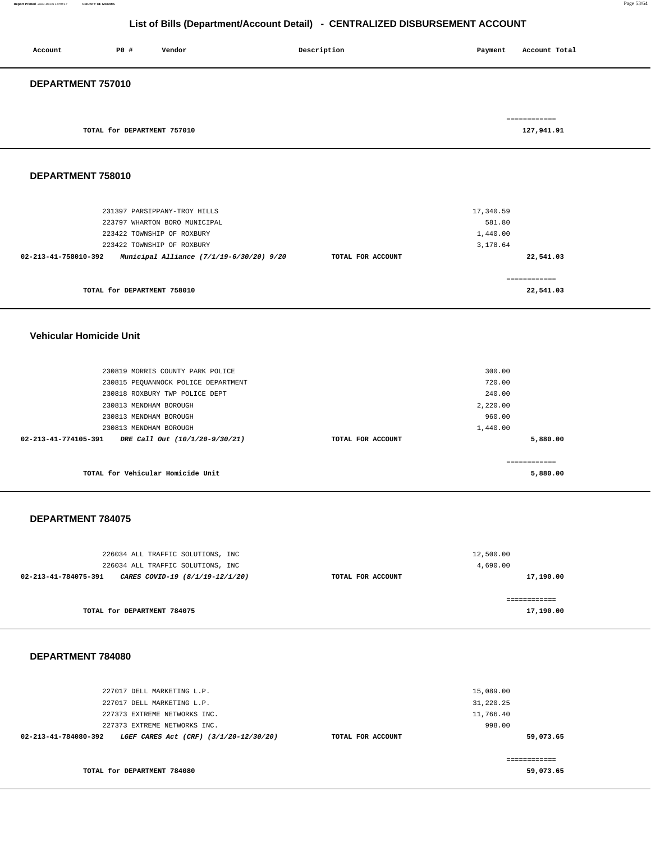#### **Report Printed** 2021-03-05 14:59:17 **COUNTY OF MORRIS** Page 53/64

# **List of Bills (Department/Account Detail) - CENTRALIZED DISBURSEMENT ACCOUNT**

| Account           | P0#                         | Vendor | Description | Payment | Account Total              |
|-------------------|-----------------------------|--------|-------------|---------|----------------------------|
| DEPARTMENT 757010 |                             |        |             |         |                            |
|                   | TOTAL for DEPARTMENT 757010 |        |             |         | ============<br>127,941.91 |

### **DEPARTMENT 758010**

| TOTAL for DEPARTMENT 758010                                      |                   | 22,541.03 |
|------------------------------------------------------------------|-------------------|-----------|
|                                                                  |                   |           |
| Municipal Alliance (7/1/19-6/30/20) 9/20<br>02-213-41-758010-392 | TOTAL FOR ACCOUNT | 22,541.03 |
| 223422 TOWNSHIP OF ROXBURY                                       |                   | 3,178.64  |
| 223422 TOWNSHIP OF ROXBURY                                       |                   | 1,440.00  |
| 223797 WHARTON BORO MUNICIPAL                                    |                   | 581.80    |
| 231397 PARSIPPANY-TROY HILLS                                     |                   | 17,340.59 |
|                                                                  |                   |           |

#### **Vehicular Homicide Unit**

| 230819 MORRIS COUNTY PARK POLICE                       |                   | 300.00   |
|--------------------------------------------------------|-------------------|----------|
|                                                        |                   |          |
| 230815 PEQUANNOCK POLICE DEPARTMENT                    |                   | 720.00   |
| 230818 ROXBURY TWP POLICE DEPT                         |                   | 240.00   |
| 230813 MENDHAM BOROUGH                                 |                   | 2,220.00 |
| 230813 MENDHAM BOROUGH                                 |                   | 960.00   |
| 230813 MENDHAM BOROUGH                                 |                   | 1,440.00 |
| 02-213-41-774105-391<br>DRE Call Out (10/1/20-9/30/21) | TOTAL FOR ACCOUNT | 5,880.00 |
|                                                        |                   |          |
|                                                        |                   |          |
| TOTAL for Vehicular Homicide Unit                      |                   | 5,880,00 |

#### **DEPARTMENT 784075**

| 226034 ALL TRAFFIC SOLUTIONS, INC<br>226034 ALL TRAFFIC SOLUTIONS, INC |                   | 12,500.00<br>4,690.00 |
|------------------------------------------------------------------------|-------------------|-----------------------|
| CARES COVID-19 (8/1/19-12/1/20)<br>02-213-41-784075-391                | TOTAL FOR ACCOUNT | 17,190.00             |
| TOTAL for DEPARTMENT 784075                                            |                   | 17,190.00             |

| 227017 DELL MARKETING L.P.                                     |                   | 15,089.00 |
|----------------------------------------------------------------|-------------------|-----------|
| 227017 DELL MARKETING L.P.                                     |                   | 31,220.25 |
| 227373 EXTREME NETWORKS INC.                                   |                   | 11,766.40 |
| 227373 EXTREME NETWORKS INC.                                   |                   | 998.00    |
| 02-213-41-784080-392<br>LGEF CARES Act (CRF) (3/1/20-12/30/20) | TOTAL FOR ACCOUNT | 59,073.65 |
|                                                                |                   |           |
|                                                                |                   |           |
| TOTAL for DEPARTMENT 784080                                    |                   | 59,073.65 |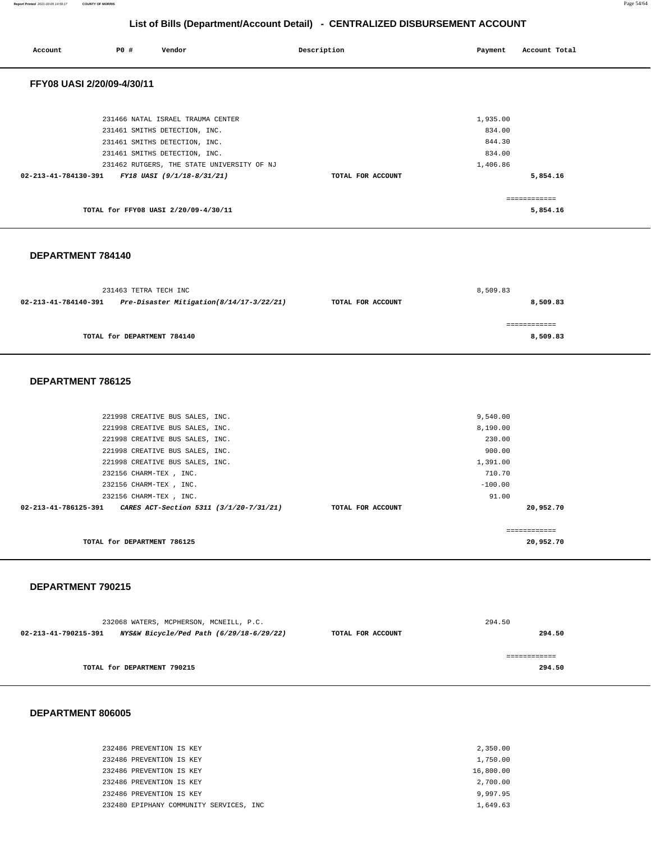**8,509.83**

# **List of Bills (Department/Account Detail) - CENTRALIZED DISBURSEMENT ACCOUNT**

| Account                                         | PO#                   | Vendor                                                             | Description       | Payment            | Account Total            |
|-------------------------------------------------|-----------------------|--------------------------------------------------------------------|-------------------|--------------------|--------------------------|
| FFY08 UASI 2/20/09-4/30/11                      |                       |                                                                    |                   |                    |                          |
|                                                 |                       | 231466 NATAL ISRAEL TRAUMA CENTER<br>231461 SMITHS DETECTION, INC. |                   | 1,935.00<br>834.00 |                          |
|                                                 |                       | 231461 SMITHS DETECTION, INC.<br>231461 SMITHS DETECTION, INC.     |                   | 844.30<br>834.00   |                          |
| 02-213-41-784130-391 FY18 UASI (9/1/18-8/31/21) |                       | 231462 RUTGERS, THE STATE UNIVERSITY OF NJ                         | TOTAL FOR ACCOUNT | 1,406.86           | 5,854.16                 |
|                                                 |                       | TOTAL for FFY08 UASI 2/20/09-4/30/11                               |                   |                    | ============<br>5,854.16 |
| DEPARTMENT 784140                               |                       |                                                                    |                   |                    |                          |
| 02-213-41-784140-391                            | 231463 TETRA TECH INC | Pre-Disaster Mitigation(8/14/17-3/22/21)                           | TOTAL FOR ACCOUNT | 8,509.83           | 8,509.83                 |
|                                                 |                       |                                                                    |                   |                    | ============             |

**TOTAL for DEPARTMENT 784140** 

### **DEPARTMENT 786125**

| TOTAL for DEPARTMENT 786125                                        |                   | 20,952.70    |  |
|--------------------------------------------------------------------|-------------------|--------------|--|
|                                                                    |                   | ------------ |  |
| 02-213-41-786125-391    CARES ACT-Section 5311    (3/1/20-7/31/21) | TOTAL FOR ACCOUNT | 20,952.70    |  |
| 232156 CHARM-TEX , INC.                                            |                   | 91.00        |  |
| 232156 CHARM-TEX , INC.                                            |                   | $-100.00$    |  |
| 232156 CHARM-TEX, INC.                                             |                   | 710.70       |  |
| 221998 CREATIVE BUS SALES, INC.                                    |                   | 1,391.00     |  |
| 221998 CREATIVE BUS SALES, INC.                                    |                   | 900.00       |  |
| 221998 CREATIVE BUS SALES, INC.                                    |                   | 230.00       |  |
| 221998 CREATIVE BUS SALES, INC.                                    |                   | 8,190.00     |  |
| 221998 CREATIVE BUS SALES, INC.                                    |                   | 9,540.00     |  |
|                                                                    |                   |              |  |

#### **DEPARTMENT 790215**

|                      | 232068 WATERS, MCPHERSON, MCNEILL, P.C.  |                   | 294.50 |
|----------------------|------------------------------------------|-------------------|--------|
| 02-213-41-790215-391 | NYS&W Bicycle/Ped Path (6/29/18-6/29/22) | TOTAL FOR ACCOUNT | 294.50 |
|                      |                                          |                   |        |
|                      |                                          |                   |        |
|                      | TOTAL for DEPARTMENT 790215              |                   | 294.50 |
|                      |                                          |                   |        |

| 232486 PREVENTION IS KEY                 | 2,350.00  |
|------------------------------------------|-----------|
| 232486 PREVENTION IS KEY                 | 1,750.00  |
| 232486 PREVENTION IS KEY                 | 16,800.00 |
| 232486 PREVENTION IS KEY                 | 2,700.00  |
| 232486 PREVENTION IS KEY                 | 9,997.95  |
| 232480 EPIPHANY COMMUNITY SERVICES, INC. | 1,649.63  |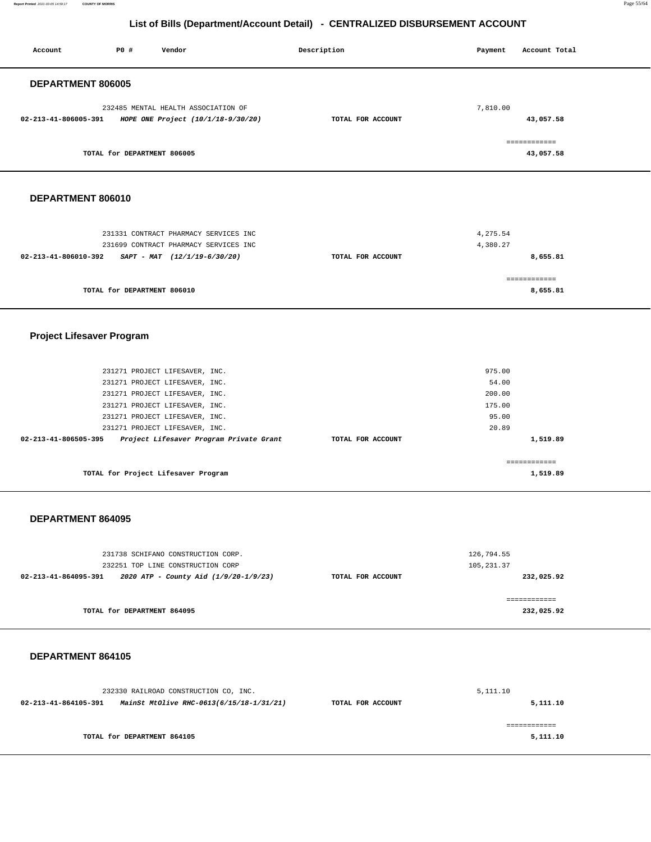**Report Printed** 2021-03-05 14:59:17 **COUNTY OF MORRIS** Page 55/64

# **List of Bills (Department/Account Detail) - CENTRALIZED DISBURSEMENT ACCOUNT**

| <b>PO #</b><br>Vendor<br>Account                                                                       | Description       | Payment<br>Account Total   |
|--------------------------------------------------------------------------------------------------------|-------------------|----------------------------|
| DEPARTMENT 806005                                                                                      |                   |                            |
| 232485 MENTAL HEALTH ASSOCIATION OF<br>02-213-41-806005-391<br>HOPE ONE Project (10/1/18-9/30/20)      | TOTAL FOR ACCOUNT | 7,810.00<br>43,057.58      |
| TOTAL for DEPARTMENT 806005                                                                            |                   | ============<br>43,057.58  |
| DEPARTMENT 806010                                                                                      |                   |                            |
| 231331 CONTRACT PHARMACY SERVICES INC<br>231699 CONTRACT PHARMACY SERVICES INC                         |                   | 4,275.54<br>4,380.27       |
| 02-213-41-806010-392<br>$SAPT - MAT$ (12/1/19-6/30/20)                                                 | TOTAL FOR ACCOUNT | 8,655.81                   |
| TOTAL for DEPARTMENT 806010                                                                            |                   | ============<br>8,655.81   |
| <b>Project Lifesaver Program</b>                                                                       |                   |                            |
| 231271 PROJECT LIFESAVER, INC.<br>231271 PROJECT LIFESAVER, INC.                                       |                   | 975.00<br>54.00            |
| 231271 PROJECT LIFESAVER, INC.<br>231271 PROJECT LIFESAVER, INC.                                       |                   | 200.00<br>175.00           |
| 231271 PROJECT LIFESAVER, INC.                                                                         |                   | 95.00                      |
| 231271 PROJECT LIFESAVER, INC.<br>Project Lifesaver Program Private Grant<br>02-213-41-806505-395      | TOTAL FOR ACCOUNT | 20.89<br>1,519.89          |
| TOTAL for Project Lifesaver Program                                                                    |                   | ------------<br>1,519.89   |
| DEPARTMENT 864095                                                                                      |                   |                            |
| 231738 SCHIFANO CONSTRUCTION CORP.<br>232251 TOP LINE CONSTRUCTION CORP                                |                   | 126,794.55<br>105, 231.37  |
| 02-213-41-864095-391    2020 ATP - County Aid $(1/9/20-1/9/23)$                                        | TOTAL FOR ACCOUNT | 232,025.92                 |
| TOTAL for DEPARTMENT 864095                                                                            |                   | ============<br>232,025.92 |
| DEPARTMENT 864105                                                                                      |                   |                            |
| 232330 RAILROAD CONSTRUCTION CO, INC.<br>02-213-41-864105-391 MainSt MtOlive RHC-0613(6/15/18-1/31/21) | TOTAL FOR ACCOUNT | 5,111.10<br>5,111.10       |
| TOTAL for DEPARTMENT 864105                                                                            |                   | ============<br>5,111.10   |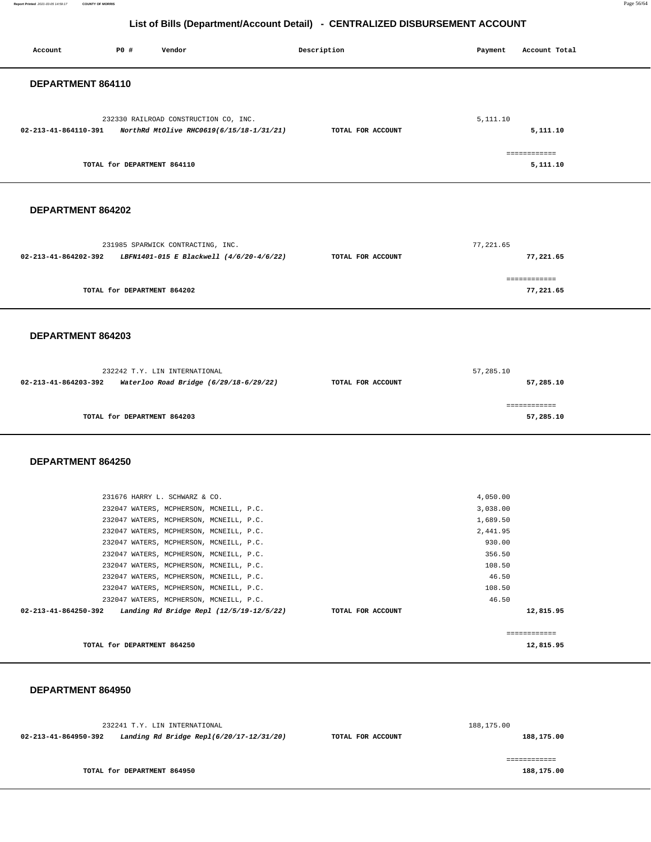#### **Report Printed** 2021-03-05 14:59:17 **COUNTY OF MORRIS** Page 56/64

# **List of Bills (Department/Account Detail) - CENTRALIZED DISBURSEMENT ACCOUNT**

| Account              | <b>PO #</b>                 | Vendor                                                                              | Description       | Payment              | Account Total            |  |
|----------------------|-----------------------------|-------------------------------------------------------------------------------------|-------------------|----------------------|--------------------------|--|
|                      |                             |                                                                                     |                   |                      |                          |  |
| DEPARTMENT 864110    |                             |                                                                                     |                   |                      |                          |  |
|                      |                             |                                                                                     |                   |                      |                          |  |
|                      |                             |                                                                                     |                   |                      |                          |  |
|                      |                             | 232330 RAILROAD CONSTRUCTION CO, INC.                                               |                   | 5,111.10             |                          |  |
| 02-213-41-864110-391 |                             | NorthRd MtOlive RHC0619(6/15/18-1/31/21)                                            | TOTAL FOR ACCOUNT |                      | 5,111.10                 |  |
|                      |                             |                                                                                     |                   |                      |                          |  |
|                      | TOTAL for DEPARTMENT 864110 |                                                                                     |                   |                      | ------------<br>5,111.10 |  |
|                      |                             |                                                                                     |                   |                      |                          |  |
|                      |                             |                                                                                     |                   |                      |                          |  |
|                      |                             |                                                                                     |                   |                      |                          |  |
| DEPARTMENT 864202    |                             |                                                                                     |                   |                      |                          |  |
|                      |                             |                                                                                     |                   |                      |                          |  |
|                      |                             | 231985 SPARWICK CONTRACTING, INC.                                                   |                   | 77, 221.65           |                          |  |
| 02-213-41-864202-392 |                             | LBFN1401-015 E Blackwell (4/6/20-4/6/22)                                            | TOTAL FOR ACCOUNT |                      | 77,221.65                |  |
|                      |                             |                                                                                     |                   |                      |                          |  |
|                      |                             |                                                                                     |                   |                      | ============             |  |
|                      | TOTAL for DEPARTMENT 864202 |                                                                                     |                   |                      | 77,221.65                |  |
|                      |                             |                                                                                     |                   |                      |                          |  |
|                      |                             |                                                                                     |                   |                      |                          |  |
| DEPARTMENT 864203    |                             |                                                                                     |                   |                      |                          |  |
|                      |                             |                                                                                     |                   |                      |                          |  |
|                      |                             |                                                                                     |                   |                      |                          |  |
|                      |                             | 232242 T.Y. LIN INTERNATIONAL                                                       |                   | 57,285.10            |                          |  |
|                      |                             | 02-213-41-864203-392 Waterloo Road Bridge (6/29/18-6/29/22)                         | TOTAL FOR ACCOUNT |                      | 57,285.10                |  |
|                      |                             |                                                                                     |                   |                      |                          |  |
|                      |                             |                                                                                     |                   |                      | ============             |  |
|                      |                             |                                                                                     |                   |                      |                          |  |
|                      | TOTAL for DEPARTMENT 864203 |                                                                                     |                   |                      | 57,285.10                |  |
|                      |                             |                                                                                     |                   |                      |                          |  |
|                      |                             |                                                                                     |                   |                      |                          |  |
| DEPARTMENT 864250    |                             |                                                                                     |                   |                      |                          |  |
|                      |                             |                                                                                     |                   |                      |                          |  |
|                      |                             |                                                                                     |                   |                      |                          |  |
|                      |                             | 231676 HARRY L. SCHWARZ & CO.                                                       |                   | 4,050.00<br>3,038.00 |                          |  |
|                      |                             | 232047 WATERS, MCPHERSON, MCNEILL, P.C.<br>232047 WATERS, MCPHERSON, MCNEILL, P.C.  |                   | 1,689.50             |                          |  |
|                      |                             | 232047 WATERS, MCPHERSON, MCNEILL, P.C.                                             |                   | 2,441.95             |                          |  |
|                      |                             | 232047 WATERS, MCPHERSON, MCNEILL, P.C.                                             |                   | 930.00               |                          |  |
|                      |                             | 232047 WATERS, MCPHERSON, MCNEILL, P.C.                                             |                   | 356.50               |                          |  |
|                      |                             | 232047 WATERS, MCPHERSON, MCNEILL, P.C.                                             |                   | 108.50               |                          |  |
|                      |                             | 232047 WATERS, MCPHERSON, MCNEILL, P.C.                                             |                   | 46.50                |                          |  |
|                      |                             | 232047 WATERS, MCPHERSON, MCNEILL, P.C.                                             |                   | 108.50               |                          |  |
| 02-213-41-864250-392 |                             | 232047 WATERS, MCPHERSON, MCNEILL, P.C.<br>Landing Rd Bridge Repl (12/5/19-12/5/22) | TOTAL FOR ACCOUNT | 46.50                | 12,815.95                |  |
|                      |                             |                                                                                     |                   |                      |                          |  |
|                      |                             |                                                                                     |                   |                      | ------------             |  |
|                      | TOTAL for DEPARTMENT 864250 |                                                                                     |                   |                      | 12,815.95                |  |
|                      |                             |                                                                                     |                   |                      |                          |  |
|                      |                             |                                                                                     |                   |                      |                          |  |
| DEPARTMENT 864950    |                             |                                                                                     |                   |                      |                          |  |
|                      |                             |                                                                                     |                   |                      |                          |  |
|                      |                             |                                                                                     |                   |                      |                          |  |
|                      |                             | 232241 T.Y. LIN INTERNATIONAL                                                       |                   | 188,175.00           |                          |  |
| 02-213-41-864950-392 |                             | Landing Rd Bridge Repl(6/20/17-12/31/20)                                            | TOTAL FOR ACCOUNT |                      | 188,175.00               |  |
|                      |                             |                                                                                     |                   |                      | ============             |  |

**TOTAL for DEPARTMENT 864950** 

**188,175.00**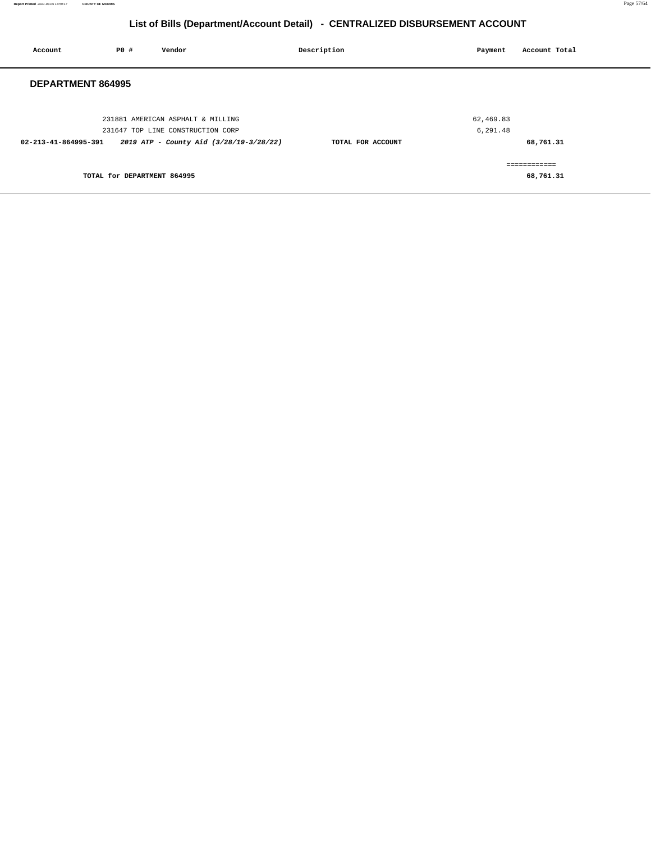| Account                  | <b>PO #</b>                 | Vendor                                                                                                            | Description       | Payment               | Account Total              |
|--------------------------|-----------------------------|-------------------------------------------------------------------------------------------------------------------|-------------------|-----------------------|----------------------------|
| <b>DEPARTMENT 864995</b> |                             |                                                                                                                   |                   |                       |                            |
| 02-213-41-864995-391     |                             | 231881 AMERICAN ASPHALT & MILLING<br>231647 TOP LINE CONSTRUCTION CORP<br>2019 ATP - County Aid (3/28/19-3/28/22) | TOTAL FOR ACCOUNT | 62,469.83<br>6,291.48 | 68,761.31                  |
|                          | TOTAL for DEPARTMENT 864995 |                                                                                                                   |                   |                       | -------------<br>68,761.31 |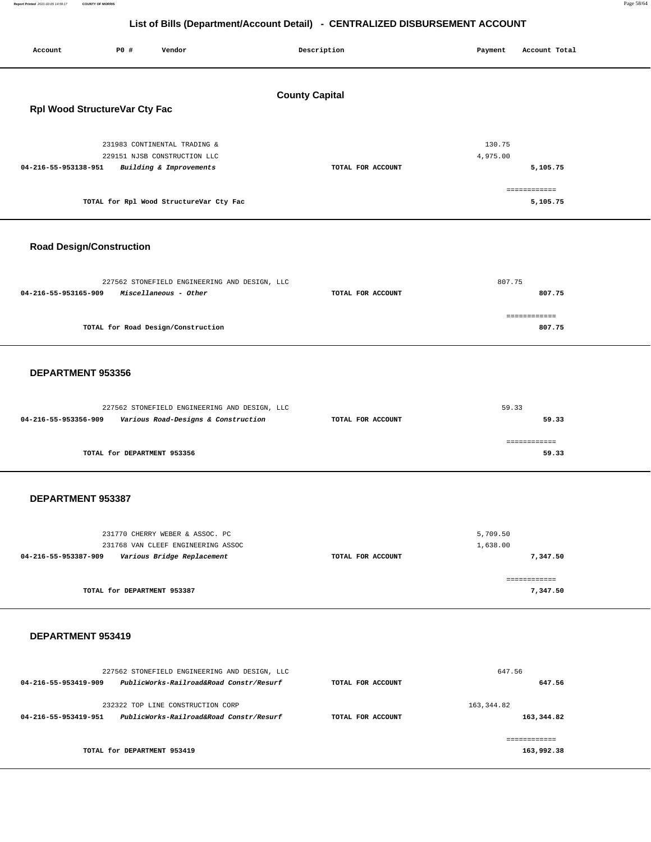**Report Printed** 2021-03-05 14:59:17 **COUNTY OF MORRIS** Page 58/64

# **List of Bills (Department/Account Detail) - CENTRALIZED DISBURSEMENT ACCOUNT**

Report Printed 2021-03-05 14:59:17

—<br>—

Ξ

| P0 #<br>Vendor<br>Account                                                                                                                                  | Description           | Payment<br>Account Total                                   |
|------------------------------------------------------------------------------------------------------------------------------------------------------------|-----------------------|------------------------------------------------------------|
| Rpl Wood StructureVar Cty Fac                                                                                                                              | <b>County Capital</b> |                                                            |
| 231983 CONTINENTAL TRADING &<br>229151 NJSB CONSTRUCTION LLC<br>04-216-55-953138-951<br>Building & Improvements<br>TOTAL for Rpl Wood StructureVar Cty Fac | TOTAL FOR ACCOUNT     | 130.75<br>4,975.00<br>5,105.75<br>============<br>5,105.75 |
| <b>Road Design/Construction</b>                                                                                                                            |                       |                                                            |
| 227562 STONEFIELD ENGINEERING AND DESIGN, LLC<br>04-216-55-953165-909<br>Miscellaneous - Other                                                             | TOTAL FOR ACCOUNT     | 807.75<br>807.75<br>============                           |
| TOTAL for Road Design/Construction                                                                                                                         |                       | 807.75                                                     |
| DEPARTMENT 953356                                                                                                                                          |                       |                                                            |
| 227562 STONEFIELD ENGINEERING AND DESIGN, LLC<br>04-216-55-953356-909<br>Various Road-Designs & Construction                                               | TOTAL FOR ACCOUNT     | 59.33<br>59.33                                             |
| TOTAL for DEPARTMENT 953356                                                                                                                                |                       | ============<br>59.33                                      |
| DEPARTMENT 953387                                                                                                                                          |                       |                                                            |
| 231770 CHERRY WEBER & ASSOC. PC<br>231768 VAN CLEEF ENGINEERING ASSOC<br>04-216-55-953387-909<br>Various Bridge Replacement                                | TOTAL FOR ACCOUNT     | 5,709.50<br>1,638.00<br>7,347.50<br>============           |
| TOTAL for DEPARTMENT 953387                                                                                                                                |                       | 7,347.50                                                   |
| DEPARTMENT 953419                                                                                                                                          |                       |                                                            |
| 227562 STONEFIELD ENGINEERING AND DESIGN, LLC<br>PublicWorks-Railroad&Road Constr/Resurf<br>04-216-55-953419-909                                           | TOTAL FOR ACCOUNT     | 647.56<br>647.56                                           |
| 232322 TOP LINE CONSTRUCTION CORP<br>04-216-55-953419-951<br>PublicWorks-Railroad&Road Constr/Resurf                                                       | TOTAL FOR ACCOUNT     | 163, 344.82<br>163,344.82                                  |
| TOTAL for DEPARTMENT 953419                                                                                                                                |                       | ------------<br>163,992.38                                 |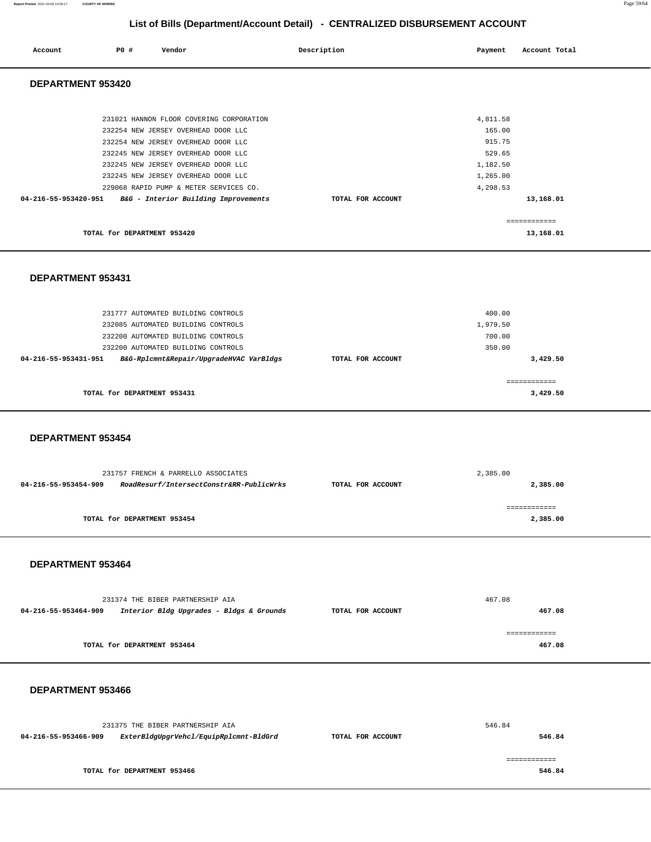|                      | 231375 THE BIBER PARTNERSHIP AIA       |                   | 546.84 |
|----------------------|----------------------------------------|-------------------|--------|
| 04-216-55-953466-909 | ExterBldgUpgrVehcl/EquipRplcmnt-BldGrd | TOTAL FOR ACCOUNT | 546.84 |
|                      |                                        |                   |        |
|                      |                                        |                   |        |
|                      | TOTAL for DEPARTMENT 953466            |                   | 546.84 |
|                      |                                        |                   |        |

### **DEPARTMENT 953466**

| 04-216-55-953464-909 | Interior Bldg Upgrades - Bldgs & Grounds | TOTAL FOR ACCOUNT | 467.08 |
|----------------------|------------------------------------------|-------------------|--------|
|                      |                                          |                   |        |
|                      | TOTAL for DEPARTMENT 953464              |                   | 467.08 |
|                      |                                          |                   |        |

## **DEPARTMENT 953464**

231374 THE BIBER PARTNERSHIP AIA

|                      | 231757 FRENCH & PARRELLO ASSOCIATES      |                   | 2,385.00      |
|----------------------|------------------------------------------|-------------------|---------------|
| 04-216-55-953454-909 | RoadResurf/IntersectConstr&RR-PublicWrks | TOTAL FOR ACCOUNT | 2,385.00      |
|                      |                                          |                   |               |
|                      |                                          |                   | ------------- |
|                      | TOTAL for DEPARTMENT 953454              |                   | 2,385.00      |

467.08

## **DEPARTMENT 953454**

| 231777 AUTOMATED BUILDING CONTROLS                              | 400.00            |              |
|-----------------------------------------------------------------|-------------------|--------------|
| 232085 AUTOMATED BUILDING CONTROLS                              | 1,979.50          |              |
| 232200 AUTOMATED BUILDING CONTROLS                              | 700.00            |              |
| 232200 AUTOMATED BUILDING CONTROLS                              | 350.00            |              |
| B&G-Rplcmnt&Repair/UpgradeHVAC VarBldgs<br>04-216-55-953431-951 | TOTAL FOR ACCOUNT | 3,429.50     |
|                                                                 |                   |              |
|                                                                 |                   | ============ |
| TOTAL for DEPARTMENT 953431                                     |                   | 3,429.50     |

| 231021 HANNON FLOOR COVERING CORPORATION                  | 4,811.58                       |  |
|-----------------------------------------------------------|--------------------------------|--|
| 232254 NEW JERSEY OVERHEAD DOOR LLC                       | 165.00                         |  |
| 232254 NEW JERSEY OVERHEAD DOOR LLC                       | 915.75                         |  |
| 232245 NEW JERSEY OVERHEAD DOOR LLC                       | 529.65                         |  |
| 232245 NEW JERSEY OVERHEAD DOOR LLC                       | 1,182.50                       |  |
| 232245 NEW JERSEY OVERHEAD DOOR LLC                       | 1,265.00                       |  |
| 229068 RAPID PUMP & METER SERVICES CO.                    | 4,298.53                       |  |
| 04-216-55-953420-951 B&G - Interior Building Improvements | 13,168.01<br>TOTAL FOR ACCOUNT |  |
| TOTAL for DEPARTMENT 953420                               | ============<br>13,168.01      |  |

|                      |     |                                                                                                                                                                                                                                                                                       | List of Dills (Department/Account Detail) - CLITTIALIZED DIODOROLINENT ACCOUNT |                                                                            |               |
|----------------------|-----|---------------------------------------------------------------------------------------------------------------------------------------------------------------------------------------------------------------------------------------------------------------------------------------|--------------------------------------------------------------------------------|----------------------------------------------------------------------------|---------------|
| Account              | PO# | Vendor                                                                                                                                                                                                                                                                                | Description                                                                    | Payment                                                                    | Account Total |
| DEPARTMENT 953420    |     |                                                                                                                                                                                                                                                                                       |                                                                                |                                                                            |               |
|                      |     | 231021 HANNON FLOOR COVERING CORPORATION<br>232254 NEW JERSEY OVERHEAD DOOR LLC<br>232254 NEW JERSEY OVERHEAD DOOR LLC<br>232245 NEW JERSEY OVERHEAD DOOR LLC<br>232245 NEW JERSEY OVERHEAD DOOR LLC<br>232245 NEW JERSEY OVERHEAD DOOR LLC<br>229068 RAPID PUMP & METER SERVICES CO. |                                                                                | 4,811.58<br>165.00<br>915.75<br>529.65<br>1,182.50<br>1,265.00<br>4,298.53 |               |
| 04-216-55-953420-951 |     | B&G - Interior Building Improvements                                                                                                                                                                                                                                                  | TOTAL FOR ACCOUNT                                                              |                                                                            | 13,168.01     |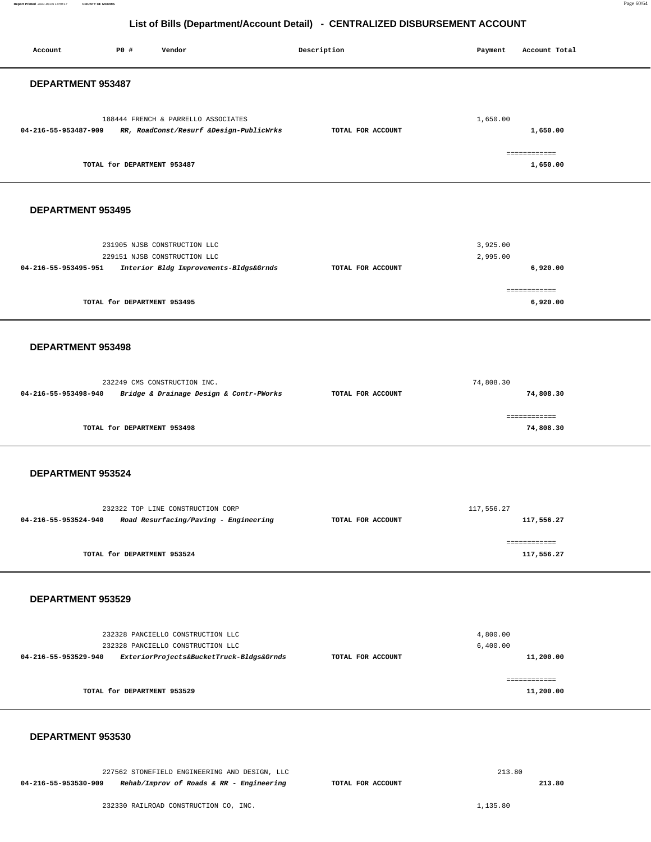| Account              | P0 #                        | Vendor                                                                                                             | Description       | Payment              | Account Total              |
|----------------------|-----------------------------|--------------------------------------------------------------------------------------------------------------------|-------------------|----------------------|----------------------------|
| DEPARTMENT 953487    |                             |                                                                                                                    |                   |                      |                            |
| 04-216-55-953487-909 |                             | 188444 FRENCH & PARRELLO ASSOCIATES<br>RR, RoadConst/Resurf &Design-PublicWrks                                     | TOTAL FOR ACCOUNT | 1,650.00             | 1,650.00                   |
|                      | TOTAL for DEPARTMENT 953487 |                                                                                                                    |                   |                      | ============<br>1,650.00   |
| DEPARTMENT 953495    |                             |                                                                                                                    |                   |                      |                            |
| 04-216-55-953495-951 |                             | 231905 NJSB CONSTRUCTION LLC<br>229151 NJSB CONSTRUCTION LLC<br>Interior Bldg Improvements-Bldgs&Grnds             | TOTAL FOR ACCOUNT | 3,925.00<br>2,995.00 | 6,920.00<br>============   |
|                      | TOTAL for DEPARTMENT 953495 |                                                                                                                    |                   |                      | 6,920.00                   |
| DEPARTMENT 953498    |                             |                                                                                                                    |                   |                      |                            |
| 04-216-55-953498-940 |                             | 232249 CMS CONSTRUCTION INC.<br>Bridge & Drainage Design & Contr-PWorks                                            | TOTAL FOR ACCOUNT | 74,808.30            | 74,808.30                  |
|                      | TOTAL for DEPARTMENT 953498 |                                                                                                                    |                   |                      | ============<br>74,808.30  |
| DEPARTMENT 953524    |                             |                                                                                                                    |                   |                      |                            |
| 04-216-55-953524-940 |                             | 232322 TOP LINE CONSTRUCTION CORP<br>Road Resurfacing/Paving - Engineering                                         | TOTAL FOR ACCOUNT | 117,556.27           | 117,556.27                 |
|                      | TOTAL for DEPARTMENT 953524 |                                                                                                                    |                   |                      | ============<br>117,556.27 |
| DEPARTMENT 953529    |                             |                                                                                                                    |                   |                      |                            |
| 04-216-55-953529-940 |                             | 232328 PANCIELLO CONSTRUCTION LLC<br>232328 PANCIELLO CONSTRUCTION LLC<br>ExteriorProjects&BucketTruck-Bldgs&Grnds | TOTAL FOR ACCOUNT | 4,800.00<br>6,400.00 | 11,200.00                  |
|                      | TOTAL for DEPARTMENT 953529 |                                                                                                                    |                   |                      | ============<br>11,200.00  |
| DEPARTMENT 953530    |                             |                                                                                                                    |                   |                      |                            |

227562 STONEFIELD ENGINEERING AND DESIGN, LLC **04-216-55-953530-909 Rehab/Improv of Roads & RR - Engineering TOTAL FOR ACCOUNT**  213.80 **213.80**

232330 RAILROAD CONSTRUCTION CO, INC.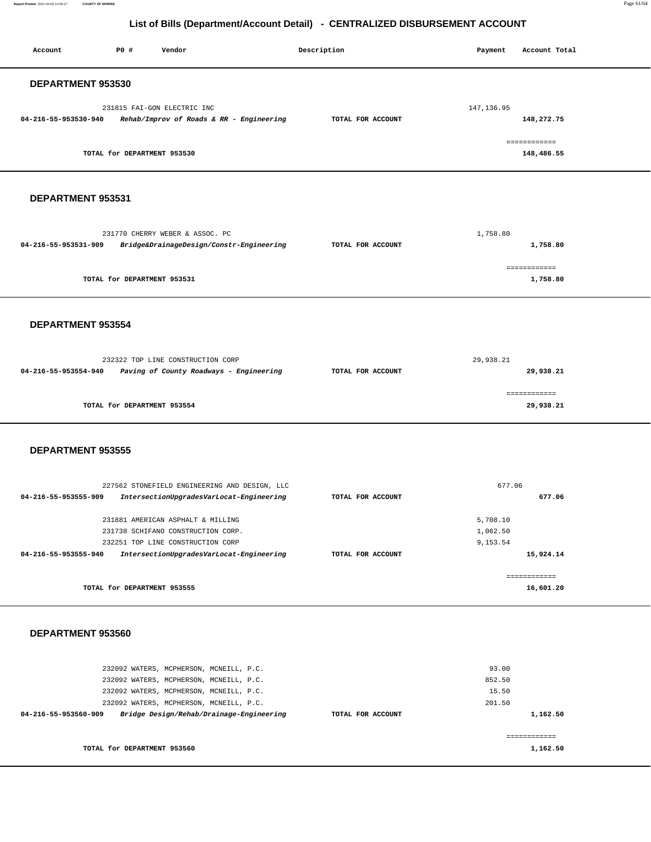**Report Printed** 2021-03-05 14:59:17 **COUNTY OF MORRIS** Page 61/64

**1,162.50** 

# **List of Bills (Department/Account Detail) - CENTRALIZED DISBURSEMENT ACCOUNT**

Account **PO #** Vendor **Payment** Point Payment Account Total

| DEPARTMENT 953530                                                                                           |                   |                       |  |
|-------------------------------------------------------------------------------------------------------------|-------------------|-----------------------|--|
| 231815 FAI-GON ELECTRIC INC                                                                                 |                   | 147, 136.95           |  |
| 04-216-55-953530-940<br>Rehab/Improv of Roads & RR - Engineering                                            | TOTAL FOR ACCOUNT | 148,272.75            |  |
|                                                                                                             |                   |                       |  |
|                                                                                                             |                   | ============          |  |
| TOTAL for DEPARTMENT 953530                                                                                 |                   | 148,486.55            |  |
|                                                                                                             |                   |                       |  |
|                                                                                                             |                   |                       |  |
|                                                                                                             |                   |                       |  |
| DEPARTMENT 953531                                                                                           |                   |                       |  |
|                                                                                                             |                   |                       |  |
|                                                                                                             |                   |                       |  |
| 231770 CHERRY WEBER & ASSOC. PC<br>04-216-55-953531-909<br>Bridge&DrainageDesign/Constr-Engineering         | TOTAL FOR ACCOUNT | 1,758.80<br>1,758.80  |  |
|                                                                                                             |                   |                       |  |
|                                                                                                             |                   | ============          |  |
| TOTAL for DEPARTMENT 953531                                                                                 |                   | 1,758.80              |  |
|                                                                                                             |                   |                       |  |
|                                                                                                             |                   |                       |  |
|                                                                                                             |                   |                       |  |
| DEPARTMENT 953554                                                                                           |                   |                       |  |
|                                                                                                             |                   |                       |  |
|                                                                                                             |                   |                       |  |
| 232322 TOP LINE CONSTRUCTION CORP                                                                           |                   | 29,938.21             |  |
| 04-216-55-953554-940<br>Paving of County Roadways - Engineering                                             | TOTAL FOR ACCOUNT | 29,938.21             |  |
|                                                                                                             |                   |                       |  |
|                                                                                                             |                   |                       |  |
|                                                                                                             |                   | ============          |  |
| TOTAL for DEPARTMENT 953554                                                                                 |                   | 29,938.21             |  |
|                                                                                                             |                   |                       |  |
|                                                                                                             |                   |                       |  |
| DEPARTMENT 953555                                                                                           |                   |                       |  |
|                                                                                                             |                   |                       |  |
|                                                                                                             |                   |                       |  |
| 227562 STONEFIELD ENGINEERING AND DESIGN, LLC                                                               |                   | 677.06                |  |
| 04-216-55-953555-909<br>IntersectionUpgradesVarLocat-Engineering                                            | TOTAL FOR ACCOUNT | 677.06                |  |
|                                                                                                             |                   |                       |  |
| 231881 AMERICAN ASPHALT & MILLING                                                                           |                   | 5,708.10<br>1,062.50  |  |
| 231738 SCHIFANO CONSTRUCTION CORP.                                                                          |                   |                       |  |
| 232251 TOP LINE CONSTRUCTION CORP<br>IntersectionUpgradesVarLocat-Engineering<br>04-216-55-953555-940       | TOTAL FOR ACCOUNT | 9,153.54<br>15,924.14 |  |
|                                                                                                             |                   |                       |  |
|                                                                                                             |                   | ============          |  |
| TOTAL for DEPARTMENT 953555                                                                                 |                   | 16,601.20             |  |
|                                                                                                             |                   |                       |  |
|                                                                                                             |                   |                       |  |
|                                                                                                             |                   |                       |  |
| DEPARTMENT 953560                                                                                           |                   |                       |  |
|                                                                                                             |                   |                       |  |
|                                                                                                             |                   |                       |  |
| 232092 WATERS, MCPHERSON, MCNEILL, P.C.                                                                     |                   | 93.00                 |  |
| 232092 WATERS, MCPHERSON, MCNEILL, P.C.                                                                     |                   | 852.50                |  |
| 232092 WATERS, MCPHERSON, MCNEILL, P.C.                                                                     |                   | 15.50<br>201.50       |  |
| 232092 WATERS, MCPHERSON, MCNEILL, P.C.<br>04-216-55-953560-909<br>Bridge Design/Rehab/Drainage-Engineering | TOTAL FOR ACCOUNT | 1,162.50              |  |
|                                                                                                             |                   |                       |  |

**TOTAL for DEPARTMENT 953560**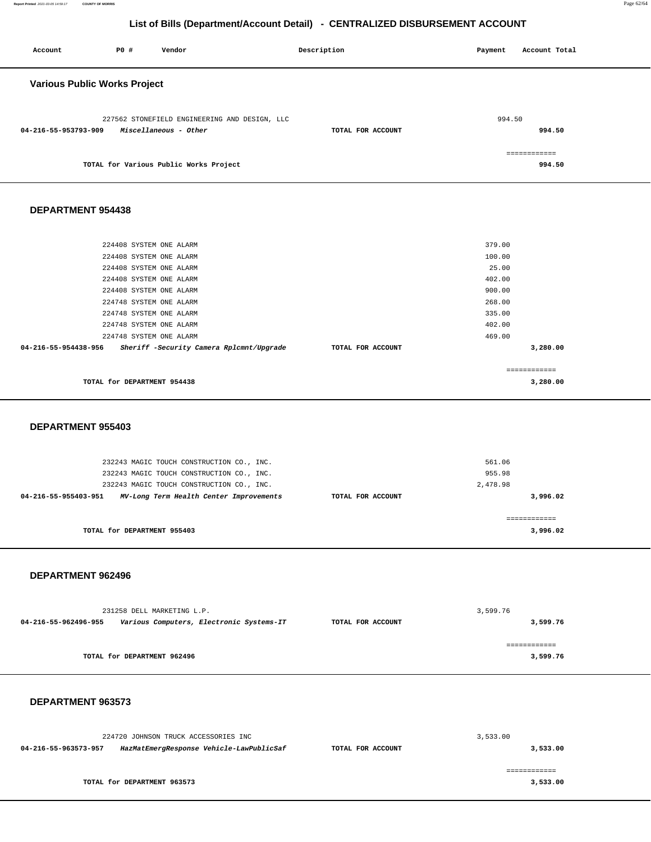| 224720 JOHNSON TRUCK ACCESSORIES INC |                                          |                   | 3,533.00      |  |
|--------------------------------------|------------------------------------------|-------------------|---------------|--|
| 04-216-55-963573-957                 | HazMatEmergResponse Vehicle-LawPublicSaf | TOTAL FOR ACCOUNT | 3,533.00      |  |
|                                      |                                          |                   |               |  |
|                                      |                                          |                   | ============= |  |
|                                      | TOTAL for DEPARTMENT 963573              |                   | 3,533.00      |  |
|                                      |                                          |                   |               |  |

# **DEPARTMENT 963573**

| 231258 DELL MARKETING L.P. |                                          |                   | 3,599.76 |
|----------------------------|------------------------------------------|-------------------|----------|
| 04-216-55-962496-955       | Various Computers, Electronic Systems-IT | TOTAL FOR ACCOUNT | 3,599.76 |
|                            |                                          |                   |          |
|                            |                                          |                   |          |
|                            | TOTAL for DEPARTMENT 962496              |                   | 3,599.76 |
|                            |                                          |                   |          |
|                            |                                          |                   |          |

## **DEPARTMENT 962496**

| 561.06<br>955.98<br>2,478.98  |
|-------------------------------|
| 3,996.02<br>TOTAL FOR ACCOUNT |
| 3,996.02                      |
|                               |

# **DEPARTMENT 955403**

| <b>DEPARTMENT 954438</b>                                         |                               |  |
|------------------------------------------------------------------|-------------------------------|--|
|                                                                  |                               |  |
| 224408 SYSTEM ONE ALARM                                          | 379.00                        |  |
| 224408 SYSTEM ONE ALARM                                          | 100.00                        |  |
| 224408 SYSTEM ONE ALARM                                          | 25.00                         |  |
| 224408 SYSTEM ONE ALARM                                          | 402.00                        |  |
| 224408 SYSTEM ONE ALARM                                          | 900.00                        |  |
| 224748 SYSTEM ONE ALARM                                          | 268.00                        |  |
| 224748 SYSTEM ONE ALARM                                          | 335.00                        |  |
| 224748 SYSTEM ONE ALARM                                          | 402.00                        |  |
| 224748 SYSTEM ONE ALARM                                          | 469.00                        |  |
| 04-216-55-954438-956<br>Sheriff -Security Camera Rplcmnt/Upgrade | TOTAL FOR ACCOUNT<br>3,280.00 |  |
|                                                                  | ============                  |  |
| TOTAL for DEPARTMENT 954438                                      | 3,280.00                      |  |

| <b>Various Public Works Project</b>                                                            |                   |                  |
|------------------------------------------------------------------------------------------------|-------------------|------------------|
| 227562 STONEFIELD ENGINEERING AND DESIGN, LLC<br>Miscellaneous - Other<br>04-216-55-953793-909 | TOTAL FOR ACCOUNT | 994.50<br>994.50 |
| TOTAL for Various Public Works Project                                                         |                   | 994.50           |

 **Account P0 # Vendor Description Payment Account Total**

# **List of Bills (Department/Account Detail) - CENTRALIZED DISBURSEMENT ACCOUNT**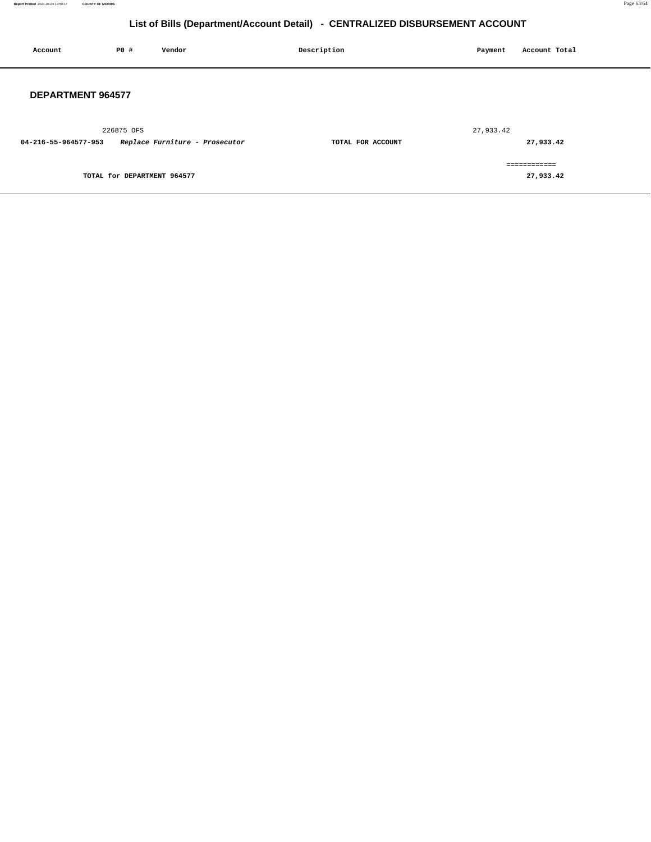| Account                  | P0 #                        | Vendor                         | Description       | Payment   | Account Total             |
|--------------------------|-----------------------------|--------------------------------|-------------------|-----------|---------------------------|
| <b>DEPARTMENT 964577</b> |                             |                                |                   |           |                           |
| 04-216-55-964577-953     | 226875 OFS                  | Replace Furniture - Prosecutor | TOTAL FOR ACCOUNT | 27,933.42 | 27,933.42                 |
|                          | TOTAL for DEPARTMENT 964577 |                                |                   |           | ============<br>27,933.42 |